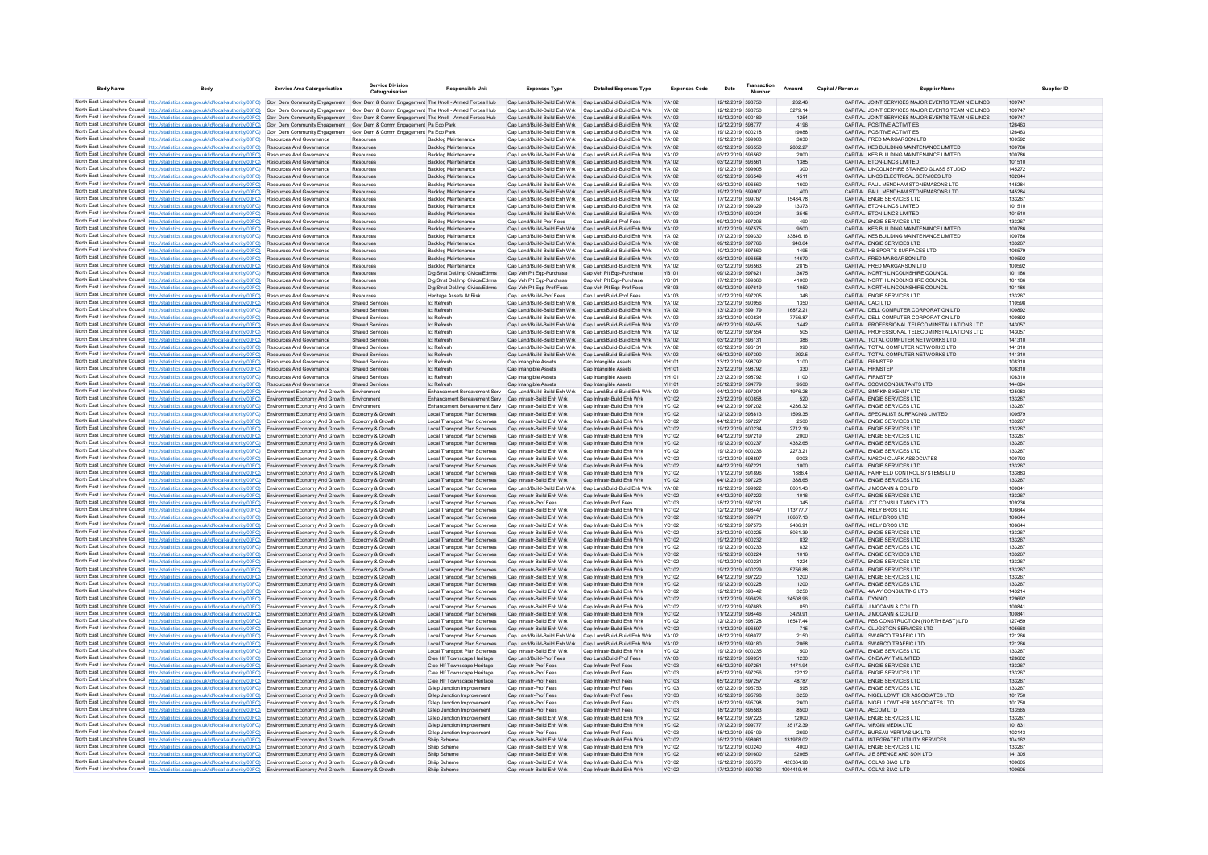| <b>Body Name</b> | Body                                                                                                                                                                                                                                                                                                                                      | <b>Service Area Catergorisation</b>                              | Service Division<br>Catergorisatio               | <b>Responsible Unit</b>                                          | <b>Expenses Type</b>                                                                                                   | <b>Detailed Expenses Type</b>                              | <b>Expenses Code</b>  | Date                                   | Transaction<br>Numbe | Amount               | Capital / Revenue | <b>Supplier Name</b>                                                                 | Supplier ID      |
|------------------|-------------------------------------------------------------------------------------------------------------------------------------------------------------------------------------------------------------------------------------------------------------------------------------------------------------------------------------------|------------------------------------------------------------------|--------------------------------------------------|------------------------------------------------------------------|------------------------------------------------------------------------------------------------------------------------|------------------------------------------------------------|-----------------------|----------------------------------------|----------------------|----------------------|-------------------|--------------------------------------------------------------------------------------|------------------|
|                  | North East Lincolnshire Council http://statistics.data.gov.uk/id/local-authority/00FC) Gov Dem Community Engagement Gov, Dem & Comm Engagement The Knoll - Armed Forces Hub Cap Land/Build-Build Enh Wrk Cap Land/Build-Build                                                                                                             |                                                                  |                                                  |                                                                  |                                                                                                                        |                                                            | YA102                 | 12/12/2019 598750                      |                      | 262.46               |                   | CAPITAL JOINT SERVICES MAJOR EVENTS TEAM N E LINCS                                   | 109747           |
|                  | North East Lincolnshire Council http://statistics.data.gov.uk/id/local-authority/00FC) Gov Dem Community Engagement Gov, Dem & Comm Engagement The Knoll - Armed Forces Hub                                                                                                                                                               |                                                                  |                                                  |                                                                  | Cap Land/Build-Build Enh Wrk Cap Land/Build-Build Enh Wrk                                                              |                                                            | YA102                 | 12/12/2019 598750                      |                      | 3279.14              |                   | CAPITAL JOINT SERVICES MAJOR EVENTS TEAM N E LINCS                                   | 109747           |
|                  | North East Lincolnshire Council http://statistics.data.gov.uk/id/local-authority/00FC) Gov Dem Community Engagement Gov, Dem & Comm Engagement The Knoll - Armed Forces Hub<br>North East Lincolnshire Council http://statistics.data.gov.uk/id/local-authority/00FC) Gov Dem Community Engagement Gov, Dem & Comm Engagement Pa Eco Park |                                                                  |                                                  |                                                                  | Cap Land/Build-Build Enh Wrk Cap Land/Build-Build Enh Wrk<br>Cap Land/Build-Build Enh Wrk Cap Land/Build-Build Enh Wrk |                                                            | YA102<br>YA102        | 19/12/2019 600189<br>12/12/2019 598777 |                      | 1254<br>4196         |                   | CAPITAL JOINT SERVICES MAJOR EVENTS TEAM N E LINCS<br>CAPITAL POSITIVE ACTIVITIES    | 109747<br>126463 |
|                  | North East Lincolnshire Council http://statistics.data.gov.uk/id/local-authority/00FC) Gov Dem Community Engagement Gov, Dem & Comm Engagement Pa Eco Park                                                                                                                                                                                |                                                                  |                                                  |                                                                  | Cap Land/Build-Build Enh Wrk Cap Land/Build-Build Enh Wrk                                                              |                                                            | YA102                 | 19/12/2019 600218                      |                      | 19088                |                   | CAPITAL POSITIVE ACTIVITIES                                                          | 126463           |
|                  | North East Lincolnshire Council http://statistics.data.gov.uk/id/local-authority/00FC)                                                                                                                                                                                                                                                    | Resources And Governance                                         | Resources                                        | <b>Backlog Maintenance</b>                                       | Cap Land/Build-Build Enh Wrk Cap Land/Build-Build Enh Wrk                                                              |                                                            | YA102                 | 19/12/2019 599903                      |                      | 3630                 |                   | CAPITAL FRED MARGARSON LTD                                                           | 100592           |
|                  | North East Lincolnshire Council http://statistics.data.gov.uk/id/local-authority/00FC)                                                                                                                                                                                                                                                    | Resources And Governance<br><b>Resources And Governance</b>      | Resources                                        | Backlog Maintenance<br><b>Backlog Maintenance</b>                | Cap Land/Build-Build Enh Wrk<br>Cap Land/Build-Build Enh Wrk Cap Land/Build-Build Enh Wrk                              | Cap Land/Build-Build Enh Wrk                               | YA102<br>YA102        | 03/12/2019 596550<br>03/12/2019 596562 |                      | 2802.27              |                   | CAPITAL KES BUILDING MAINTENANCE LIMITED<br>CAPITAL KES BUILDING MAINTENANCE LIMITED | 100786<br>100786 |
|                  | North East Lincolnshire Council http://statistics.data.gov.uk/id/local-authority/00FC)<br>North East Lincolnshire Council http://statistics.data.gov.uk/id/local-authority/00FC)                                                                                                                                                          | Resources And Governance                                         | Resources<br>Resources                           | Backlon Maintenance                                              | Can Land/Build-Build Enh Wrk Can Land/Build-Build Enh Wrk                                                              |                                                            | YA102                 | 03/12/2019 596561                      |                      | 2000<br>1385         |                   | CAPITAL FTON-LINCS LIMITED                                                           | 101510           |
|                  | North East Lincolnshire Council http://statistics.data.gov.uk/id/local-authority/00FC)                                                                                                                                                                                                                                                    | <b>Resources And Governance</b>                                  | Resources                                        | Backlog Maintenance                                              | Can Land/Build-Build Enh Wrk Can Land/Build-Build Enh Wrk                                                              |                                                            | YA102                 | 19/12/2019 599905                      |                      | 300                  |                   | CAPITAL LINCOLNSHIRE STAINED GLASS STUDIO                                            | 145272           |
|                  | North East Lincolnshire Council http://statistics.data.gov.uk/id/local-authority/00FC)                                                                                                                                                                                                                                                    | Resources And Governance                                         | Resources                                        | Backlog Maintenance                                              | Cap Land/Build-Build Enh Wrk Cap Land/Build-Build Enh Wrk                                                              |                                                            | YA102                 | 03/12/2019 596549                      |                      | 4511                 |                   | CAPITAL LINCS ELECTRICAL SERVICES LTD                                                | 102044           |
|                  | North East Lincolnshire Council http://statistics.data.gov.uk/id/local-authority/00FC)<br>North East Lincolnshire Council http://statistics.data.gov.uk/id/local-authority/00FC)                                                                                                                                                          | Resources And Governance<br>Resources And Governance             | Resources<br>Resources                           | Backlog Maintenance<br>Backlog Maintenance                       | Cap Land/Build-Build Enh Wrk<br>Cap Land/Build-Build Enh Wrk Cap Land/Build-Build Enh Wrk                              | Cap Land/Build-Build Enh Wrk                               | <b>YA102</b><br>YA102 | 03/12/2019 596560<br>19/12/2019 599907 |                      | 1600<br>400          |                   | CAPITAL PAUL MENDHAM STONEMASONS LTD<br>CAPITAL PAUL MENDHAM STONEMASONS LTD         | 145284<br>145284 |
|                  | North East Lincolnshire Council http://statistics.data.gov.uk/id/local-authority/00FC)                                                                                                                                                                                                                                                    | <b>Resources And Governance</b>                                  | Resources                                        | Backlog Maintenance                                              | Cap Land/Build-Build Enh Wrk Cap Land/Build-Build Enh Wrk                                                              |                                                            | YA102                 | 17/12/2019 599767                      |                      | 15484.78             |                   | CAPITAL ENGIE SERVICES LTD                                                           | 133267           |
|                  | North East Lincolnshire Council http://statistics.data.gov.uk/id/local-authority/00FC)                                                                                                                                                                                                                                                    | <b>Resources And Governance</b>                                  | Resources                                        | Backlog Maintenance                                              | Cap Land/Build-Build Enh Wrk                                                                                           | Cap Land/Build-Build Enh Wrk                               | YA102                 | 17/12/2019 599329                      |                      | 13373                |                   | CAPITAL ETON-LINCS LIMITED                                                           | 101510           |
|                  | North East Lincolnshire Council http://statistics.data.gov.uk/id/local-authority/00FC)<br>North East Lincolnshire Council http://statistics.data.gov.uk/id/local-authority/00FC)                                                                                                                                                          | Resources And Governance<br>Resources And Governance             | Resources<br>Resources                           | Backlog Maintenance<br>Backlog Maintenance                       | Cap Land/Build-Build Enh Wrk Cap Land/Build-Build Enh Wrk<br>Cap Land/Build-Prof Fees                                  | Cap Land/Build-Prof Fees                                   | YA102<br>YA103        | 17/12/2019 599324<br>09/12/2019 597206 |                      | 3545<br>490          |                   | CAPITAL ETON-LINCS LIMITED<br>CAPITAL ENGIE SERVICES LTD                             | 101510<br>133267 |
|                  | North East Lincolnshire Council http://statistics.data.gov.uk/id/local-authority/00FC).                                                                                                                                                                                                                                                   | <b>Resources And Governance</b>                                  | Resources                                        | Backlon Maintenance                                              | Can Land/Build-Build Enh Wrk Can Land/Build-Build Enh Wrk                                                              |                                                            | YA102                 | 10/12/2019 597575                      |                      | 9500                 |                   | CAPITAL KES BUILDING MAINTENANCE LIMITED                                             | 100786           |
|                  | North East Lincolnshire Council http://statistics.data.gov.uk/id/local-authority/00FC)                                                                                                                                                                                                                                                    | Resources And Governance                                         | Resources                                        | <b>Backlon Maintenance</b>                                       | Can Land/Build-Build Enh Wrk Can Land/Build-Build Enh Wrk                                                              |                                                            | YA102                 | 17/12/2019 599330                      |                      | 33846 16             |                   | CAPITAL KES BUILDING MAINTENANCE LIMITED                                             | 100786           |
|                  | North East Lincolnshire Council http://statistics.data.gov.uk/id/local-authority/00FC)<br>North East Lincolnshire Council http://statistics.data.gov.uk/id/local-authority/00FC)                                                                                                                                                          | Resources And Governance<br>Resources And Governance             | Resources<br>Resources                           | Backlog Maintenance<br>Backlog Maintenance                       | Cap Land/Build-Build Enh Wrk<br>Cap Land/Build-Build Enh Wrk Cap Land/Build-Build Enh Wrk                              | Cap Land/Build-Build Enh Wrk                               | YA102<br>YA102        | 09/12/2019 597766<br>10/12/2019 597560 |                      | 948.64<br>1495       |                   | CAPITAL ENGIE SERVICES LTD<br>CAPITAL HB SPORTS SURFACES LTD                         | 133267<br>106579 |
|                  | North East Lincolnshire Council http://statistics.data.gov.uk/id/local-authority/00FC).                                                                                                                                                                                                                                                   | Resources And Governance                                         | Resources                                        | Backlog Maintenance                                              | Cap Land/Build-Build Enh Wrk Cap Land/Build-Build Enh Wrk                                                              |                                                            | YA102                 | 03/12/2019 596558                      |                      | 14670                |                   | CAPITAL FRED MARGARSON LTD                                                           | 100592           |
|                  | North East Lincolnshire Council http://statistics.data.gov.uk/id/local-authority/00FC)                                                                                                                                                                                                                                                    | Resources And Governance                                         | Resources                                        | Backlog Maintenance                                              | Cap Land/Build-Build Enh Wrk Cap Land/Build-Build Enh Wrk                                                              |                                                            | YA102                 | 03/12/2019 596563                      |                      | 2815                 |                   | CAPITAL FRED MARGARSON LTD                                                           | 100592           |
|                  | North East Lincolnshire Council http://statistics.data.gov.uk/id/local-authority/00FC)                                                                                                                                                                                                                                                    | Resources And Governance                                         | Resources                                        | Dig Strat Del/Imp Civica/Edrms                                   | Cap Veh Plt Eqp-Purchase                                                                                               | Cap Veh Plt Eqp-Purchase                                   | YR101                 | 09/12/2019 597621                      |                      | 3675                 |                   | CAPITAL NORTH LINCOLNSHIRE COUNCIL                                                   | 101186           |
|                  | North East Lincolnshire Council http://statistics.data.gov.uk/id/local-authority/00FC)<br>North East Lincolnshire Council http://statistics.data.gov.uk/id/local-authority/00FC)                                                                                                                                                          | Resources And Governance<br>Resources And Governance             | Resources<br>Resources                           | Dig Strat Del/Imp Civica/Edrms<br>Dig Strat Del/Imp Civica/Edrms | Cap Veh Plt Eqp-Purchase<br>Cap Veh Plt Eqp-Prof Fees                                                                  | Cap Veh Plt Eqp-Purchase<br>Cap Veh Plt Eqp-Prof Fees      | YB101<br>YB103        | 17/12/2019 599360<br>09/12/2019 597619 |                      | 41000<br>1050        |                   | CAPITAL NORTH LINCOLNSHIRE COUNCIL<br>CAPITAL NORTH LINCOLNSHIRE COUNCIL             | 101186<br>101186 |
|                  | North East Lincolnshire Council http://statistics.data.gov.uk/id/local-authority/00FC)                                                                                                                                                                                                                                                    | Resources And Governance                                         | Resources                                        | Heritage Assets At Risk                                          | Cap Land/Build-Prof Fees                                                                                               | Cap Land/Build-Prof Fees                                   | YA103                 | 10/12/2019 597205                      |                      | 346                  |                   | CAPITAL ENGIE SERVICES LTD                                                           | 133267           |
|                  | North East Lincolnshire Council http://statistics.data.gov.uk/id/local-authority/00FC)                                                                                                                                                                                                                                                    | <b>Resources And Governance</b>                                  | Shared Services                                  | Ict Refresh                                                      | Can Land/Build-Build Enh Wrk Can Land/Build-Build Enh Wrk                                                              |                                                            | YA102                 | 23/12/2019 590956                      |                      | 1350                 |                   | CAPITAL CACLETD                                                                      | 110598           |
|                  | North East Lincolnshire Council http://statistics.data.gov.uk/id/local-authority/00FC)<br>North East Lincolnshire Council http://statistics.data.gov.uk/id/local-authority/00FC)                                                                                                                                                          | Resources And Governance<br>Resources And Governance             | <b>Shared Services</b><br><b>Shared Services</b> | Ict Refresh<br>Ict Refresh                                       | Cap Land/Build-Build Enh Wrk Cap Land/Build-Build Enh Wrk<br>Cap Land/Build-Build Enh Wrk                              | Cap Land/Build-Build Enh Wri                               | YA102<br>YA102        | 13/12/2019 599179<br>23/12/2019 600834 |                      | 16872.21<br>7756.87  |                   | CAPITAL DELL COMPUTER CORPORATION LTD<br>CAPITAL DELL COMPUTER CORPORATION LTD       | 100892<br>100892 |
|                  | North East Lincolnshire Council http://statistics.data.gov.uk/id/local-authority/00FC)                                                                                                                                                                                                                                                    | Resources And Governance                                         | <b>Shared Services</b>                           | Ict Refresh                                                      | Cap Land/Build-Build Enh Wrk Cap Land/Build-Build Enh Wrk                                                              |                                                            | YA102                 | 06/12/2019 592455                      |                      | 1442                 |                   | CAPITAL PROFESSIONAL TELECOM INSTALLATIONS LTD                                       | 143057           |
|                  | North East Lincolnshire Council http://statistics.data.gov.uk/id/local-authority/00FC)                                                                                                                                                                                                                                                    | Resources And Governance                                         | <b>Shared Services</b>                           | Ict Refresh                                                      | Cap Land/Build-Build Enh Wrk                                                                                           | Cap Land/Build-Build Enh Wrk                               | YA102                 | 06/12/2019 597554                      |                      | 505                  |                   | CAPITAL PROFESSIONAL TELECOM INSTALLATIONS LTD                                       | 143057           |
|                  | North East Lincolnshire Council http://statistics.data.gov.uk/id/local-authority/00FC)                                                                                                                                                                                                                                                    | <b>Resources And Governance</b>                                  | <b>Shared Services</b>                           | Ict Refresh                                                      | Cap Land/Build-Build Enh Wrk Cap Land/Build-Build Enh Wrk                                                              |                                                            | YA102                 | 03/12/2019 596131                      |                      | 386                  |                   | CAPITAL TOTAL COMPUTER NETWORKS LTD                                                  | 141310           |
|                  | North East Lincolnshire Council http://statistics.data.gov.uk/id/local-authority/00FC)<br>North East Lincolnshire Council http://statistics.data.gov.uk/id/local-authority/00FC).                                                                                                                                                         | Resources And Governance<br>Resources And Governance             | <b>Shared Services</b><br><b>Shared Services</b> | Ict Refresh<br>Ict Refresh                                       | Cap Land/Build-Build Enh Wrk Cap Land/Build-Build Enh Wrk<br>Cap Land/Build-Build Enh Wrk Cap Land/Build-Build Enh Wrk |                                                            | YA102<br>YA102        | 03/12/2019 596131<br>05/12/2019 597390 |                      | 990<br>292.5         |                   | CAPITAL TOTAL COMPUTER NETWORKS LTD<br>CAPITAL TOTAL COMPUTER NETWORKS LTD           | 141310<br>141310 |
|                  | North East Lincolnshire Council http://statistics.data.gov.uk/id/local-authority/00FC)                                                                                                                                                                                                                                                    | Resources And Governance                                         | <b>Shared Services</b>                           | Ict Refresh                                                      | Cap Intangible Assets                                                                                                  | Cap Intangible Assets                                      | YH101                 | 23/12/2019 598792                      |                      | 1100                 |                   | CAPITAL FIRMSTEP                                                                     | 108310           |
|                  | North East Lincolnshire Council http://statistics.data.gov.uk/id/local-authority/00FC)                                                                                                                                                                                                                                                    | Resources And Governance                                         | <b>Shared Services</b>                           | Ict Refresh                                                      | Cap Intangible Assets                                                                                                  | Cap Intangible Assets                                      | YH101                 | 23/12/2019 598792                      |                      | 330                  |                   | CAPITAL FIRMSTEP                                                                     | 108310           |
|                  | North East Lincolnshire Council http://statistics.data.gov.uk/id/local-authority/00FC)                                                                                                                                                                                                                                                    | <b>Resources And Governance</b><br>Resources And Governance      | Shared Services<br><b>Shared Services</b>        | Ict Refresh<br>Ict Refresh                                       | Cap Intangible Assets<br>Cap Intangible Assets                                                                         | Cap Intangible Assets<br>Cap Intangible Assets             | <b>VH101</b><br>YH101 | 23/12/2019 598792<br>20/12/2019 594779 |                      | 1100<br>9500         |                   | CAPITAL FIRMSTEP                                                                     | 108310<br>144094 |
|                  | North East Lincolnshire Council http://statistics.data.gov.uk/id/local-authority/00FC).<br>North East Lincolnshire Council http://statistics.data.gov.uk/id/local-authority/00FC)                                                                                                                                                         | Environment Economy And Growth                                   | Environment                                      | Enhancement Bereavement Serv                                     | Cap Land/Build-Build Enh Wrk                                                                                           | Cap Land/Build-Build Enh Wri                               | YA102                 | 04/12/2019 597204                      |                      | 1976.28              |                   | CAPITAL SCCM CONSULTANTS LTD<br>CAPITAL SIMPKINS KENNY LTD                           | 125083           |
|                  | North East Lincolnshire Council http://statistics.data.gov.uk/id/local-authority/00FC)                                                                                                                                                                                                                                                    | Environment Economy And Growth                                   | Environment                                      | Enhancement Bereavement Serv Cap Infrastr-Build Enh Wrk          |                                                                                                                        | Cap Infrastr-Build Enh Wrk                                 | <b>YC102</b>          | 23/12/2019 600858                      |                      | 520                  |                   | CAPITAL ENGIE SERVICES LTD                                                           | 133267           |
|                  | North East Lincolnshire Council http://statistics.data.gov.uk/id/local-authority/00FC) Environment Economy And Growth                                                                                                                                                                                                                     |                                                                  | Environment                                      | Enhancement Bereavement Serv Cap Infrastr-Build Enh Wrk          |                                                                                                                        | Can Infrastr-Build Enh Wrk                                 | YC102                 | 04/12/2019 597202                      |                      | 4286.32              |                   | CAPITAL ENGIF SERVICES LTD                                                           | 133267           |
|                  | North East Lincolnshire Council http://statistics.data.gov.uk/id/local-authority/00FC)<br>North East Lincolnshire Council http://statistics.data.gov.uk/id/local-authority/00FC)                                                                                                                                                          | Environment Economy And Growth<br>Environment Economy And Growth | Economy & Growth<br>Economy & Growth             | Local Transport Plan Schemes<br>Local Transport Plan Schemes     | Cap Infrastr-Build Enh Wrk<br>Cap Infrastr-Build Enh Wrk                                                               | Cap Infrastr-Build Enh Wrk<br>Cap Infrastr-Build Enh Wrk   | YC102<br><b>YC102</b> | 12/12/2019 598813<br>04/12/2019 597227 |                      | 1599.35<br>2500      |                   | CAPITAL SPECIALIST SURFACING LIMITED<br>CAPITAL ENGIE SERVICES LTD                   | 100579<br>133267 |
|                  | North East Lincolnshire Council http://statistics.data.gov.uk/id/local-authority/00FC)                                                                                                                                                                                                                                                    | Environment Economy And Growth                                   | Economy & Growth                                 | Local Transport Plan Schemes                                     | Cap Infrastr-Build Enh Wrk                                                                                             | Cap Infrastr-Build Enh Wrk                                 | <b>YC102</b>          | 19/12/2019 600234                      |                      | 2712.19              |                   | CAPITAL ENGIE SERVICES LTD                                                           | 133267           |
|                  | North East Lincolnshire Council http://statistics.data.gov.uk/id/local-authority/00FC)                                                                                                                                                                                                                                                    | Environment Economy And Growth                                   | Economy & Growth                                 | Local Transport Plan Schemes                                     | Cap Infrastr-Build Enh Wrk                                                                                             | Cap Infrastr-Build Enh Wrk                                 | <b>YC102</b>          | 04/12/2019 597219                      |                      | 2000                 |                   | CAPITAL ENGIE SERVICES LTD                                                           | 133267           |
|                  | North East Lincolnshire Council http://statistics.data.gov.uk/id/local-authority/00FC)                                                                                                                                                                                                                                                    | Environment Economy And Growth                                   | Economy & Growth                                 | Local Transport Plan Schemes                                     | Cap Infrastr-Build Enh Wrk                                                                                             | Cap Infrastr-Build Enh Wrk                                 | <b>YC102</b>          | 19/12/2019 600237                      |                      | 4332.65              |                   | CAPITAL ENGIE SERVICES LTD                                                           | 133267           |
|                  | North East Lincolnshire Council http://statistics.data.gov.uk/id/local-authority/00FC) Environment Economy And Growth<br>North East Lincolnshire Council http://statistics.data.gov.uk/id/local-authority/00FC)                                                                                                                           | Environment Economy And Growth                                   | Economy & Growth<br>Economy & Growth             | Local Transport Plan Schemes<br>Local Transport Plan Schemes     | Cap Infrastr-Build Enh Wrk<br>Cap Infrastr-Build Enh Wrk                                                               | Cap Infrastr-Build Enh Wrk<br>Cap Infrastr-Build Enh Wrk   | YC102<br><b>YC102</b> | 19/12/2019 600236<br>12/12/2019 598897 |                      | 2273.21<br>9303      |                   | CAPITAL ENGIE SERVICES LTD<br>CAPITAL MASON CLARK ASSOCIATES                         | 133267<br>100793 |
|                  | North East Lincolnshire Council http://statistics.data.gov.uk/id/local-authority/00FC)                                                                                                                                                                                                                                                    | Environment Economy And Growth                                   | Economy & Growth                                 | Local Transport Plan Schemes                                     | Cap Infrastr-Build Enh Wrk                                                                                             | Cap Infrastr-Build Enh Wrk                                 | <b>YC102</b>          | 04/12/2019 597221                      |                      | 1000                 |                   | CAPITAL ENGIE SERVICES LTD                                                           | 133267           |
|                  | North East Lincolnshire Council http://statistics.data.gov.uk/id/local-authority/00FC) Environment Economy And Growth                                                                                                                                                                                                                     |                                                                  | Fronomy & Growth                                 | Local Transport Plan Schemes                                     | Can Infrastr-Build Enh Wrk                                                                                             | Can Infrastr-Build Enh Wrk                                 | YC102                 | 11/12/2019 591896                      |                      | 1886 4               |                   | CAPITAL FAIRFIELD CONTROL SYSTEMS LTD.                                               | 133883           |
|                  | North East Lincolnshire Council http://statistics.data.gov.uk/id/local-authority/00FC)<br>North East Lincolnshire Council http://statistics.data.gov.uk/id/local-authority/00FC)                                                                                                                                                          | Environment Economy And Growth<br>Environment Economy And Growth | Economy & Growth<br>Economy & Growth             | Local Transport Plan Schemes<br>Local Transport Plan Schemes     | Cap Infrastr-Build Enh Wrk<br>Cap Land/Build-Build Enh Wrk                                                             | Cap Infrastr-Build Enh Wrk<br>Cap Land/Build-Build Enh Wri | <b>YC102</b><br>YA102 | 04/12/2019 597225<br>19/12/2019 599922 |                      | 388.65<br>8061.43    |                   | CAPITAL ENGIE SERVICES LTD<br>CAPITAL J MCCANN & CO LTD                              | 133267<br>100841 |
|                  | North East Lincolnshire Council http://statistics.data.gov.uk/id/local-authority/00FC) Environment Economy And Growth Economy & Growth                                                                                                                                                                                                    |                                                                  |                                                  | Local Transport Plan Schemes                                     | Cap Infrastr-Build Enh Wrk                                                                                             | Cap Infrastr-Build Enh Wrk                                 | YC102                 | 04/12/2019 597222                      |                      | 1016                 |                   | CAPITAL ENGIE SERVICES LTD                                                           | 133267           |
|                  | North East Lincolnshire Council http://statistics.data.gov.uk/id/local-authority/00FC) Environment Economy And Growth                                                                                                                                                                                                                     |                                                                  | Economy & Growth                                 | Local Transport Plan Schemes                                     | Cap Infrastr-Prof Fees                                                                                                 | Cap Infrastr-Prof Fees                                     | <b>YC103</b>          | 18/12/2019 597331                      |                      | 345                  |                   | CAPITAL JCT CONSULTANCY LTD                                                          | 109236           |
|                  | North East Lincolnshire Council http://statistics.data.gov.uk/id/local-authority/00FC)<br>North East Lincolnshire Council http://statistics.data.gov.uk/id/local-authority/00FC)                                                                                                                                                          | Environment Economy And Growth<br>Environment Economy And Growth | Fronomy & Growth<br>Economy & Growth             | Local Transport Plan Schemes<br>Local Transport Plan Schemes     | Cap Infrastr-Build Enh Wrk<br>Cap Infrastr-Build Enh Wrk                                                               | Cap Infrastr-Build Enh Wrk<br>Cap Infrastr-Build Enh Wrk   | YC102<br>YC102        | 12/12/2019 598447<br>18/12/2019 599771 |                      | 113777.7<br>16667.13 |                   | CAPITAL KIELY BROS LTD<br>CAPITAL KIELY BROS LTD                                     | 106644<br>106644 |
|                  | North East Lincolnshire Council http://statistics.data.gov.uk/id/local-authority/00FC)                                                                                                                                                                                                                                                    | Environment Economy And Growth                                   | Economy & Growth                                 | Local Transport Plan Schemes                                     | Cap Infrastr-Build Enh Wrk                                                                                             | Cap Infrastr-Build Enh Wrk                                 | <b>YC102</b>          | 18/12/2019 597573                      |                      | 9436.91              |                   | CAPITAL KIELY BROS LTD                                                               | 106644           |
|                  | North East Lincolnshire Council http://statistics.data.gov.uk/id/local-authority/00FC) Environment Economy And Growth                                                                                                                                                                                                                     |                                                                  | Economy & Growth                                 | Local Transport Plan Schemes                                     | Cap Infrastr-Build Enh Wrk                                                                                             | Cap Infrastr-Build Enh Wrk                                 | YC102                 | 23/12/2019 600225                      |                      | 8061.39              |                   | CAPITAL ENGIE SERVICES LTD                                                           | 133267           |
|                  | North East Lincolnshire Council http://statistics.data.gov.uk/id/local-authority/00FC) Environment Economy And Growth                                                                                                                                                                                                                     |                                                                  | Fronomy & Growth                                 | Local Transport Plan Schemes                                     | Can Infrastr-Build Enh Wrk                                                                                             | Can Infrastr-Build Enh Wrk                                 | YC102                 | 19/12/2019 600232                      |                      | 832                  |                   | CAPITAL ENGIF SERVICES LTD                                                           | 133267           |
|                  | North East Lincolnshire Council http://statistics.data.gov.uk/id/local-authority/00FC)<br>North East Lincolnshire Council http://statistics.data.gov.uk/id/local-authority/00FC) Environment Economy And Growth                                                                                                                           | <b>Environment Economy And Growth</b>                            | Fronomy & Growth<br>Economy & Growth             | Local Transport Plan Schemes<br>Local Transport Plan Schemes     | Can Infrastr-Build Enh Wrk<br>Cap Infrastr-Build Enh Wrk                                                               | Can Infrastr-Build Enh Wrk<br>Cap Infrastr-Build Enh Wrk   | YC102<br>YC102        | 19/12/2019 600233<br>19/12/2019 600224 |                      | 832<br>1016          |                   | CAPITAL ENGIE SERVICES LTD<br>CAPITAL ENGIE SERVICES LTD                             | 133267<br>133267 |
|                  | North East Lincolnshire Council http://statistics.data.gov.uk/id/local-authority/00FC)                                                                                                                                                                                                                                                    | Environment Economy And Growth                                   | Economy & Growth                                 | Local Transport Plan Schemes                                     | Cap Infrastr-Build Enh Wrk                                                                                             | Cap Infrastr-Build Enh Wrk                                 | <b>YC102</b>          | 19/12/2019 600231                      |                      | 1224                 |                   | CAPITAL ENGIE SERVICES LTD                                                           | 133267           |
|                  | North East Lincolnshire Council http://statistics.data.gov.uk/id/local-authority/00FC) Environment Economy And Growth Economy & Growth                                                                                                                                                                                                    |                                                                  |                                                  | Local Transport Plan Schemes                                     | Cap Infrastr-Build Enh Wrk                                                                                             | Cap Infrastr-Build Enh Wrk                                 | <b>YC102</b>          | 19/12/2019 600229                      |                      | 5756.88              |                   | CAPITAL ENGIE SERVICES LTD                                                           | 133267           |
|                  | North East Lincolnshire Council http://statistics.data.gov.uk/id/local-authority/00FC) Environment Economy And Growth<br>North East Lincolnshire Council http://statistics.data.gov.uk/id/local-authority/00FC)                                                                                                                           | Environment Economy And Growth                                   | Economy & Growth<br>Economy & Growth             | Local Transport Plan Schemes<br>Local Transport Plan Schemes     | Can Infrastr-Build Enh Wrk<br>Cap Infrastr-Build Enh Wrk                                                               | Can Infrastr-Build Enh Wrk<br>Cap Infrastr-Build Enh Wrk   | YC102<br><b>YC102</b> | 04/12/2019 597220<br>19/12/2019 600228 |                      | 1200<br>1200         |                   | CAPITAL ENGIE SERVICES LTD<br>CAPITAL ENGIE SERVICES LTD                             | 133267<br>133267 |
|                  | North East Lincolnshire Council http://statistics.data.gov.uk/id/local-authority/00FC)                                                                                                                                                                                                                                                    | Environment Economy And Growth                                   | Economy & Growth                                 | Local Transport Plan Schemes                                     | Cap Infrastr-Build Enh Wrk                                                                                             | Cap Infrastr-Build Enh Wrk                                 | <b>YC102</b>          | 12/12/2019 598442                      |                      | 3250                 |                   | CAPITAL 4WAY CONSULTING LTD                                                          | 143214           |
|                  | North East Lincolnshire Council http://statistics.data.gov.uk/id/local-authority/00FC)                                                                                                                                                                                                                                                    | Environment Economy And Growth                                   | Economy & Growth                                 | Local Transport Plan Schemes                                     | Cap Infrastr-Build Enh Wrk                                                                                             | Cap Infrastr-Build Enh Wrk                                 | <b>YC102</b>          | 11/12/2019 596626                      |                      | 24508.96             |                   | CAPITAL DYNNIQ                                                                       | 129692           |
|                  | North East Lincolnshire Council http://statistics.data.gov.uk/id/local-authority/00FC) Environment Economy And Growth                                                                                                                                                                                                                     |                                                                  | Fronomy & Growth                                 | Local Transport Plan Schemes                                     | Can Infrastr-Build Enh Wrk                                                                                             | Can Infrastr-Build Enh Wrk                                 | YC102                 | 10/12/2019 597683                      |                      | 850                  |                   | CAPITAL J MCCANN & CO LTD                                                            | 100841           |
|                  | North East Lincolnshire Council http://statistics.data.gov.uk/id/local-authority/00FC)<br>North East Lincolnshire Council http://statistics.data.gov.uk/id/local-authority/00FC)                                                                                                                                                          | Environment Economy And Growth<br>Environment Economy And Growth | Economy & Growth<br>Economy & Growth             | Local Transport Plan Schemes<br>Local Transport Plan Schemes     | Can Infrastr-Build Enh Wrk<br>Cap Infrastr-Build Enh Wrk                                                               | Can Infrastr-Build Enh Wrk<br>Cap Infrastr-Build Enh Wrk   | YC102<br>YC102        | 11/12/2019 598446<br>12/12/2019 598728 |                      | 3429.91<br>16547.44  |                   | CAPITAL J MCCANN & CO LTD.<br>CAPITAL PBS CONSTRUCTION (NORTH EAST) LTD              | 100841<br>127459 |
|                  | North East Lincolnshire Council http://statistics.data.gov.uk/id/local-authority/00FC) Environment Economy And Growth Economy & Growth                                                                                                                                                                                                    |                                                                  |                                                  | Local Transport Plan Schemes                                     | Cap Infrastr-Build Enh Wrk                                                                                             | Cap Infrastr-Build Enh Wrk                                 | <b>YC102</b>          | 11/12/2019 596597                      |                      | 715                  |                   | CAPITAL CLUGSTON SERVICES LTD                                                        | 105668           |
|                  | North East Lincolnshire Council http://statistics.data.gov.uk/id/local-authority/00FC) Environment Economy And Growth                                                                                                                                                                                                                     |                                                                  | Economy & Growth                                 | Local Transport Plan Schemes                                     | Cap Land/Build-Build Enh Wrk                                                                                           | Cap Land/Build-Build Enh Wrk                               | YA102                 | 18/12/2019 598077                      |                      | 2150                 |                   | CAPITAL SWARCO TRAFFIC LTD                                                           | 121266           |
|                  | North East Lincolnshire Council http://statistics.data.gov.uk/id/local-authority/00FC) Environment Economy And Growth<br>North East Lincolnshire Council http://statistics.data.gov.uk/id/local-authority/00FC)                                                                                                                           | Environment Economy And Growth                                   | Economy & Growth<br>Economy & Growth             | Local Transport Plan Schemes<br>Local Transport Plan Schemes     | Cap Land/Build-Build Enh Wrk<br>Cap Infrastr-Build Enh Wrk                                                             | Cap Land/Build-Build Enh Wrk<br>Cap Infrastr-Build Enh Wrk | YA102<br>YC102        | 18/12/2019 599180<br>19/12/2019 600235 |                      | 2068<br>500          |                   | CAPITAL SWARCO TRAFFIC LTD<br>CAPITAL ENGIE SERVICES LTD                             | 121266<br>133267 |
|                  | North East Lincolnshire Council http://statistics.data.gov.uk/id/local-authority/00FC)                                                                                                                                                                                                                                                    | Environment Economy And Growth                                   | Economy & Growth                                 | Clee HIf Townscape Heritage                                      | Cap Land/Build-Prof Fees                                                                                               | Cap Land/Build-Prof Fees                                   | YA103                 | 19/12/2019 599951                      |                      | 1230                 |                   | CAPITAL ONEWAY TM LIMITED                                                            | 128602           |
|                  | North East Lincolnshire Council http://statistics.data.gov.uk/id/local-authority/00FC) Environment Economy And Growth                                                                                                                                                                                                                     |                                                                  | Economy & Growth                                 | Clee HIf Townscape Heritage                                      | Cap Infrastr-Prof Fees                                                                                                 | Cap Infrastr-Prof Fees                                     | YC103                 | 05/12/2019 597251                      |                      | 1471.94              |                   | CAPITAL ENGIE SERVICES LTD                                                           | 133267           |
|                  | North East Lincolnshire Council http://statistics.data.gov.uk/id/local-authority/00FC)                                                                                                                                                                                                                                                    | Environment Economy And Growth                                   | Economy & Growth<br>Fronomy & Growth             | Clee HIf Townscape Heritage                                      | Cap Infrastr-Prof Fees<br>Can Infrastr-Prof Fees                                                                       | Cap Infrastr-Prof Fees<br>Can Infrastr-Prof Fees           | YC103<br>YC103        | 05/12/2019 597256<br>05/12/2019 597257 |                      | 12212<br>48787       |                   | CAPITAL ENGIE SERVICES LTD<br>CAPITAL ENGIF SERVICES LTD                             | 133267<br>133267 |
|                  | North East Lincolnshire Council http://statistics.data.gov.uk/id/local-authority/00FC) Environment Economy And Growth<br>North East Lincolnshire Council http://statistics.data.gov.uk/id/local-authority/00FC)                                                                                                                           | Environment Economy And Growth                                   | Economy & Growth                                 | Clee HIf Townscape Heritage<br>Gliep Junction Improvement        | Cap Infrastr-Prof Fees                                                                                                 | Cap Infrastr-Prof Fees                                     | <b>YC103</b>          | 05/12/2019 596753                      |                      | 595                  |                   | CAPITAL ENGIE SERVICES LTD                                                           | 133267           |
|                  | North East Lincolnshire Council http://statistics.data.gov.uk/id/local-authority/00FC)                                                                                                                                                                                                                                                    | Environment Economy And Growth                                   | Economy & Growth                                 | Gliep Junction Improvement                                       | Cap Infrastr-Prof Fees                                                                                                 | Cap Infrastr-Prof Fees                                     | YC103                 | 18/12/2019 595798                      |                      | 3250                 |                   | CAPITAL NIGEL LOWTHER ASSOCIATES LTD                                                 | 101750           |
|                  | North East Lincolnshire Council http://statistics.data.gov.uk/id/local-authority/00FC) Environment Economy And Growth                                                                                                                                                                                                                     |                                                                  | Economy & Growth                                 | Gliep Junction Improvement                                       | Cap Infrastr-Prof Fees                                                                                                 | Cap Infrastr-Prof Fees                                     | <b>YC103</b>          | 18/12/2019 595798                      |                      | 2600                 |                   | CAPITAL NIGEL LOWTHER ASSOCIATES LTD                                                 | 101750           |
|                  | North East Lincolnshire Council http://statistics.data.gov.uk/id/local-authority/00FC) Environment Economy And Growth<br>North East Lincolnshire Council http://statistics.data.gov.uk/id/local-authority/00FC)                                                                                                                           | Environment Economy And Growth                                   | Economy & Growth<br>Fronomy & Growth             | Gliep Junction Improvement<br>Gliep Junction Improvement         | Cap Infrastr-Prof Fees<br>Cap Infrastr-Build Enh Wrk                                                                   | Cap Infrastr-Prof Fees<br>Cap Infrastr-Build Enh Wrk       | YC103<br>YC102        | 18/12/2019 595583<br>04/12/2019 597223 |                      | 8500<br>12000        |                   | CAPITAL AECOM LTD<br>CAPITAL ENGIE SERVICES LTD                                      | 133565<br>133267 |
|                  | North East Lincolnshire Council http://statistics.data.gov.uk/id/local-authority/00FC)                                                                                                                                                                                                                                                    | Environment Economy And Growth Economy & Growth                  |                                                  | Gliep Junction Improvement                                       | Cap Infrastr-Build Enh Wrk                                                                                             | Cap Infrastr-Build Enh Wrk                                 | YC102                 | 17/12/2019 599777                      |                      | 35172.39             |                   | CAPITAL VIRGIN MEDIA LTD                                                             | 101831           |
|                  | North East Lincolnshire Council http://statistics.data.gov.uk/id/local-authority/00FC) Environment Economy And Growth                                                                                                                                                                                                                     |                                                                  | Economy & Growth                                 | Gliep Junction Improvement                                       | Cap Infrastr-Prof Fees                                                                                                 | Cap Infrastr-Prof Fees                                     | YC103                 | 18/12/2019 595109                      |                      | 2690                 |                   | CAPITAL BUREAU VERITAS UK LTD                                                        | 102143           |
|                  | North East Lincolnshire Council http://statistics.data.gov.uk/id/local-authority/00FC)                                                                                                                                                                                                                                                    | Environment Economy And Growth                                   | Economy & Growth                                 | Shiip Scheme                                                     | Cap Infrastr-Build Enh Wrk                                                                                             | Cap Infrastr-Build Enh Wrk                                 | YC102                 | 16/12/2019 598061                      |                      | 131978.02            |                   | CAPITAL INTEGRATED UTILITY SERVICES                                                  | 104162           |
|                  | North East Lincolnshire Council http://statistics.data.gov.uk/id/local-authority/00FC) Environment Economy And Growth<br>North East Lincolnshire Council http://statistics.data.gov.uk/id/local-authority/00FC) Environment Economy And Growth                                                                                            |                                                                  | Fronomy & Growth<br>Economy & Growth             | Shiin Scheme<br>Shiip Scheme                                     | Can Infrastr-Build Enh Wrk<br>Cap Infrastr-Build Enh Wrk                                                               | Can Infrastr-Build Enh Wrk<br>Cap Infrastr-Build Enh Wrk   | YC102<br><b>YC102</b> | 19/12/2019 600240<br>06/12/2019 591600 |                      | 4000<br>52065        |                   | CAPITAL ENGIF SERVICES LTD.<br>CAPITAL J E SPENCE AND SON LTD                        | 133267<br>141305 |
|                  | North East Lincolnshire Council http://statistics.data.gov.uk/id/local-authority/00FC) Environment Economy And Growth Economy & Growth                                                                                                                                                                                                    |                                                                  |                                                  | Shiip Scheme                                                     | Cap Infrastr-Build Enh Wrk                                                                                             | Cap Infrastr-Build Enh Wrk                                 | <b>YC102</b>          | 12/12/2019 596570                      |                      | 420364.98            |                   | CAPITAL COLAS SIAC LTD                                                               | 100605           |
|                  | North East Lincolnshire Council http://statistics.data.gov.uk/id/local-authority/00FC) Environment Economy And Growth                                                                                                                                                                                                                     |                                                                  | Economy & Growth                                 | Shiip Scheme                                                     | Cap Infrastr-Build Enh Wrk                                                                                             | Cap Infrastr-Build Enh Wrk                                 | <b>YC102</b>          | 17/12/2019 599780                      |                      | 1004419.44           |                   | CAPITAL COLAS SIAC LTD                                                               | 100605           |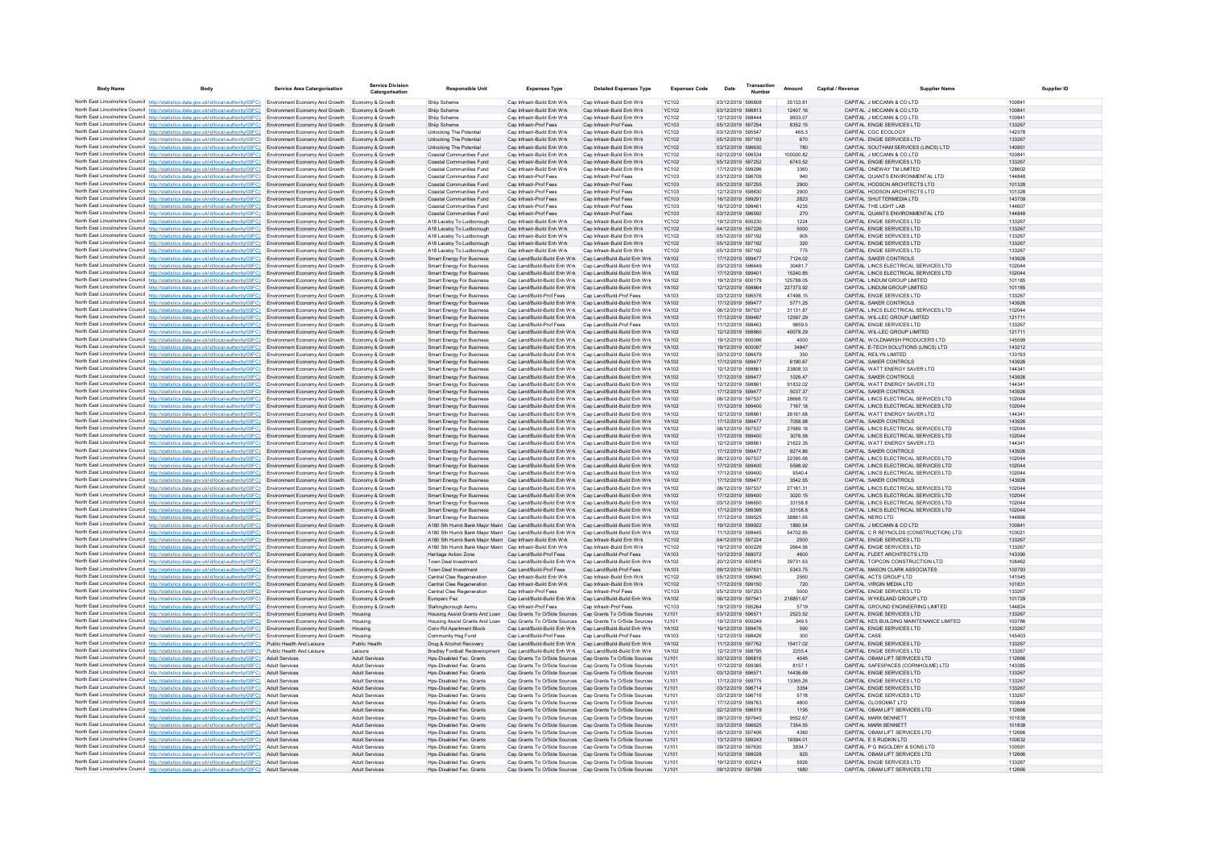| <b>Body Name</b>                                                                                                                                                                                                                                                | <b>Body</b> | <b>Service Area Catergorisation</b> | Service Divisio<br>Catergorisation             | <b>Responsible Unit</b>                                                                                                      | <b>Expenses Type</b>                                                                                                   | <b>Detailed Expenses Type</b>                                   | <b>Expenses Code</b>         | Date                                   | Number | Amount                 | Capital / Revenue | <b>Supplier Name</b>                                                   | <b>Supplier ID</b> |
|-----------------------------------------------------------------------------------------------------------------------------------------------------------------------------------------------------------------------------------------------------------------|-------------|-------------------------------------|------------------------------------------------|------------------------------------------------------------------------------------------------------------------------------|------------------------------------------------------------------------------------------------------------------------|-----------------------------------------------------------------|------------------------------|----------------------------------------|--------|------------------------|-------------------|------------------------------------------------------------------------|--------------------|
| North East Lincolnshire Council http://statistics.data.gov.uk/id/local-authority/00FC) Environment Economy And Growth Economy & Growth                                                                                                                          |             |                                     |                                                | Shiin Scheme                                                                                                                 | Can Infrastr-Build Enh Wrk                                                                                             | Can Infrastr-Build Enh Wrk                                      | YC102                        | 03/12/2019 596808                      |        | 3513381                |                   | CAPITAL JMCCANN & CO LTD                                               | 100841             |
| North East Lincolnshire Council http://statistics.data.gov.uk/id/local-authority/00FC) Environment Economy And Growth Economy & Growth                                                                                                                          |             |                                     |                                                | Shiip Scheme                                                                                                                 | Cap Infrastr-Build Enh Wrk                                                                                             | Cap Infrastr-Build Enh Wrk                                      | YC102                        | 03/12/2019 596813                      |        | 12407 16               |                   | CAPITAL J MCCANN & CO LTD                                              | 100841             |
| North East Lincolnshire Council http://statistics.data.gov.uk/id/local-authority/00FC)                                                                                                                                                                          |             | Environment Economy And Growth      | Economy & Growth                               | Shiip Scheme                                                                                                                 | Cap Infrastr-Build Enh Wrk                                                                                             | Cap Infrastr-Build Enh Wrk                                      | <b>YC102</b>                 | 12/12/2019 598444                      |        | 9933.07                |                   | CAPITAL J MCCANN & CO LTD                                              | 100841             |
| North East Lincolnshire Council http://statistics.data.gov.uk/id/local-authority/00FC)<br>North East Lincolnshire Council http://statistics.data.gov.uk/id/local-authority/00FC) Environment Economy And Growth                                                 |             | Environment Economy And Growth      | Economy & Growth<br>Economy & Growth           | Shiip Scheme<br>Unlocking The Potential                                                                                      | Cap Infrastr-Prof Fees<br>Cap Infrastr-Build Enh Wrk                                                                   | Cap Infrastr-Prof Fees<br>Cap Infrastr-Build Enh Wrk            | <b>YC103</b><br>YC102        | 05/12/2019 597254<br>03/12/2019 595547 |        | 8352.15<br>465.3       |                   | CAPITAL ENGIE SERVICES LTD<br>CAPITAL CGC ECOLOGY                      | 133267<br>142378   |
| North East Lincolnshire Council http://statistics.data.gov.uk/id/local-authority/00FC) Environment Economy And Growth                                                                                                                                           |             |                                     | Economy & Growth                               | Unlocking The Potential                                                                                                      | Cap Infrastr-Build Enh Wrk                                                                                             | Cap Infrastr-Build Enh Wrk                                      | <b>YC102</b>                 | 05/12/2019 597193                      |        | 670                    |                   | CAPITAL ENGIE SERVICES LTD                                             | 133267             |
| North East Lincolnshire Council http://statistics.data.gov.uk/id/local-authority/00FC) Environment Economy And Growth                                                                                                                                           |             |                                     | Economy & Growth                               | <b>Unlocking The Potential</b>                                                                                               | Cap Infrastr-Build Enh Wrk                                                                                             | Cap Infrastr-Build Enh Wrk                                      | YC102                        | 03/12/2019 596630                      |        | 780                    |                   | CAPITAL SOUTHAM SERVICES (LINCS) LTD                                   | 140951             |
| North East Lincolnshire Council http://statistics.data.gov.uk/id/local-authority/00FC) Environment Economy And Growth                                                                                                                                           |             |                                     | Economy & Growth                               | Coastal Communities Fund                                                                                                     | Cap Infrastr-Build Enh Wrk                                                                                             | Cap Infrastr-Build Enh Wrk                                      | <b>YC102</b>                 | 02/12/2019 596534                      |        | 100000.82              |                   | CAPITAL J MCCANN & CO LTD                                              | 10084              |
| North East Lincolnshire Council http://statistics.data.gov.uk/id/local-authority/00FC)<br>North East Lincolnshire Council http://statistics.data.gov.uk/id/local-authority/00FC) Environment Economy And Growth                                                 |             | Environment Economy And Growth      | Fronomy & Growth<br>Economy & Growth           | Coastal Communities Fund<br>Coastal Communities Fund                                                                         | Cap Infrastr-Build Enh Wrk<br>Cap Infrastr-Build Enh Wrk                                                               | Cap Infrastr-Build Enh Wrk<br>Cap Infrastr-Build Enh Wrk        | <b>YC102</b><br><b>YC102</b> | 05/12/2019 597252<br>17/12/2019 599296 |        | 6743.52<br>3360        |                   | CAPITAL ENGIE SERVICES LTD<br>CAPITAL ONEWAY TM LIMITED                | 133267<br>128602   |
| North East Lincolnshire Council http://statistics.data.gov.uk/id/local-authority/00FC) Environment Economy And Growth                                                                                                                                           |             |                                     | Economy & Growth                               | Coastal Communities Fund                                                                                                     | Can Infrastr-Prof Fees                                                                                                 | Can Infrastr-Prof Fees                                          | YC103                        | 03/12/2019 596709                      |        | 940                    |                   | CAPITAL OUANTS ENVIRONMENTAL LTD                                       | 144848             |
| North East Lincolnshire Council http://statistics.data.gov.uk/id/local-authority/00FC)                                                                                                                                                                          |             | Environment Economy And Growth      | Economy & Growth                               | Coastal Communities Fund                                                                                                     | Cap Infrastr-Prof Fees                                                                                                 | Cap Infrastr-Prof Fees                                          | YC103                        | 05/12/2019 597255                      |        | 2900                   |                   | CAPITAL HODSON ARCHITECTS LTD                                          | 101328             |
| North East Lincolnshire Council http://statistics.data.gov.uk/id/local-authority/00FC) Environment Economy And Growth                                                                                                                                           |             |                                     | Economy & Growth                               | Coastal Communities Fund                                                                                                     | Cap Infrastr-Prof Fees                                                                                                 | Cap Infrastr-Prof Fees                                          | <b>YC103</b>                 | 12/12/2019 598830                      |        | 2900                   |                   | CAPITAL HODSON ARCHITECTS LTD                                          | 101328             |
| North East Lincolnshire Council http://statistics.data.gov.uk/id/local-authority/00FC) Environment Economy And Growth                                                                                                                                           |             |                                     | Economy & Growth<br>Economy & Growth           | Coastal Communities Fund<br>Coastal Communities Fund                                                                         | Cap Infrastr-Prof Fees<br>Cap Infrastr-Prof Fees                                                                       | Cap Infrastr-Prof Fees<br>Cap Infrastr-Prof Fees                | YC103<br><b>YC103</b>        | 16/12/2019 599291<br>16/12/2019 598461 |        | 2823<br>4235           |                   | CAPITAL SHUTTERMEDIA LTD<br>CAPITAL THE LIGHT LAB                      | 143709<br>144607   |
| North East Lincolnshire Council http://statistics.data.gov.uk/id/local-authority/00FC) Environment Economy And Growth<br>North East Lincolnshire Council http://statistics.data.gov.uk/id/local-authority/00FC) Environment Economy And Growth Economy & Growth |             |                                     |                                                | Coastal Communities Fund                                                                                                     | Cap Infrastr-Prof Fees                                                                                                 | Cap Infrastr-Prof Fees                                          | YC103                        | 03/12/2019 596592                      |        | 270                    |                   | CAPITAL QUANTS ENVIRONMENTAL LTD                                       | 144848             |
| North East Lincolnshire Council http://statistics.data.gov.uk/id/local-authority/00FC) Environment Economy And Growth                                                                                                                                           |             |                                     |                                                | A18 Laceby To Ludborough                                                                                                     | Cap Infrastr-Build Enh Wrk                                                                                             | Cap Infrastr-Build Enh Wrk                                      | <b>YC102</b>                 | 19/12/2019 600230                      |        | 1224                   |                   | CAPITAL ENGIE SERVICES LTD                                             | 133267             |
| North East Lincolnshire Council http://statistics.data.gov.uk/id/local-authority/00FC) Environment Economy And Growth Economy & Growth                                                                                                                          |             |                                     |                                                | A18 Laceby To Ludborough                                                                                                     | Cap Infrastr-Build Enh Wrk                                                                                             | Cap Infrastr-Build Enh Wrk                                      | <b>YC102</b>                 | 04/12/2019 597226                      |        | 5000                   |                   | CAPITAL ENGIE SERVICES LTD                                             | 133267             |
| North East Lincolnshire Council http://statistics.data.gov.uk/id/local-authority/00FC) Environment Economy And Growth                                                                                                                                           |             |                                     | Economy & Growth                               | A18 Laceby To Ludborough                                                                                                     | Cap Infrastr-Build Enh Wrk                                                                                             | Cap Infrastr-Build Enh Wrk                                      | <b>YC102</b>                 | 05/12/2019 597192                      |        | 905                    |                   | CAPITAL ENGIE SERVICES LTD                                             | 133267             |
| North East Lincolnshire Council http://statistics.data.gov.uk/id/local-authority/00FC) Environment Economy And Growth Economy & Growth<br>North East Lincolnshire Council http://statistics.data.gov.uk/id/local-authority/00FC) Environment Economy And Growth |             |                                     | Economy & Growth                               | A18 Laceby To Ludborough<br>A18 Laceby To Ludborough                                                                         | Cap Infrastr-Build Enh Wrk<br>Cap Infrastr-Build Enh Wrk                                                               | Can Infrastr-Build Enh Wrk<br>Cap Infrastr-Build Enh Wrk        | <b>YC102</b><br>YC102        | 05/12/2019 597192<br>05/12/2019 597192 |        | 320<br>775             |                   | CAPITAL ENGIE SERVICES LTD<br>CAPITAL ENGIE SERVICES LTD               | 133267<br>133267   |
| North East Lincolnshire Council http://statistics.data.gov.uk/id/local-authority/00FC) Environment Economy And Growth                                                                                                                                           |             |                                     | Economy & Growth                               | Smart Energy For Business                                                                                                    | Cap Land/Build-Build Enh Wrk                                                                                           | Cap Land/Build-Build Enh Wrk                                    | YA102                        | 17/12/2019 599477                      |        | 7124.02                |                   | CAPITAL SAKER CONTROLS                                                 | 143926             |
| North East Lincolnshire Council http://statistics.data.gov.uk/id/local-authority/00FC) Environment Economy And Growth                                                                                                                                           |             |                                     | Economy & Growth                               | <b>Smart Energy For Business</b>                                                                                             | Cap Land/Build-Build Enh Wrk                                                                                           | Cap Land/Build-Build Enh Wrk                                    | <b>YA102</b>                 | 03/12/2019 596649                      |        | 30481.7                |                   | CAPITAL LINCS ELECTRICAL SERVICES LTD                                  | 102044             |
| North East Lincolnshire Council http://statistics.data.gov.uk/id/local-authority/00FC) Environment Economy And Growth                                                                                                                                           |             |                                     | Economy & Growth                               | <b>Smart Energy For Business</b>                                                                                             | Cap Land/Build-Build Enh Wrk                                                                                           | Cap Land/Build-Build Enh Wrk                                    | YA102                        | 17/12/2019 599401                      |        | 15240.85               |                   | CAPITAL LINCS ELECTRICAL SERVICES LTD                                  | 102044             |
| North East Lincolnshire Council http://statistics.data.gov.uk/id/local-authority/00FC) Environment Economy And Growth<br>North East Lincolnshire Council http://statistics.data.gov.uk/id/local-authority/00FC) Environment Economy And Growth Economy & Growth |             |                                     | Economy & Growth                               | <b>Smart Energy For Business</b>                                                                                             | Cap Land/Build-Build Enh Wrk<br>Cap Land/Build-Build Enh Wrk Cap Land/Build-Build Enh Wrk                              | Cap Land/Build-Build Enh Wrk                                    | <b>YA102</b><br>YA102        | 19/12/2019 600179<br>12/12/2019 598864 |        | 125788.05<br>227373.92 |                   | CAPITAL LINDUM GROUP LIMITED<br>CAPITAL LINDUM GROUP LIMITED           | 101185<br>101185   |
| North East Lincolnshire Council http://statistics.data.gov.uk/id/local-authority/00FC)                                                                                                                                                                          |             | Environment Economy And Growth      | Economy & Growtl                               | Smart Energy For Business<br>Smart Energy For Business                                                                       | Cap Land/Build-Prof Fees                                                                                               | Cap Land/Build-Prof Fees                                        | YA103                        | 03/12/2019 596576                      |        | 47498.15               |                   | CAPITAL ENGIE SERVICES LTD                                             | 133267             |
| North East Lincolnshire Council http://statistics.data.gov.uk/id/local-authority/00FC) Environment Economy And Growth Economy & Growth                                                                                                                          |             |                                     |                                                | Smart Energy For Business                                                                                                    | Cap Land/Build-Build Enh Wrk Cap Land/Build-Build Enh Wrk                                                              |                                                                 | YA102                        | 17/12/2019 599477                      |        | 5771.25                |                   | CAPITAL SAKER CONTROLS                                                 | 143926             |
| North East Lincolnshire Council http://statistics.data.gov.uk/id/local-authority/00FC) Environment Economy And Growth                                                                                                                                           |             |                                     | Fronomy & Growth                               | <b>Smart Energy For Business</b>                                                                                             | Can Land/Build-Build Enh Wrk Can Land/Build-Build Enh Wrk                                                              |                                                                 | YA102                        | 06/12/2019 597537                      |        | 3113187                |                   | CAPITAL LINCS ELECTRICAL SERVICES LTD.                                 | 102044             |
| North East Lincolnshire Council http://statistics.data.gov.uk/id/local-authority/00FC)                                                                                                                                                                          |             | Environment Economy And Growth      | Economy & Growth                               | <b>Smart Energy For Business</b>                                                                                             | Cap Land/Build-Build Enh Wrk                                                                                           | Cap Land/Build-Build Enh Wrk                                    | YA102                        | 17/12/2019 599487                      |        | 12597.29               |                   | CAPITAL WIL-LEC GROUP LIMITED                                          | 121711             |
| North East Lincolnshire Council http://statistics.data.gov.uk/id/local-authority/00FC) Environment Economy And Growth<br>North East Lincolnshire Council http://statistics.data.gov.uk/id/local-authority/00FC) Environment Economy And Growth                  |             |                                     | Economy & Growth<br>Economy & Growth           | Smart Energy For Business<br><b>Smart Energy For Business</b>                                                                | Cap Land/Build-Prof Fees<br>Cap Land/Build-Build Enh Wrk                                                               | Cap Land/Build-Prof Fees<br>Cap Land/Build-Build Enh Wrk        | YA103<br>YA102               | 11/12/2019 598463<br>12/12/2019 598860 |        | 9859.5<br>40078.29     |                   | CAPITAL ENGIE SERVICES LTD<br>CAPITAL WIL-LEC GROUP LIMITED            | 133267<br>121711   |
| North East Lincolnshire Council http://statistics.data.gov.uk/id/local-authority/00FC) Environment Economy And Growth                                                                                                                                           |             |                                     | Economy & Growth                               | <b>Smart Energy For Business</b>                                                                                             | Cap Land/Build-Build Enh Wrk Cap Land/Build-Build Enh Wrk                                                              |                                                                 | YA102                        | 19/12/2019 600096                      |        | 4000                   |                   | CAPITAL WOLDMARSH PRODUCERS LTD                                        | 145599             |
| North East Lincolnshire Council http://statistics.data.gov.uk/id/local-authority/00FC) Environment Economy And Growth Economy & Growth                                                                                                                          |             |                                     |                                                | Smart Energy For Business                                                                                                    | Cap Land/Build-Build Enh Wrk Cap Land/Build-Build Enh Wrk                                                              |                                                                 | YA102                        | 19/12/2019 600097                      |        | 34847                  |                   | CAPITAL E-TECH SOLUTIONS (LINCS) LTD                                   | 143212             |
| North East Lincolnshire Council http://statistics.data.gov.uk/id/local-authority/00FC)                                                                                                                                                                          |             | Environment Economy And Growth      | Economy & Growt                                | <b>Smart Energy For Business</b>                                                                                             | Cap Land/Build-Build Enh Wrk                                                                                           | Cap Land/Build-Build Enh Wrk                                    | YA102                        | 03/12/2019 596679                      |        | 350                    |                   | CAPITAL REILYN LIMITED                                                 | 133193             |
| North East Lincolnshire Council http://statistics.data.gov.uk/id/local-authority/00FC) Environment Economy And Growth Economy & Growth<br>North East Lincolnshire Council http://statistics.data.gov.uk/id/local-authority/00FC) Environment Economy And Growth |             |                                     |                                                | Smart Energy For Business                                                                                                    | Cap Land/Build-Build Enh Wrk Cap Land/Build-Build Enh Wrk<br>Cap Land/Build-Build Enh Wrk                              | Cap Land/Build-Build Enh Wrk                                    | YA102<br>YA102               | 17/12/2019 599477<br>12/12/2019 59886  |        | 6190.67<br>23808.33    |                   | CAPITAL SAKER CONTROLS<br>CAPITAL WATT ENERGY SAVER LTD                | 143926<br>144341   |
| North East Lincolnshire Council http://statistics.data.gov.uk/id/local-authority/00FC) Environment Economy And Growth Economy & Growth                                                                                                                          |             |                                     | Economy & Growth                               | <b>Smart Energy For Business</b><br>Smart Energy For Business                                                                | Can Land/Build-Build Enh Wrk Can Land/Build-Build Enh Wrk                                                              |                                                                 | YA102                        | 17/12/2019 599477                      |        | 1026 47                |                   | CAPITAL SAKER CONTROLS                                                 | 143926             |
| North East Lincolnshire Council http://statistics.data.gov.uk/id/local-authority/00FC) Environment Economy And Growth                                                                                                                                           |             |                                     | Economy & Growth                               | Smart Energy For Business                                                                                                    | Cap Land/Build-Build Enh Wrk Cap Land/Build-Build Enh Wrk                                                              |                                                                 | <b>YA102</b>                 | 12/12/2019 598861                      |        | 9183202                |                   | CAPITAL WATT ENERGY SAVER LTD                                          | 144341             |
| North East Lincolnshire Council http://statistics.data.gov.uk/id/local-authority/00FC)                                                                                                                                                                          |             | Environment Economy And Growth      | Economy & Growth                               | <b>Smart Energy For Business</b>                                                                                             | Cap Land/Build-Build Enh Wrk                                                                                           | Cap Land/Build-Build Enh Wrk                                    | <b>YA102</b>                 | 17/12/2019 599477                      |        | 5037.37                |                   | CAPITAL SAKER CONTROLS                                                 | 143926             |
| North East Lincolnshire Council http://statistics.data.gov.uk/id/local-authority/00FC) Environment Economy And Growth                                                                                                                                           |             |                                     | Economy & Growth                               | Smart Energy For Business                                                                                                    | Cap Land/Build-Build Enh Wrk Cap Land/Build-Build Enh Wrk                                                              |                                                                 | YA102                        | 06/12/2019 597537                      |        | 28668.72               |                   | CAPITAL LINCS ELECTRICAL SERVICES LTD                                  | 102044             |
| North East Lincolnshire Council http://statistics.data.gov.uk/id/local-authority/00FC) Environment Economy And Growth<br>North East Lincolnshire Council http://statistics.data.gov.uk/id/local-authority/00FC) Environment Economy And Growth                  |             |                                     | Economy & Growth<br>Fronomy & Growth           | <b>Smart Energy For Business</b><br><b>Smart Energy For Business</b>                                                         | Cap Land/Build-Build Enh Wrk Cap Land/Build-Build Enh Wrk<br>Can Land/Build-Build Enh Wrk Can Land/Build-Build Enh Wrk |                                                                 | YA102<br>YA102               | 17/12/2019 599400<br>12/12/2019 598861 |        | 7167.18<br>26161.68    |                   | CAPITAL LINCS ELECTRICAL SERVICES LTD<br>CAPITAL WATT ENERGY SAVER LTD | 102044<br>144341   |
| North East Lincolnshire Council http://statistics.data.gov.uk/id/local-authority/00FC)                                                                                                                                                                          |             | Environment Economy And Growth      | Economy & Growth                               | Smart Energy For Business                                                                                                    | Cap Land/Build-Build Enh Wrk Cap Land/Build-Build Enh Wrk                                                              |                                                                 | YA102                        | 17/12/2019 599477                      |        | 7058.98                |                   | CAPITAL SAKER CONTROLS                                                 | 143926             |
| North East Lincolnshire Council http://statistics.data.gov.uk/id/local-authority/00FC)                                                                                                                                                                          |             | Environment Economy And Growth      | Economy & Growtl                               | <b>Smart Energy For Business</b>                                                                                             | Cap Land/Build-Build Enh Wrk                                                                                           | Cap Land/Build-Build Enh Wri                                    | YA102                        | 06/12/2019 597537                      |        | 27689.18               |                   | CAPITAL LINCS ELECTRICAL SERVICES LTD                                  | 102044             |
| North East Lincolnshire Council http://statistics.data.gov.uk/id/local-authority/00FC) Environment Economy And Growth Economy & Growth                                                                                                                          |             |                                     |                                                | <b>Smart Energy For Business</b>                                                                                             | Cap Land/Build-Build Enh Wrk Cap Land/Build-Build Enh Wrk                                                              |                                                                 | YA102                        | 17/12/2019 599400                      |        | 3076.58                |                   | CAPITAL LINCS ELECTRICAL SERVICES LTD                                  | 102044             |
| North East Lincolnshire Council http://statistics.data.gov.uk/id/local-authority/00FC) Environment Economy And Growth<br>North East Lincolnshire Council http://statistics.data.gov.uk/id/local-authority/00FC) Environment Economy And Growth                  |             |                                     | Economy & Growth<br>Economy & Growth           | <b>Smart Energy For Business</b>                                                                                             | Cap Land/Build-Build Enh Wrk Cap Land/Build-Build Enh Wrk<br>Cap Land/Build-Build Enh Wrk Cap Land/Build-Build Enh Wrk |                                                                 | <b>YA102</b><br>YA102        | 12/12/2019 598861<br>17/12/2019 599477 |        | 21622.35<br>9274 86    |                   | CAPITAL WATT ENERGY SAVER LTD<br>CAPITAL SAKER CONTROLS                | 144341<br>143926   |
| North East Lincolnshire Council http://statistics.data.gov.uk/id/local-authority/00FC) Environment Economy And Growth                                                                                                                                           |             |                                     | Economy & Growth                               | <b>Smart Energy For Business</b><br><b>Smart Energy For Business</b>                                                         | Cap Land/Build-Build Enh Wrk Cap Land/Build-Build Enh Wrk                                                              |                                                                 | <b>YA102</b>                 | 06/12/2019 597537                      |        | 22395.68               |                   | CAPITAL LINCS ELECTRICAL SERVICES LTD                                  | 102044             |
| North East Lincolnshire Council http://statistics.data.gov.uk/id/local-authority/00FC)                                                                                                                                                                          |             | Environment Economy And Growth      | Economy & Growth                               | Smart Energy For Business                                                                                                    | Cap Land/Build-Build Enh Wrk                                                                                           | Cap Land/Build-Build Enh Wrk                                    | YA102                        | 17/12/2019 599400                      |        | 5598.92                |                   | CAPITAL LINCS ELECTRICAL SERVICES LTD                                  | 102044             |
| North East Lincolnshire Council http://statistics.data.gov.uk/id/local-authority/00FC) Environment Economy And Growth                                                                                                                                           |             |                                     | Economy & Growth                               | Smart Energy For Business                                                                                                    | Cap Land/Build-Build Enh Wrk Cap Land/Build-Build Enh Wrk                                                              |                                                                 | YA102                        | 17/12/2019 599400                      |        | 9340.4                 |                   | CAPITAL LINCS ELECTRICAL SERVICES LTD                                  | 102044             |
| North East Lincolnshire Council http://statistics.data.gov.uk/id/local-authority/00FC) Environment Economy And Growth Economy & Growth                                                                                                                          |             |                                     | Fronomy & Growth                               | <b>Smart Energy For Business</b><br><b>Smart Energy For Business</b>                                                         | Can Land/Build-Build Enh Wrk Can Land/Build-Build Enh Wrk<br>Can Land/Build-Build Enh Wrk Can Land/Build-Build Enh Wrk |                                                                 | YA102<br>YA102               | 17/12/2019 599477<br>06/12/2019 597537 |        | 3542.55<br>2718131     |                   | CAPITAL SAKER CONTROLS<br>CAPITAL LINCS ELECTRICAL SERVICES LTD.       | 143926<br>102044   |
| North East Lincolnshire Council http://statistics.data.gov.uk/id/local-authority/00FC) Environment Economy And Growth<br>North East Lincolnshire Council http://statistics.data.gov.uk/id/local-authority/00FC) Environment Economy And Growth Economy & Growth |             |                                     |                                                | <b>Smart Energy For Business</b>                                                                                             | Cap Land/Build-Build Enh Wrk Cap Land/Build-Build Enh Wrk                                                              |                                                                 | YA102                        | 17/12/2019 599400                      |        | 3020.15                |                   | CAPITAL LINCS ELECTRICAL SERVICES LTD                                  | 102044             |
| North East Lincolnshire Council http://statistics.data.gov.uk/id/local-authority/00FC) Environment Economy And Growth                                                                                                                                           |             |                                     | Economy & Growth                               | <b>Smart Energy For Business</b>                                                                                             | Cap Land/Build-Build Enh Wrk                                                                                           | Cap Land/Build-Build Enh Wrk                                    | <b>YA102</b>                 | 03/12/2019 596650                      |        | 33158.8                |                   | CAPITAL LINCS ELECTRICAL SERVICES LTD                                  | 102044             |
| North East Lincolnshire Council http://statistics.data.gov.uk/id/local-authority/00FC) Environment Economy And Growth Economy & Growth                                                                                                                          |             |                                     |                                                | Smart Energy For Business                                                                                                    | Cap Land/Build-Build Enh Wrk Cap Land/Build-Build Enh Wrk                                                              |                                                                 | YA102                        | 17/12/2019 599399                      |        | 33158.8                |                   | CAPITAL LINCS ELECTRICAL SERVICES LTD                                  | 102044             |
| North East Lincolnshire Council http://statistics.data.gov.uk/id/local-authority/00FC) Environment Economy And Growth                                                                                                                                           |             |                                     | Fronomy & Growth                               | <b>Smart Energy For Business</b><br>A180 Sth Humb Bank Maior Maint Cap Land/Build-Build Enh Wrk Cap Land/Build-Build Enh Wrk | Can Land/Build-Build Enh Wrk Can Land/Build-Build Enh Wrk                                                              |                                                                 | YA102<br>YA102               | 17/12/2019 599525<br>19/12/2019 599922 |        | 38861.65<br>1860.54    |                   | CAPITAL NERG LTD<br>CAPITAL J MCCANN & CO LTD                          | 144866<br>100841   |
| North East Lincolnshire Council http://statistics.data.gov.uk/id/local-authority/00FC) Environment Economy And Growth<br>North East Lincolnshire Council http://statistics.data.gov.uk/id/local-authority/00FC) Environment Economy And Growth                  |             |                                     | Economy & Growth<br>Economy & Growth           | A180 Sth Humb Bank Maior Maint Cap Land/Build-Build Enh Wrk Cap Land/Build-Build Enh Wrk                                     |                                                                                                                        |                                                                 | YA102                        | 11/12/2019 598445                      |        | 54702.85               |                   | CAPITAL C R REYNOLDS (CONSTRUCTION) LTD                                | 10302              |
| North East Lincolnshire Council http://statistics.data.gov.uk/id/local-authority/00FC) Environment Economy And Growth                                                                                                                                           |             |                                     | Fronomy & Growth                               | A180 Sth Humb Bank Maior Maint Cap Infrastr-Build Enh Wrk                                                                    |                                                                                                                        | Cap Infrastr-Build Enh Wrk                                      | <b>YC102</b>                 | 04/12/2019 597224                      |        | 2500                   |                   | CAPITAL ENGIE SERVICES LTD                                             | 133267             |
| North East Lincolnshire Council http://statistics.data.gov.uk/id/local-authority/00FC) Environment Economy And Growth                                                                                                                                           |             |                                     | Economy & Growth                               | A180 Sth Humb Bank Maior Maint Cap Infrastr-Build Enh Wrk                                                                    |                                                                                                                        | Cap Infrastr-Build Enh Wrk                                      | <b>YC102</b>                 | 19/12/2019 600226                      |        | 2664.56                |                   | CAPITAL ENGIE SERVICES LTD                                             | 133267             |
| North East Lincolnshire Council http://statistics.data.gov.uk/id/local-authority/00FC) Environment Economy And Growth Economy & Growth                                                                                                                          |             |                                     |                                                | Heritage Action Zone                                                                                                         | Cap Land/Build-Prof Fees                                                                                               | Cap Land/Build-Prof Fees                                        | YA103                        | 10/12/2019 598072                      |        | 4600                   |                   | CAPITAL FLEET ARCHITECTS LTD                                           | 143390             |
| North East Lincolnshire Council http://statistics.data.gov.uk/id/local-authority/00FC)<br>North East Lincolnshire Council http://statistics.data.gov.uk/id/local-authority/00FC) Environment Economy And Growth Economy & Growth                                |             | Environment Economy And Growth      | Economy & Growth                               | Town Deal Investmen<br>Town Deal Investment                                                                                  | Cap Land/Build-Build Enh Wrk<br>Cap Land/Build-Prof Fees                                                               | Cap Land/Build-Build Enh Wri<br>Cap Land/Build-Prof Fees        | YA102<br>YA103               | 20/12/2019 600816<br>09/12/2019 597631 |        | 39731.63<br>5343.75    |                   | CAPITAL TOPCON CONSTRUCTION LTD<br>CAPITAL MASON CLARK ASSOCIATES      | 108462<br>100793   |
| North East Lincolnshire Council http://statistics.data.gov.uk/id/local-authority/00FC) Environment Economy And Growth                                                                                                                                           |             |                                     | Economy & Growth                               | Central Clee Regeneration                                                                                                    | Cap Infrastr-Build Enh Wrk                                                                                             | Cap Infrastr-Build Enh Wrk                                      | YC102                        | 05/12/2019 596840                      |        | 2560                   |                   | CAPITAL ACTS GROUP LTD                                                 | 141545             |
| North East Lincolnshire Council http://statistics.data.gov.uk/id/local-authority/00FC) Environment Economy And Growth                                                                                                                                           |             |                                     | Economy & Growth                               | Central Clee Regeneration                                                                                                    | Cap Infrastr-Build Enh Wrk                                                                                             | Cap Infrastr-Build Enh Wrk                                      | <b>YC102</b>                 | 17/12/2019 599150                      |        | 720                    |                   | CAPITAL VIRGIN MEDIA LTD                                               | 101831             |
| North East Lincolnshire Council http://statistics.data.gov.uk/id/local-authority/00FC) Environment Economy And Growth                                                                                                                                           |             |                                     | Economy & Growth                               | Central Clee Regeneration                                                                                                    | Cap Infrastr-Prof Fees                                                                                                 | Cap Infrastr-Prof Fees                                          | YC103                        | 05/12/2019 597253                      |        | 5000                   |                   | CAPITAL ENGIE SERVICES LTD                                             | 133267             |
| North East Lincolnshire Council http://statistics.data.gov.uk/id/local-authority/00FC) Environment Economy And Growth<br>North East Lincolnshire Council http://statistics.data.gov.uk/id/local-authority/00FC) Environment Economy And Growth Economy & Growth |             |                                     | Economy & Growth                               | Europarc Fez<br>Stallingborough Aemu                                                                                         | Cap Land/Build-Build Enh Wrk<br>Cap Infrastr-Prof Fees                                                                 | Cap Land/Build-Build Enh Wrk<br>Cap Infrastr-Prof Fees          | YA102<br>YC103               | 06/12/2019 597541<br>19/12/2019 595264 |        | 218851.67<br>5719      |                   | CAPITAL WYKELAND GROUP LTD<br>CAPITAL GROUND ENGINEERING LIMITED       | 101729<br>144824   |
| North East Lincolnshire Council http://statistics.data.gov.uk/id/local-authority/00FC) Environment Economy And Growth                                                                                                                                           |             |                                     | Housing                                        | Housing Assist Grants And Loan                                                                                               | Cap Grants To O/Side Sources Cap Grants To O/Side Sources                                                              |                                                                 | YJ101                        | 03/12/2019 596571                      |        | 2523.52                |                   | CAPITAL ENGIE SERVICES LTD                                             | 133267             |
| North East Lincolnshire Council http://statistics.data.gov.uk/id/local-authority/00FC) Environment Economy And Growth                                                                                                                                           |             |                                     | Housing                                        | Housing Assist Grants And Loan                                                                                               | Can Grants To O/Side Sources Can Grants To O/Side Sources                                                              |                                                                 | Y.1101                       | 19/12/2019 600249                      |        | 349.5                  |                   | CAPITAL KES BUILDING MAINTENANCE LIMITED                               | 100786             |
| North East Lincolnshire Council http://statistics.data.gov.uk/id/local-authority/00FC) Environment Economy And Growth Housing                                                                                                                                   |             |                                     |                                                | Conv Rd Apartment Block                                                                                                      | Cap Land/Build-Build Enh Wrk Cap Land/Build-Build Enh Wrk                                                              |                                                                 | YA102                        | 19/12/2019 599476                      |        | 590                    |                   | CAPITAL ENGIE SERVICES LTD                                             | 133267             |
| North East Lincolnshire Council http://statistics.data.gov.uk/id/local-authority/00FC) Environment Economy And Growth                                                                                                                                           |             |                                     | Housing<br>Public Health                       | Community Hsg Fund                                                                                                           | Cap Land/Build-Prof Fees                                                                                               | Cap Land/Build-Prof Fees                                        | YA103<br>YA102               | 12/12/2019 598426<br>11/12/2019 597762 |        | 300<br>15417.02        |                   | CAPITAL CASE<br>CAPITAL ENGIE SERVICES LTD                             | 145403<br>133267   |
| North East Lincolnshire Council http://statistics.data.gov.uk/id/local-authority/00FC) Public Health And Leisure<br>North East Lincolnshire Council http://statistics.data.gov.uk/id/local-authority/00FC) Public Health And Leisure                            |             |                                     | Leisure                                        | Drug & Alcohol Recovery<br>Bradley Football Redevelopment                                                                    | Cap Land/Build-Build Enh Wrk Cap Land/Build-Build Enh Wrk<br>Cap Land/Build-Build Enh Wrk Cap Land/Build-Build Enh Wrk |                                                                 | <b>YA102</b>                 | 12/12/2019 598795                      |        | 2255.4                 |                   | CAPITAL ENGIE SERVICES LTD                                             | 133267             |
| North East Lincolnshire Council http://statistics.data.gov.uk/id/local-authority/00FC)                                                                                                                                                                          |             | <b>Adult Services</b>               | Adult Services                                 | Hps-Disabled Fac. Grants                                                                                                     | Cap Grants To O/Side Sources Cap Grants To O/Side Sources                                                              |                                                                 | YJ101                        | 03/12/2019 596816                      |        | 4045                   |                   | CAPITAL OBAM LIFT SERVICES LTD                                         | 112666             |
| North East Lincolnshire Council http://statistics.data.gov.uk/id/local-authority/00FC)                                                                                                                                                                          |             | <b>Adult Services</b>               | <b>Adult Services</b>                          | Hps-Disabled Fac. Grants                                                                                                     | Cap Grants To O/Side Sources Cap Grants To O/Side Sources                                                              |                                                                 | YJ101                        | 17/12/2019 599385                      |        | 8157.1                 |                   | CAPITAL SAFESPACES (CORNHOLME) LTD                                     | 143385             |
| North East Lincolnshire Council http://statistics.data.gov.uk/id/local-authority/00FC)                                                                                                                                                                          |             | <b>Adult Services</b>               | Adult Services                                 | Hps-Disabled Fac. Grants                                                                                                     | Cap Grants To O/Side Sources Cap Grants To O/Side Sources                                                              |                                                                 | YJ101                        | 03/12/2019 596571                      |        | 14436.69               |                   | CAPITAL ENGIE SERVICES LTD                                             | 133267             |
| North East Lincolnshire Council http://statistics.data.gov.uk/id/local-authority/00FC) Adult Services<br>North East Lincolnshire Council http://statistics.data.gov.uk/id/local-authority/00FC)                                                                 |             | <b>Adult Services</b>               | <b>Adult Services</b><br><b>Adult Services</b> | Hps-Disabled Fac. Grants<br>Hos-Disabled Eac, Grants                                                                         | Cap Grants To O/Side Sources Cap Grants To O/Side Sources<br>Can Grants To O/Side Sources Can Grants To O/Side Sources |                                                                 | Y.1101<br>Y.1101             | 17/12/2019 599775<br>03/12/2019 596714 |        | 13365.26<br>3354       |                   | CAPITAL ENGIE SERVICES LTD<br>CAPITAL ENGIE SERVICES LTD               | 133267<br>133267   |
| North East Lincolnshire Council http://statistics.data.gov.uk/id/local-authority/00FC)                                                                                                                                                                          |             | <b>Adult Services</b>               | <b>Adult Services</b>                          | Hps-Disabled Fac. Grants                                                                                                     | Cap Grants To O/Side Sources Cap Grants To O/Side Sources                                                              |                                                                 | YJ101                        | 03/12/2019 596716                      |        | 5718                   |                   | CAPITAL ENGIE SERVICES LTD                                             | 133267             |
| North East Lincolnshire Council http://statistics.data.gov.uk/id/local-authority/00FC) Adult Services                                                                                                                                                           |             |                                     | Adult Services                                 | Hps-Disabled Fac. Grants                                                                                                     | Cap Grants To O/Side Sources Cap Grants To O/Side Sources                                                              |                                                                 | YJ101                        | 17/12/2019 599763                      |        | 4800                   |                   | CAPITAL CLOSOMAT LTD                                                   | 100849             |
| North East Lincolnshire Council http://statistics.data.gov.uk/id/local-authority/00FC)                                                                                                                                                                          |             | <b>Adult Services</b>               | Adult Services                                 | Hps-Disabled Fac. Grants                                                                                                     | Cap Grants To O/Side Sources Cap Grants To O/Side Sources                                                              |                                                                 | YJ101                        | 02/12/2019 596519                      |        | 1195                   |                   | CAPITAL OBAM LIFT SERVICES LTD                                         | 112666             |
| North East Lincolnshire Council http://statistics.data.gov.uk/id/local-authority/00FC) Adult Services                                                                                                                                                           |             |                                     | <b>Adult Services</b><br>Adult Services        | Hos-Disabled Fac. Grants<br>Hps-Disabled Fac. Grants                                                                         | Cap Grants To O/Side Sources Cap Grants To O/Side Sources<br>Cap Grants To O/Side Sources Cap Grants To O/Side Sources |                                                                 | YJ101                        | 09/12/2019 597645<br>03/12/2019 596625 |        | 9552.67<br>7354.55     |                   | CAPITAL MARK BENNETT<br>CAPITAL MARK BENNETT                           | 101838<br>101838   |
| North East Lincolnshire Council http://statistics.data.gov.uk/id/local-authority/00FC) Adult Services<br>North East Lincolnshire Council http://statistics.data.gov.uk/id/local-authority/00FC)                                                                 |             | <b>Adult Services</b>               | <b>Adult Services</b>                          | Hps-Disabled Fac. Grants                                                                                                     | Cap Grants To O/Side Sources Cap Grants To O/Side Sources                                                              |                                                                 | YJ101<br>YJ101               | 05/12/2019 597406                      |        | 4380                   |                   | CAPITAL OBAM LIFT SERVICES LTD                                         | 112666             |
| North East Lincolnshire Council http://statistics.data.gov.uk/id/local-authority/00FC) Adult Services                                                                                                                                                           |             |                                     | <b>Adult Services</b>                          | Hps-Disabled Fac. Grants                                                                                                     | Cap Grants To O/Side Sources Cap Grants To O/Side Sources                                                              |                                                                 | YJ101                        | 13/12/2019 599243                      |        | 19394.01               |                   | CAPITAL E S RUDKIN LTD                                                 | 100632             |
| North East Lincolnshire Council http://statistics.data.gov.uk/id/local-authority/00FC)                                                                                                                                                                          |             | <b>Adult Services</b>               | <b>Adult Services</b>                          | Hos-Disabled Fac. Grants                                                                                                     | Cap Grants To O/Side Sources Cap Grants To O/Side Sources                                                              |                                                                 | Y.1101                       | 09/12/2019 597630                      |        | 3934.7                 |                   | CAPITAL P G INGOLDBY & SONS LTD                                        | 100591             |
| North East Lincolnshire Council http://statistics.data.gov.uk/id/local-authority/00FC) Adult Services                                                                                                                                                           |             |                                     | <b>Adult Services</b><br>Adult Services        | Hos-Disabled Fac, Grants<br>Hos-Disabled Fac. Grants                                                                         |                                                                                                                        | Cap Grants To O/Side Sources Cap Grants To O/Side Sources YJ101 |                              | 10/12/2019 598028<br>19/12/2019 600214 |        | 925                    |                   | CAPITAL OBAM LIFT SERVICES LTD.<br>CAPITAL ENGIE SERVICES LTD          | 112666<br>133267   |
| North East Lincolnshire Council http://statistics.data.gov.uk/id/local-authority/00FC) Adult Services<br>North East Lincolnshire Council http://statistics.data.gov.uk/id/local-authority/00FC)                                                                 |             | <b>Adult Services</b>               | <b>Adult Services</b>                          | Hps-Disabled Fac. Grants                                                                                                     | Cap Grants To O/Side Sources Cap Grants To O/Side Sources<br>Cap Grants To O/Side Sources Cap Grants To O/Side Sources |                                                                 | YJ101<br>YJ101               | 09/12/2019 597599                      |        | 5926<br>1680           |                   | CAPITAL OBAM LIFT SERVICES LTD                                         | 112666             |
|                                                                                                                                                                                                                                                                 |             |                                     |                                                |                                                                                                                              |                                                                                                                        |                                                                 |                              |                                        |        |                        |                   |                                                                        |                    |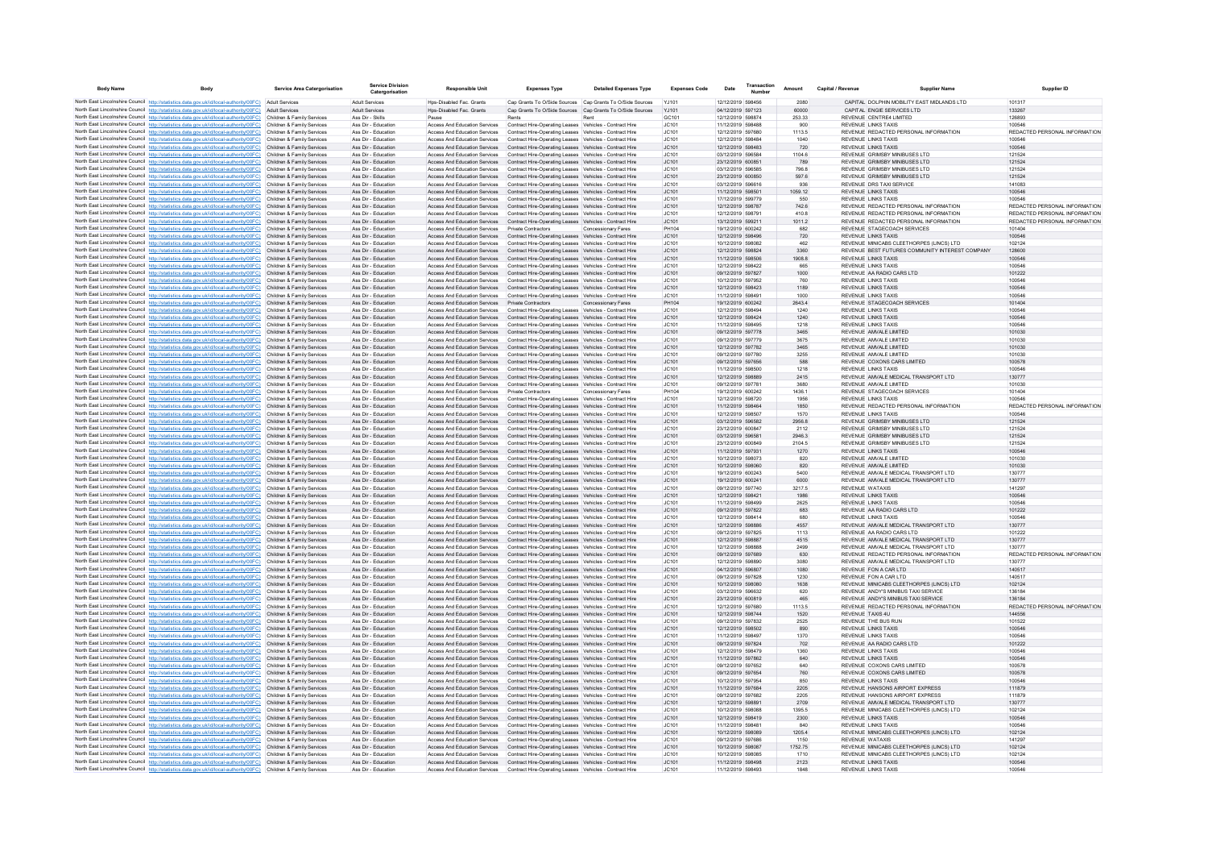| <b>Body Name</b> | Body                                                                                                                                                                                                                                   | <b>Service Area Catergorisation</b>                      | Catergorisation                            | <b>Responsible Unit</b>                                               | <b>Expenses Type</b>                                                                                               | <b>Detailed Expenses Type</b> | <b>Expenses Code</b> | Date                                   | Number | Amount         | Capital / Revenue | <b>Supplier Name</b>                                                         | Supplier ID                             |
|------------------|----------------------------------------------------------------------------------------------------------------------------------------------------------------------------------------------------------------------------------------|----------------------------------------------------------|--------------------------------------------|-----------------------------------------------------------------------|--------------------------------------------------------------------------------------------------------------------|-------------------------------|----------------------|----------------------------------------|--------|----------------|-------------------|------------------------------------------------------------------------------|-----------------------------------------|
|                  | North East Lincolnshire Council http://statistics.data.gov.uk/id/local-authority/00FC) Adult Services                                                                                                                                  |                                                          | <b>Adult Services</b>                      | Hos-Disabled Fac. Grants                                              | Cap Grants To O/Side Sources Cap Grants To O/Side Sources                                                          |                               | Y.1101               | 12/12/2019 598456                      |        | 2080           |                   | CAPITAL DOLPHIN MOBILITY EAST MIDLANDS LTD                                   | 101317                                  |
|                  | North East Lincolnshire Council http://statistics.data.gov.uk/id/local-authority/00FC)                                                                                                                                                 | <b>Adult Services</b>                                    | Adult Services                             | Hps-Disabled Fac. Grants                                              | Cap Grants To O/Side Sources Cap Grants To O/Side Sources                                                          |                               | Y.1101               | 04/12/2019 597123                      |        | 60000          |                   | CAPITAL ENGIF SERVICES LTD                                                   | 133267                                  |
|                  | North East Lincolnshire Council http://statistics.data.gov.uk/id/local-authority/00FC)                                                                                                                                                 | Children & Family Services                               | Ass Dir - Skills                           | Pause                                                                 | Rents                                                                                                              | Rent                          | GC101                | 12/12/2019 598874                      |        | 253.33         |                   | REVENUE CENTRE4 LIMITED                                                      | 126893                                  |
|                  | North East Lincolnshire Council http://statistics.data.gov.uk/id/local-authority/00FC)<br>North East Lincolnshire Council http://statistics.data.gov.uk/id/local-authority/00FC)                                                       | Children & Family Services<br>Children & Family Services | Ass Dir - Education<br>Ass Dir - Education | Access And Education Services<br>Access And Education Services        | Contract Hire-Operating Leases Vehicles - Contract Hire<br>Contract Hire-Operating Leases Vehicles - Contract Hire |                               | JC101<br>JC101       | 11/12/2019 598488<br>12/12/2019 597680 |        | 900<br>1113.5  |                   | <b>REVENUE LINKS TAXIS</b><br>REVENUE REDACTED PERSONAL INFORMATION          | 100546<br>REDACTED PERSONAL INFORMATION |
|                  | North East Lincolnshire Council http://statistics.data.gov.uk/id/local-authority/00FC)                                                                                                                                                 | Children & Family Services                               | Ass Dir - Education                        | Access And Education Services                                         | Contract Hire-Operating Leases Vehicles - Contract Hire                                                            |                               | JC101                | 12/12/2019 598484                      |        | 1040           |                   | <b>REVENUE LINKS TAXIS</b>                                                   | 100546                                  |
|                  | North East Lincolnshire Council http://statistics.data.gov.uk/id/local-authority/00FC)                                                                                                                                                 | Children & Family Services                               | Ass Dir - Education                        | Access And Education Services                                         | Contract Hire-Operating Leases Vehicles - Contract Hire                                                            |                               | JC101                | 12/12/2019 598483                      |        | 720            |                   | REVENUE LINKS TAXIS                                                          | 100546                                  |
|                  | North East Lincolnshire Council http://statistics.data.gov.uk/id/local-authority/00FC)                                                                                                                                                 | Children & Family Services                               | Ass Dir - Education                        | Access And Education Services                                         | Contract Hire-Operating Leases Vehicles - Contract Hire                                                            |                               | JC101                | 03/12/2019 596584                      |        | 1104.6         |                   | REVENUE GRIMSBY MINIBUSES LTD                                                | 121524                                  |
|                  | North East Lincolnshire Council http://statistics.data.gov.uk/id/local-authority/00FC)<br>North East Lincolnshire Council http://statistics.data.gov.uk/id/local-authority/00FC)                                                       | Children & Family Services<br>Children & Family Services | Ass Dir - Education<br>Ass Dir - Education | Access And Education Services<br>Access And Education Services        | Contract Hire-Operating Leases Vehicles - Contract Hire<br>Contract Hire-Operating Leases Vehicles - Contract Hire |                               | JC101<br>JC101       | 23/12/2019 600851<br>03/12/2019 596585 |        | 789<br>796.8   |                   | REVENUE GRIMSBY MINIBUSES LTD<br>REVENUE GRIMSBY MINIBUSES LTD               | 121524<br>121524                        |
|                  | North East Lincolnshire Council http://statistics.data.gov.uk/id/local-authority/00FC)                                                                                                                                                 | Children & Family Services                               | Ass Dir - Education                        | Access And Education Services                                         | Contract Hire-Operating Leases Vehicles - Contract Hire                                                            |                               | IC.101               | 23/12/2019 600850                      |        | 597.6          |                   | REVENUE GRIMSBY MINIBUSES LTD.                                               | 121524                                  |
|                  | North East Lincolnshire Council http://statistics.data.gov.uk/id/local-authority/00FC)                                                                                                                                                 | Children & Family Service                                | Ass Dir - Education                        | <b>Access And Education Services</b>                                  | Contract Hire-Operating Leases Vehicles - Contract Hire                                                            |                               | JC101                | 03/12/2019 596616                      |        | 936            |                   | REVENUE DRS TAXI SERVICE                                                     | 141083                                  |
|                  | North East Lincolnshire Council http://statistics.data.gov.uk/id/local-authority/00FC)                                                                                                                                                 | Children & Family Services                               | Ass Dir - Education                        | Access And Education Services                                         | Contract Hire-Operating Leases Vehicles - Contract Hire                                                            |                               | JC101                | 11/12/2019 598501                      |        | 1059.12        |                   | REVENUE LINKS TAXIS                                                          | 100546                                  |
|                  | North East Lincolnshire Council http://statistics.data.gov.uk/id/local-authority/00FC)<br>North East Lincolnshire Council http://statistics.data.gov.uk/id/local-authority/00FC)                                                       | Children & Family Services<br>Children & Family Services | Ass Dir - Education<br>Ass Dir - Education | Access And Education Services<br>Access And Education Services        | Contract Hire-Operating Leases Vehicles - Contract Hire<br>Contract Hire-Operating Leases Vehicles - Contract Hire |                               | JC101<br>JC101       | 17/12/2019 599779<br>12/12/2019 598787 |        | 550<br>742.6   |                   | <b>REVENUE LINKS TAXIS</b><br>REVENUE REDACTED PERSONAL INFORMATION          | 100546<br>REDACTED PERSONAL INFORMATION |
|                  | North East Lincolnshire Council http://statistics.data.gov.uk/id/local-authority/00FC)                                                                                                                                                 | Children & Family Services                               | Ass Dir - Education                        | Access And Education Services                                         | Contract Hire-Operating Leases Vehicles - Contract Hire                                                            |                               | JC101                | 12/12/2019 598791                      |        | 410.8          |                   | REVENUE REDACTED PERSONAL INFORMATION                                        | REDACTED PERSONAL INFORMATION           |
|                  | North East Lincolnshire Council http://statistics.data.gov.uk/id/local-authority/00FC)                                                                                                                                                 | Children & Family Services                               | Ass Dir - Education                        | Access And Education Services                                         | Contract Hire-Operating Leases Vehicles - Contract Hire                                                            |                               | JC101                | 13/12/2019 599211                      |        | 1011.2         |                   | REVENUE REDACTED PERSONAL INFORMATION                                        | REDACTED PERSONAL INFORMATION           |
|                  | North East Lincolnshire Council http://statistics.data.gov.uk/id/local-authority/00FC)                                                                                                                                                 | Children & Family Services                               | Ass Dir - Education                        | Access And Education Services                                         | Private Contractors                                                                                                | Concessionary Fares           | PH104                | 19/12/2019 600242                      |        | 682            |                   | REVENUE STAGECOACH SERVICES                                                  | 101404                                  |
|                  | North East Lincolnshire Council http://statistics.data.gov.uk/id/local-authority/00FC)                                                                                                                                                 | Children & Family Services                               | Ass Dir - Education                        | Access And Education Services                                         | Contract Hire-Operating Leases Vehicles - Contract Hire                                                            |                               | JC101                | 12/12/2019 598496                      |        | 720            |                   | <b>REVENUE LINKS TAXIS</b><br>REVENUE MINICARS CLEETHORPES (LINCS) LTD.      | 100546                                  |
|                  | North East Lincolnshire Council http://statistics.data.gov.uk/id/local-authority/00FC)<br>North East Lincolnshire Council http://statistics.data.gov.uk/id/local-authority/00FC)                                                       | Children & Family Services<br>Children & Family Services | Ass Dir - Education<br>Ass Dir - Education | <b>Access And Education Services</b><br>Access And Education Services | Contract Hire-Operating Leases Vehicles - Contract Hire<br>Contract Hire-Operating Leases Vehicles - Contract Hire |                               | IC.101<br>JC101      | 10/12/2019 598082<br>12/12/2019 598824 |        | 462<br>3360    |                   | REVENUE BEST FUTURES COMMUNITY INTEREST COMPANY                              | 102124<br>128600                        |
|                  | North East Lincolnshire Council http://statistics.data.gov.uk/id/local-authority/00FC)                                                                                                                                                 | Children & Family Services                               | Ass Dir - Education                        | Access And Education Services                                         | Contract Hire-Operating Leases Vehicles - Contract Hire                                                            |                               | JC101                | 11/12/2019 598506                      |        | 1908.8         |                   | REVENUE LINKS TAXIS                                                          | 100546                                  |
|                  | North East Lincolnshire Council http://statistics.data.gov.uk/id/local-authority/00FC)                                                                                                                                                 | Children & Family Services                               | Ass Dir - Education                        | Access And Education Services                                         | Contract Hire-Operating Leases Vehicles - Contract Hire                                                            |                               | JC101                | 12/12/2019 598422                      |        | 665            |                   | REVENUE LINKS TAXIS                                                          | 100546                                  |
|                  | North East Lincolnshire Council http://statistics.data.gov.uk/id/local-authority/00FC)                                                                                                                                                 | Children & Family Services                               | Ass Dir - Education                        | Access And Education Services                                         | Contract Hire-Operating Leases Vehicles - Contract Hire                                                            |                               | JC101                | 09/12/2019 597827                      |        | 1000           |                   | REVENUE AA RADIO CARS LTD                                                    | 101222                                  |
|                  | North East Lincolnshire Council http://statistics.data.gov.uk/id/local-authority/00FC)<br>North East Lincolnshire Council http://statistics.data.gov.uk/id/local-authority/00FC)                                                       | Children & Family Services<br>Children & Family Services | Ass Dir - Education<br>Ass Dir - Education | Access And Education Services<br>Access And Education Services        | Contract Hire-Operating Leases Vehicles - Contract Hire<br>Contract Hire-Operating Leases Vehicles - Contract Hire |                               | JC101<br>JC101       | 10/12/2019 597952<br>12/12/2019 598423 |        | 760<br>1189    |                   | <b>REVENUE LINKS TAXIS</b><br>REVENUE LINKS TAXIS                            | 100546<br>100546                        |
|                  | North East Lincolnshire Council http://statistics.data.gov.uk/id/local-authority/00FC)                                                                                                                                                 | Children & Family Services                               | Ass Dir - Education                        | Access And Education Services                                         | Contract Hire-Operating Leases Vehicles - Contract Hire                                                            |                               | JC101                | 11/12/2019 598491                      |        | 1000           |                   | REVENUE LINKS TAXIS                                                          | 100546                                  |
|                  | North East Lincolnshire Council http://statistics.data.gov.uk/id/local-authority/00FC)                                                                                                                                                 | Children & Family Services                               | Ass Dir - Education                        | Access And Education Services                                         | <b>Private Contractors</b>                                                                                         | Concessionary Fares           | PH104                | 19/12/2019 600242                      |        | 2643.4         |                   | REVENUE STAGECOACH SERVICES                                                  | 101404                                  |
|                  | North East Lincolnshire Council http://statistics.data.gov.uk/id/local-authority/00FC)                                                                                                                                                 | Children & Family Services                               | Ass Dir - Education                        | <b>Access And Education Services</b>                                  | Contract Hire-Onerating Leases Vehicles - Contract Hire                                                            |                               | IC.101               | 12/12/2019 598494                      |        | 1240           |                   | REVENUE LINKS TAXIS                                                          | 100546                                  |
|                  | North East Lincolnshire Council http://statistics.data.gov.uk/id/local-authority/00FC)                                                                                                                                                 | Children & Family Services                               | Ass Dir - Education                        | Access And Education Services                                         | Contract Hire-Operating Leases Vehicles - Contract Hire                                                            |                               | JC101                | 12/12/2019 598424                      |        | 1240           |                   | <b>REVENUE LINKS TAXIS</b>                                                   | 100546                                  |
|                  | North East Lincolnshire Council http://statistics.data.gov.uk/id/local-authority/00FC)<br>North East Lincolnshire Council http://statistics.data.gov.uk/id/local-authority/00FC)                                                       | Children & Family Services<br>Children & Family Services | Ass Dir - Education<br>Ass Dir - Education | Access And Education Services<br>Access And Education Services        | Contract Hire-Operating Leases Vehicles - Contract Hire<br>Contract Hire-Operating Leases Vehicles - Contract Hire |                               | JC101<br>JC101       | 11/12/2019 598495<br>09/12/2019 597778 |        | 1218<br>3465   |                   | <b>REVENUE LINKS TAXIS</b><br>REVENUE AMVALE LIMITED                         | 100546<br>101030                        |
|                  | North East Lincolnshire Council http://statistics.data.gov.uk/id/local-authority/00FC)                                                                                                                                                 | Children & Family Services                               | Ass Dir - Education                        | Access And Education Services                                         | Contract Hire-Operating Leases Vehicles - Contract Hire                                                            |                               | JC101                | 09/12/2019 597779                      |        | 3675           |                   | REVENUE AMVALE LIMITED                                                       | 101030                                  |
|                  | North East Lincolnshire Council http://statistics.data.gov.uk/id/local-authority/00FC)                                                                                                                                                 | Children & Family Services                               | Ass Dir - Education                        | Access And Education Services                                         | Contract Hire-Operating Leases Vehicles - Contract Hire                                                            |                               | JC101                | 12/12/2019 597782                      |        | 3465           |                   | REVENUE AMVALE LIMITED.                                                      | 101030                                  |
|                  | North East Lincolnshire Council http://statistics.data.gov.uk/id/local-authority/00FC)                                                                                                                                                 | Children & Family Services                               | Ass Dir - Education                        | Access And Education Services                                         | Contract Hire-Operating Leases Vehicles - Contract Hire                                                            |                               | JC101                | 09/12/2019 597780                      |        | 3255           |                   | REVENUE AMVALE LIMITED                                                       | 101030                                  |
|                  | North East Lincolnshire Council http://statistics.data.gov.uk/id/local-authority/00FC)<br>North East Lincolnshire Council http://statistics.data.gov.uk/id/local-authority/00FC)                                                       | Children & Family Services                               | Ass Dir - Education<br>Ass Dir - Education | Access And Education Services                                         | Contract Hire-Operating Leases Vehicles - Contract Hire                                                            |                               | JC101<br>JC101       | 09/12/2019 597656<br>11/12/2019 598500 |        | 588<br>1218    |                   | REVENUE COXONS CARS LIMITED<br>REVENUE LINKS TAXIS                           | 100578<br>100546                        |
|                  | North East Lincolnshire Council http://statistics.data.gov.uk/id/local-authority/00FC)                                                                                                                                                 | Children & Family Services<br>Children & Family Services | Ass Dir - Education                        | Access And Education Services<br>Access And Education Services        | Contract Hire-Operating Leases Vehicles - Contract Hire<br>Contract Hire-Operating Leases Vehicles - Contract Hire |                               | IC.101               | 12/12/2019 598889                      |        | 2415           |                   | REVENUE AMVALE MEDICAL TRANSPORT LTD.                                        | 130777                                  |
|                  | North East Lincolnshire Council http://statistics.data.gov.uk/id/local-authority/00FC)                                                                                                                                                 | Children & Family Services                               | Ass Dir - Education                        | Access And Education Services                                         | Contract Hire-Operating Leases Vehicles - Contract Hire                                                            |                               | JC101                | 09/12/2019 597781                      |        | 3680           |                   | REVENUE AMVALE LIMITED                                                       | 101030                                  |
|                  | North East Lincolnshire Council http://statistics.data.gov.uk/id/local-authority/00FC)                                                                                                                                                 | Children & Family Services                               | Ass Dir - Education                        | <b>Access And Education Services</b>                                  | Private Contractors                                                                                                | Concessionary Fares           | PH104                | 19/12/2019 600242                      |        | 1436.1         |                   | REVENUE STAGECOACH SERVICES                                                  | 101404                                  |
|                  | North East Lincolnshire Council http://statistics.data.gov.uk/id/local-authority/00FC)                                                                                                                                                 | Children & Family Services                               | Ass Dir - Education                        | Access And Education Services                                         | Contract Hire-Operating Leases Vehicles - Contract Hire                                                            |                               | JC101                | 12/12/2019 598720                      |        | 1956           |                   | <b>REVENUE LINKS TAXIS</b>                                                   | 100546                                  |
|                  | North East Lincolnshire Council http://statistics.data.gov.uk/id/local-authority/00FC)<br>North East Lincolnshire Council http://statistics.data.gov.uk/id/local-authority/00FC)                                                       | Children & Family Services<br>Children & Family Services | Ass Dir - Education<br>Ass Dir - Education | Access And Education Services<br>Access And Education Services        | Contract Hire-Operating Leases Vehicles - Contract Hire<br>Contract Hire-Operating Leases Vehicles - Contract Hire |                               | JC101<br>IC.101      | 11/12/2019 598464<br>12/12/2019 598507 |        | 1850<br>1570   |                   | REVENUE REDACTED PERSONAL INFORMATION<br><b>REVENUE LINKS TAXIS</b>          | REDACTED PERSONAL INFORMATION<br>100546 |
|                  | North East Lincolnshire Council http://statistics.data.gov.uk/id/local-authority/00FC)                                                                                                                                                 | Children & Family Services                               | Ass Dir - Education                        | Access And Education Services                                         | Contract Hire-Operating Leases Vehicles - Contract Hire                                                            |                               | JC101                | 03/12/2019 596582                      |        | 2956.8         |                   | REVENUE GRIMSBY MINIBUSES LTD                                                | 121524                                  |
|                  | North East Lincolnshire Council http://statistics.data.gov.uk/id/local-authority/00FC)                                                                                                                                                 | Children & Family Services                               | Ass Dir - Education                        | <b>Access And Education Services</b>                                  | Contract Hire-Operating Leases Vehicles - Contract Hire                                                            |                               | JC101                | 23/12/2019 600847                      |        | 2112           |                   | REVENUE GRIMSBY MINIBUSES LTD                                                | 121524                                  |
|                  | North East Lincolnshire Council http://statistics.data.gov.uk/id/local-authority/00FC)                                                                                                                                                 | Children & Family Services                               | Ass Dir - Education                        | Access And Education Services                                         | Contract Hire-Operating Leases Vehicles - Contract Hire                                                            |                               | JC101                | 03/12/2019 596581                      |        | 2946.3         |                   | REVENUE GRIMSBY MINIBUSES LTD                                                | 121524                                  |
|                  | North East Lincolnshire Council http://statistics.data.gov.uk/id/local-authority/00FC)<br>North East Lincolnshire Council http://statistics.data.gov.uk/id/local-authority/00FC)                                                       | Children & Family Services<br>Children & Family Services | Ass Dir - Education<br>Ass Dir - Education | Access And Education Services<br>Access And Education Services        | Contract Hire-Operating Leases Vehicles - Contract Hire<br>Contract Hire-Operating Leases Vehicles - Contract Hire |                               | JC101<br>JC101       | 23/12/2019 600849<br>11/12/2019 597931 |        | 2104.5         |                   | REVENUE GRIMSBY MINIBUSES LTD<br>REVENUE LINKS TAXIS                         | 121524<br>100546                        |
|                  | North East Lincolnshire Council http://statistics.data.gov.uk/id/local-authority/00FC)                                                                                                                                                 | Children & Family Services                               | Ass Dir - Education                        | Access And Education Services                                         | Contract Hire-Operating Leases Vehicles - Contract Hire                                                            |                               | JC101                | 10/12/2019 598073                      |        | 1270<br>820    |                   | REVENUE AMVALE LIMITED                                                       | 101030                                  |
|                  | North East Lincolnshire Council http://statistics.data.gov.uk/id/local-authority/00FC)                                                                                                                                                 | Children & Family Services                               | Ass Dir - Education                        | Access And Education Services                                         | Contract Hire-Operating Leases Vehicles - Contract Hire                                                            |                               | JC101                | 10/12/2019 598060                      |        | 820            |                   | REVENUE AMVALE LIMITED                                                       | 101030                                  |
|                  | North East Lincolnshire Council http://statistics.data.gov.uk/id/local-authority/00FC)                                                                                                                                                 | Children & Family Services                               | Ass Dir - Education                        | Access And Education Services                                         | Contract Hire-Operating Leases Vehicles - Contract Hire                                                            |                               | JC101                | 19/12/2019 600243                      |        | 5400           |                   | REVENUE AMVALE MEDICAL TRANSPORT LTD                                         | 130777                                  |
|                  | North East Lincolnshire Council http://statistics.data.gov.uk/id/local-authority/00FC)                                                                                                                                                 | Children & Family Services<br>Children & Family Services | Ass Dir - Education<br>Ass Dir - Education | Access And Education Services<br><b>Access And Education Services</b> | Contract Hire-Operating Leases Vehicles - Contract Hire<br>Contract Hire-Operating Leases Vehicles - Contract Hire |                               | JC101<br>IC.101      | 19/12/2019 600241<br>09/12/2019 597740 |        | 6000<br>3217.5 |                   | REVENUE AMVALE MEDICAL TRANSPORT LTD<br>REVENUE WATAXIS                      | 130777<br>141297                        |
|                  | North East Lincolnshire Council http://statistics.data.gov.uk/id/local-authority/00FC)<br>North East Lincolnshire Council http://statistics.data.gov.uk/id/local-authority/00FC)                                                       | Children & Family Services                               | Ass Dir - Education                        | Access And Education Services                                         | Contract Hire-Operating Leases Vehicles - Contract Hire                                                            |                               | JC101                | 12/12/2019 598421                      |        | 1986           |                   | REVENUE LINKS TAXIS                                                          | 100546                                  |
|                  | North East Lincolnshire Council http://statistics.data.gov.uk/id/local-authority/00FC)                                                                                                                                                 | Children & Family Services                               | Ass Dir - Education                        | <b>Access And Education Services</b>                                  | Contract Hire-Operating Leases Vehicles - Contract Hire                                                            |                               | JC101                | 11/12/2019 598499                      |        | 2625           |                   | REVENUE LINKS TAXIS                                                          | 100546                                  |
|                  | North East Lincolnshire Council http://statistics.data.gov.uk/id/local-authority/00FC)                                                                                                                                                 | Children & Family Services                               | Ass Dir - Education                        | Access And Education Services                                         | Contract Hire-Operating Leases Vehicles - Contract Hire                                                            |                               | JC101                | 09/12/2019 597822                      |        | 683            |                   | REVENUE AA RADIO CARS LTD                                                    | 101222                                  |
|                  | North East Lincolnshire Council http://statistics.data.gov.uk/id/local-authority/00EC)                                                                                                                                                 | Children & Family Services<br>Children & Family Services | Ass Dir - Education<br>Ass Dir - Education | <b>Access And Education Services</b><br>Access And Education Services | Contract Hire-Operating Leases Vehicles - Contract Hire                                                            |                               | IC.101<br>JC101      | 12/12/2019 598414<br>12/12/2019 598886 |        | 680<br>4557    |                   | REVENUE LINKS TAXIS<br>REVENUE AMVALE MEDICAL TRANSPORT LTD                  | 100546<br>130777                        |
|                  | North East Lincolnshire Council http://statistics.data.gov.uk/id/local-authority/00FC)<br>North East Lincolnshire Council http://statistics.data.gov.uk/id/local-authority/00FC)                                                       | Children & Family Services                               | Ass Dir - Education                        | Access And Education Services                                         | Contract Hire-Operating Leases Vehicles - Contract Hire<br>Contract Hire-Operating Leases Vehicles - Contract Hire |                               | JC101                | 09/12/2019 597825                      |        | 1113           |                   | REVENUE AA RADIO CARS LTD                                                    | 101222                                  |
|                  | North East Lincolnshire Council http://statistics.data.gov.uk/id/local-authority/00FC)                                                                                                                                                 | Children & Family Services                               | Ass Dir - Education                        | Access And Education Services                                         | Contract Hire-Operating Leases Vehicles - Contract Hire                                                            |                               | JC101                | 12/12/2019 598887                      |        | 4515           |                   | REVENUE AMVALE MEDICAL TRANSPORT LTD                                         | 130777                                  |
|                  | North East Lincolnshire Council http://statistics.data.gov.uk/id/local-authority/00FC)                                                                                                                                                 | Children & Family Services                               | Ass Dir - Education                        | Access And Education Services                                         | Contract Hire-Operating Leases Vehicles - Contract Hire                                                            |                               | JC101                | 12/12/2019 598888                      |        | 2499           |                   | REVENUE AMVALE MEDICAL TRANSPORT LTD                                         | 130777                                  |
|                  | North East Lincolnshire Council http://statistics.data.gov.uk/id/local-authority/00FC)                                                                                                                                                 | Children & Family Services                               | Ass Dir - Education                        | Access And Education Services                                         | Contract Hire-Operating Leases Vehicles - Contract Hire                                                            |                               | JC101                | 09/12/2019 597689                      |        | 630            |                   | REVENUE, REDACTED PERSONAL INFORMATION                                       | REDACTED PERSONAL INFORMATION           |
|                  | North East Lincolnshire Council http://statistics.data.gov.uk/id/local-authority/00FC)<br>North East Lincolnshire Council http://statistics.data.gov.uk/id/local-authority/00FC)                                                       | Children & Family Services<br>Children & Family Services | Ass Dir - Education<br>Ass Dir - Education | <b>Access And Education Services</b><br>Access And Education Services | Contract Hire-Operating Leases Vehicles - Contract Hire<br>Contract Hire-Operating Leases Vehicles - Contract Hire |                               | JC101<br>JC101       | 12/12/2019 598890<br>04/12/2019 596807 |        | 3080<br>1080   |                   | REVENUE AMVALE MEDICAL TRANSPORT LTD<br>REVENUE FON A CAR LTD                | 130777<br>140517                        |
|                  | North East Lincolnshire Council http://statistics.data.gov.uk/id/local-authority/00FC).                                                                                                                                                | Children & Family Services                               | Ass Dir - Education                        | Access And Education Services                                         | Contract Hire-Operating Leases Vehicles - Contract Hire                                                            |                               | JC101                | 09/12/2019 597828                      |        | 1230           |                   | REVENUE FON A CAR LTD                                                        | 140517                                  |
|                  | North East Lincolnshire Council http://statistics.data.gov.uk/id/local-authority/00FC)                                                                                                                                                 | Children & Family Services                               | Ass Dir - Education                        | Access And Education Services                                         | Contract Hire-Operating Leases Vehicles - Contract Hire                                                            |                               | JC101                | 10/12/2019 598080                      |        | 1638           |                   | REVENUE MINICABS CLEETHORPES (LINCS) LTD                                     | 102124                                  |
|                  | North East Lincolnshire Council http://statistics.data.gov.uk/id/local-authority/00FC)                                                                                                                                                 | Children & Family Services                               | Ass Dir - Education                        | Access And Education Services                                         | Contract Hire-Operating Leases Vehicles - Contract Hire                                                            |                               | JC101                | 03/12/2019 596632                      |        | 620            |                   | REVENUE ANDY'S MINIBUS TAXI SERVICE                                          | 136184                                  |
|                  | North East Lincolnshire Council http://statistics.data.gov.uk/id/local-authority/00FC)<br>North East Lincolnshire Council http://statistics.data.gov.uk/id/local-authority/00FC)                                                       | Children & Family Services<br>Children & Family Services | Ass Dir - Education<br>Ass Dir - Education | Access And Education Services<br>Access And Education Services        | Contract Hire-Operating Leases Vehicles - Contract Hire<br>Contract Hire-Operating Leases Vehicles - Contract Hire |                               | JC101<br>JC101       | 23/12/2019 600819<br>12/12/2019 597680 |        | 465<br>1113.5  |                   | REVENUE ANDY'S MINIBUS TAXI SERVICE<br>REVENUE REDACTED PERSONAL INFORMATION | 136184<br>REDACTED PERSONAL INFORMATION |
|                  | North East Lincolnshire Council http://statistics.data.gov.uk/id/local-authority/00FC)                                                                                                                                                 | Children & Family Services                               | Ass Dir - Education                        | Access And Education Services                                         | Contract Hire-Operating Leases Vehicles - Contract Hire                                                            |                               | JC101                | 12/12/2019 598744                      |        | 1520           |                   | REVENUE TAXIS 4U                                                             | 144556                                  |
|                  | North East Lincolnshire Council http://statistics.data.gov.uk/id/local-authority/00FC)                                                                                                                                                 | Children & Family Services                               | Ass Dir - Education                        | <b>Access And Education Services</b>                                  | Contract Hire-Operating Leases Vehicles - Contract Hire                                                            |                               | IC.101               | 09/12/2019 597832                      |        | 2525           |                   | REVENUE THE BUS RUN                                                          | 101522                                  |
|                  | North East Lincolnshire Council http://statistics.data.gov.uk/id/local-authority/00FC)                                                                                                                                                 | Children & Family Services                               | Ass Dir - Education                        | Access And Education Services                                         | Contract Hire-Operating Leases Vehicles - Contract Hire                                                            |                               | JC101                | 12/12/2019 598502                      |        | 890            |                   | <b>REVENUE LINKS TAXIS</b>                                                   | 100546                                  |
|                  | North East Lincolnshire Council http://statistics.data.gov.uk/id/local-authority/00FC)                                                                                                                                                 | Children & Family Services<br>Children & Family Services | Ass Dir - Education<br>Ass Dir - Education | <b>Access And Education Services</b><br>Access And Education Services | Contract Hire-Operating Leases Vehicles - Contract Hire<br>Contract Hire-Operating Leases Vehicles - Contract Hire |                               | JC101<br>JC101       | 11/12/2019 598497<br>09/12/2019 597824 |        | 1370<br>702    |                   | <b>REVENUE LINKS TAXIS</b><br>REVENUE AA RADIO CARS LTD                      | 100546<br>101222                        |
|                  | North East Lincolnshire Council http://statistics.data.gov.uk/id/local-authority/00FC)<br>North East Lincolnshire Council http://statistics.data.gov.uk/id/local-authority/00FC)                                                       | Children & Family Services                               | Ass Dir - Education                        | Access And Education Services                                         | Contract Hire-Operating Leases Vehicles - Contract Hire                                                            |                               | JC101                | 12/12/2019 598479                      |        | 1360           |                   | <b>REVENUE LINKS TAXIS</b>                                                   | 100546                                  |
|                  | North East Lincolnshire Council http://statistics.data.gov.uk/id/local-authority/00FC)                                                                                                                                                 | Children & Family Services                               | Ass Dir - Education                        | Access And Education Services                                         | Contract Hire-Operating Leases Vehicles - Contract Hire                                                            |                               | JC101                | 11/12/2019 597862                      |        | 640            |                   | <b>REVENUE LINKS TAXIS</b>                                                   | 100546                                  |
|                  | North East Lincolnshire Council http://statistics.data.gov.uk/id/local-authority/00FC)                                                                                                                                                 | Children & Family Services                               | Ass Dir - Education                        | Access And Education Services                                         | Contract Hire-Operating Leases Vehicles - Contract Hire                                                            |                               | JC101                | 09/12/2019 597652                      |        | 640            |                   | REVENUE COXONS CARS LIMITED                                                  | 100578                                  |
|                  | North East Lincolnshire Council http://statistics.data.gov.uk/id/local-authority/00FC)                                                                                                                                                 | Children & Family Services                               | Ass Dir - Education                        | <b>Access And Education Services</b>                                  | Contract Hire-Operating Leases Vehicles - Contract Hire                                                            |                               | JC101                | 09/12/2019 597654                      |        | 760            |                   | REVENUE COXONS CARS LIMITED                                                  | 100578                                  |
|                  | North East Lincolnshire Council http://statistics.data.gov.uk/id/local-authority/00FC)<br>North East Lincolnshire Council http://statistics.data.gov.uk/id/local-authority/00FC)                                                       | Children & Family Services<br>Children & Family Services | Ass Dir - Education<br>Ass Dir - Education | Access And Education Services<br>Access And Education Services        | Contract Hire-Operating Leases Vehicles - Contract Hire<br>Contract Hire-Operating Leases Vehicles - Contract Hire |                               | JC101<br>JC101       | 10/12/2019 597954<br>11/12/2019 597684 |        | 850<br>2205    |                   | REVENUE LINKS TAXIS<br>REVENUE HANSONS AIRPORT EXPRESS                       | 100546<br>111879                        |
|                  | North East Lincolnshire Council http://statistics.data.gov.uk/id/local-authority/00FC)                                                                                                                                                 | Children & Family Services                               | Ass Dir - Education                        | Access And Education Services                                         | Contract Hire-Operating Leases Vehicles - Contract Hire                                                            |                               | JC101                | 09/12/2019 597682                      |        | 2205           |                   | REVENUE HANSONS AIRPORT EXPRESS                                              | 111879                                  |
|                  | North East Lincolnshire Council http://statistics.data.gov.uk/id/local-authority/00FC)                                                                                                                                                 | Children & Family Services                               | Ass Dir - Education                        | Access And Education Services                                         | Contract Hire-Operating Leases Vehicles - Contract Hire                                                            |                               | JC101                | 12/12/2019 598891                      |        | 2709           |                   | REVENUE AMVALE MEDICAL TRANSPORT LTD                                         | 130777                                  |
|                  | North East Lincolnshire Council http://statistics.data.gov.uk/id/local-authority/00FC)                                                                                                                                                 | Children & Family Services                               | Ass Dir - Education                        | <b>Access And Education Services</b>                                  | Contract Hire-Operating Leases Vehicles - Contract Hire                                                            |                               | JC101                | 10/12/2019 598088                      |        | 1395.5         |                   | REVENUE MINICABS CLEETHORPES (LINCS) LTD                                     | 102124                                  |
|                  | North East Lincolnshire Council http://statistics.data.gov.uk/id/local-authority/00FC)<br>North East Lincolnshire Council http://statistics.data.gov.uk/id/local-authority/00FC)                                                       | Children & Family Services<br>Children & Family Services | Ass Dir - Education<br>Ass Dir - Education | Access And Education Services<br>Access And Education Services        | Contract Hire-Operating Leases Vehicles - Contract Hire<br>Contract Hire-Operating Leases Vehicles - Contract Hire |                               | JC101<br>JC101       | 12/12/2019 598419<br>11/12/2019 598481 |        | 2300<br>840    |                   | <b>REVENUE LINKS TAXIS</b><br><b>REVENUE LINKS TAXIS</b>                     | 100546<br>100546                        |
|                  | North East Lincolnshire Council http://statistics.data.gov.uk/id/local-authority/00FC)                                                                                                                                                 | Children & Family Services                               | Ass Dir - Education                        | Access And Education Services                                         | Contract Hire-Operating Leases Vehicles - Contract Hire                                                            |                               | JC101                | 10/12/2019 598089                      |        | 1205.4         |                   | REVENUE MINICABS CLEETHORPES (LINCS) LTD                                     | 102124                                  |
|                  | North East Lincolnshire Council http://statistics.data.gov.uk/id/local-authority/00FC)                                                                                                                                                 | Children & Family Services                               | Ass Dir - Education                        | Access And Education Services                                         | Contract Hire-Operating Leases Vehicles - Contract Hire                                                            |                               | JC101                | 09/12/2019 597686                      |        | 1150           |                   | REVENUE WATAXIS                                                              | 141297                                  |
|                  | North East Lincolnshire Council http://statistics.data.gov.uk/id/local-authority/00FC)                                                                                                                                                 | Children & Family Services                               | Ass Dir - Education                        | Access And Education Services                                         | Contract Hire-Operating Leases Vehicles - Contract Hire                                                            |                               | JC101                | 10/12/2019 598087                      |        | 1752.75        |                   | REVENUE MINICABS CLEETHORPES (LINCS) LTD                                     | 102124                                  |
|                  | North East Lincolnshire Council http://statistics.data.gov.uk/id/local-authority/00FC) Children & Family Services<br>North East Lincolnshire Council http://statistics.data.gov.uk/id/local-authority/00FC) Children & Family Services |                                                          | Ass Dir - Education<br>Ass Dir - Education | Access And Education Services                                         | Contract Hire-Operating Leases Vehicles - Contract Hire                                                            |                               | IC.101               | 10/12/2019 598085<br>11/12/2019 598498 |        | 1710           |                   | REVENUE, MINICARS CLEETHORPES (LINCS) LTD<br><b>REVENUE LINKS TAXIS</b>      | 102124                                  |
|                  | North East Lincolnshire Council http://statistics.data.gov.uk/id/local-authority/00FC)                                                                                                                                                 | Children & Family Services                               | Ass Dir - Education                        | Access And Education Services<br>Access And Education Services        | Contract Hire-Operating Leases Vehicles - Contract Hire<br>Contract Hire-Operating Leases Vehicles - Contract Hire |                               | JC101<br>JC101       | 11/12/2019 598493                      |        | 2123<br>1848   |                   | REVENUE LINKS TAXIS                                                          | 100546<br>100546                        |
|                  |                                                                                                                                                                                                                                        |                                                          |                                            |                                                                       |                                                                                                                    |                               |                      |                                        |        |                |                   |                                                                              |                                         |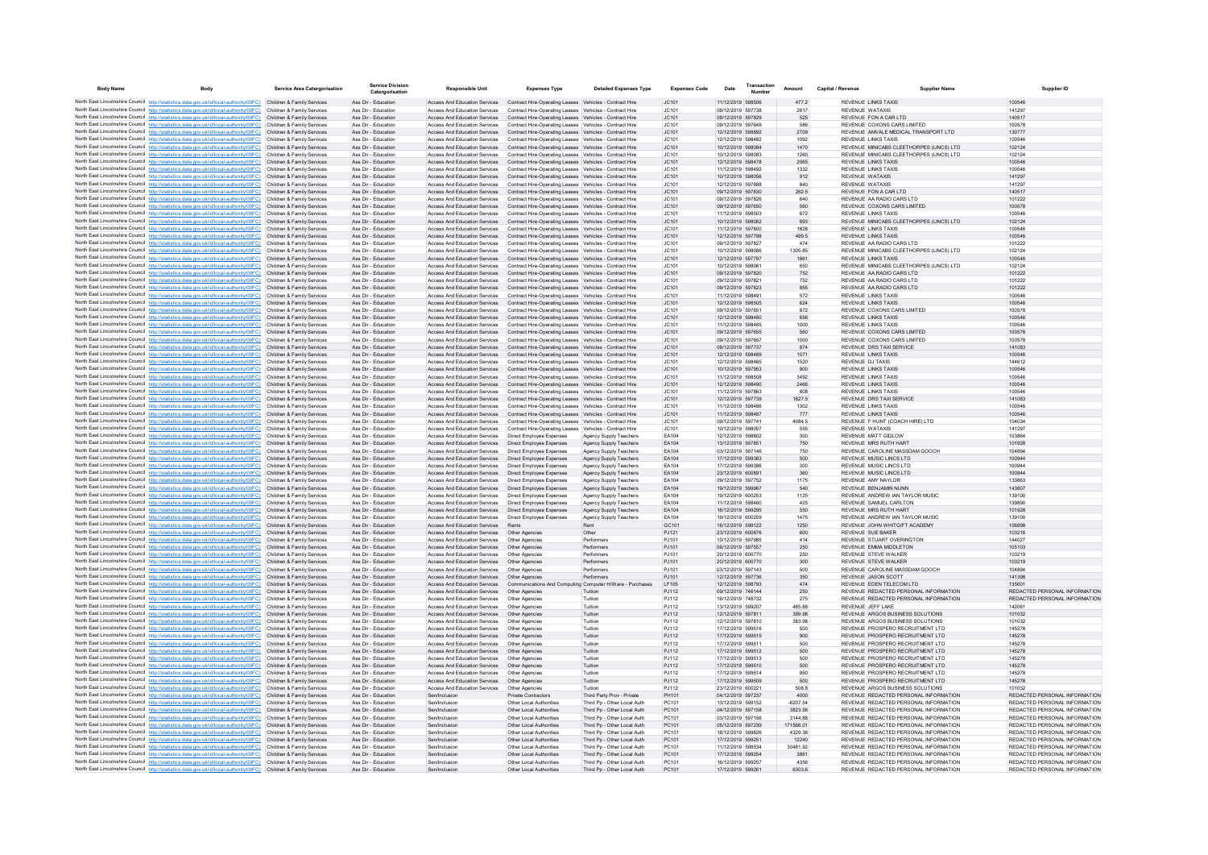| <b>Body Name</b> | Body                                                                                                                                                                                                        | <b>Service Area Catergorisation</b>                      | <b>Service Division</b><br>Catergorisation | <b>Responsible Unit</b>                                                                                                       | <b>Expenses Type</b>                                                                                               | <b>Detailed Expenses Type</b>                              | <b>Expenses Code</b> | Date                                   | Transaction | Amount             | Capital / Revenue | Supplier Nam                                                                   | <b>Supplier ID</b>                                             |
|------------------|-------------------------------------------------------------------------------------------------------------------------------------------------------------------------------------------------------------|----------------------------------------------------------|--------------------------------------------|-------------------------------------------------------------------------------------------------------------------------------|--------------------------------------------------------------------------------------------------------------------|------------------------------------------------------------|----------------------|----------------------------------------|-------------|--------------------|-------------------|--------------------------------------------------------------------------------|----------------------------------------------------------------|
|                  | North East Lincolnshire Council http://statistics.data.gov.uk/id/local-authority/00FC) Children & Family Services                                                                                           |                                                          | Ass Dir - Education                        | Access And Education Services Contract Hire-Operating Leases Vehicles - Contract Hire                                         |                                                                                                                    |                                                            | JC101                | 11/12/2019 598506                      |             | 477.2              |                   | REVENUE LINKS TAXIS                                                            | 100546                                                         |
|                  | North East Lincolnshire Council http://statistics.data.gov.uk/id/local-authority/00FC)                                                                                                                      | Children & Family Services                               | Ass Dir - Education                        | <b>Access And Education Services</b>                                                                                          | Contract Hire-Operating Leases Vehicles - Contract Hire                                                            |                                                            | JC101                | 09/12/2019 597738                      |             | 2617               |                   | <b>REVENUE WATAXIS</b>                                                         | 141297                                                         |
|                  | North East Lincolnshire Council http://statistics.data.gov.uk/id/local-authority/00FC)<br>North East Lincolnshire Council http://statistics.data.gov.uk/id/local-authority/00FC)                            | Children & Family Services<br>Children & Family Services | Ass Dir - Education<br>Ass Dir - Education | Access And Education Services Contract Hire-Operating Leases Vehicles - Contract Hire<br><b>Access And Education Services</b> |                                                                                                                    |                                                            | JC101<br>JC101       | 09/12/2019 597829<br>09/12/2019 597649 |             | 525<br>586         |                   | REVENUE FON A CAR LTD<br>REVENUE COXONS CARS LIMITED                           | 140517<br>100578                                               |
|                  | North East Lincolnshire Council http://statistics.data.gov.uk/id/local-authority/00FC)                                                                                                                      | Children & Family Services                               | Ass Dir - Education                        | Access And Education Services                                                                                                 | Contract Hire-Operating Leases Vehicles - Contract Hire<br>Contract Hire-Operating Leases Vehicles - Contract Hire |                                                            | JC101                | 12/12/2019 598892                      |             | 2709               |                   | REVENUE AMVALE MEDICAL TRANSPORT LTD                                           | 130777                                                         |
|                  | North East Lincolnshire Council http://statistics.data.gov.uk/id/local-authority/00FC)                                                                                                                      | Children & Family Services                               | Ass Dir - Education                        | Access And Education Services                                                                                                 | Contract Hire-Operating Leases Vehicles - Contract Hire                                                            |                                                            | JC101                | 12/12/2019 598482                      |             | 1092               |                   | <b>REVENUE LINKS TAXIS</b>                                                     | 100546                                                         |
|                  | North East Lincolnshire Council http://statistics.data.gov.uk/id/local-authority/00FC)                                                                                                                      | Children & Family Services                               | Ass Dir - Education                        | Access And Education Services                                                                                                 | Contract Hire-Operating Leases Vehicles - Contract Hire                                                            |                                                            | JC101                | 10/12/2019 598084                      |             | 1470               |                   | REVENUE MINICABS CLEETHORPES (LINCS) LTD                                       | 102124                                                         |
|                  | North East Lincolnshire Council http://statistics.data.gov.uk/id/local-authority/00FC)                                                                                                                      | Children & Family Services                               | Ass Dir - Education                        | Access And Education Services                                                                                                 | Contract Hire-Operating Leases Vehicles - Contract Hire                                                            |                                                            | JC101                | 10/12/2019 598083                      |             | 1260               |                   | REVENUE MINICABS CLEETHORPES (LINCS) LTD<br><b>REVENUE LINKS TAXIS</b>         | 102124                                                         |
|                  | North East Lincolnshire Council http://statistics.data.gov.uk/id/local-authority/00FC)<br>North East Lincolnshire Council http://statistics.data.gov.uk/id/local-authority/00FC)                            | Children & Family Services<br>Children & Family Services | Ass Dir - Education<br>Ass Dir - Education | Access And Education Services<br><b>Access And Education Services</b>                                                         | Contract Hire-Operating Leases Vehicles - Contract Hire<br>Contract Hire-Operating Leases Vehicles - Contract Hire |                                                            | JC101<br>JC101       | 12/12/2019 598478<br>11/12/2019 598492 |             | 2065<br>1332       |                   | <b>REVENUE LINKS TAXIS</b>                                                     | 100546<br>100546                                               |
|                  | North East Lincolnshire Council http://statistics.data.gov.uk/id/local-authority/00FC)                                                                                                                      | Children & Family Services                               | Ass Dir - Education                        | Access And Education Services                                                                                                 | Contract Hire-Operating Leases Vehicles - Contract Hire                                                            |                                                            | JC101                | 10/12/2019 598056                      |             | 912                |                   | REVENUE WATAXIS                                                                | 141297                                                         |
|                  | North East Lincolnshire Council http://statistics.data.gov.uk/id/local-authority/00FC)                                                                                                                      | Children & Family Services                               | Ass Dir - Education                        | Access And Education Services                                                                                                 | Contract Hire-Operating Leases Vehicles - Contract Hire                                                            |                                                            | JC101                | 12/12/2019 597688                      |             | 840                |                   | REVENUE WATAXIS                                                                | 141297                                                         |
|                  | North East Lincolnshire Council http://statistics.data.gov.uk/id/local-authority/00FC)                                                                                                                      | Children & Family Services                               | Ass Dir - Education                        | Access And Education Services                                                                                                 | Contract Hire-Operating Leases Vehicles - Contract Hire                                                            |                                                            | IC.101               | 09/12/2019 597830                      |             | 262.5              |                   | REVENUE FON A CAR LTD                                                          | 140517                                                         |
|                  | North East Lincolnshire Council http://statistics.data.gov.uk/id/local-authority/00FC)<br>North East Lincolnshire Council http://statistics.data.gov.uk/id/local-authority/00FC)                            | Children & Family Services<br>Children & Family Services | Ass Dir - Education<br>Ass Dir - Education | Access And Education Services<br>Access And Education Services                                                                | Contract Hire-Operating Leases Vehicles - Contract Hire<br>Contract Hire-Operating Leases Vehicles - Contract Hire |                                                            | JC101<br>JC101       | 09/12/2019 597826<br>09/12/2019 597650 |             | 640<br>560         |                   | REVENUE AA RADIO CARS LTD<br>REVENUE COXONS CARS LIMITED                       | 101222<br>100578                                               |
|                  | North East Lincolnshire Council http://statistics.data.gov.uk/id/local-authority/00FC)                                                                                                                      | Children & Family Services                               | Ass Dir - Education                        | Access And Education Services                                                                                                 | Contract Hire-Operating Leases Vehicles - Contract Hire                                                            |                                                            | JC101                | 11/12/2019 598503                      |             | 672                |                   | <b>REVENUE LINKS TAXIS</b>                                                     | 100546                                                         |
|                  | North East Lincolnshire Council http://statistics.data.gov.uk/id/local-authority/00FC)                                                                                                                      | Children & Family Services                               | Ass Dir - Education                        | Access And Education Services                                                                                                 | Contract Hire-Operating Leases Vehicles - Contract Hire                                                            |                                                            | JC101                | 10/12/2019 598082                      |             | 693                |                   | REVENUE MINICABS CLEETHORPES (LINCS) LTD                                       | 102124                                                         |
|                  | North East Lincolnshire Council http://statistics.data.gov.uk/id/local-authority/00FC)                                                                                                                      | Children & Family Services                               | Ass Dir - Education                        | Access And Education Services                                                                                                 | Contract Hire-Operating Leases Vehicles - Contract Hire                                                            |                                                            | IC.101               | 11/12/2019 597800                      |             | 1828               |                   | REVENUE LINKS TAXIS                                                            | 100546                                                         |
|                  | North East Lincolnshire Council http://statistics.data.gov.uk/id/local-authority/00FC)<br>North East Lincolnshire Council http://statistics.data.gov.uk/id/local-authority/00FC)                            | Children & Family Services<br>Children & Family Services | Ass Dir - Education<br>Ass Dir - Education | <b>Access And Education Services</b><br>Access And Education Services                                                         | Contract Hire-Operating Leases Vehicles - Contract Hire<br>Contract Hire-Operating Leases Vehicles - Contract Hire |                                                            | JC101<br>JC101       | 12/12/2019 597798<br>09/12/2019 597827 |             | 499.5<br>474       |                   | <b>REVENUE LINKS TAXIS</b><br>REVENUE AA RADIO CARS LTD                        | 100546<br>101222                                               |
|                  | North East Lincolnshire Council http://statistics.data.gov.uk/id/local-authority/00FC)                                                                                                                      | Children & Family Services                               | Ass Dir - Education                        | Access And Education Services                                                                                                 | Contract Hire-Operating Leases Vehicles - Contract Hire                                                            |                                                            | JC101                | 10/12/2019 598086                      |             | 1305.85            |                   | REVENUE MINICABS CLEETHORPES (LINCS) LTD                                       | 102124                                                         |
|                  | North East Lincolnshire Council http://statistics.data.gov.uk/id/local-authority/00FC)                                                                                                                      | Children & Family Services                               | Ass Dir - Education                        | Access And Education Services                                                                                                 | Contract Hire-Operating Leases Vehicles - Contract Hire                                                            |                                                            | JC101                | 12/12/2019 597797                      |             | 1661               |                   | <b>REVENUE LINKS TAXIS</b>                                                     | 100546                                                         |
|                  | North East Lincolnshire Council http://statistics.data.gov.uk/id/local-authority/00FC)                                                                                                                      | Children & Family Services                               | Ass Dir - Education                        | Access And Education Services                                                                                                 | Contract Hire-Operating Leases Vehicles - Contract Hire                                                            |                                                            | JC101                | 10/12/2019 598081                      |             | 650                |                   | REVENUE MINICABS CLEETHORPES (LINCS) LTD                                       | 102124                                                         |
|                  | North East Lincolnshire Council http://statistics.data.gov.uk/id/local-authority/00FC)<br>North East Lincolnshire Council http://statistics.data.gov.uk/id/local-authority/00FC)                            | Children & Family Services<br>Children & Family Services | Ass Dir - Education<br>Ass Dir - Education | Access And Education Services<br><b>Access And Education Services</b>                                                         | Contract Hire-Operating Leases Vehicles - Contract Hire<br>Contract Hire-Operating Leases Vehicles - Contract Hire |                                                            | JC101<br>JC101       | 09/12/2019 597820<br>09/12/2019 597821 |             | 752<br>752         |                   | REVENUE AA RADIO CARS LTD<br>REVENUE AA RADIO CARS LTD                         | 101222<br>101222                                               |
|                  | North East Lincolnshire Council http://statistics.data.gov.uk/id/local-authority/00FC)                                                                                                                      | Children & Family Services                               | Ass Dir - Education                        | Access And Education Services                                                                                                 | Contract Hire-Operating Leases Vehicles - Contract Hire                                                            |                                                            | JC101                | 09/12/2019 597823                      |             | 855                |                   | REVENUE AA RADIO CARS LTD                                                      | 101222                                                         |
|                  | North East Lincolnshire Council http://statistics.data.gov.uk/id/local-authority/00FC)                                                                                                                      | Children & Family Services                               | Ass Dir - Education                        | Access And Education Services                                                                                                 | Contract Hire-Operating Leases Vehicles - Contract Hire                                                            |                                                            | JC101                | 11/12/2019 598491                      |             | 572                |                   | <b>REVENUE LINKS TAXIS</b>                                                     | 100546                                                         |
|                  | North East Lincolnshire Council http://statistics.data.gov.uk/id/local-authority/00FC)                                                                                                                      | Children & Family Services                               | Ass Dir - Education                        | Access And Education Services                                                                                                 | Contract Hire-Operating Leases Vehicles - Contract Hire                                                            |                                                            | JC101                | 12/12/2019 598505                      |             | 624                |                   | <b>REVENUE LINKS TAXIS</b>                                                     | 100546                                                         |
|                  | North East Lincolnshire Council http://statistics.data.gov.uk/id/local-authority/00FC)                                                                                                                      | Children & Family Services                               | Ass Dir - Education                        | Access And Education Services                                                                                                 | Contract Hire-Operating Leases Vehicles - Contract Hire                                                            |                                                            | JC101                | 09/12/2019 597651                      |             | 872                |                   | REVENUE COXONS CARS LIMITED                                                    | 100578                                                         |
|                  | North East Lincolnshire Council http://statistics.data.gov.uk/id/local-authority/00FC)<br>North East Lincolnshire Council http://statistics.data.gov.uk/id/local-authority/00FC)                            | Children & Family Services<br>Children & Family Services | Ass Dir - Education<br>Ass Dir - Education | <b>Access And Education Services</b><br>Access And Education Services                                                         | Contract Hire-Operating Leases Vehicles - Contract Hire<br>Contract Hire-Operating Leases Vehicles - Contract Hire |                                                            | JC101<br>JC101       | 12/12/2019 598480<br>11/12/2019 598485 |             | 656<br>1000        |                   | REVENUE LINKS TAXIS<br><b>REVENUE LINKS TAXIS</b>                              | 100546<br>100546                                               |
|                  | North East Lincolnshire Council http://statistics.data.gov.uk/id/local-authority/00FC)                                                                                                                      | Children & Family Services                               | Ass Dir - Education                        | Access And Education Services                                                                                                 | Contract Hire-Operating Leases Vehicles - Contract Hire                                                            |                                                            | JC101                | 09/12/2019 597655                      |             | 560                |                   | REVENUE COXONS CARS LIMITED                                                    | 100578                                                         |
|                  | North East Lincolnshire Council http://statistics.data.gov.uk/id/local-authority/00FC)                                                                                                                      | Children & Family Services                               | Ass Dir - Education                        | <b>Access And Education Services</b>                                                                                          | Contract Hire-Operating Leases Vehicles - Contract Hire                                                            |                                                            | JC101                | 09/12/2019 597657                      |             | 1000               |                   | REVENUE COXONS CARS LIMITED                                                    | 100578                                                         |
|                  | North East Lincolnshire Council http://statistics.data.gov.uk/id/local-authority/00FC)                                                                                                                      | Children & Family Services                               | Ass Dir - Education                        | Access And Education Services                                                                                                 | Contract Hire-Operating Leases Vehicles - Contract Hire                                                            |                                                            | JC101                | 09/12/2019 597737                      |             | 874                |                   | REVENUE DRS TAXI SERVICE                                                       | 141083                                                         |
|                  | North East Lincolnshire Council http://statistics.data.gov.uk/id/local-authority/00FC)<br>North East Lincolnshire Council http://statistics.data.gov.uk/id/local-authority/00FC)                            | Children & Family Services<br>Children & Family Services | Ass Dir - Education<br>Ass Dir - Education | Access And Education Services<br>Access And Education Services                                                                | Contract Hire-Operating Leases Vehicles - Contract Hire<br>Contract Hire-Operating Leases Vehicles - Contract Hire |                                                            | JC101<br>JC101       | 12/12/2019 598489<br>12/12/2019 598465 |             | 1071<br>1520       |                   | <b>REVENUE LINKS TAXIS</b><br>REVENUE DJ TAXIS                                 | 100546<br>144612                                               |
|                  | North East Lincolnshire Council http://statistics.data.gov.uk/id/local-authority/00EC)                                                                                                                      | Children & Family Services                               | Ass Dir - Education                        | Access And Education Services                                                                                                 | Contract Hire-Operating Leases Vehicles - Contract Hire                                                            |                                                            | IC.101               | 10/12/2019 597953                      |             | 900                |                   | <b>REVENUE LINKS TAXIS</b>                                                     | 100546                                                         |
|                  | North East Lincolnshire Council http://statistics.data.gov.uk/id/local-authority/00FC)                                                                                                                      | Children & Family Services                               | Ass Dir - Education                        | <b>Access And Education Services</b>                                                                                          | Contract Hire-Operating Leases Vehicles - Contract Hire                                                            |                                                            | JC101                | 11/12/2019 598508                      |             | 3492               |                   | <b>REVENUE LINKS TAXIS</b>                                                     | 100546                                                         |
|                  | North East Lincolnshire Council http://statistics.data.gov.uk/id/local-authority/00FC)                                                                                                                      | Children & Family Services                               | Ass Dir - Education                        | Access And Education Services                                                                                                 | Contract Hire-Operating Leases Vehicles - Contract Hire                                                            |                                                            | JC101                | 12/12/2019 598490                      |             | 2466               |                   | <b>REVENUE LINKS TAXIS</b>                                                     | 100546                                                         |
|                  | North East Lincolnshire Council http://statistics.data.gov.uk/id/local-authority/00FC)                                                                                                                      | Children & Family Services                               | Ass Dir - Education<br>Ass Dir - Education | <b>Access And Education Services</b>                                                                                          | Contract Hire-Operating Leases Vehicles - Contract Hire                                                            |                                                            | JC101                | 11/12/2019 597863<br>12/12/2019 597739 |             | 808<br>1827.5      |                   | <b>REVENUE LINKS TAXIS</b><br>REVENUE DRS TAXI SERVICE                         | 100546                                                         |
|                  | North East Lincolnshire Council http://statistics.data.gov.uk/id/local-authority/00FC)<br>North East Lincolnshire Council http://statistics.data.gov.uk/id/local-authority/00FC)                            | Children & Family Services<br>Children & Family Services | Ass Dir - Education                        | Access And Education Services<br><b>Access And Education Services</b>                                                         | Contract Hire-Operating Leases Vehicles - Contract Hire<br>Contract Hire-Operating Leases Vehicles - Contract Hire |                                                            | JC101<br>JC101       | 11/12/2019 598486                      |             | 1302               |                   | REVENUE LINKS TAXIS                                                            | 141083<br>100546                                               |
|                  | North East Lincolnshire Council http://statistics.data.gov.uk/id/local-authority/00FC)                                                                                                                      | Children & Family Services                               | Ass Dir - Education                        | Access And Education Services                                                                                                 | Contract Hire-Operating Leases Vehicles - Contract Hire                                                            |                                                            | JC101                | 11/12/2019 598487                      |             | 777                |                   | REVENUE LINKS TAXIS                                                            | 100546                                                         |
|                  | North East Lincolnshire Council http://statistics.data.gov.uk/id/local-authority/00FC)                                                                                                                      | Children & Family Services                               | Ass Dir - Education                        | Access And Education Services                                                                                                 | Contract Hire-Operating Leases Vehicles - Contract Hire                                                            |                                                            | JC101                | 09/12/2019 597741                      |             | 4084.5             |                   | REVENUE F HUNT (COACH HIRE) LTD                                                | 104034                                                         |
|                  | North East Lincolnshire Council http://statistics.data.gov.uk/id/local-authority/00FC)                                                                                                                      | Children & Family Services                               | Ass Dir - Education                        | Access And Education Services                                                                                                 | Contract Hire-Operating Leases Vehicles - Contract Hire                                                            |                                                            | JC101                | 10/12/2019 598057                      |             | 555                |                   | REVENUE WATAXIS                                                                | 141297                                                         |
|                  | North East Lincolnshire Council http://statistics.data.gov.uk/id/local-authority/00FC)<br>North East Lincolnshire Council http://statistics.data.gov.uk/id/local-authority/00FC)                            | Children & Family Services<br>Children & Family Services | Ass Dir - Education<br>Ass Dir - Education | Access And Education Services<br>Access And Education Services                                                                | Direct Employee Expenses<br>Direct Employee Expenses                                                               | Agency Supply Teachers<br>Agency Supply Teachers           | EA104<br>EA104       | 12/12/2019 598802<br>13/12/2019 597851 |             | 300<br>750         |                   | REVENUE MATT GIDLOW<br>REVENUE MRS RUTH HART                                   | 103864<br>101928                                               |
|                  | North East Lincolnshire Council http://statistics.data.gov.uk/id/local-authority/00FC)                                                                                                                      | Children & Family Services                               | Ass Dir - Education                        | <b>Access And Education Services</b>                                                                                          | Direct Employee Expenses                                                                                           | Agency Supply Teachers                                     | EA104                | 03/12/2019 597146                      |             | 750                |                   | REVENUE CAROLINE MASSDAM GOOCH                                                 | 104894                                                         |
|                  | North East Lincolnshire Council http://statistics.data.gov.uk/id/local-authority/00FC)                                                                                                                      | Children & Family Services                               | Ass Dir - Education                        | Access And Education Services                                                                                                 | Direct Employee Expenses                                                                                           | Agency Supply Teachers                                     | EA104                | 17/12/2019 599383                      |             | 500                |                   | REVENUE MUSIC LINCS LTD                                                        | 100944                                                         |
|                  | North East Lincolnshire Council http://statistics.data.gov.uk/id/local-authority/00FC)                                                                                                                      | Children & Family Services                               | Ass Dir - Education                        | <b>Access And Education Services</b>                                                                                          | Direct Employee Expenses                                                                                           | Agency Supply Teachers                                     | FA104                | 17/12/2019 599386                      |             | 300                |                   | REVENUE MUSIC LINCS LTD                                                        | 100944                                                         |
|                  | North East Lincolnshire Council http://statistics.data.gov.uk/id/local-authority/00FC)<br>North East Lincolnshire Council http://statistics.data.gov.uk/id/local-authority/00FC)                            | Children & Family Services<br>Children & Family Services | Ass Dir - Education<br>Ass Dir - Education | Access And Education Services<br>Access And Education Services                                                                | Direct Employee Expenses<br>Direct Employee Expenses                                                               | Agency Supply Teachers<br>Agency Supply Teachers           | FA104<br>EA104       | 23/12/2019 600891<br>09/12/2019 597752 |             | 360<br>1175        |                   | REVENUE MUSIC LINCS LTD<br>REVENUE AMY NAYLOR                                  | 100944<br>133863                                               |
|                  | North East Lincolnshire Council http://statistics.data.gov.uk/id/local-authority/00FC)                                                                                                                      | Children & Family Services                               | Ass Dir - Education                        | Access And Education Services                                                                                                 | Direct Employee Expenses                                                                                           | Agency Supply Teachers                                     | EA104                | 19/12/2019 599967                      |             | 540                |                   | REVENUE BENJAMIN NUNN                                                          | 143807                                                         |
|                  | North East Lincolnshire Council http://statistics.data.gov.uk/id/local-authority/00FC)                                                                                                                      | Children & Family Services                               | Ass Dir - Education                        | Access And Education Services                                                                                                 | Direct Employee Expenses                                                                                           | Agency Supply Teachers                                     | EA104                | 19/12/2019 600253                      |             | 1125               |                   | REVENUE ANDREW IAN TAYLOR MUSIC                                                | 139100                                                         |
|                  | North East Lincolnshire Council http://statistics.data.gov.uk/id/local-authority/00FC)                                                                                                                      | Children & Family Services                               | Ass Dir - Education                        | <b>Access And Education Services</b>                                                                                          | Direct Employee Expenses                                                                                           | Agency Supply Teachers                                     | EA104                | 11/12/2019 598460                      |             | 425                |                   | REVENUE SAMUEL CARLTON                                                         | 139890                                                         |
|                  | North East Lincolnshire Council http://statistics.data.gov.uk/id/local-authority/00FC)                                                                                                                      | Children & Family Services<br>Children & Family Services | Ass Dir - Education<br>Ass Dir - Education | Access And Education Services<br>Access And Education Services                                                                | Direct Employee Expenses<br>Direct Employee Expenses                                                               | Agency Supply Teachers                                     | FA104<br>FA104       | 16/12/2019 599295<br>19/12/2019 600259 |             | 550<br>1475        |                   | REVENUE MRS RUTH HART<br>REVENUE ANDREW JAN TAYLOR MUSIC                       | 101928<br>139100                                               |
|                  | North East Lincolnshire Council http://statistics.data.gov.uk/id/local-authority/00FC)<br>North East Lincolnshire Council http://statistics.data.gov.uk/id/local-authority/00FC)                            | Children & Family Services                               | Ass Dir - Education                        | Access And Education Services                                                                                                 | Rents                                                                                                              | Agency Supply Teachers<br>Rent                             | GC101                | 16/12/2019 599122                      |             | 1250               |                   | REVENUE JOHN WHITGIFT ACADEMY                                                  | 106898                                                         |
|                  | North East Lincolnshire Council http://statistics.data.gov.uk/id/local-authority/00FC)                                                                                                                      | Children & Family Services                               | Ass Dir - Education                        | Access And Education Services                                                                                                 | Other Agencies                                                                                                     | Other                                                      | PJ121                | 23/12/2019 600876                      |             | 600                |                   | REVENUE SUE BAKER                                                              | 103216                                                         |
|                  | North East Lincolnshire Council http://statistics.data.gov.uk/id/local-authority/00FC)                                                                                                                      | Children & Family Services                               | Ass Dir - Education                        | Access And Education Services                                                                                                 | Other Agencies                                                                                                     | Performers                                                 | PJ101                | 10/12/2019 597985                      |             | 414                |                   | REVENUE STUART OVERINGTON                                                      | 144027                                                         |
|                  | North East Lincolnshire Council http://statistics.data.gov.uk/id/local-authority/00FC)                                                                                                                      | Children & Family Services                               | Ass Dir - Education<br>Ass Dir - Education | Access And Education Services                                                                                                 | Other Agencies                                                                                                     | Performers                                                 | P.1101<br>P.1101     | 06/12/2019 597557<br>20/12/2019 600770 |             | 250                |                   | REVENUE EMMA MIDDLETON<br><b>REVENUE STEVE WALKER</b>                          | 105103<br>103219                                               |
|                  | North East Lincolnshire Council http://statistics.data.gov.uk/id/local-authority/00FC)<br>North East Lincolnshire Council http://statistics.data.gov.uk/id/local-authority/00FC)                            | Children & Family Services<br>Children & Family Services | Ass Dir - Education                        | Access And Education Services<br>Access And Education Services                                                                | Other Agencies<br>Other Agencies                                                                                   | Performers<br>Performers                                   | PJ101                | 20/12/2019 600770                      |             | 250<br>300         |                   | <b>REVENUE STEVE WALKER</b>                                                    | 103219                                                         |
|                  | North East Lincolnshire Council http://statistics.data.gov.uk/id/local-authority/00FC)                                                                                                                      | Children & Family Services                               | Ass Dir - Education                        | Access And Education Services                                                                                                 | <b>Other Agencies</b>                                                                                              | Performers                                                 | PJ101                | 03/12/2019 597143                      |             | 500                |                   | REVENUE CAROLINE MASSDAM GOOCH                                                 | 104894                                                         |
|                  | North East Lincolnshire Council http://statistics.data.gov.uk/id/local-authority/00FC)                                                                                                                      | Children & Family Services                               | Ass Dir - Education                        | Access And Education Services                                                                                                 | Other Agencies                                                                                                     | Performers                                                 | P.1101               | 12/12/2019 597736                      |             | 350                |                   | REVENUE JASON SCOTT                                                            | 141398                                                         |
|                  | North East Lincolnshire Council http://statistics.data.gov.uk/id/local-authority/00FC)                                                                                                                      | Children & Family Services                               | Ass Dir - Education                        | <b>Access And Education Services</b>                                                                                          | Communications And Computing Computer H/Ware - Purchases                                                           |                                                            | LE105                | 12/12/2019 598793                      |             | 474                |                   | REVENUE EDEN TELECOM LTD.                                                      | 135601<br>REDACTED PERSONAL INFORMATION                        |
|                  | North East Lincolnshire Council http://statistics.data.gov.uk/id/local-authority/00FC) Children & Family Services<br>North East Lincolnshire Council http://statistics.data.gov.uk/id/local-authority/00FC) | Children & Family Services                               | Ass Dir - Education<br>Ass Dir - Education | Access And Education Services<br>Access And Education Services                                                                | Other Agencies<br>Other Agencies                                                                                   | Tuition<br>Tuition                                         | PJ112<br>PJ112       | 09/12/2019 746144<br>16/12/2019 748732 |             | 250<br>275         |                   | REVENUE REDACTED PERSONAL INFORMATION<br>REVENUE REDACTED PERSONAL INFORMATION | REDACTED PERSONAL INFORMATION                                  |
|                  | North East Lincolnshire Council http://statistics.data.gov.uk/id/local-authority/00FC)                                                                                                                      | Children & Family Services                               | Ass Dir - Education                        | Access And Education Services                                                                                                 | Other Agencies                                                                                                     | Tuition                                                    | PJ112                | 13/12/2019 599207                      |             | 485.88             |                   | REVENUE JEFF LAKE                                                              | 142061                                                         |
|                  | North East Lincolnshire Council http://statistics.data.gov.uk/id/local-authority/00FC)                                                                                                                      | Children & Family Services                               | Ass Dir - Education                        | Access And Education Services                                                                                                 | Other Agencies                                                                                                     | Tuition                                                    | PJ112                | 12/12/2019 597811                      |             | 399.98             |                   | REVENUE ARGOS BUSINESS SOLUTIONS                                               | 101032                                                         |
|                  | North East Lincolnshire Council http://statistics.data.gov.uk/id/local-authority/00FC)                                                                                                                      | Children & Family Services                               | Ass Dir - Education                        | <b>Access And Education Services</b>                                                                                          | Other Agencies                                                                                                     | Tuition                                                    | PJ112                | 12/12/2019 597810                      |             | 383.98             |                   | REVENUE ARGOS BUSINESS SOLUTIONS                                               | 101032                                                         |
|                  | North East Lincolnshire Council http://statistics.data.gov.uk/id/local-authority/00FC)<br>North East Lincolnshire Council http://statistics.data.gov.uk/id/local-authority/00FC)                            | Children & Family Services<br>Children & Family Services | Ass Dir - Education<br>Ass Dir - Education | Access And Education Services<br>Access And Education Services                                                                | Other Agencies<br>Other Agencies                                                                                   | Tuition<br>Tuition                                         | PJ112<br>PJ112       | 17/12/2019 599516<br>17/12/2019 599515 |             | 500<br>900         |                   | REVENUE PROSPERO RECRUITMENT LTD<br>REVENUE PROSPERO RECRUITMENT LTD           | 145278<br>145278                                               |
|                  | North East Lincolnshire Council http://statistics.data.gov.uk/id/local-authority/00FC)                                                                                                                      | Children & Family Services                               | Ass Dir - Education                        | Access And Education Services                                                                                                 | Other Agencies                                                                                                     | Tuition                                                    | PJ112                | 17/12/2019 599511                      |             | 500                |                   | REVENUE PROSPERO RECRUITMENT LTD                                               | 145278                                                         |
|                  | North East Lincolnshire Council http://statistics.data.gov.uk/id/local-authority/00FC)                                                                                                                      | Children & Family Services                               | Ass Dir - Education                        | Access And Education Services                                                                                                 | Other Agencies                                                                                                     | Tuition                                                    | PJ112                | 17/12/2019 599512                      |             | 500                |                   | REVENUE PROSPERO RECRUITMENT LTD.                                              | 145278                                                         |
|                  | North East Lincolnshire Council http://statistics.data.gov.uk/id/local-authority/00FC)                                                                                                                      | Children & Family Services                               | Ass Dir - Education                        | <b>Access And Education Services</b>                                                                                          | Other Agencies                                                                                                     | Tuition                                                    | PJ112                | 17/12/2019 599513                      |             | 500                |                   | REVENUE PROSPERO RECRUITMENT LTD                                               | 145278                                                         |
|                  | North East Lincolnshire Council http://statistics.data.gov.uk/id/local-authority/00FC)<br>North East Lincolnshire Council http://statistics.data.gov.uk/id/local-authority/00FC)                            | Children & Family Services<br>Children & Family Services | Ass Dir - Education<br>Ass Dir - Education | Access And Education Services<br><b>Access And Education Services</b>                                                         | Other Agencies<br>Other Agencies                                                                                   | Tuition<br>Tuition                                         | PJ112<br>PJ112       | 17/12/2019 599510<br>17/12/2019 599514 |             | 500<br>950         |                   | REVENUE PROSPERO RECRUITMENT LTD<br>REVENUE PROSPERO RECRUITMENT LTD           | 145278<br>145278                                               |
|                  | North East Lincolnshire Council http://statistics.data.gov.uk/id/local-authority/00FC)                                                                                                                      | Children & Family Services                               | Ass Dir - Education                        | Access And Education Services                                                                                                 | Other Agencies                                                                                                     | Tuition                                                    | PJ112                | 17/12/2019 599509                      |             | 500                |                   | REVENUE PROSPERO RECRUITMENT LTD                                               | 145278                                                         |
|                  | North East Lincolnshire Council http://statistics.data.gov.uk/id/local-authority/00FC)                                                                                                                      | Children & Family Services                               | Ass Dir - Education                        | Access And Education Services                                                                                                 | Other Agencies                                                                                                     | Tuition                                                    | PJ112                | 23/12/2019 600221                      |             | 508.8              |                   | REVENUE ARGOS BUSINESS SOLUTIONS                                               | 101032                                                         |
|                  | North East Lincolnshire Council http://statistics.data.gov.uk/id/local-authority/00FC)                                                                                                                      | Children & Family Services                               | Ass Dir - Education                        | Sen/Inclusion                                                                                                                 | Private Contractors                                                                                                | Third Party Prov - Private                                 | PH101                | 04/12/2019 597237                      |             | 4000               |                   | REVENUE REDACTED PERSONAL INFORMATION                                          | REDACTED PERSONAL INFORMATION                                  |
|                  | North East Lincolnshire Council http://statistics.data.gov.uk/id/local-authority/00FC)                                                                                                                      | Children & Family Services                               | Ass Dir - Education<br>Ass Dir - Education | Sen/Inclusion<br>Sen/Inclusion                                                                                                | Other Local Authorities                                                                                            | Third Pp - Other Local Auth                                | PC101<br>PC101       | 13/12/2019 599152                      |             | 6207.54<br>3823.56 |                   | REVENUE REDACTED PERSONAL INFORMATION<br>REVENUE REDACTED PERSONAL INFORMATION | REDACTED PERSONAL INFORMATION<br>REDACTED PERSONAL INFORMATION |
|                  | North East Lincolnshire Council http://statistics.data.gov.uk/id/local-authority/00FC)<br>North East Lincolnshire Council http://statistics.data.gov.uk/id/local-authority/00FC)                            | Children & Family Services<br>Children & Family Services | Ass Dir - Education                        | Sen/Inclusion                                                                                                                 | Other Local Authorities<br>Other Local Authorities                                                                 | Third Pp - Other Local Auth<br>Third Po - Other Local Auth | PC101                | 04/12/2019 597158<br>03/12/2019 597156 |             | 3144.88            |                   | REVENUE REDACTED PERSONAL INFORMATION                                          | REDACTED PERSONAL INFORMATION                                  |
|                  | North East Lincolnshire Council http://statistics.data.gov.uk/id/local-authority/00FC)                                                                                                                      | Children & Family Services                               | Ass Dir - Education                        | Sen/Inclusion                                                                                                                 | Other Local Authorities                                                                                            | Third Pp - Other Local Auth                                | PC101                | 05/12/2019 597239                      |             | 171566.01          |                   | REVENUE REDACTED PERSONAL INFORMATION                                          | REDACTED PERSONAL INFORMATION                                  |
|                  | North East Lincolnshire Council http://statistics.data.gov.uk/id/local-authority/00FC)                                                                                                                      | Children & Family Services                               | Ass Dir - Education                        | Sen/Inclusion                                                                                                                 | Other Local Authorities                                                                                            | Third Pp - Other Local Auth                                | PC101                | 18/12/2019 599826                      |             | 4329.36            |                   | REVENUE REDACTED PERSONAL INFORMATION                                          | REDACTED PERSONAL INFORMATION                                  |
|                  | North East Lincolnshire Council http://statistics.data.gov.uk/id/local-authority/00FC)                                                                                                                      | Children & Family Services                               | Ass Dir - Education                        | Sen/Inclusion                                                                                                                 | Other Local Authorities                                                                                            | Third Pp - Other Local Auth                                | PC101                | 17/12/2019 599251                      |             | 12240              |                   | REVENUE REDACTED PERSONAL INFORMATION                                          | REDACTED PERSONAL INFORMATION                                  |
|                  | North East Lincolnshire Council http://statistics.data.gov.uk/id/local-authority/00FC)<br>North East Lincolnshire Council http://statistics.data.gov.uk/id/local-authority/00FC) Children & Family Services | Children & Family Services                               | Ass Dir - Education<br>Ass Dir - Education | Sen/Inclusion<br>Sen/Inclusion                                                                                                | Other Local Authorities<br>Other Local Authorities                                                                 | Third Pp - Other Local Auth<br>Third Pp - Other Local Auth | PC101<br>PC101       | 11/12/2019 598534<br>17/12/2019 599254 |             | 30481.92<br>3861   |                   | REVENUE REDACTED PERSONAL INFORMATION<br>REVENUE REDACTED PERSONAL INFORMATION | REDACTED PERSONAL INFORMATION<br>REDACTED PERSONAL INFORMATION |
|                  | North East Lincolnshire Council http://statistics.data.gov.uk/id/local-authority/00FC) Children & Family Services                                                                                           |                                                          | Ass Dir - Education                        | Sen/Inclusion                                                                                                                 | Other Local Authorities                                                                                            | Third Pp - Other Local Auth                                | PC101                | 16/12/2019 599257                      |             | 4356               |                   | REVENUE, REDACTED PERSONAL INFORMATION                                         | REDACTED PERSONAL INFORMATION                                  |
|                  | North East Lincolnshire Council http://statistics.data.gov.uk/id/local-authority/00FC)                                                                                                                      | Children & Family Services                               | Ass Dir - Education                        | Sen/Inclusion                                                                                                                 | Other Local Authorities                                                                                            | Third Pp - Other Local Auth                                | PC101                | 17/12/2019 599261                      |             | 6303.6             |                   | REVENUE REDACTED PERSONAL INFORMATION                                          | REDACTED PERSONAL INFORMATION                                  |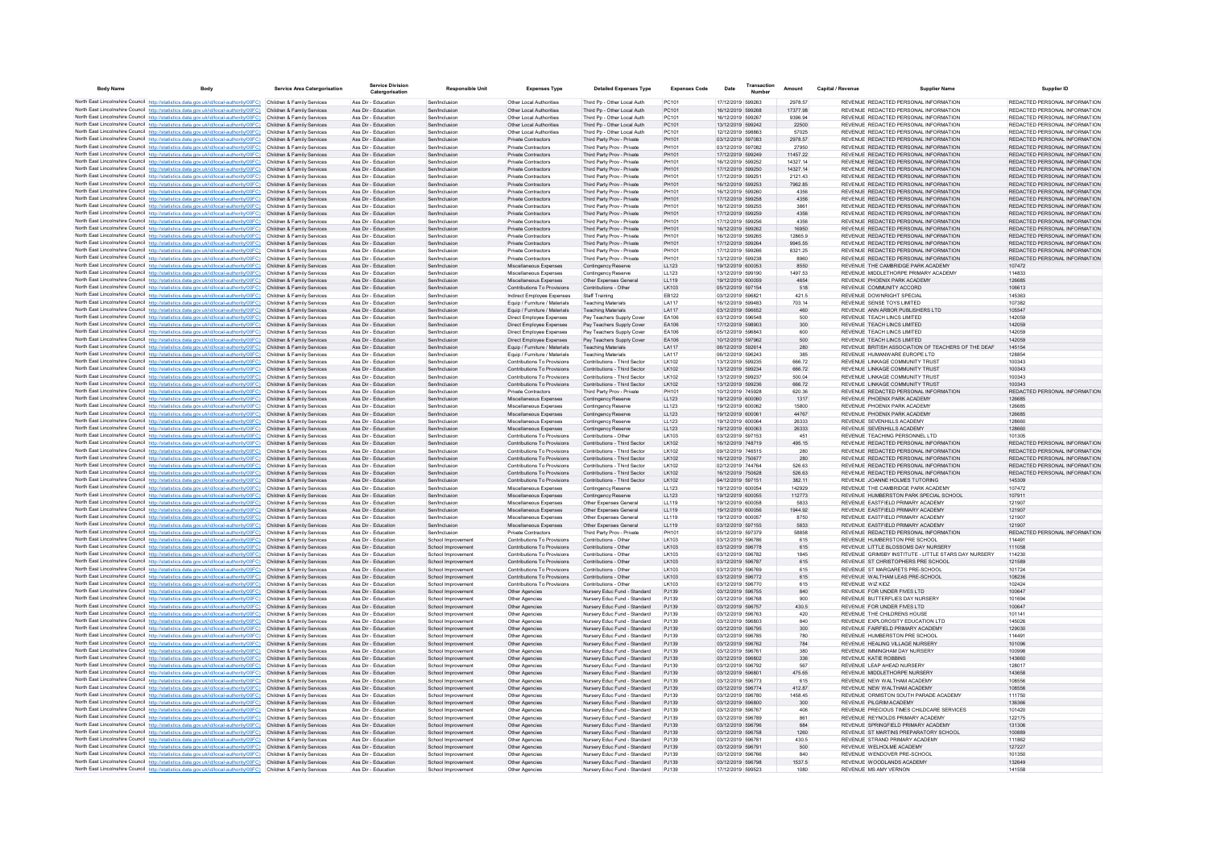| <b>Body Name</b> | Body                                                                                                                                                                             | Service Area Catergorisation                             | Service Division<br>Catergorisation        | <b>Responsible Unit</b>                  | <b>Expenses Type</b>                                             | <b>Detailed Expenses Type</b>                                | <b>Expenses Code</b> | Date                                   | Transaction | Amount            | Capital / Revenue | <b>Supplier Name</b>                                                                       | Supplier ID                                                    |
|------------------|----------------------------------------------------------------------------------------------------------------------------------------------------------------------------------|----------------------------------------------------------|--------------------------------------------|------------------------------------------|------------------------------------------------------------------|--------------------------------------------------------------|----------------------|----------------------------------------|-------------|-------------------|-------------------|--------------------------------------------------------------------------------------------|----------------------------------------------------------------|
|                  | North East Lincolnshire Council http://statistics.data.gov.uk/id/local-authority/00FC) Children & Family Services                                                                |                                                          | Ass Dir - Education                        | Sen/Inclusion                            | Other Local Authorities                                          | Third Pp - Other Local Auth                                  | PC101                | 17/12/2019 599263                      |             | 2978.57           |                   | REVENUE, REDACTED PERSONAL INFORMATION                                                     | REDACTED PERSONAL INFORMATION                                  |
|                  | North East Lincolnshire Council http://statistics.data.gov.uk/id/local-authority/00FC)                                                                                           | Children & Family Services                               | Ass Dir - Education                        | Sen/Inclusion                            | Other Local Authorities                                          | Third Pp - Other Local Auth                                  | PC101                | 16/12/2019 599268                      |             | 17377.98          |                   | REVENUE REDACTED PERSONAL INFORMATION                                                      | REDACTED PERSONAL INFORMATION                                  |
|                  | North East Lincolnshire Council http://statistics.data.gov.uk/id/local-authority/00FC)                                                                                           | Children & Family Services                               | Ass Dir - Education                        | Sen/Inclusion                            | Other Local Authorities                                          | Third Pp - Other Local Auth                                  | PC101                | 16/12/2019 599267                      |             | 9396.94           |                   | REVENUE REDACTED PERSONAL INFORMATION                                                      | REDACTED PERSONAL INFORMATION                                  |
|                  | North East Lincolnshire Council http://statistics.data.gov.uk/id/local-authority/00FC)                                                                                           | Children & Family Services                               | Ass Dir - Education                        | Sen/Inclusion                            | Other Local Authorities                                          | Third Pp - Other Local Auth                                  | PC101                | 13/12/2019 599242                      |             | 22500             |                   | REVENUE REDACTED PERSONAL INFORMATION                                                      | REDACTED PERSONAL INFORMATION                                  |
|                  | North East Lincolnshire Council http://statistics.data.gov.uk/id/local-authority/00FC)<br>North East Lincolnshire Council http://statistics.data.gov.uk/id/local-authority/00FC) | Children & Family Services<br>Children & Family Services | Ass Dir - Education<br>Ass Dir - Education | Sen/Inclusion<br>Sen/Inclusion           | Other Local Authorities<br>Private Contractors                   | Third Pp - Other Local Auth<br>Third Party Prov - Private    | PC101<br>PH101       | 12/12/2019 598863<br>03/12/2019 597083 |             | 57025<br>2978.57  |                   | REVENUE REDACTED PERSONAL INFORMATION<br>REVENUE REDACTED PERSONAL INFORMATION             | REDACTED PERSONAL INFORMATION<br>REDACTED PERSONAL INFORMATION |
|                  | North East Lincolnshire Council http://statistics.data.gov.uk/id/local-authority/00FC)                                                                                           | Children & Family Services                               | Ass Dir - Education                        | Sen/Inclusion                            | Private Contractors                                              | Third Party Prov - Private                                   | PH101                | 03/12/2019 597082                      |             | 27950             |                   | REVENUE REDACTED PERSONAL INFORMATION                                                      | REDACTED PERSONAL INFORMATION                                  |
|                  | North East Lincolnshire Council http://statistics.data.gov.uk/id/local-authority/00FC)                                                                                           | Children & Family Services                               | Ass Dir - Education                        | Sen/Inclusion                            | Private Contractors                                              | Third Party Prov - Private                                   | PH101                | 17/12/2019 599249                      |             | 11457.22          |                   | REVENUE REDACTED PERSONAL INFORMATION                                                      | REDACTED PERSONAL INFORMATION                                  |
|                  | North East Lincolnshire Council http://statistics.data.gov.uk/id/local-authority/00FC)                                                                                           | Children & Family Services                               | Ass Dir - Education                        | Sen/Inclusion                            | Private Contractors                                              | Third Party Prov - Private                                   | PH101                | 16/12/2019 599252                      |             | 14327 14          |                   | REVENUE REDACTED PERSONAL INFORMATION                                                      | REDACTED PERSONAL INFORMATION                                  |
|                  | North East Lincolnshire Council http://statistics.data.gov.uk/id/local-authority/00FC)                                                                                           | Children & Family Services                               | Ass Dir - Education                        | Sen/Inclusion                            | Private Contractors                                              | Third Party Prov - Private                                   | PH101                | 17/12/2019 599250                      |             | 14327 14          |                   | REVENUE REDACTED PERSONAL INFORMATION                                                      | REDACTED PERSONAL INFORMATION                                  |
|                  | North East Lincolnshire Council http://statistics.data.gov.uk/id/local-authority/00FC)                                                                                           | Children & Family Services                               | Ass Dir - Education                        | Sen/Inclusion                            | Private Contractors                                              | Third Party Prov - Private                                   | PH101                | 17/12/2019 599251                      |             | 2121.43           |                   | REVENUE REDACTED PERSONAL INFORMATION                                                      | REDACTED PERSONAL INFORMATION                                  |
|                  | North East Lincolnshire Council http://statistics.data.gov.uk/id/local-authority/00FC)<br>North East Lincolnshire Council http://statistics.data.gov.uk/id/local-authority/00FC) | Children & Family Services<br>Children & Family Services | Ass Dir - Education<br>Ass Dir - Education | Sen/Inclusion<br>Sen/Inclusion           | Private Contractors<br>Private Contractors                       | Third Party Prov - Private<br>Third Party Prov - Private     | PH101<br>PH101       | 16/12/2019 599253<br>16/12/2019 599260 |             | 7962.85<br>4356   |                   | REVENUE REDACTED PERSONAL INFORMATION<br>REVENUE REDACTED PERSONAL INFORMATION             | REDACTED PERSONAL INFORMATION<br>REDACTED PERSONAL INFORMATION |
|                  | North East Lincolnshire Council http://statistics.data.gov.uk/id/local-authority/00FC)                                                                                           | Children & Family Services                               | Ass Dir - Education                        | Sen/Inclusion                            | Private Contractors                                              | Third Party Prov - Private                                   | PH101                | 17/12/2019 599258                      |             | 4356              |                   | REVENUE REDACTED PERSONAL INFORMATION                                                      | REDACTED PERSONAL INFORMATION                                  |
|                  | North East Lincolnshire Council http://statistics.data.gov.uk/id/local-authority/00FC)                                                                                           | Children & Family Services                               | Ass Dir - Education                        | Sen/Inclusion                            | Private Contractors                                              | Third Party Prov - Private                                   | PH101                | 16/12/2019 599255                      |             | 3861              |                   | REVENUE REDACTED PERSONAL INFORMATION                                                      | REDACTED PERSONAL INFORMATION                                  |
|                  | North East Lincolnshire Council http://statistics.data.gov.uk/id/local-authority/00FC)                                                                                           | Children & Family Services                               | Ass Dir - Education                        | Sen/Inclusion                            | Private Contractors                                              | Third Party Prov - Private                                   | PH101                | 17/12/2019 599259                      |             | 4356              |                   | REVENUE REDACTED PERSONAL INFORMATION                                                      | REDACTED PERSONAL INFORMATION                                  |
|                  | North East Lincolnshire Council http://statistics.data.gov.uk/id/local-authority/00FC)                                                                                           | Children & Family Services                               | Ass Dir - Education                        | Sen/Inclusion                            | Private Contractors                                              | Third Party Prov - Private                                   | PH101                | 17/12/2019 599256                      |             | 4356              |                   | REVENUE REDACTED PERSONAL INFORMATION                                                      | REDACTED PERSONAL INFORMATION                                  |
|                  | North East Lincolnshire Council http://statistics.data.gov.uk/id/local-authority/00FC)                                                                                           | Children & Family Services                               | Ass Dir - Education                        | Sen/Inclusion                            | Private Contractors                                              | Third Party Prov - Private                                   | PH101                | 16/12/2019 599262                      |             | 16950             |                   | REVENUE REDACTED PERSONAL INFORMATION                                                      | REDACTED PERSONAL INFORMATION<br>REDACTED PERSONAL INFORMATION |
|                  | North East Lincolnshire Council http://statistics.data.gov.uk/id/local-authority/00FC)<br>North East Lincolnshire Council http://statistics.data.gov.uk/id/local-authority/00FC) | Children & Family Services<br>Children & Family Services | Ass Dir - Education<br>Ass Dir - Education | Sen/Inclusion<br>Sen/Inclusion           | Private Contractors<br>Private Contractors                       | Third Party Prov - Private<br>Third Party Prov - Private     | PH101<br>PH101       | 16/12/2019 599265<br>17/12/2019 599264 |             | 128659<br>9945.55 |                   | REVENUE REDACTED PERSONAL INFORMATION<br>REVENUE REDACTED PERSONAL INFORMATION             | REDACTED PERSONAL INFORMATION                                  |
|                  | North East Lincolnshire Council http://statistics.data.gov.uk/id/local-authority/00FC)                                                                                           | Children & Family Services                               | Ass Dir - Education                        | Sen/Inclusion                            | Private Contractors                                              | Third Party Prov - Private                                   | PH101                | 17/12/2019 599266                      |             | 8321.25           |                   | REVENUE REDACTED PERSONAL INFORMATION                                                      | REDACTED PERSONAL INFORMATION                                  |
|                  | North East Lincolnshire Council http://statistics.data.gov.uk/id/local-authority/00FC)                                                                                           | Children & Family Services                               | Ass Dir - Education                        | Sen/Inclusion                            | <b>Private Contractors</b>                                       | Third Party Prov - Private                                   | PH101                | 13/12/2019 599238                      |             | 8960              |                   | REVENUE REDACTED PERSONAL INFORMATION                                                      | REDACTED PERSONAL INFORMATION                                  |
|                  | North East Lincolnshire Council http://statistics.data.gov.uk/id/local-authority/00FC)                                                                                           | Children & Family Services                               | Ass Dir - Education                        | Sen/Inclusion                            | Miscellaneous Expenses                                           | <b>Contingency Reserve</b>                                   | LL123                | 19/12/2019 600053                      |             | 8550              |                   | REVENUE THE CAMBRIDGE PARK ACADEMY                                                         | 107472                                                         |
|                  | North East Lincolnshire Council http://statistics.data.gov.uk/id/local-authority/00FC)                                                                                           | Children & Family Services                               | Ass Dir - Education                        | Sen/Inclusion                            | Miscellaneous Expenses                                           | Contingency Reserve                                          | LL123                | 13/12/2019 599190                      |             | 1497.53           |                   | REVENUE MIDDI ETHORPE PRIMARY ACADEMY                                                      | 114833                                                         |
|                  | North East Lincolnshire Council http://statistics.data.gov.uk/id/local-authority/00FC)                                                                                           | Children & Family Services                               | Ass Dir - Education                        | Sen/Inclusion                            | Miscellaneous Expenses                                           | Other Expenses General                                       | LL119                | 19/12/2019 600059                      |             | 4654              |                   | REVENUE PHOENIX PARK ACADEMY                                                               | 126685                                                         |
|                  | North East Lincolnshire Council http://statistics.data.gov.uk/id/local-authority/00FC)<br>North East Lincolnshire Council http://statistics.data.gov.uk/id/local-authority/00FC) | Children & Family Services<br>Children & Family Services | Ass Dir - Education<br>Ass Dir - Education | Sen/Inclusion<br>Sen/Inclusion           | Contributions To Provisions<br><b>Indirect Employee Expenses</b> | Contributions - Other<br>Staff Training                      | LK103<br>EB122       | 05/12/2019 597154<br>03/12/2019 596821 |             | 518<br>421.5      |                   | REVENUE COMMUNITY ACCORD<br>REVENUE DOWNRIGHT SPECIAL                                      | 106613<br>145363                                               |
|                  | North East Lincolnshire Council http://statistics.data.gov.uk/id/local-authority/00FC)                                                                                           | Children & Family Services                               | Ass Dir - Education                        | Sen/Inclusion                            | Fouin / Furniture / Materials                                    | <b>Teaching Materials</b>                                    | <b>LA117</b>         | 16/12/2019 599483                      |             | 703 14            |                   | REVENUE SENSE TOYS LIMITED                                                                 | 107382                                                         |
|                  | North East Lincolnshire Council http://statistics.data.gov.uk/id/local-authority/00FC)                                                                                           | Children & Family Services                               | Ass Dir - Education                        | Sen/Inclusion                            | Equip / Furniture / Materials                                    | <b>Teaching Materials</b>                                    | LA117                | 03/12/2019 596652                      |             | 460               |                   | REVENUE ANN ARBOR PUBLISHERS LTD                                                           | 105547                                                         |
|                  | North East Lincolnshire Council http://statistics.data.gov.uk/id/local-authority/00FC)                                                                                           | Children & Family Services                               | Ass Dir - Education                        | Sen/Inclusion                            | Direct Employee Expenses                                         | Pay Teachers Supply Cover                                    | EA106                | 03/12/2019 596548                      |             | 500               |                   | REVENUE TEACH LINCS LIMITED                                                                | 142059                                                         |
|                  | North East Lincolnshire Council http://statistics.data.gov.uk/id/local-authority/00FC)                                                                                           | Children & Family Services                               | Ass Dir - Education                        | Sen/Inclusion                            | Direct Employee Expenses                                         | Pay Teachers Supply Cover                                    | EA106                | 17/12/2019 598903                      |             | 300               |                   | REVENUE TEACH LINCS LIMITED                                                                | 142059                                                         |
|                  | North East Lincolnshire Council http://statistics.data.gov.uk/id/local-authority/00FC)                                                                                           | Children & Family Services                               | Ass Dir - Education                        | Sen/Inclusion                            | Direct Employee Expenses                                         | Pay Teachers Supply Cover                                    | EA106                | 05/12/2019 596843                      |             | 600               |                   | REVENUE TEACH LINCS LIMITED                                                                | 142059                                                         |
|                  | North East Lincolnshire Council http://statistics.data.gov.uk/id/local-authority/00FC)                                                                                           | Children & Family Services                               | Ass Dir - Education                        | Sen/Inclusion                            | Direct Employee Expenses                                         | Pay Teachers Supply Cover                                    | EA106                | 10/12/2019 597962                      |             | 500               |                   | REVENUE TEACH LINCS LIMITED                                                                | 142059                                                         |
|                  | North East Lincolnshire Council http://statistics.data.gov.uk/id/local-authority/00FC)<br>North East Lincolnshire Council http://statistics.data.gov.uk/id/local-authority/00FC) | Children & Family Services<br>Children & Family Services | Ass Dir - Education<br>Ass Dir - Education | Sen/Inclusion<br>Sen/Inclusion           | Equip / Furniture / Materials<br>Equip / Furniture / Materials   | <b>Teaching Materials</b><br><b>Teaching Materials</b>       | LA117<br>LA117       | 06/12/2019 592614<br>06/12/2019 596243 |             | 280<br>385        |                   | REVENUE BRITISH ASSOCIATION OF TEACHERS OF THE DEAF<br>REVENUE HUMANWARE EUROPE LTD        | 145154<br>128854                                               |
|                  | North East Lincolnshire Council http://statistics.data.gov.uk/id/local-authority/00FC)                                                                                           | Children & Family Services                               | Ass Dir - Education                        | Sen/Inclusion                            | Contributions To Provisions                                      | Contributions - Third Sector                                 | LK102                | 13/12/2019 599235                      |             | 666.72            |                   | REVENUE LINKAGE COMMUNITY TRUST                                                            | 100343                                                         |
|                  | North East Lincolnshire Council http://statistics.data.gov.uk/id/local-authority/00FC)                                                                                           | Children & Family Services                               | Ass Dir - Education                        | Sen/Inclusion                            | <b>Contributions To Provisions</b>                               | Contributions - Third Sector                                 | LK102                | 13/12/2019 599234                      |             | 666.72            |                   | REVENUE LINKAGE COMMUNITY TRUST                                                            | 100343                                                         |
|                  | North East Lincolnshire Council http://statistics.data.gov.uk/id/local-authority/00FC)                                                                                           | Children & Family Services                               | Ass Dir - Education                        | Sen/Inclusion                            | Contributions To Provisions                                      | Contributions - Third Sector                                 | LK102                | 13/12/2019 599237                      |             | 500.04            |                   | REVENUE LINKAGE COMMUNITY TRUST                                                            | 100343                                                         |
|                  | North East Lincolnshire Council http://statistics.data.gov.uk/id/local-authority/00FC)                                                                                           | Children & Family Services                               | Ass Dir - Education                        | Sen/Inclusion                            | Contributions To Provisions                                      | Contributions - Third Sector                                 | LK102                | 13/12/2019 599236                      |             | 666.72            |                   | REVENUE LINKAGE COMMUNITY TRUST                                                            | 100343                                                         |
|                  | North East Lincolnshire Council http://statistics.data.gov.uk/id/local-authority/00FC)                                                                                           | Children & Family Services                               | Ass Dir - Education                        | Sen/Inclusion                            | Private Contractors                                              | Third Party Prov - Private                                   | PH101                | 10/12/2019 745928                      |             | 620.36            |                   | REVENUE REDACTED PERSONAL INFORMATION                                                      | REDACTED PERSONAL INFORMATION                                  |
|                  | North East Lincolnshire Council http://statistics.data.gov.uk/id/local-authority/00FC)<br>North East Lincolnshire Council http://statistics.data.gov.uk/id/local-authority/00FC) | Children & Family Services<br>Children & Family Services | Ass Dir - Education<br>Ass Dir - Education | Sen/Inclusion<br>Sen/Inclusion           | Miscellaneous Expenses                                           | Contingency Reserve                                          | LL123                | 19/12/2019 600060<br>19/12/2019 600062 |             | 1317<br>15800     |                   | REVENUE PHOENIX PARK ACADEMY<br>REVENUE PHOENIX PARK ACADEMY                               | 126685<br>126685                                               |
|                  | North East Lincolnshire Council http://statistics.data.gov.uk/id/local-authority/00FC)                                                                                           | Children & Family Services                               | Ass Dir - Education                        | Sen/Inclusion                            | Miscellaneous Expenses<br>Miscellaneous Expenses                 | <b>Contingency Reserve</b><br>Contingency Reserve            | LL123<br>LL123       | 19/12/2019 600061                      |             | 44767             |                   | REVENUE PHOENIX PARK ACADEMY                                                               | 126685                                                         |
|                  | North East Lincolnshire Council http://statistics.data.gov.uk/id/local-authority/00FC)                                                                                           | Children & Family Services                               | Ass Dir - Education                        | Sen/Inclusion                            | Miscellaneous Expenses                                           | Contingency Reserve                                          | LL123                | 19/12/2019 600064                      |             | 26333             |                   | REVENUE SEVENHILLS ACADEMY                                                                 | 128660                                                         |
|                  | North East Lincolnshire Council http://statistics.data.gov.uk/id/local-authority/00FC)                                                                                           | Children & Family Services                               | Ass Dir - Education                        | Sen/Inclusion                            | Miscellaneous Expenses                                           | Contingency Reserve                                          | LL123                | 19/12/2019 600063                      |             | 26333             |                   | REVENUE SEVENHILLS ACADEMY                                                                 | 128660                                                         |
|                  | North East Lincolnshire Council http://statistics.data.gov.uk/id/local-authority/00FC)                                                                                           | Children & Family Services                               | Ass Dir - Education                        | Sen/Inclusion                            | Contributions To Provisions                                      | Contributions - Other                                        | LK103                | 03/12/2019 597153                      |             | 451               |                   | REVENUE TEACHING PERSONNEL LTD                                                             | 101305                                                         |
|                  | North East Lincolnshire Council http://statistics.data.gov.uk/id/local-authority/00FC)                                                                                           | Children & Family Services                               | Ass Dir - Education                        | Sen/Inclusion                            | Contributions To Provisions                                      | Contributions - Third Secto                                  | LK102                | 16/12/2019 748719                      |             | 495.15            |                   | REVENUE REDACTED PERSONAL INFORMATION                                                      | REDACTED PERSONAL INFORMATION                                  |
|                  | North East Lincolnshire Council http://statistics.data.gov.uk/id/local-authority/00FC)<br>North East Lincolnshire Council http://statistics.data.gov.uk/id/local-authority/00FC) | Children & Family Services<br>Children & Family Services | Ass Dir - Education<br>Ass Dir - Education | Sen/Inclusion<br>Sen/Inclusion           | Contributions To Provisions<br>Contributions To Provisions       | Contributions - Third Sector<br>Contributions - Third Sector | LK102<br>LK102       | 09/12/2019 746515<br>16/12/2019 750677 |             | 280<br>280        |                   | REVENUE REDACTED PERSONAL INFORMATION<br>REVENUE REDACTED PERSONAL INFORMATION             | REDACTED PERSONAL INFORMATION<br>REDACTED PERSONAL INFORMATION |
|                  | North East Lincolnshire Council http://statistics.data.gov.uk/id/local-authority/00FC)                                                                                           | Children & Family Services                               | Ass Dir - Education                        | Sen/Inclusion                            | Contributions To Provisions                                      | Contributions - Third Sector                                 | LK102                | 02/12/2019 744764                      |             | 526.63            |                   | REVENUE REDACTED PERSONAL INFORMATION                                                      | REDACTED PERSONAL INFORMATION                                  |
|                  | North East Lincolnshire Council http://statistics.data.gov.uk/id/local-authority/00FC)                                                                                           | Children & Family Services                               | Ass Dir - Education                        | Sen/Inclusion                            | Contributions To Provisions                                      | Contributions - Third Sector                                 | 1K102                | 16/12/2019 750628                      |             | 526.63            |                   | REVENUE REDACTED PERSONAL INFORMATION                                                      | REDACTED PERSONAL INFORMATION                                  |
|                  | North East Lincolnshire Council http://statistics.data.gov.uk/id/local-authority/00FC)                                                                                           | Children & Family Services                               | Ass Dir - Education                        | Sen/Inclusion                            | Contributions To Provisions                                      | Contributions - Third Sector                                 | LK102                | 04/12/2019 597151                      |             | 382.11            |                   | REVENUE JOANNE HOLMES TUTORING                                                             | 145309                                                         |
|                  | North East Lincolnshire Council http://statistics.data.gov.uk/id/local-authority/00FC)                                                                                           | Children & Family Services                               | Ass Dir - Education                        | Sen/Inclusion                            | Miscellaneous Expenses                                           | Contingency Reserve                                          | LL123                | 19/12/2019 600054                      |             | 142929            |                   | REVENUE THE CAMBRIDGE PARK ACADEMY                                                         | 107472                                                         |
|                  | North East Lincolnshire Council http://statistics.data.gov.uk/id/local-authority/00FC)                                                                                           | Children & Family Services                               | Ass Dir - Education                        | Sen/Inclusion                            | Miscellaneous Expenses                                           | Contingency Reserve                                          | LL123                | 19/12/2019 600055                      |             | 112773            |                   | REVENUE HUMBERSTON PARK SPECIAL SCHOOL                                                     | 107911                                                         |
|                  | North East Lincolnshire Council http://statistics.data.gov.uk/id/local-authority/00FC)<br>North East Lincolnshire Council http://statistics.data.gov.uk/id/local-authority/00FC) | Children & Family Services<br>Children & Family Services | Ass Dir - Education<br>Ass Dir - Education | Sen/Inclusion<br>Sen/Inclusion           | Miscellaneous Expenses<br>Miscellaneous Expenses                 | Other Expenses General<br>Other Expenses General             | LL119<br>LL119       | 19/12/2019 600058<br>19/12/2019 600056 |             | 5833<br>1944.92   |                   | REVENUE EASTFIELD PRIMARY ACADEMY<br>REVENUE EASTFIELD PRIMARY ACADEMY                     | 121907<br>121907                                               |
|                  | North East Lincolnshire Council http://statistics.data.gov.uk/id/local-authority/00FC)                                                                                           | Children & Family Services                               | Ass Dir - Education                        | Sen/Inclusion                            | Miscellaneous Expenses                                           | Other Expenses General                                       | LL119                | 19/12/2019 600057                      |             | 8750              |                   | REVENUE EASTFIELD PRIMARY ACADEMY                                                          | 121907                                                         |
|                  | North East Lincolnshire Council http://statistics.data.gov.uk/id/local-authority/00FC)                                                                                           | Children & Family Services                               | Ass Dir - Education                        | Sen/Inclusion                            | Miscellaneous Expenses                                           | Other Expenses General                                       | LL119                | 03/12/2019 597155                      |             | 5833              |                   | REVENUE EASTFIELD PRIMARY ACADEMY                                                          | 121907                                                         |
|                  | North East Lincolnshire Council http://statistics.data.gov.uk/id/local-authority/00FC)                                                                                           | Children & Family Services                               | Ass Dir - Education                        | Sen/Inclusion                            | Private Contractors                                              | Third Party Prov - Private                                   | PH101                | 05/12/2019 597379                      |             | 58858             |                   | REVENUE REDACTED PERSONAL INFORMATION                                                      | REDACTED PERSONAL INFORMATION                                  |
|                  | North East Lincolnshire Council http://statistics.data.gov.uk/id/local-authority/00FC)                                                                                           | Children & Family Services                               | Ass Dir - Education                        | School Improvement                       | Contributions To Provisions                                      | Contributions - Other                                        | 1K103                | 03/12/2019 596786                      |             | 615               |                   | REVENUE HUMBERSTON PRE SCHOOL                                                              | 114491                                                         |
|                  | North East Lincolnshire Council http://statistics.data.gov.uk/id/local-authority/00FC)                                                                                           | Children & Family Services                               | Ass Dir - Education                        | School Improvement                       | Contributions To Provisions                                      | Contributions - Other                                        | LK103                | 03/12/2019 596778                      |             | 615               |                   | REVENUE I ITTLE BLOSSOMS DAY NURSERY                                                       | 111058                                                         |
|                  | North East Lincolnshire Council http://statistics.data.gov.uk/id/local-authority/00FC)<br>North East Lincolnshire Council http://statistics.data.gov.uk/id/local-authority/00FC) | Children & Family Services<br>Children & Family Services | Ass Dir - Education<br>Ass Dir - Education | School Improvement<br>School Improvement | Contributions To Provisions<br>Contributions To Provisions       | Contributions - Other<br>Contributions - Other               | LK103<br>LK103       | 03/12/2019 596782<br>03/12/2019 596787 |             | 1845<br>615       |                   | REVENUE GRIMSBY INSTITUTE - LITTLE STARS DAY NURSERY<br>REVENUE ST CHRISTOPHERS PRE SCHOOL | 114230<br>121589                                               |
|                  | North East Lincolnshire Council http://statistics.data.gov.uk/id/local-authority/00FC)                                                                                           | Children & Family Services                               | Ass Dir - Education                        | School Improvement                       | Contributions To Provisions                                      | Contributions - Other                                        | LK103                | 03/12/2019 596769                      |             | 615               |                   | REVENUE ST MARGARETS PRE-SCHOOL                                                            | 101724                                                         |
|                  | North East Lincolnshire Council http://statistics.data.gov.uk/id/local-authority/00FC)                                                                                           | Children & Family Services                               | Ass Dir - Education                        | School Improvement                       | Contributions To Provisions                                      | Contributions - Other                                        | LK103                | 03/12/2019 596772                      |             | 615               |                   | REVENUE WALTHAM LEAS PRE-SCHOOL                                                            | 108236                                                         |
|                  | North East Lincolnshire Council http://statistics.data.gov.uk/id/local-authority/00FC)                                                                                           | Children & Family Services                               | Ass Dir - Education                        | School Improvement                       | Contributions To Provisions                                      | Contributions - Other                                        | LK103                | 03/12/2019 596770                      |             | 615               | REVENUE WIZ KIDZ  |                                                                                            | 102424                                                         |
|                  | North East Lincolnshire Council http://statistics.data.gov.uk/id/local-authority/00FC)                                                                                           | Children & Family Services                               | Ass Dir - Education                        | School Improvement                       | Other Agencies                                                   | Nursery Educ Fund - Standard                                 | PJ139                | 03/12/2019 596755                      |             | 840               |                   | REVENUE FOR UNDER FIVES LTD                                                                | 100647                                                         |
|                  | North East Lincolnshire Council http://statistics.data.gov.uk/id/local-authority/00FC)                                                                                           | Children & Family Services                               | Ass Dir - Education                        | School Improvement                       | Other Agencies                                                   | Nursery Educ Fund - Standard                                 | PJ139                | 03/12/2019 596768                      |             | 900               |                   | REVENUE BUTTERFLIES DAY NURSERY                                                            | 101694                                                         |
|                  | North East Lincolnshire Council http://statistics.data.gov.uk/id/local-authority/00FC)<br>North East Lincolnshire Council http://statistics.data.gov.uk/id/local-authority/00FC) | Children & Family Services<br>Children & Family Services | Ass Dir - Education<br>Ass Dir - Education | School Improvement<br>School Improvement | Other Agencies<br>Other Agencies                                 | Nursery Educ Fund - Standard<br>Nursery Educ Fund - Standard | P.1139<br>P.1139     | 03/12/2019 596757<br>03/12/2019 596763 |             | 430.5<br>420      |                   | REVENUE FOR UNDER EIVES LTD.<br>REVENUE THE CHILDRENS HOUSE                                | 100647<br>101141                                               |
|                  | North East Lincolnshire Council http://statistics.data.gov.uk/id/local-authority/00FC)                                                                                           | Children & Family Services                               | Ass Dir - Education                        | School Improvement                       | Other Agencies                                                   | Nursery Educ Fund - Standard                                 | PJ139                | 03/12/2019 596803                      |             | 840               |                   | REVENUE EXPLOROSITY EDUCATION LTD                                                          | 145026                                                         |
|                  | North East Lincolnshire Council http://statistics.data.gov.uk/id/local-authority/00FC)                                                                                           | Children & Family Services                               | Ass Dir - Education                        | School Improvement                       | Other Agencies                                                   | Nursery Educ Fund - Standard                                 | PJ139                | 03/12/2019 596795                      |             | 300               |                   | REVENUE FAIRFIELD PRIMARY ACADEMY                                                          | 129030                                                         |
|                  | North East Lincolnshire Council http://statistics.data.gov.uk/id/local-authority/00FC)                                                                                           | Children & Family Services                               | Ass Dir - Education                        | School Improvement                       | Other Agencies                                                   | Nursery Educ Fund - Standard                                 | PJ139                | 03/12/2019 596785                      |             | 780               |                   | REVENUE HUMBERSTON PRE SCHOOL                                                              | 114491                                                         |
|                  | North East Lincolnshire Council http://statistics.data.gov.uk/id/local-authority/00FC)                                                                                           | Children & Family Services                               | Ass Dir - Education                        | School Improvement                       | Other Agencies                                                   | Nursery Educ Fund - Standard                                 | PJ139                | 03/12/2019 596762                      |             | 784               |                   | REVENUE HEALING VILLAGE NURSERY                                                            | 101096                                                         |
|                  | North East Lincolnshire Council http://statistics.data.gov.uk/id/local-authority/00FC)                                                                                           | Children & Family Services                               | Ass Dir - Education                        | School Improvement                       | Other Agencies                                                   | Nursery Educ Fund - Standard                                 | P.1139               | 03/12/2019 596761                      |             | 380               |                   | REVENUE IMMINGHAM DAY NURSERY                                                              | 100998                                                         |
|                  | North East Lincolnshire Council http://statistics.data.gov.uk/id/local-authority/00FC)                                                                                           | Children & Family Services                               | Ass Dir - Education                        | School Improvement                       | Other Agencies                                                   | Nursery Educ Fund - Standard                                 | PJ139                | 03/12/2019 596802                      |             | 336               |                   | REVENUE KATIE ROBBINS                                                                      | 143660                                                         |
|                  | North East Lincolnshire Council http://statistics.data.gov.uk/id/local-authority/00FC)<br>North East Lincolnshire Council http://statistics.data.gov.uk/id/local-authority/00FC) | Children & Family Services<br>Children & Family Services | Ass Dir - Education<br>Ass Dir - Education | School Improvement<br>School Improvement | Other Agencies<br>Other Agencies                                 | Nursery Educ Fund - Standard<br>Nursery Educ Fund - Standard | PJ139<br>PJ139       | 03/12/2019 596792<br>03/12/2019 596801 |             | 567<br>475.65     |                   | REVENUE LEAP AHEAD NURSERY<br>REVENUE MIDDLETHORPE NURSERY                                 | 128017<br>143658                                               |
|                  | North East Lincolnshire Council http://statistics.data.gov.uk/id/local-authority/00FC)                                                                                           | Children & Family Services                               | Ass Dir - Education                        | School Improvement                       | Other Agencies                                                   | Nursery Educ Eund - Standard                                 | P.1139               | 03/12/2019 596773                      |             | 615               |                   | REVENUE NEW WAI THAM ACADEMY                                                               | 108556                                                         |
|                  | North East Lincolnshire Council http://statistics.data.gov.uk/id/local-authority/00FC)                                                                                           | Children & Family Services                               | Ass Dir - Education                        | School Improvement                       | Other Agencies                                                   | Nursery Educ Fund - Standard                                 | PJ139                | 03/12/2019 596774                      |             | 412.87            |                   | REVENUE NEW WALTHAM ACADEMY                                                                | 108556                                                         |
|                  | North East Lincolnshire Council http://statistics.data.gov.uk/id/local-authority/00FC)                                                                                           | Children & Family Services                               | Ass Dir - Education                        | School Improvement                       | Other Agencies                                                   | Nursery Educ Fund - Standard                                 | PJ139                | 03/12/2019 596780                      |             | 1458.45           |                   | REVENUE ORMISTON SOUTH PARADE ACADEMY                                                      | 111750                                                         |
|                  | North East Lincolnshire Council http://statistics.data.gov.uk/id/local-authority/00FC)                                                                                           | Children & Family Services                               | Ass Dir - Education                        | School Improvement                       | Other Agencies                                                   | Nursery Educ Fund - Standard                                 | PJ139                | 03/12/2019 596800                      |             | 300               |                   | REVENUE PILGRIM ACADEMY                                                                    | 136366                                                         |
|                  | North East Lincolnshire Council http://statistics.data.gov.uk/id/local-authority/00FC)                                                                                           | Children & Family Services                               | Ass Dir - Education                        | School Improvement                       | Other Agencies                                                   | Nursery Educ Fund - Standard                                 | PJ139                | 03/12/2019 596767                      |             | 406               |                   | REVENUE PRECIOUS TIMES CHILDCARE SERVICES                                                  | 101420                                                         |
|                  | North East Lincolnshire Council http://statistics.data.gov.uk/id/local-authority/00FC)<br>North East Lincolnshire Council http://statistics.data.gov.uk/id/local-authority/00FC) | Children & Family Services<br>Children & Family Services | Ass Dir - Education<br>Ass Dir - Education | School Improvement<br>School Improvement | Other Agencies<br>Other Agencies                                 | Nursery Educ Fund - Standard<br>Nursery Educ Fund - Standard | P.1139<br>PJ139      | 03/12/2019 596789<br>03/12/2019 596796 |             | 861<br>884        |                   | REVENUE REYNOLDS PRIMARY ACADEMY<br>REVENUE SPRINGFIELD PRIMARY ACADEMY                    | 122175<br>131306                                               |
|                  | North East Lincolnshire Council http://statistics.data.gov.uk/id/local-authority/00FC)                                                                                           | Children & Family Services                               | Ass Dir - Education                        | School Improvement                       | Other Agencies                                                   | Nursery Educ Fund - Standard                                 | PJ139                | 03/12/2019 596758                      |             | 1260              |                   | REVENUE ST MARTINS PREPARATORY SCHOOL                                                      | 100889                                                         |
|                  | North East Lincolnshire Council http://statistics.data.gov.uk/id/local-authority/00FC)                                                                                           | Children & Family Services                               | Ass Dir - Education                        | School Improvement                       | Other Agencies                                                   | Nursery Educ Fund - Standard                                 | PJ139                | 03/12/2019 596781                      |             | 430.5             |                   | REVENUE STRAND PRIMARY ACADEMY                                                             | 111862                                                         |
|                  | North East Lincolnshire Council http://statistics.data.gov.uk/id/local-authority/00FC)                                                                                           | Children & Family Services                               | Ass Dir - Education                        | School Improvement                       | Other Agencies                                                   | Nursery Educ Fund - Standard                                 | P.1139               | 03/12/2019 596791                      |             | 500               |                   | REVENUE WELHOLME ACADEMY                                                                   | 127227                                                         |
|                  | North East Lincolnshire Council http://statistics.data.gov.uk/id/local-authority/00FC)                                                                                           | Children & Family Services                               | Ass Dir - Education                        | School Improvement                       | Other Agencies                                                   | Nursery Educ Fund - Standard                                 | P.1139               | 03/12/2019 596766                      |             | 840               |                   | REVENUE WENDOVER PRE-SCHOOL                                                                | 101350                                                         |
|                  | North East Lincolnshire Council http://statistics.data.gov.uk/id/local-authority/00FC) Children & Family Services                                                                |                                                          | Ass Dir - Education                        | School Improvement                       | Other Agencies                                                   | Nursery Educ Fund - Standard                                 | PJ139                | 03/12/2019 596798                      |             | 1537.5            |                   | REVENUE WOODLANDS ACADEMY                                                                  | 132649                                                         |
|                  | North East Lincolnshire Council http://statistics.data.gov.uk/id/local-authority/00FC) Children & Family Services                                                                |                                                          | Ass Dir - Education                        | School Improvement                       | Other Agencies                                                   | Nursery Educ Fund - Standard                                 | PJ139                | 17/12/2019 599523                      |             | 1080              |                   | REVENUE MS AMY VERNON                                                                      | 141558                                                         |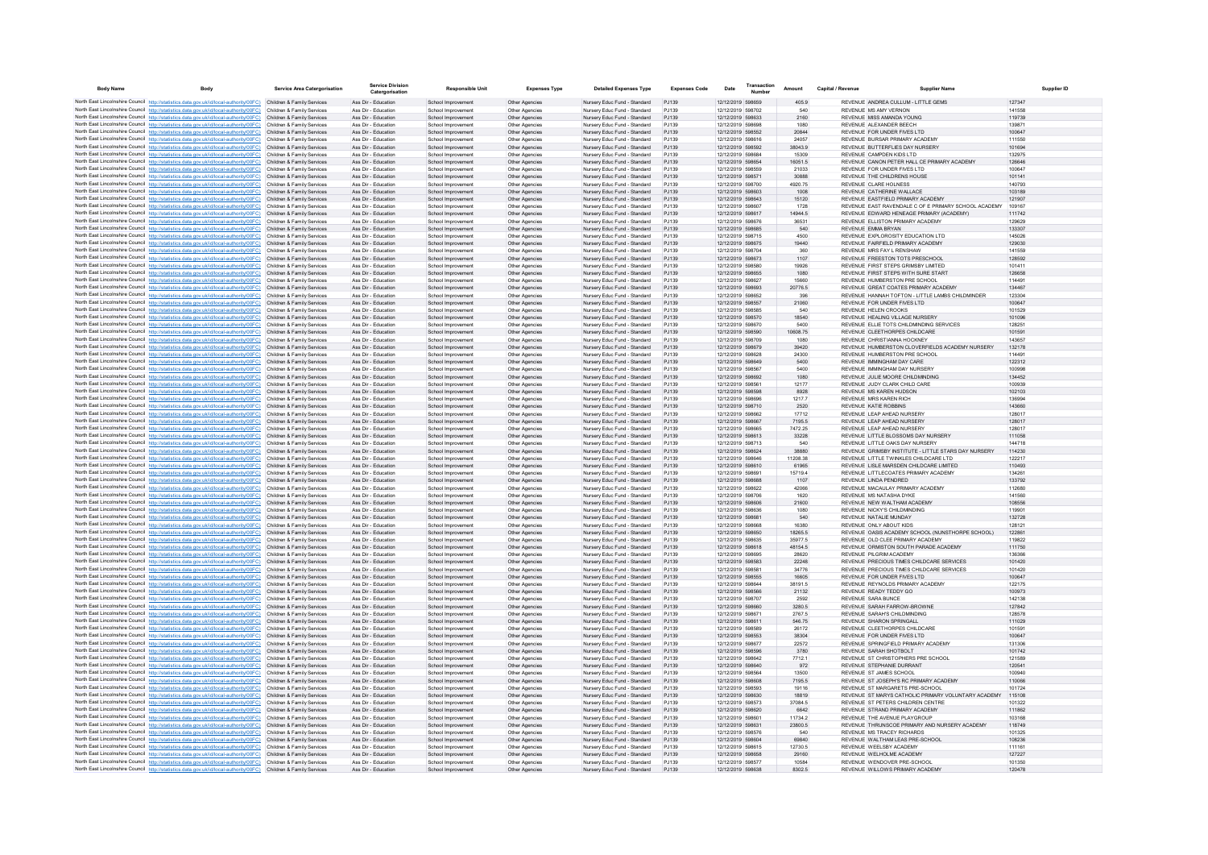| <b>Body Name</b>                                                                                                                                                                                                                       | <b>Body</b> | <b>Service Area Catergorisation</b>                      | <b>Service Division</b><br>Catergorisation | <b>Responsible Unit</b>                  | <b>Expenses Type</b>             | <b>Detailed Expenses Type</b>                                | Expenses Code   | Transaction<br>Date                    | Amount            | Capital / Revenue | <b>Supplier Name</b>                                                                          | Supplier ID      |
|----------------------------------------------------------------------------------------------------------------------------------------------------------------------------------------------------------------------------------------|-------------|----------------------------------------------------------|--------------------------------------------|------------------------------------------|----------------------------------|--------------------------------------------------------------|-----------------|----------------------------------------|-------------------|-------------------|-----------------------------------------------------------------------------------------------|------------------|
| North East Lincolnshire Council http://statistics.data.gov.uk/id/local-authority/00FC) Children & Family Services                                                                                                                      |             |                                                          | Ass Dir - Education                        | School Improvement                       | Other Agencies                   | Nursery Educ Fund - Standard                                 | PJ139           | 12/12/2019 598659                      | 405.9             |                   | REVENUE ANDREA CULLUM - LITTLE GEMS                                                           | 127347           |
| North East Lincolnshire Council http://statistics.data.gov.uk/id/local-authority/00FC)                                                                                                                                                 |             | Children & Family Services                               | Ass Dir - Education                        | School Improvemen                        | Other Agencie                    | Nursery Educ Fund - Standard                                 | P.1139          | 12/12/2019 598702                      | 540               |                   | REVENUE MS AMY VERNON                                                                         | 141558           |
| North East Lincolnshire Council http://statistics.data.gov.uk/id/local-authority/00FC) Children & Family Services<br>North East Lincolnshire Council http://statistics.data.gov.uk/id/local-authority/00FC) Children & Family Services |             |                                                          | Ass Dir - Education<br>Ass Dir - Education | School Improvement<br>School Improvement | Other Agencies<br>Other Agencies | Nursery Educ Fund - Standard<br>Nursery Educ Fund - Standard | PJ139<br>PJ139  | 12/12/2019 598633<br>12/12/2019 598698 | 2160<br>1080      |                   | REVENUE MISS AMANDA YOUNG<br>REVENUE ALEXANDER BEECH                                          | 119739<br>13987  |
| North East Lincolnshire Council http://statistics.data.gov.uk/id/local-authority/00FC).                                                                                                                                                |             | Children & Family Services                               | Ass Dir - Education                        | School Improvement                       | Other Agencies                   | Nursery Educ Fund - Standard                                 | PJ139           | 12/12/2019 598552                      | 20844             |                   | REVENUE FOR UNDER FIVES LTD                                                                   | 100647           |
| North East Lincolnshire Council http://statistics.data.gov.uk/id/local-authority/00FC)                                                                                                                                                 |             | Children & Family Services                               | Ass Dir - Education                        | School Improvemen                        | Other Agencies                   | Nursery Educ Fund - Standard                                 | PJ139           | 12/12/2019 598616                      | 24057             |                   | REVENUE BURSAR PRIMARY ACADEMY                                                                | 111550           |
| North East Lincolnshire Council http://statistics.data.gov.uk/id/local-authority/00FC)<br>North East Lincolnshire Council http://statistics.data.gov.uk/id/local-authority/00FC)                                                       |             | Children & Family Services<br>Children & Family Services | Ass Dir - Education<br>Ass Dir - Education | School Improvemen<br>School Improvement  | Other Agencies<br>Other Agencies | Nursery Educ Fund - Standard<br>Nursery Educ Fund - Standard | PJ139<br>P.1139 | 12/12/2019 598592<br>12/12/2019 598684 | 38043.9<br>15309  |                   | REVENUE BUTTERFLIES DAY NURSERY<br>REVENUE CAMPDEN KIDS ITD                                   | 101694<br>132975 |
| North East Lincolnshire Council http://statistics.data.gov.uk/id/local-authority/00FC)                                                                                                                                                 |             | Children & Family Services                               | Ass Dir - Education                        | School Improvement                       | Other Agencies                   | Nursery Educ Fund - Standard                                 | P.1139          | 12/12/2019 598654                      | 16051.5           |                   | REVENUE, CANON PETER HALL CE PRIMARY ACADEMY                                                  | 126646           |
| North East Lincolnshire Council http://statistics.data.gov.uk/id/local-authority/00FC)                                                                                                                                                 |             | Children & Family Services                               | Ass Dir - Education                        | School Improvement                       | Other Agencies                   | Nursery Educ Eund - Standard                                 | P.1139          | 12/12/2019 598559                      | 21033             |                   | REVENUE FOR UNDER EMES LTD.                                                                   | 100647           |
| North East Lincolnshire Council http://statistics.data.gov.uk/id/local-authority/00FC)                                                                                                                                                 |             | Children & Family Services                               | Ass Dir - Education                        | School Improvemen                        | Other Agencies                   | Nursery Educ Fund - Standard                                 | PJ139           | 12/12/2019 598571                      | 30888             |                   | REVENUE THE CHILDRENS HOUSE                                                                   | 101141           |
| North East Lincolnshire Council http://statistics.data.gov.uk/id/local-authority/00FC)<br>North East Lincolnshire Council http://statistics.data.gov.uk/id/local-authority/00FC) Children & Family Services                            |             | Children & Family Services                               | Ass Dir - Education<br>Ass Dir - Education | School Improvemen<br>School Improvement  | Other Agencies<br>Other Agencies | Nursery Educ Fund - Standard<br>Nursery Educ Fund - Standard | PJ139<br>PJ139  | 12/12/2019 598700<br>12/12/2019 598603 | 4920.75<br>1008   |                   | REVENUE CLARE HOLNESS<br>REVENUE CATHERINE WALLACE                                            | 140793<br>103189 |
| North East Lincolnshire Council http://statistics.data.gov.uk/id/local-authority/00FC)                                                                                                                                                 |             | Children & Family Services                               | Ass Dir - Education                        | School Improvement                       | Other Agencies                   | Nursery Educ Fund - Standard                                 | PJ139           | 12/12/2019 598643                      | 15120             |                   | REVENUE EASTEIELD PRIMARY ACADEMY                                                             | 121907           |
| North East Lincolnshire Council http://statistics.data.gov.uk/id/local-authority/00FC)                                                                                                                                                 |             | Children & Family Services                               | Ass Dir - Education                        | School Improvemen                        | Other Agencies                   | Nursery Educ Fund - Standard                                 | P.1139          | 12/12/2019 598607                      | 1728              |                   | REVENUE EAST RAVENDALE C OF E PRIMARY SCHOOL ACADEMY                                          | 109167           |
| North East Lincolnshire Council http://statistics.data.gov.uk/id/local-authority/00FC)<br>North East Lincolnshire Council http://statistics.data.gov.uk/id/local-authority/00FC)                                                       |             | Children & Family Services<br>Children & Family Services | Ass Dir - Education<br>Ass Dir - Education | School Improvement                       | Other Agencies                   | Nursery Educ Fund - Standard<br>Nursery Educ Fund - Standard | PJ139<br>PJ139  | 12/12/2019 598617<br>12/12/2019 598676 | 14944.5<br>36531  |                   | REVENUE EDWARD HENEAGE PRIMARY (ACADEMY)<br>REVENUE ELLISTON PRIMARY ACADEMY                  | 111742<br>129629 |
| North East Lincolnshire Council http://statistics.data.gov.uk/id/local-authority/00FC) Children & Family Services                                                                                                                      |             |                                                          | Ass Dir - Education                        | School Improvement<br>School Improvement | Other Agencies<br>Other Agencies | Nursery Educ Fund - Standard                                 | P.1139          | 12/12/2019 598685                      | 540               |                   | REVENUE EMMA BRYAN                                                                            | 133307           |
| North East Lincolnshire Council http://statistics.data.gov.uk/id/local-authority/00FC)                                                                                                                                                 |             | Children & Family Services                               | Ass Dir - Education                        | School Improvement                       | Other Agencies                   | Nursery Educ Eund - Standard                                 | P.1139          | 12/12/2019 598715                      | 4500              |                   | REVENUE EXPLOROSITY EDUCATION LTD                                                             | 145026           |
| North East Lincolnshire Council http://statistics.data.gov.uk/id/local-authority/00FC)                                                                                                                                                 |             | Children & Family Services                               | Ass Dir - Education                        | School Improvement                       | Other Agencies                   | Nursery Educ Fund - Standard                                 | PJ139           | 12/12/2019 598675                      | 19440             |                   | REVENUE FAIRFIELD PRIMARY ACADEMY                                                             | 129030           |
| North East Lincolnshire Council http://statistics.data.gov.uk/id/local-authority/00FC) Children & Family Services<br>North East Lincolnshire Council http://statistics.data.gov.uk/id/local-authority/00FC).                           |             | Children & Family Services                               | Ass Dir - Education<br>Ass Dir - Education | School Improvement<br>School Improvement | Other Agencies<br>Other Agencies | Nursery Educ Fund - Standard<br>Nursery Educ Fund - Standard | PJ139<br>PJ139  | 12/12/2019 598704<br>12/12/2019 598673 | 360<br>1107       |                   | REVENUE MRS FAY L RENSHAW<br>REVENUE FREESTON TOTS PRESCHOOL                                  | 141559<br>128592 |
| North East Lincolnshire Council http://statistics.data.gov.uk/id/local-authority/00FC)                                                                                                                                                 |             | Children & Family Services                               | Ass Dir - Education                        | School Improvement                       | Other Agencies                   | Nursery Educ Fund - Standard                                 | PJ139           | 12/12/2019 598580                      | 19926             |                   | REVENUE FIRST STEPS GRIMSBY LIMITED                                                           | 101411           |
| North East Lincolnshire Council http://statistics.data.gov.uk/id/local-authority/00FC)                                                                                                                                                 |             | Children & Family Services                               | Ass Dir - Education                        | School Improvement                       | Other Agencies                   | Nursery Educ Fund - Standard                                 | PJ139           | 12/12/2019 598655                      | 1080              |                   | REVENUE FIRST STEPS WITH SURE START                                                           | 126658           |
| North East Lincolnshire Council http://statistics.data.gov.uk/id/local-authority/00FC)<br>North East Lincolnshire Council http://statistics.data.gov.uk/id/local-authority/00FC)                                                       |             | Children & Family Services<br>Children & Family Services | Ass Dir - Education<br>Ass Dir - Education | School Improvemen<br>School Improvement  | Other Agencie<br>Other Agencies  | Nursery Educ Fund - Standard<br>Nursery Educ Fund - Standard | PJ139<br>PJ139  | 12/12/2019 598627<br>12/12/2019 598693 | 15660<br>20776.5  |                   | REVENUE HUMBERSTON PRE SCHOOL<br>REVENUE GREAT COATES PRIMARY ACADEMY                         | 11449<br>134467  |
| North East Lincolnshire Council http://statistics.data.gov.uk/id/local-authority/00FC)                                                                                                                                                 |             | Children & Family Services                               | Ass Dir - Education                        | School Improvement                       | Other Agencies                   | Nursery Educ Fund - Standard                                 | PJ139           | 12/12/2019 598652                      | 396               |                   | REVENUE HANNAH TOFTON - LITTLE LAMBS CHILDMINDER                                              | 123304           |
| North East Lincolnshire Council http://statistics.data.gov.uk/id/local-authority/00FC)                                                                                                                                                 |             | Children & Family Services                               | Ass Dir - Education                        | School Improvement                       | Other Agencies                   | Nursery Educ Fund - Standard                                 | P.1139          | 12/12/2019 598557                      | 21060             |                   | REVENUE FOR UNDER EIVES LTD.                                                                  | 100647           |
| North East Lincolnshire Council http://statistics.data.gov.uk/id/local-authority/00FC)                                                                                                                                                 |             | Children & Family Services                               | Ass Dir - Education                        | School Improvemen                        | Other Agencies                   | Nursery Educ Fund - Standard                                 | P.1139          | 12/12/2019 598585                      | 540               |                   | REVENUE HELEN CROOKS                                                                          | 101529           |
| North East Lincolnshire Council http://statistics.data.gov.uk/id/local-authority/00FC)<br>North East Lincolnshire Council http://statistics.data.gov.uk/id/local-authority/00FC) Children & Family Services                            |             | Children & Family Services                               | Ass Dir - Education<br>Ass Dir - Education | School Improvemen<br>School Improvement  | Other Agencies<br>Other Agencies | Nursery Educ Fund - Standard<br>Nursery Educ Fund - Standard | PJ139<br>PJ139  | 12/12/2019 598570<br>12/12/2019 598670 | 18540<br>5400     |                   | REVENUE HEALING VILLAGE NURSERY<br>REVENUE ELLIE TOTS CHILDMINDING SERVICES                   | 101096<br>128251 |
| North East Lincolnshire Council http://statistics.data.gov.uk/id/local-authority/00FC)                                                                                                                                                 |             | Children & Family Services                               | Ass Dir - Education                        | School Improvement                       | Other Agencies                   | Nursery Educ Fund - Standard                                 | PJ139           | 12/12/2019 598590                      | 10608.75          |                   | REVENUE CLEETHORPES CHILDCARE                                                                 | 101591           |
| North East Lincolnshire Council http://statistics.data.gov.uk/id/local-authority/00FC)                                                                                                                                                 |             | Children & Family Services                               | Ass Dir - Education                        | School Improvement                       | Other Agencies                   | Nursery Educ Fund - Standard                                 | P.1139          | 12/12/2019 598709                      | 1080              |                   | REVENUE CHRISTIANNA HOCKNEY                                                                   | 143657           |
| North East Lincolnshire Council http://statistics.data.gov.uk/id/local-authority/00FC)                                                                                                                                                 |             | Children & Family Services                               | Ass Dir - Education                        | School Improvement                       | Other Agencies                   | Nursery Educ Fund - Standard                                 | PJ139           | 12/12/2019 598679                      | 39420             |                   | REVENUE HUMBERSTON CLOVERFIELDS ACADEMY NURSERY                                               | 132178           |
| North East Lincolnshire Council http://statistics.data.gov.uk/id/local-authority/00FC).<br>North East Lincolnshire Council http://statistics.data.gov.uk/id/local-authority/00FC)                                                      |             | Children & Family Services<br>Children & Family Services | Ass Dir - Education<br>Ass Dir - Education | School Improvement<br>School Improvement | Other Agencies<br>Other Agencies | Nursery Educ Fund - Standard<br>Nursery Educ Fund - Standard | PJ139<br>PJ139  | 12/12/2019 598628<br>12/12/2019 598649 | 24300<br>5400     |                   | REVENUE HUMBERSTON PRE SCHOOL<br>REVENUE IMMINGHAM DAY CARE                                   | 11449<br>122312  |
| North East Lincolnshire Council http://statistics.data.gov.uk/id/local-authority/00FC)                                                                                                                                                 |             | Children & Family Services                               | Ass Dir - Education                        | School Improvemen                        | Other Agencies                   | Nursery Educ Fund - Standard                                 | PJ139           | 12/12/2019 598567                      | 5400              |                   | REVENUE IMMINGHAM DAY NURSERY                                                                 | 100998           |
| North East Lincolnshire Council http://statistics.data.gov.uk/id/local-authority/00FC)                                                                                                                                                 |             | Children & Family Services                               | Ass Dir - Education                        | School Improvement                       | Other Agencies                   | Nursery Educ Fund - Standard                                 | PJ139           | 12/12/2019 598692                      | 1080              |                   | REVENUE JULIE MOORE CHILDMINDING                                                              | 134452           |
| North East Lincolnshire Council http://statistics.data.gov.uk/id/local-authority/00FC).<br>North East Lincolnshire Council http://statistics.data.gov.uk/id/local-authority/00FC)                                                      |             | Children & Family Services<br>Children & Family Services | Ass Dir - Education<br>Ass Dir - Education | School Improvemen<br>School Improvemen   | Other Agencies<br>Other Agencies | Nursery Educ Fund - Standard<br>Nursery Educ Fund - Standard | PJ139<br>PJ139  | 12/12/2019 598561<br>12/12/2019 598598 | 12177<br>8928     |                   | REVENUE JUDY CLARK CHILD CARE<br>REVENUE MS KAREN HUDSON                                      | 10093<br>102103  |
| North East Lincolnshire Council http://statistics.data.gov.uk/id/local-authority/00FC) Children & Family Services                                                                                                                      |             |                                                          | Ass Dir - Education                        | School Improvement                       | Other Agencies                   | Nursery Educ Fund - Standard                                 | PJ139           | 12/12/2019 598696                      | 1217.7            |                   | REVENUE MRS KAREN RICH                                                                        | 136994           |
| North East Lincolnshire Council http://statistics.data.gov.uk/id/local-authority/00FC)                                                                                                                                                 |             | Children & Family Services                               | Ass Dir - Education                        | School Improvement                       | Other Agencies                   | Nursery Educ Fund - Standard                                 | PJ139           | 12/12/2019 598710                      | 2520              |                   | REVENUE KATIE ROBBINS                                                                         | 143660           |
| North East Lincolnshire Council http://statistics.data.gov.uk/id/local-authority/00FC).                                                                                                                                                |             | Children & Family Services                               | Ass Dir - Education                        | School Improvemen                        | Other Agencie                    | Nursery Educ Fund - Standard                                 | PJ139           | 12/12/2019 598662                      | 17712             |                   | REVENUE LEAP AHEAD NURSERY                                                                    | 128017           |
| North East Lincolnshire Council http://statistics.data.gov.uk/id/local-authority/00FC)<br>North East Lincolnshire Council http://statistics.data.gov.uk/id/local-authority/00FC)                                                       |             | Children & Family Services<br>Children & Family Services | Ass Dir - Education<br>Ass Dir - Education | School Improvemen<br>School Improvement  | Other Agencies<br>Other Agencies | Nursery Educ Fund - Standard<br>Nursery Educ Fund - Standard | PJ139<br>PJ139  | 12/12/2019 598667<br>12/12/2019 598665 | 7195.5<br>7472.25 |                   | REVENUE LEAP AHEAD NURSERY<br>REVENUE LEAP AHEAD NURSERY                                      | 128017<br>12801  |
| North East Lincolnshire Council http://statistics.data.gov.uk/id/local-authority/00FC) Children & Family Services                                                                                                                      |             |                                                          | Ass Dir - Education                        | School Improvement                       | Other Agencies                   | Nursery Educ Fund - Standard                                 | PJ139           | 12/12/2019 598613                      | 33228             |                   | REVENUE LITTLE BLOSSOMS DAY NURSERY                                                           | 111058           |
| North East Lincolnshire Council http://statistics.data.gov.uk/id/local-authority/00FC) Children & Family Services                                                                                                                      |             |                                                          | Ass Dir - Education                        | School Improvemen                        | Other Agencies                   | Nursery Educ Fund - Standard                                 | PJ139           | 12/12/2019 598713                      | 540               |                   | REVENUE LITTLE OAKS DAY NURSERY                                                               | 144718           |
| North East Lincolnshire Council http://statistics.data.gov.uk/id/local-authority/00FC)                                                                                                                                                 |             | Children & Family Services<br>Children & Family Services | Ass Dir - Education<br>Ass Dir - Education | School Improvemen<br>School Improvemen   | Other Agencies<br>Other Agencies | Nursery Educ Fund - Standard<br>Nursery Educ Fund - Standard | PJ139<br>PJ139  | 12/12/2019 598624<br>12/12/2019 598646 | 38880<br>11208.38 |                   | REVENUE GRIMSBY INSTITUTE - LITTLE STARS DAY NURSERY<br>REVENUE LITTLE TWINKLES CHILDCARE LTD | 114230<br>122217 |
| North East Lincolnshire Council http://statistics.data.gov.uk/id/local-authority/00FC)<br>North East Lincolnshire Council http://statistics.data.gov.uk/id/local-authority/00FC)                                                       |             | Children & Family Services                               | Ass Dir - Education                        | School Improvement                       | Other Agencies                   | Nursery Educ Fund - Standard                                 | PJ139           | 12/12/2019 598610                      | 61965             |                   | REVENUE LISLE MARSDEN CHILDCARE LIMITED                                                       | 110493           |
| North East Lincolnshire Council http://statistics.data.gov.uk/id/local-authority/00FC)                                                                                                                                                 |             | Children & Family Services                               | Ass Dir - Education                        | School Improvement                       | Other Agencies                   | Nursery Educ Fund - Standard                                 | P.1139          | 12/12/2019 598691                      | 157194            |                   | REVENUE LITTLECOATES PRIMARY ACADEMY                                                          | 134261           |
| North East Lincolnshire Council http://statistics.data.gov.uk/id/local-authority/00FC).                                                                                                                                                |             | Children & Family Services                               | Ass Dir - Education                        | School Improvemen                        | Other Agencies                   | Nursery Educ Fund - Standard                                 | PJ139           | 12/12/2019 598688                      | 1107              |                   | REVENUE LINDA PENDRED                                                                         | 133792           |
| North East Lincolnshire Council http://statistics.data.gov.uk/id/local-authority/00FC)<br>North East Lincolnshire Council http://statistics.data.gov.uk/id/local-authority/00FC)                                                       |             | Children & Family Services<br>Children & Family Services | Ass Dir - Education<br>Ass Dir - Education | School Improvemen<br>School Improvement  | Other Agencie<br>Other Agencies  | Nursery Educ Fund - Standard<br>Nursery Educ Fund - Standard | PJ139<br>PJ139  | 12/12/2019 598622<br>12/12/2019 598706 | 42066<br>1620     |                   | REVENUE MACAULAY PRIMARY ACADEMY<br>REVENUE MS NATASHA DYKE                                   | 112680<br>141560 |
| North East Lincolnshire Council http://statistics.data.gov.uk/id/local-authority/00FC)                                                                                                                                                 |             | Children & Family Services                               | Ass Dir - Education                        | School Improvement                       | Other Agencies                   | Nursery Educ Fund - Standard                                 | PJ139           | 12/12/2019 598606                      | 21600             |                   | REVENUE NEW WALTHAM ACADEMY                                                                   | 108556           |
| North East Lincolnshire Council http://statistics.data.gov.uk/id/local-authority/00FC).                                                                                                                                                |             | Children & Family Services                               | Ass Dir - Education                        | School Improvemen                        | Other Agencies                   | Nursery Educ Fund - Standard                                 | PJ139           | 12/12/2019 598636                      | 1080              |                   | REVENUE NICKY'S CHILDMINDING                                                                  | 119901           |
| North East Lincolnshire Council http://statistics.data.gov.uk/id/local-authority/00FC)<br>North East Lincolnshire Council http://statistics.data.gov.uk/id/local-authority/00FC)                                                       |             | Children & Family Services<br>Children & Family Services | Ass Dir - Education<br>Ass Dir - Education | School Improvemen<br>School Improvemen   | Other Agencies<br>Other Agencies | Nursery Educ Fund - Standard<br>Nursery Educ Fund - Standard | PJ139<br>PJ139  | 12/12/2019 598681<br>12/12/2019 598668 | 540<br>16380      |                   | REVENUE NATALIE MUNDAY<br>REVENUE ONLY ABOUT KIDS                                             | 132728<br>12812  |
| North East Lincolnshire Council http://statistics.data.gov.uk/id/local-authority/00FC)                                                                                                                                                 |             | Children & Family Services                               | Ass Dir - Education                        | School Improvement                       | Other Agencies                   | Nursery Educ Fund - Standard                                 | PJ139           | 12/12/2019 598650                      | 18265.5           |                   | REVENUE OASIS ACADEMY SCHOOL (NUNSTHORPE SCHOOL)                                              | 122861           |
| North East Lincolnshire Council http://statistics.data.gov.uk/id/local-authority/00FC)                                                                                                                                                 |             | Children & Family Services                               | Ass Dir - Education                        | School Improvemen                        | Other Agencies                   | Nursery Educ Eund - Standard                                 | P.1139          | 12/12/2019 598635                      | 35977.5           |                   | REVENUE OLD CLEE PRIMARY ACADEMY                                                              | 119822           |
| North East Lincolnshire Council http://statistics.data.gov.uk/id/local-authority/00FC)                                                                                                                                                 |             | Children & Family Services                               | Ass Dir - Education                        | School Improvement                       | Other Agencies                   | Nursery Educ Fund - Standard                                 | P.1139          | 12/12/2019 598618                      | 481545            |                   | REVENUE ORMISTON SOUTH PARADE ACADEMY                                                         | 111750           |
| North East Lincolnshire Council http://statistics.data.gov.uk/id/local-authority/00FC)<br>North East Lincolnshire Council http://statistics.data.gov.uk/id/local-authority/00FC)                                                       |             | Children & Family Services<br>Children & Family Services | Ass Dir - Education<br>Ass Dir - Education | School Improvemen<br>School Improvement  | Other Agencie<br>Other Agencies  | Nursery Educ Fund - Standard<br>Nursery Educ Fund - Standard | PJ139<br>PJ139  | 12/12/2019 598695<br>12/12/2019 598583 | 28620<br>22248    |                   | REVENUE PILGRIM ACADEMY<br>REVENUE PRECIOUS TIMES CHILDCARE SERVICES                          | 136366<br>101420 |
| North East Lincolnshire Council http://statistics.data.gov.uk/id/local-authority/00FC) Children & Family Services                                                                                                                      |             |                                                          | Ass Dir - Education                        | School Improvement                       | Other Agencies                   | Nursery Educ Fund - Standard                                 | PJ139           | 12/12/2019 598581                      | 34776             |                   | REVENUE PRECIOUS TIMES CHILDCARE SERVICES                                                     | 101420           |
| North East Lincolnshire Council http://statistics.data.gov.uk/id/local-authority/00FC).                                                                                                                                                |             | Children & Family Services                               | Ass Dir - Education                        | School Improvement                       | Other Agencies                   | Nursery Educ Fund - Standard                                 | PJ139           | 12/12/2019 598555                      | 16605             |                   | REVENUE FOR UNDER EIVES LTD.                                                                  | 100647           |
| North East Lincolnshire Council http://statistics.data.gov.uk/id/local-authority/00FC)                                                                                                                                                 |             | Children & Family Services                               | Ass Dir - Education<br>Ass Dir - Education | School Improvement<br>School Improvemen  | Other Agencies<br>Other Agencies | Nursery Educ Fund - Standard<br>Nursery Educ Fund - Standard | PJ139<br>PJ139  | 12/12/2019 598644<br>12/12/2019 598566 | 38191.5<br>21132  |                   | REVENUE REYNOLDS PRIMARY ACADEMY<br>REVENUE READY TEDDY GO                                    | 122175<br>100973 |
| North East Lincolnshire Council http://statistics.data.gov.uk/id/local-authority/00FC) Children & Family Services<br>North East Lincolnshire Council http://statistics.data.gov.uk/id/local-authority/00FC)                            |             | Children & Family Services                               | Ass Dir - Education                        | School Improvement                       | Other Agencies                   | Nursery Educ Fund - Standard                                 | PJ139           | 12/12/2019 598707                      | 2592              |                   | REVENUE SARA BUNCE                                                                            | 142138           |
| North East Lincolnshire Council http://statistics.data.gov.uk/id/local-authority/00FC) Children & Family Services                                                                                                                      |             |                                                          | Ass Dir - Education                        | School Improvement                       | Other Agencies                   | Nursery Educ Fund - Standard                                 | P.1139          | 12/12/2019 598660                      | 3280.5            |                   | REVENUE SARAH FARROW-BROWNE                                                                   | 127842           |
| North East Lincolnshire Council http://statistics.data.gov.uk/id/local-authority/00FC)                                                                                                                                                 |             | Children & Family Services                               | Ass Dir - Education                        | School Improvement                       | Other Agencies                   | Nursery Educ Eund - Standard                                 | P.1139          | 12/12/2019 598671                      | 2767.5            |                   | REVENUE SARAH'S CHILDMINDING                                                                  | 128578           |
| North East Lincolnshire Council http://statistics.data.gov.uk/id/local-authority/00FC)<br>North East Lincolnshire Council http://statistics.data.gov.uk/id/local-authority/00FC)                                                       |             | Children & Family Services<br>Children & Family Services | Ass Dir - Education<br>Ass Dir - Education | School Improvement<br>School Improvement | Other Agencies<br>Other Agencies | Nursery Educ Fund - Standard<br>Nursery Educ Fund - Standard | PJ139<br>PJ139  | 12/12/2019 598611<br>12/12/2019 598589 | 546.75<br>26172   |                   | REVENUE SHARON SPRINGALL<br>REVENUE CLEETHORPES CHILDCARE                                     | 111029<br>10159  |
| North East Lincolnshire Council http://statistics.data.gov.uk/id/local-authority/00FC).                                                                                                                                                |             | Children & Family Services                               | Ass Dir - Education                        | School Improvement                       | Other Agencies                   | Nursery Educ Fund - Standard                                 | PJ139           | 12/12/2019 598553                      | 38304             |                   | REVENUE FOR UNDER FIVES LTD                                                                   | 100647           |
| North East Lincolnshire Council http://statistics.data.gov.uk/id/local-authority/00FC)                                                                                                                                                 |             | Children & Family Services                               | Ass Dir - Education                        | School Improvement                       | Other Agencies                   | Nursery Educ Fund - Standard                                 | PJ139           | 12/12/2019 598677                      | 22572             |                   | REVENUE SPRINGFIELD PRIMARY ACADEMY                                                           | 131306           |
| North East Lincolnshire Council http://statistics.data.gov.uk/id/local-authority/00FC)                                                                                                                                                 |             | Children & Family Services                               | Ass Dir - Education                        | School Improvement                       | Other Agencies                   | Nursery Educ Fund - Standard                                 | PJ139           | 12/12/2019 598596                      | 3780              |                   | REVENUE SARAH SHOTBOLT                                                                        | 101742           |
| North East Lincolnshire Council http://statistics.data.gov.uk/id/local-authority/00FC)<br>North East Lincolnshire Council http://statistics.data.gov.uk/id/local-authority/00FC)                                                       |             | Children & Family Services<br>Children & Family Services | Ass Dir - Education<br>Ass Dir - Education | School Improvemen<br>School Improvement  | Other Agencies<br>Other Agencies | Nursery Educ Fund - Standard<br>Nursery Educ Fund - Standard | PJ139<br>PJ139  | 12/12/2019 598642<br>12/12/2019 598640 | 7712.1<br>972     |                   | REVENUE ST CHRISTOPHERS PRE SCHOOL<br>REVENUE STEPHANIE DURRANT                               | 121589<br>120541 |
| North East Lincolnshire Council http://statistics.data.gov.uk/id/local-authority/00FC)                                                                                                                                                 |             | Children & Family Services                               | Ass Dir - Education                        | School Improvemen                        | Other Agencies                   | Nursery Educ Fund - Standard                                 | P.1139          | 12/12/2019 598564                      | 13500             |                   | REVENUE ST JAMES SCHOOL                                                                       | 100940           |
| North East Lincolnshire Council http://statistics.data.gov.uk/id/local-authority/00FC)                                                                                                                                                 |             | Children & Family Services                               | Ass Dir - Education                        | School Improvement                       | Other Agencies                   | Nursery Educ Fund - Standard                                 | P.1139          | 12/12/2019 598608                      | 7195.5            |                   | REVENUE ST JOSEPH'S RC PRIMARY ACADEMY                                                        | 110066           |
| North East Lincolnshire Council http://statistics.data.gov.uk/id/local-authority/00FC)                                                                                                                                                 |             | Children & Family Services<br>Children & Family Services | Ass Dir - Education<br>Ass Dir - Education | School Improvemen<br>School Improvemen   | Other Agencies<br>Other Agencies | Nursery Educ Fund - Standard<br>Nursery Educ Fund - Standard | PJ139<br>PJ139  | 12/12/2019 598593<br>12/12/2019 598630 | 19116<br>18819    |                   | REVENUE ST MARGARETS PRE-SCHOOL<br>REVENUE ST MARYS CATHOLIC PRIMARY VOLUNTARY ACADEMY        | 101724<br>115108 |
| North East Lincolnshire Council http://statistics.data.gov.uk/id/local-authority/00FC)<br>North East Lincolnshire Council http://statistics.data.gov.uk/id/local-authority/00FC)                                                       |             | Children & Family Services                               | Ass Dir - Education                        | School Improvement                       | Other Agencies                   | Nursery Educ Fund - Standard                                 | PJ139           | 12/12/2019 598573                      | 37084.5           |                   | REVENUE ST PETERS CHILDREN CENTRE                                                             | 101322           |
| North East Lincolnshire Council http://statistics.data.gov.uk/id/local-authority/00FC)                                                                                                                                                 |             | Children & Family Services                               | Ass Dir - Education                        | School Improvement                       | Other Agencies                   | Nursery Educ Fund - Standard                                 | PJ139           | 12/12/2019 598620                      | 6642              |                   | REVENUE STRAND PRIMARY ACADEMY                                                                | 111862           |
| North East Lincolnshire Council http://statistics.data.gov.uk/id/local-authority/00FC)                                                                                                                                                 |             | Children & Family Services                               | Ass Dir - Education                        | School Improvement                       | Other Agencies                   | Nursery Educ Fund - Standard                                 | P.1139          | 12/12/2019 598601                      | 11734.2           |                   | REVENUE THE AVENUE PLAYGROUP                                                                  | 103168           |
| North East Lincolnshire Council http://statistics.data.gov.uk/id/local-authority/00FC)<br>North East Lincolnshire Council http://statistics.data.gov.uk/id/local-authority/00FC).                                                      |             | Children & Family Services<br>Children & Family Services | Ass Dir - Education<br>Ass Dir - Education | School Improvement<br>School Improvement | Other Agencies<br>Other Agencies | Nursery Educ Fund - Standard<br>Nursery Educ Fund - Standard | PJ139<br>PJ139  | 12/12/2019 598631<br>12/12/2019 598576 | 23800.5<br>540    |                   | REVENUE THRUNSCOE PRIMARY AND NURSERY ACADEMY<br>REVENUE MS TRACEY RICHARDS                   | 118749<br>101325 |
| North East Lincolnshire Council http://statistics.data.gov.uk/id/local-authority/00FC)                                                                                                                                                 |             | Children & Family Services                               | Ass Dir - Education                        | School Improvement                       | Other Agencies                   | Nursery Educ Fund - Standard                                 | PJ139           | 12/12/2019 598604                      | 69840             |                   | REVENUE WALTHAM LEAS PRE-SCHOOL                                                               | 108236           |
| North East Lincolnshire Council http://statistics.data.gov.uk/id/local-authority/00FC)                                                                                                                                                 |             | Children & Family Services                               | Ass Dir - Education                        | School Improvement                       | Other Agencies                   | Nursery Educ Eund - Standard                                 | P.1139          | 12/12/2019 598615                      | 12730.5           |                   | REVENUE WEELSBY ACADEMY                                                                       | 111161           |
| North East Lincolnshire Council http://statistics.data.gov.uk/id/local-authority/00FC) Children & Family Services                                                                                                                      |             |                                                          | Ass Dir - Education                        | School Improvement                       | Other Agencies                   | Nursery Educ Fund - Standard                                 | PJ139           | 12/12/2019 598658                      | 29160             |                   | REVENUE WELHOLME ACADEMY                                                                      | 127227           |
| North East Lincolnshire Council http://statistics.data.gov.uk/id/local-authority/00FC) Children & Family Services<br>North East Lincolnshire Council http://statistics.data.gov.uk/id/local-authority/00FC) Children & Family Services |             |                                                          | Ass Dir - Education<br>Ass Dir - Education | School Improvemen<br>School Improvement  | Other Agencies<br>Other Agencies | Nursery Educ Fund - Standard<br>Nursery Educ Fund - Standard | PJ139<br>PJ139  | 12/12/2019 598577<br>12/12/2019 598638 | 10584<br>8302.5   |                   | REVENUE WENDOVER PRE-SCHOOL<br>REVENUE WILLOWS PRIMARY ACADEMY                                | 101350<br>120478 |
|                                                                                                                                                                                                                                        |             |                                                          |                                            |                                          |                                  |                                                              |                 |                                        |                   |                   |                                                                                               |                  |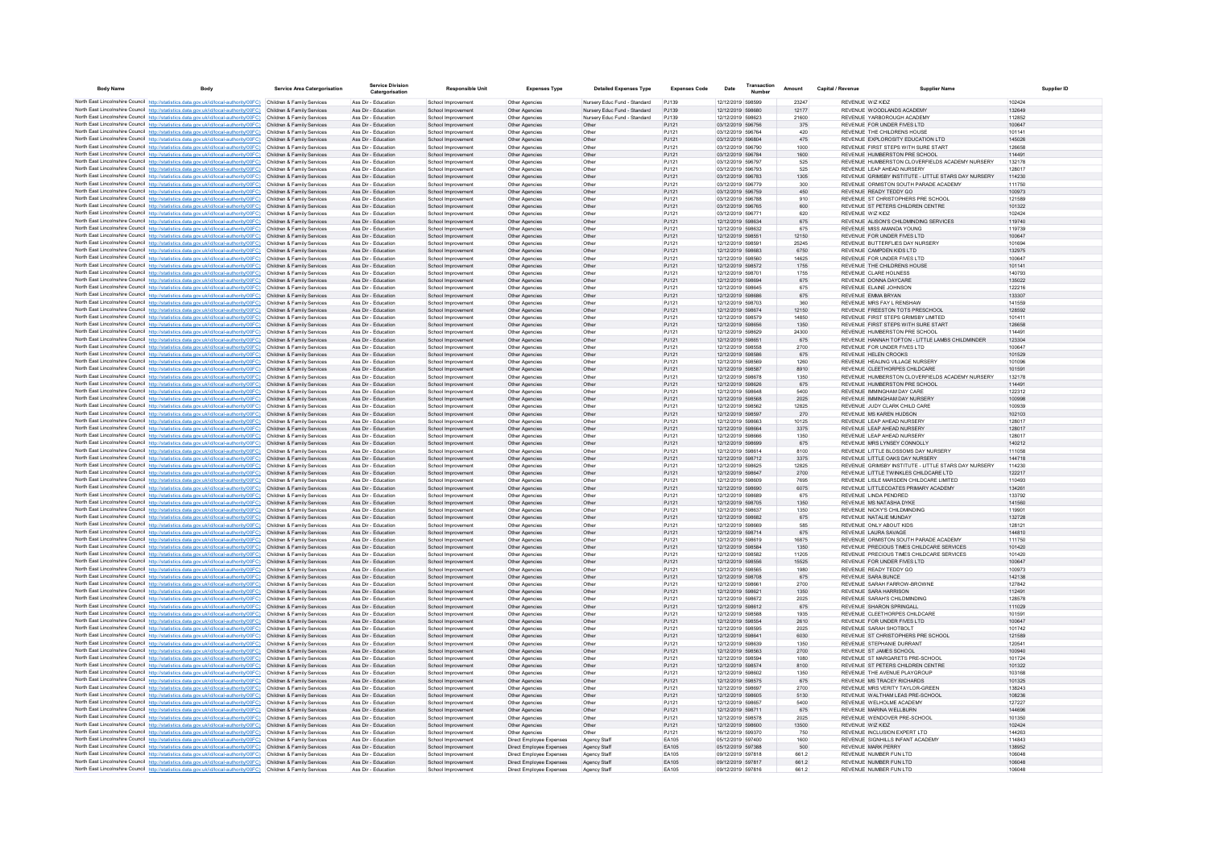| <b>Body Name</b> | <b>Body</b>                                                                                                                                                                                                                            | <b>Service Area Catergorisation</b>                      | <b>Service Division</b><br>Catergorisation | <b>Responsible Unit</b>                  | <b>Expenses Type</b>                                 | <b>Detailed Expenses Type</b> | <b>Expenses Code</b> | Date                                   | Transaction<br>Number | Amount        | Capital / Revenue | <b>Supplier Name</b>                                                                    | Supplier ID      |
|------------------|----------------------------------------------------------------------------------------------------------------------------------------------------------------------------------------------------------------------------------------|----------------------------------------------------------|--------------------------------------------|------------------------------------------|------------------------------------------------------|-------------------------------|----------------------|----------------------------------------|-----------------------|---------------|-------------------|-----------------------------------------------------------------------------------------|------------------|
|                  | North East Lincolnshire Council http://statistics.data.gov.uk/id/local-authority/00FC) Children & Family Services                                                                                                                      |                                                          | Ass Dir - Education                        | School Improvement                       | Other Agencies                                       | Nursery Educ Fund - Standard  | PJ139                | 12/12/2019 598599                      |                       | 23247         |                   | REVENUE WIZ KIDZ                                                                        | 102424           |
|                  | North East Lincolnshire Council http://statistics.data.gov.uk/id/local-authority/00FC) Children & Family Services                                                                                                                      |                                                          | Ass Dir - Education                        | School Improvement                       | Other Agencies                                       | Nursery Educ Fund - Standard  | PJ139                | 12/12/2019 598680                      |                       | 12177         |                   | REVENUE WOODLANDS ACADEMY                                                               | 132649           |
|                  | North East Lincolnshire Council http://statistics.data.gov.uk/id/local-authority/00FC) Children & Family Services                                                                                                                      |                                                          | Ass Dir - Education                        | School Improvement                       | Other Agencies                                       | Nursery Educ Fund - Standard  | PJ139                | 12/12/2019 598623                      |                       | 21600         |                   | REVENUE YARBOROUGH ACADEM                                                               | 112852           |
|                  | North East Lincolnshire Council http://statistics.data.gov.uk/id/local-authority/00FC) Children & Family Services<br>North East Lincolnshire Council http://statistics.data.gov.uk/id/local-authority/00FC) Children & Family Services |                                                          | Ass Dir - Education<br>Ass Dir - Education | School Improvement<br>School Improvement | Other Agencies<br>Other Agencies                     | Other<br>Other                | PJ121<br>PJ121       | 03/12/2019 596756<br>03/12/2019 596764 |                       | 375<br>420    |                   | REVENUE FOR UNDER FIVES LTD<br>REVENUE THE CHILDRENS HOUSE                              | 100647<br>101141 |
|                  | North East Lincolnshire Council http://statistics.data.gov.uk/id/local-authority/00FC) Children & Family Services                                                                                                                      |                                                          | Ass Dir - Education                        | School Improvement                       | Other Agencies                                       | Other                         | PJ121                | 03/12/2019 596804                      |                       | 475           |                   | REVENUE EXPLOROSITY EDUCATION LTD                                                       | 145026           |
|                  | North East Lincolnshire Council http://statistics.data.gov.uk/id/local-authority/00FC)                                                                                                                                                 | Children & Family Services                               | Ass Dir - Education                        | School Improvemen                        | Other Agencie                                        | Othe                          | PJ121                | 03/12/2019 596790                      |                       | 1000          |                   | REVENUE FIRST STEPS WITH SURE START                                                     | 126658           |
|                  | North East Lincolnshire Council http://statistics.data.gov.uk/id/local-authority/00FC) Children & Family Services                                                                                                                      |                                                          | Ass Dir - Education                        | School Improvement                       | Other Agencies                                       | Other                         | PJ121                | 03/12/2019 596784                      |                       | 1600          |                   | REVENUE HUMBERSTON PRE SCHOOL                                                           | 114491           |
|                  | North East Lincolnshire Council http://statistics.data.gov.uk/id/local-authority/00FC) Children & Family Services                                                                                                                      |                                                          | Ass Dir - Education<br>Ass Dir - Education | School Improvement<br>School Improvement | Other Anencies<br>Other Agencies                     | Other<br>Other                | P.1121<br>P.1121     | 03/12/2019 596797<br>03/12/2019 596793 |                       | 525<br>525    |                   | REVENUE HUMBERSTON CLOVEREIELDS ACADEMY NURSERY<br>REVENUE LEAP AHEAD NURSERY           | 132178<br>128017 |
|                  | North East Lincolnshire Council http://statistics.data.gov.uk/id/local-authority/00FC) Children & Family Services<br>North East Lincolnshire Council http://statistics.data.gov.uk/id/local-authority/00FC)                            | Children & Family Services                               | Ass Dir - Education                        | School Improvement                       | Other Agencies                                       | Other                         | PJ121                | 03/12/2019 596783                      |                       | 1305          |                   | REVENUE GRIMSBY INSTITUTE - LITTLE STARS DAY NURSERY                                    | 114230           |
|                  | North East Lincolnshire Council http://statistics.data.gov.uk/id/local-authority/00FC)                                                                                                                                                 | Children & Family Services                               | Ass Dir - Education                        | School Improvement                       | Other Agencies                                       | Other                         | PJ121                | 03/12/2019 596779                      |                       | 300           |                   | REVENUE ORMISTON SOUTH PARADE ACADEMY                                                   | 111750           |
|                  | North East Lincolnshire Council http://statistics.data.gov.uk/id/local-authority/00FC) Children & Family Services                                                                                                                      |                                                          | Ass Dir - Education                        | School Improvement                       | Other Agencies                                       | Other                         | PJ121                | 03/12/2019 596759                      |                       | 450           |                   | REVENUE READY TEDDY GO                                                                  | 100973           |
|                  | North East Lincolnshire Council http://statistics.data.gov.uk/id/local-authority/00FC) Children & Family Services                                                                                                                      |                                                          | Ass Dir - Education                        | School Improvement                       | Other Agencies                                       | Other                         | P.1121               | 03/12/2019 596788                      |                       | 910           |                   | REVENUE ST CHRISTOPHERS PRE SCHOOL                                                      | 121589           |
|                  | North East Lincolnshire Council http://statistics.data.gov.uk/id/local-authority/00FC)<br>North East Lincolnshire Council http://statistics.data.gov.uk/id/local-authority/00FC) Children & Family Services                            | Children & Family Services                               | Ass Dir - Education<br>Ass Dir - Education | School Improvement<br>School Improvemen  | Other Agencies<br>Other Agencie                      | Other<br>Other                | PJ121<br>PJ121       | 03/12/2019 596765<br>03/12/2019 596771 |                       | 600<br>620    |                   | REVENUE ST PETERS CHILDREN CENTRE<br>REVENUE WIZ KIDZ                                   | 101322<br>102424 |
|                  | North East Lincolnshire Council http://statistics.data.gov.uk/id/local-authority/00FC)                                                                                                                                                 | Children & Family Services                               | Ass Dir - Education                        | School Improvement                       | Other Agencies                                       | Other                         | PJ121                | 12/12/2019 598634                      |                       | 675           |                   | REVENUE ALISON'S CHILDMINDING SERVICES                                                  | 119740           |
|                  | North East Lincolnshire Council http://statistics.data.gov.uk/id/local-authority/00FC) Children & Family Services                                                                                                                      |                                                          | Ass Dir - Education                        | School Improvement                       | Other Agencies                                       | Other                         | PJ121                | 12/12/2019 598632                      |                       | 675           |                   | REVENUE MISS AMANDA YOUNG                                                               | 119739           |
|                  | North East Lincolnshire Council http://statistics.data.gov.uk/id/local-authority/00FC)                                                                                                                                                 | Children & Family Services                               | Ass Dir - Education                        | School Improvement                       | Other Agencies                                       | Other                         | PJ121                | 12/12/2019 598551                      |                       | 12150         |                   | REVENUE FOR UNDER FIVES LTD                                                             | 100647           |
|                  | North East Lincolnshire Council http://statistics.data.gov.uk/id/local-authority/00FC)                                                                                                                                                 | Children & Family Services                               | Ass Dir - Education                        | School Improvement                       | Other Agencie                                        | Other                         | PJ121                | 12/12/2019 598591                      |                       | 25245         |                   | REVENUE BUTTERELIES DAY NURSERY                                                         | 101694           |
|                  | North East Lincolnshire Council http://statistics.data.gov.uk/id/local-authority/00FC) Children & Family Services<br>North East Lincolnshire Council http://statistics.data.gov.uk/id/local-authority/00FC)                            | Children & Family Services                               | Ass Dir - Education<br>Ass Dir - Education | School Improvement<br>School Improvement | Other Agencies<br>Other Agencies                     | Other<br>Other                | PJ121<br>PJ121       | 12/12/2019 598683<br>12/12/2019 598560 |                       | 6750<br>14625 |                   | REVENUE CAMPDEN KIDS LTD<br>REVENUE FOR UNDER FIVES LTD                                 | 132975<br>100647 |
|                  | North East Lincolnshire Council http://statistics.data.gov.uk/id/local-authority/00FC)                                                                                                                                                 | Children & Family Services                               | Ass Dir - Education                        | School Improvement                       | Other Agencies                                       | Other                         | PJ121                | 12/12/2019 598572                      |                       | 1755          |                   | REVENUE THE CHILDRENS HOUSE                                                             | 101141           |
|                  | North East Lincolnshire Council http://statistics.data.gov.uk/id/local-authority/00FC) Children & Family Services                                                                                                                      |                                                          | Ass Dir - Education                        | School Improvement                       | Other Agencies                                       | Other                         | P.1121               | 12/12/2019 598701                      |                       | 1755          |                   | REVENUE CLARE HOLNESS                                                                   | 140793           |
|                  | North East Lincolnshire Council http://statistics.data.gov.uk/id/local-authority/00FC)                                                                                                                                                 | Children & Family Services                               | Ass Dir - Education                        | School Improvement                       | Other Agencies                                       | Other                         | PJ121                | 12/12/2019 598694                      |                       | 675           |                   | REVENUE DONNA DAYCARE                                                                   | 135022           |
|                  | North East Lincolnshire Council http://statistics.data.gov.uk/id/local-authority/00FC)<br>North East Lincolnshire Council http://statistics.data.gov.uk/id/local-authority/00FC)                                                       | Children & Family Services<br>Children & Family Services | Ass Dir - Education<br>Ass Dir - Education | School Improvement<br>School Improvement | Other Agencies<br>Other Agencies                     | Other<br>Other                | PJ121<br>PJ121       | 12/12/2019 598645<br>12/12/2019 598686 |                       | 675<br>675    |                   | REVENUE ELAINE JOHNSON<br>REVENUE EMMA BRYAN                                            | 122216<br>133307 |
|                  | North East Lincolnshire Council http://statistics.data.gov.uk/id/local-authority/00FC) Children & Family Services                                                                                                                      |                                                          | Ass Dir - Education                        | School Improvement                       | Other Agencies                                       | Other                         | PJ121                | 12/12/2019 598703                      |                       | 360           |                   | REVENUE MRS FAY L RENSHAW                                                               | 141559           |
|                  | North East Lincolnshire Council http://statistics.data.gov.uk/id/local-authority/00FC)                                                                                                                                                 | Children & Family Services                               | Ass Dir - Education                        | School Improvement                       | Other Agencies                                       | Other                         | PJ121                | 12/12/2019 598674                      |                       | 12150         |                   | REVENUE FREESTON TOTS PRESCHOOL                                                         | 128592           |
|                  | North East Lincolnshire Council http://statistics.data.gov.uk/id/local-authority/00FC)                                                                                                                                                 | Children & Family Services                               | Ass Dir - Education                        | School Improvemen                        | Other Agencie                                        | Other                         | PJ121                | 12/12/2019 598579                      |                       | 14850         |                   | REVENUE FIRST STEPS GRIMSBY LIMITED                                                     | 101411           |
|                  | North East Lincolnshire Council http://statistics.data.gov.uk/id/local-authority/00FC) Children & Family Services                                                                                                                      |                                                          | Ass Dir - Education                        | School Improvement                       | Other Agencies                                       | Other                         | PJ121                | 12/12/2019 598656                      |                       | 1350          |                   | REVENUE FIRST STEPS WITH SURE START                                                     | 126658           |
|                  | North East Lincolnshire Council http://statistics.data.gov.uk/id/local-authority/00FC)<br>North East Lincolnshire Council http://statistics.data.gov.uk/id/local-authority/00FC) Children & Family Services                            | Children & Family Services                               | Ass Dir - Education<br>Ass Dir - Education | School Improvement<br>School Improvement | Other Agencies<br>Other Agencies                     | Other<br>Other                | PJ121<br>PJ121       | 12/12/2019 598629<br>12/12/2019 598651 |                       | 24300<br>675  |                   | REVENUE HUMBERSTON PRE SCHOOL<br>REVENUE HANNAH TOFTON - LITTLE LAMBS CHILDMINDER       | 114491<br>123304 |
|                  | North East Lincolnshire Council http://statistics.data.gov.uk/id/local-authority/00FC)                                                                                                                                                 | Children & Family Services                               | Ass Dir - Education                        | School Improvement                       | Other Agencie                                        | Other                         | PJ121                | 12/12/2019 598558                      |                       | 2700          |                   | REVENUE FOR UNDER FIVES LTD                                                             | 100647           |
|                  | North East Lincolnshire Council http://statistics.data.gov.uk/id/local-authority/00FC)                                                                                                                                                 | Children & Family Services                               | Ass Dir - Education                        | School Improvement                       | Other Agencies                                       | Other                         | PJ121                | 12/12/2019 598586                      |                       | 675           |                   | REVENUE HELEN CROOKS                                                                    | 101529           |
|                  | North East Lincolnshire Council http://statistics.data.gov.uk/id/local-authority/00FC) Children & Family Services                                                                                                                      |                                                          | Ass Dir - Education                        | School Improvement                       | Other Agencies                                       | Other                         | PJ121                | 12/12/2019 598569                      |                       | 1260          |                   | REVENUE HEALING VILLAGE NURSERY                                                         | 101096           |
|                  | North East Lincolnshire Council http://statistics.data.gov.uk/id/local-authority/00FC) Children & Family Services                                                                                                                      |                                                          | Ass Dir - Education<br>Ass Dir - Education | School Improvement                       | Other Agencies                                       | Other                         | PJ121                | 12/12/2019 598587                      |                       | 8910          |                   | REVENUE CLEETHORPES CHILDCARE                                                           | 101591           |
|                  | North East Lincolnshire Council http://statistics.data.gov.uk/id/local-authority/00FC) Children & Family Services<br>North East Lincolnshire Council http://statistics.data.gov.uk/id/local-authority/00FC).                           | Children & Family Services                               | Ass Dir - Education                        | School Improvement<br>School Improvement | Other Agencies<br>Other Agencies                     | Other<br>Other                | PJ121<br>PJ121       | 12/12/2019 598678<br>12/12/2019 598626 |                       | 1350<br>675   |                   | REVENUE HUMBERSTON CLOVERFIELDS ACADEMY NURSERY<br>REVENUE HUMBERSTON PRE SCHOOL        | 132178<br>114491 |
|                  | North East Lincolnshire Council http://statistics.data.gov.uk/id/local-authority/00FC)                                                                                                                                                 | Children & Family Services                               | Ass Dir - Education                        | School Improvemen                        | Other Agencie                                        | Othe                          | PJ121                | 12/12/2019 598648                      |                       | 5400          |                   | REVENUE IMMINGHAM DAY CARE                                                              | 122312           |
|                  | North East Lincolnshire Council http://statistics.data.gov.uk/id/local-authority/00FC) Children & Family Services                                                                                                                      |                                                          | Ass Dir - Education                        | School Improvement                       | Other Agencies                                       | Other                         | PJ121                | 12/12/2019 598568                      |                       | 2025          |                   | REVENUE IMMINGHAM DAY NURSERY                                                           | 100998           |
|                  | North East Lincolnshire Council http://statistics.data.gov.uk/id/local-authority/00FC) Children & Family Services                                                                                                                      |                                                          | Ass Dir - Education                        | School Improvement                       | Other Agencies                                       | Other                         | PJ121                | 12/12/2019 598562                      |                       | 12825         |                   | REVENUE JUDY CLARK CHILD CARE                                                           | 100939           |
|                  | North East Lincolnshire Council http://statistics.data.gov.uk/id/local-authority/00FC)<br>North East Lincolnshire Council http://statistics.data.gov.uk/id/local-authority/00FC)                                                       | Children & Family Services<br>Children & Family Services | Ass Dir - Education<br>Ass Dir - Education | School Improvement<br>School Improvement | Other Agencies<br>Other Agencie                      | Other<br>Other                | PJ121<br>PJ121       | 12/12/2019 598597<br>12/12/2019 598663 |                       | 270<br>10125  |                   | REVENUE MS KAREN HUDSON<br>REVENUE I FAP AHEAD NURSERY                                  | 102103<br>128017 |
|                  | North East Lincolnshire Council http://statistics.data.gov.uk/id/local-authority/00FC) Children & Family Services                                                                                                                      |                                                          | Ass Dir - Education                        | School Improvement                       | Other Agencies                                       | Other                         | PJ121                | 12/12/2019 598664                      |                       | 3375          |                   | REVENUE LEAP AHEAD NURSERY                                                              | 128017           |
|                  | North East Lincolnshire Council http://statistics.data.gov.uk/id/local-authority/00FC) Children & Family Services                                                                                                                      |                                                          | Ass Dir - Education                        | School Improvement                       | Other Agencies                                       | Other                         | PJ121                | 12/12/2019 598666                      |                       | 1350          |                   | REVENUE LEAP AHEAD NURSERY                                                              | 128017           |
|                  | North East Lincolnshire Council http://statistics.data.gov.uk/id/local-authority/00FC) Children & Family Services                                                                                                                      |                                                          | Ass Dir - Education                        | School Improvement                       | Other Agencies                                       | Other                         | PJ121                | 12/12/2019 598699                      |                       | 675           |                   | REVENUE MRS LYNSEY CONNOLLY                                                             | 140212           |
|                  | North East Lincolnshire Council http://statistics.data.gov.uk/id/local-authority/00FC) Children & Family Services                                                                                                                      |                                                          | Ass Dir - Education                        | School Improvement                       | Other Agencie                                        | Other                         | PJ121                | 12/12/2019 598614                      |                       | 8100          |                   | REVENUE LITTLE BLOSSOMS DAY NURSERY                                                     | 111058           |
|                  | North East Lincolnshire Council http://statistics.data.gov.uk/id/local-authority/00FC)<br>North East Lincolnshire Council http://statistics.data.gov.uk/id/local-authority/00FC)                                                       | Children & Family Services<br>Children & Family Services | Ass Dir - Education<br>Ass Dir - Education | School Improvement<br>School Improvement | Other Agencie<br>Other Agencies                      | Other<br>Other                | PJ121<br>PJ121       | 12/12/2019 598712<br>12/12/2019 598625 |                       | 3375<br>12825 |                   | REVENUE LITTLE OAKS DAY NURSERY<br>REVENUE GRIMSBY INSTITUTE - LITTLE STARS DAY NURSERY | 144718<br>114230 |
|                  | North East Lincolnshire Council http://statistics.data.gov.uk/id/local-authority/00FC) Children & Family Services                                                                                                                      |                                                          | Ass Dir - Education                        | School Improvement                       | Other Agencies                                       | Other                         | PJ121                | 12/12/2019 598647                      |                       | 2700          |                   | REVENUE LITTLE TWINKLES CHILDCARE LTD                                                   | 122217           |
|                  | North East Lincolnshire Council http://statistics.data.gov.uk/id/local-authority/00FC) Children & Family Services                                                                                                                      |                                                          | Ass Dir - Education                        | School Improvement                       | Other Agencies                                       | Other                         | PJ121                | 12/12/2019 598609                      |                       | 7695          |                   | REVENUE LISLE MARSDEN CHILDCARE LIMITED                                                 | 110493           |
|                  | North East Lincolnshire Council http://statistics.data.gov.uk/id/local-authority/00FC)                                                                                                                                                 | Children & Family Services                               | Ass Dir - Education                        | School Improvement                       | Other Agencies                                       | Other                         | PJ121                | 12/12/2019 598690                      |                       | 6075          |                   | REVENUE LITTLECOATES PRIMARY ACADEMY                                                    | 134261           |
|                  | North East Lincolnshire Council http://statistics.data.gov.uk/id/local-authority/00FC) Children & Family Services<br>North East Lincolnshire Council http://statistics.data.gov.uk/id/local-authority/00FC)                            | Children & Family Services                               | Ass Dir - Education<br>Ass Dir - Education | School Improvement<br>School Improvement | Other Agencie<br>Other Agencies                      | Other<br>Other                | PJ121<br>PJ121       | 12/12/2019 598689<br>12/12/2019 598705 |                       | 675<br>1350   |                   | REVENUE LINDA PENDRED<br>REVENUE MS NATASHA DYKE                                        | 133792<br>141560 |
|                  | North East Lincolnshire Council http://statistics.data.gov.uk/id/local-authority/00FC) Children & Family Services                                                                                                                      |                                                          | Ass Dir - Education                        | School Improvement                       | Other Agencies                                       | Other                         | PJ121                | 12/12/2019 598637                      |                       | 1350          |                   | REVENUE NICKY'S CHILDMINDING                                                            | 119901           |
|                  | North East Lincolnshire Council http://statistics.data.gov.uk/id/local-authority/00FC) Children & Family Services                                                                                                                      |                                                          | Ass Dir - Education                        | School Improvement                       | Other Agencies                                       | Other                         | PJ121                | 12/12/2019 598682                      |                       | 675           |                   | REVENUE NATALIE MUNDAY                                                                  | 132728           |
|                  | North East Lincolnshire Council http://statistics.data.gov.uk/id/local-authority/00FC)                                                                                                                                                 | Children & Family Services                               | Ass Dir - Education                        | School Improvemen                        | Other Agencie                                        | Other                         | PJ121                | 12/12/2019 598669                      |                       | 585           |                   | REVENUE ONLY ABOUT KIDS                                                                 | 128121           |
|                  | North East Lincolnshire Council http://statistics.data.gov.uk/id/local-authority/00FC) Children & Family Services<br>North East Lincolnshire Council http://statistics.data.gov.uk/id/local-authority/00FC) Children & Family Services |                                                          | Ass Dir - Education<br>Ass Dir - Education | School Improvement                       | Other Agencies                                       | Other                         | PJ121<br>PJ121       | 12/12/2019 598714<br>12/12/2019 598619 |                       | 675<br>16875  |                   | REVENUE LAURA SAVAGE<br>REVENUE ORMISTON SOUTH PARADE ACADEMY                           | 144810<br>111750 |
|                  | North East Lincolnshire Council http://statistics.data.gov.uk/id/local-authority/00FC)                                                                                                                                                 | Children & Family Services                               | Ass Dir - Education                        | School Improvement<br>School Improvement | Other Agencies<br>Other Agencies                     | Other<br>Other                | PJ121                | 12/12/2019 598584                      |                       | 1350          |                   | REVENUE PRECIOUS TIMES CHILDCARE SERVICES                                               | 101420           |
|                  | North East Lincolnshire Council http://statistics.data.gov.uk/id/local-authority/00FC) Children & Family Services                                                                                                                      |                                                          | Ass Dir - Education                        | School Improvement                       | Other Agencies                                       | Other                         | PJ121                | 12/12/2019 598582                      |                       | 11205         |                   | REVENUE PRECIOUS TIMES CHILDCARE SERVICES                                               | 101420           |
|                  | North East Lincolnshire Council http://statistics.data.gov.uk/id/local-authority/00FC)                                                                                                                                                 | Children & Family Services                               | Ass Dir - Education                        | School Improvement                       | Other Agencies                                       | Other                         | PJ121                | 12/12/2019 598556                      |                       | 15525         |                   | REVENUE FOR UNDER FIVES LTD                                                             | 100647           |
|                  | North East Lincolnshire Council http://statistics.data.gov.uk/id/local-authority/00FC) Children & Family Services                                                                                                                      |                                                          | Ass Dir - Education                        | School Improvement                       | Other Agencies                                       | Other                         | PJ121                | 12/12/2019 598565                      |                       | 1980          |                   | REVENUE READY TEDDY GO                                                                  | 100973           |
|                  | North East Lincolnshire Council http://statistics.data.gov.uk/id/local-authority/00FC) Children & Family Services<br>North East Lincolnshire Council http://statistics.data.gov.uk/id/local-authority/00FC) Children & Family Services |                                                          | Ass Dir - Education<br>Ass Dir - Education | School Improvement<br>School Improvement | Other Anencies<br>Other Anencies                     | Other<br>Other                | P.1121<br>P.1121     | 12/12/2019 598708<br>12/12/2019 598661 |                       | 675<br>2700   |                   | REVENUE SARA BUNCE<br>REVENUE SARAH FARROW-BROWNE                                       | 142138<br>127842 |
|                  | North East Lincolnshire Council http://statistics.data.gov.uk/id/local-authority/00FC) Children & Family Services                                                                                                                      |                                                          | Ass Dir - Education                        | School Improvement                       | Other Agencies                                       | Other                         | PJ121                | 12/12/2019 598621                      |                       | 1350          |                   | REVENUE SARA HARRISON                                                                   | 112491           |
|                  | North East Lincolnshire Council http://statistics.data.gov.uk/id/local-authority/00FC)                                                                                                                                                 | Children & Family Services                               | Ass Dir - Education                        | School Improvement                       | Other Agencie                                        | Other                         | PJ121                | 12/12/2019 598672                      |                       | 2025          |                   | REVENUE SARAH'S CHILDMINDING                                                            | 128578           |
|                  | North East Lincolnshire Council http://statistics.data.gov.uk/id/local-authority/00FC) Children & Family Services                                                                                                                      |                                                          | Ass Dir - Education                        | School Improvement                       | Other Agencies                                       | Other                         | PJ121                | 12/12/2019 598612                      |                       | 675           |                   | REVENUE SHARON SPRINGALL                                                                | 111029           |
|                  | North East Lincolnshire Council http://statistics.data.gov.uk/id/local-authority/00FC)                                                                                                                                                 | Children & Family Services<br>Children & Family Services | Ass Dir - Education<br>Ass Dir - Education | School Improvement<br>School Improvement | Other Agencies<br>Other Agencies                     | Other<br>Other                | PJ121<br>PJ121       | 12/12/2019 598588<br>12/12/2019 598554 |                       | 1935<br>2610  |                   | REVENUE CLEETHORPES CHILDCARE<br>REVENUE FOR UNDER EIVES LTD.                           | 101591<br>100647 |
|                  | North East Lincolnshire Council http://statistics.data.gov.uk/id/local-authority/00FC)<br>North East Lincolnshire Council http://statistics.data.gov.uk/id/local-authority/00FC) Children & Family Services                            |                                                          | Ass Dir - Education                        | School Improvemen                        | Other Agencie                                        | Other                         | PJ121                | 12/12/2019 598595                      |                       | 2025          |                   | REVENUE SARAH SHOTBOLT                                                                  | 101742           |
|                  | North East Lincolnshire Council http://statistics.data.gov.uk/id/local-authority/00FC)                                                                                                                                                 | Children & Family Services                               | Ass Dir - Education                        | School Improvement                       | Other Agencies                                       | Other                         | PJ121                | 12/12/2019 598641                      |                       | 6030          |                   | REVENUE ST CHRISTOPHERS PRE SCHOOL                                                      | 121589           |
|                  | North East Lincolnshire Council http://statistics.data.gov.uk/id/local-authority/00FC) Children & Family Services                                                                                                                      |                                                          | Ass Dir - Education                        | School Improvement                       | Other Agencies                                       | Other                         | PJ121                | 12/12/2019 598639                      |                       | 1350          |                   | REVENUE STEPHANIE DURRANT                                                               | 120541           |
|                  | North East Lincolnshire Council http://statistics.data.gov.uk/id/local-authority/00FC) Children & Family Services                                                                                                                      |                                                          | Ass Dir - Education                        | School Improvement                       | Other Agencies                                       | Other                         | PJ121                | 12/12/2019 598563                      |                       | 2700          |                   | REVENUE ST JAMES SCHOOL                                                                 | 100940           |
|                  | North East Lincolnshire Council http://statistics.data.gov.uk/id/local-authority/00FC)<br>North East Lincolnshire Council http://statistics.data.gov.uk/id/local-authority/00FC) Children & Family Services                            | Children & Family Services                               | Ass Dir - Education<br>Ass Dir - Education | School Improvement<br>School Improvement | Other Agencie<br>Other Agencies                      | Other<br>Other                | PJ121<br>PJ121       | 12/12/2019 598594<br>12/12/2019 598574 |                       | 1080<br>8100  |                   | REVENUE ST MARGARETS PRE-SCHOOL<br>REVENUE ST PETERS CHILDREN CENTRE                    | 101724<br>101322 |
|                  | North East Lincolnshire Council http://statistics.data.gov.uk/id/local-authority/00FC)                                                                                                                                                 | Children & Family Services                               | Ass Dir - Education                        | School Improvemen                        | Other Agencies                                       | Other                         | PJ121                | 12/12/2019 598602                      |                       | 1350          |                   | REVENUE THE AVENUE PLAYGROUP                                                            | 103168           |
|                  | North East Lincolnshire Council http://statistics.data.gov.uk/id/local-authority/00FC) Children & Family Services                                                                                                                      |                                                          | Ass Dir - Education                        | School Improvement                       | Other Agencies                                       | Other                         | PJ121                | 12/12/2019 598575                      |                       | 675           |                   | REVENUE MS TRACEY RICHARDS                                                              | 101325           |
|                  | North East Lincolnshire Council http://statistics.data.gov.uk/id/local-authority/00FC) Children & Family Services                                                                                                                      |                                                          | Ass Dir - Education                        | School Improvement                       | Other Agencies                                       | Other                         | P.1121               | 12/12/2019 598697                      |                       | 2700          |                   | REVENUE MRS VERITY TAYI OR-GREEN                                                        | 138243           |
|                  | North East Lincolnshire Council http://statistics.data.gov.uk/id/local-authority/00FC)                                                                                                                                                 | Children & Family Services                               | Ass Dir - Education<br>Ass Dir - Education | School Improvement                       | Other Agencies                                       | Other                         | PJ121<br>PJ121       | 12/12/2019 598605<br>12/12/2019 598657 |                       | 5130          |                   | REVENUE WALTHAM LEAS PRE-SCHOOL<br>REVENUE WELHOLME ACADEMY                             | 108236<br>127227 |
|                  | North East Lincolnshire Council http://statistics.data.gov.uk/id/local-authority/00FC) Children & Family Services<br>North East Lincolnshire Council http://statistics.data.gov.uk/id/local-authority/00FC)                            | Children & Family Services                               | Ass Dir - Education                        | School Improvement<br>School Improvement | Other Agencies<br>Other Agencies                     | Other<br>Other                | PJ121                | 12/12/2019 598711                      |                       | 5400<br>675   |                   | REVENUE MARINA WELLBURN                                                                 | 144696           |
|                  | North East Lincolnshire Council http://statistics.data.gov.uk/id/local-authority/00FC) Children & Family Services                                                                                                                      |                                                          | Ass Dir - Education                        | School Improvement                       | Other Agencies                                       | Other                         | PJ121                | 12/12/2019 598578                      |                       | 2025          |                   | REVENUE WENDOVER PRE-SCHOOL                                                             | 101350           |
|                  | North East Lincolnshire Council http://statistics.data.gov.uk/id/local-authority/00FC) Children & Family Services                                                                                                                      |                                                          | Ass Dir - Education                        | School Improvement                       | Other Agencies                                       | Other                         | PJ121                | 12/12/2019 598600                      |                       | 13500         |                   | REVENUE WIZ KIDZ                                                                        | 102424           |
|                  | North East Lincolnshire Council http://statistics.data.gov.uk/id/local-authority/00FC)                                                                                                                                                 | Children & Family Services                               | Ass Dir - Education                        | School Improvement                       | Other Agencies                                       | Other                         | PJ121                | 16/12/2019 599370                      |                       | 750           |                   | REVENUE INCLUSION EXPERT LTD                                                            | 144263           |
|                  | North East Lincolnshire Council http://statistics.data.gov.uk/id/local-authority/00FC) Children & Family Services<br>North East Lincolnshire Council http://statistics.data.gov.uk/id/local-authority/00FC) Children & Family Services |                                                          | Ass Dir - Education<br>Ass Dir - Education | School Improvement<br>School Improvement | Direct Employee Expenses<br>Direct Employee Expenses | Agency Staff<br>Agency Staff  | EA105<br>EA105       | 05/12/2019 597400<br>05/12/2019 597388 |                       | 1600<br>500   |                   | REVENUE SIGNHILLS INFANT ACADEMY<br><b>REVENUE MARK PERRY</b>                           | 114843<br>138952 |
|                  | North East Lincolnshire Council http://statistics.data.gov.uk/id/local-authority/00FC) Children & Family Services                                                                                                                      |                                                          | Ass Dir - Education                        | School Improvement                       | Direct Employee Expenses                             | Agency Staff                  | FA105                | 09/12/2019 597818                      |                       | 6612          |                   | REVENUE NUMBER FUN LTD                                                                  | 106048           |
|                  | North East Lincolnshire Council http://statistics.data.gov.uk/id/local-authority/00FC) Children & Family Services                                                                                                                      |                                                          | Ass Dir - Education                        | School Improvement                       | Direct Employee Expenses                             | Agency Staff                  | EA105                | 09/12/2019 597817                      |                       | 661.2         |                   | REVENUE NUMBER FUN LTD                                                                  | 106048           |
|                  | North East Lincolnshire Council http://statistics.data.gov.uk/id/local-authority/00FC) Children & Family Services                                                                                                                      |                                                          | Ass Dir - Education                        | School Improvement                       | Direct Employee Expenses                             | Agency Staff                  | EA105                | 09/12/2019 597816                      |                       | 661.2         |                   | REVENUE NUMBER FUN LTD                                                                  | 106048           |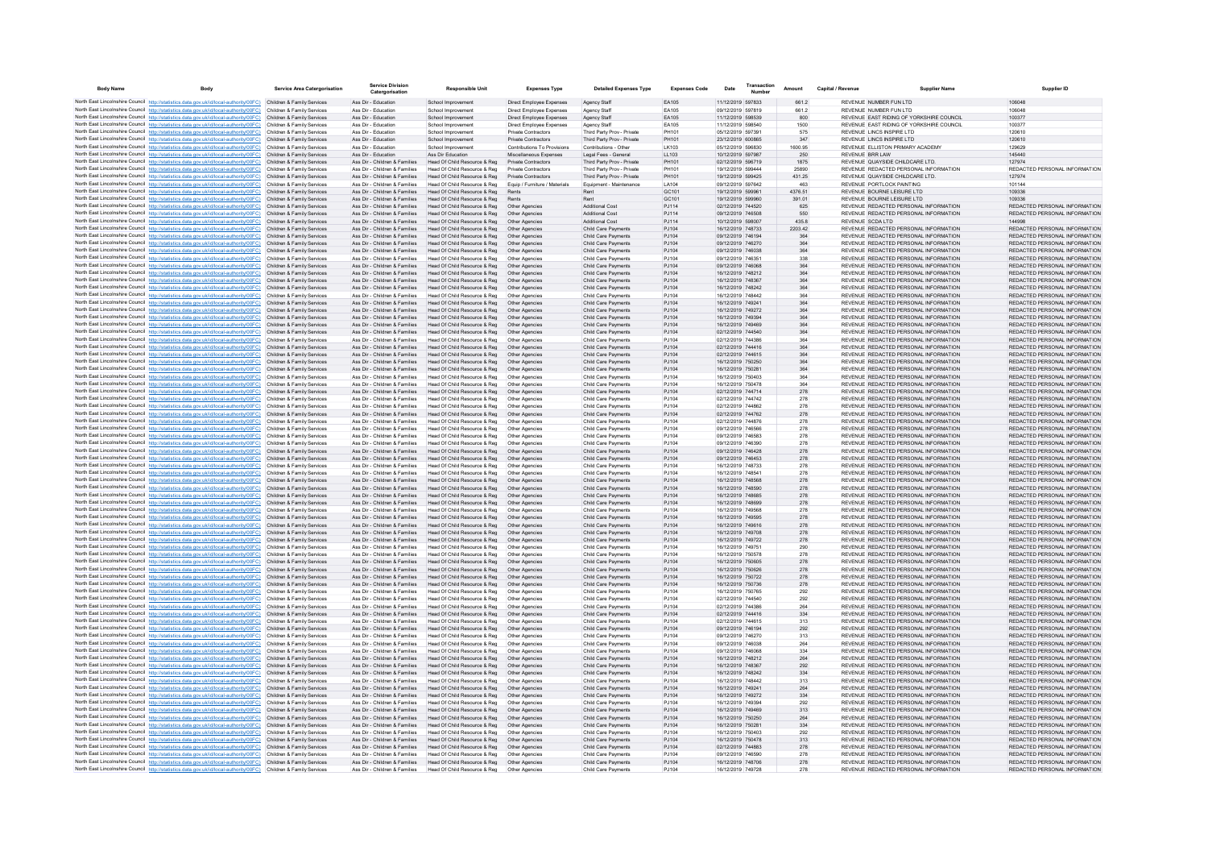| <b>Body Name</b> | Body                                                                                                                                                                              | <b>Service Area Catergorisation</b>                      | <b>Service Division</b><br>Catergorisation                     | <b>Responsible Unit</b>                                       | <b>Expenses Type</b>                               | <b>Detailed Expenses Type</b>                            | <b>Expenses Code</b> | Date                                   | Transaction | Amount         | Capital / Revenue | <b>Supplier Name</b>                                                           | <b>Supplier ID</b>                                             |
|------------------|-----------------------------------------------------------------------------------------------------------------------------------------------------------------------------------|----------------------------------------------------------|----------------------------------------------------------------|---------------------------------------------------------------|----------------------------------------------------|----------------------------------------------------------|----------------------|----------------------------------------|-------------|----------------|-------------------|--------------------------------------------------------------------------------|----------------------------------------------------------------|
|                  | North East Lincolnshire Council http://statistics.data.gov.uk/id/local-authority/00FC) Children & Family Services                                                                 |                                                          | Ass Dir - Education                                            | School Improvement                                            | Direct Employee Expenses                           | Agency Staff                                             | EA105                | 11/12/2019 597833                      |             | 661.2          |                   | REVENUE NUMBER FUN LTD                                                         | 106048                                                         |
|                  | North East Lincolnshire Council http://statistics.data.gov.uk/id/local-authority/00FC)                                                                                            | Children & Family Services                               | Ass Dir - Education                                            | School Improvemer                                             | Direct Employee Expenses                           | Agency Staff                                             | EA105                | 09/12/2019 597819                      |             | 661.2          |                   | REVENUE NUMBER FUN LTD                                                         |                                                                |
|                  | North East Lincolnshire Council http://statistics.data.gov.uk/id/local-authority/00FC)                                                                                            | Children & Family Services                               | Ass Dir - Education                                            | School Improvement                                            | Direct Employee Expenses                           | Agency Staff                                             | EA105                | 11/12/2019 598539                      |             | 800            |                   | REVENUE EAST RIDING OF YORKSHIRE COUNCIL                                       | 100377                                                         |
|                  | North East Lincolnshire Council http://statistics.data.gov.uk/id/local-authority/00FC)                                                                                            | Children & Family Services                               | Ass Dir - Education                                            | School Improvement                                            | Direct Employee Expenses                           | Agency Staff                                             | EA105                | 11/12/2019 598540                      |             | 1500           |                   | REVENUE EAST RIDING OF YORKSHIRE COUNCIL                                       | 100377                                                         |
|                  | North East Lincolnshire Council http://statistics.data.gov.uk/id/local-authority/00FC)                                                                                            | Children & Family Services                               | Ass Dir - Education                                            | School Improvemen                                             | Private Contractors                                | Third Party Prov - Private                               | PH101                | 05/12/2019 597391                      |             | 575            |                   | REVENUE LINCS INSPIRE LTD                                                      | 120610                                                         |
|                  | North East Lincolnshire Council http://statistics.data.gov.uk/id/local-authority/00FC)<br>North East Lincolnshire Council http://statistics.data.gov.uk/id/local-authority/00FC)  | Children & Family Services<br>Children & Family Services | Ass Dir - Education<br>Ass Dir - Education                     | School Improvement                                            | Private Contractors<br>Contributions To Provisions | Third Party Prov - Private                               | PH101<br>LK103       | 23/12/2019 600865<br>05/12/2019 596830 |             | 347<br>1600.95 |                   | REVENUE LINCS INSPIRE LTD<br>REVENUE ELLISTON PRIMARY ACADEMY                  | 120610<br>129629                                               |
|                  | North East Lincolnshire Council http://statistics.data.gov.uk/id/local-authority/00FC)                                                                                            | Children & Family Services                               | Ass Dir - Education                                            | School Improvement<br>Ass Dir Education                       | Miscellaneous Expenses                             | Contributions - Other<br>Legal Fees - General            | LL103                | 10/12/2019 597987                      |             | 250            |                   | <b>REVENUE BRR LAW</b>                                                         | 145440                                                         |
|                  | North East Lincolnshire Council http://statistics.data.gov.uk/id/local-authority/00FC)                                                                                            | Children & Family Services                               | Ass Dir - Children & Families                                  | Head Of Child Resource & Reg                                  | Private Contractors                                | Third Party Prov - Private                               | PH101                | 02/12/2019 596719                      |             | 1875           |                   | REVENUE QUAYSIDE CHILDCARE LTD.                                                | 127974                                                         |
|                  | North East Lincolnshire Council http://statistics.data.gov.uk/id/local-authority/00FC)                                                                                            | Children & Family Services                               | Ass Dir - Children & Families                                  | Head Of Child Resource & Reg                                  | Private Contractors                                | Third Party Prov - Private                               | PH101                | 19/12/2019 599444                      |             | 25890          |                   | REVENUE REDACTED PERSONAL INFORMATION                                          | REDACTED PERSONAL INFORMATION                                  |
|                  | North East Lincolnshire Council http://statistics.data.gov.uk/id/local-authority/00FC)                                                                                            | Children & Family Services                               | Ass Dir - Children & Families                                  | Head Of Child Resource & Reg                                  | Private Contractors                                | Third Party Prov - Private                               | PH101                | 19/12/2019 599425                      |             | 431.25         |                   | REVENUE QUAYSIDE CHILDCARE LTD.                                                | 127974                                                         |
|                  | North East Lincolnshire Council http://statistics.data.gov.uk/id/local-authority/00FC)                                                                                            | Children & Family Services                               | Ass Dir - Children & Families                                  | Head Of Child Resource & Reg                                  | Equip / Furniture / Materials                      | Equipment - Maintenance                                  | LA104                | 09/12/2019 597642                      |             | 463            |                   | REVENUE PORTLOCK PAINTING                                                      | 101144                                                         |
|                  | North East Lincolnshire Council http://statistics.data.gov.uk/id/local-authority/00FC)                                                                                            | Children & Family Services                               | Ass Dir - Children & Families                                  | Head Of Child Resource & Reg                                  | Rents                                              | Rent                                                     | GC101                | 19/12/2019 599961                      |             | 4376.51        |                   | REVENUE BOURNE LEISURE LTD.                                                    | 109336                                                         |
|                  | North East Lincolnshire Council http://statistics.data.gov.uk/id/local-authority/00FC).<br>North East Lincolnshire Council http://statistics.data.gov.uk/id/local-authority/00FC) | Children & Family Services<br>Children & Family Services | Ass Dir - Children & Families<br>Ass Dir - Children & Families | Head Of Child Resource & Reg<br>Head Of Child Resource & Reg  | Rents<br>Other Agencies                            | Rent<br>Additional Cost                                  | GC101<br>PJ114       | 19/12/2019 599960<br>02/12/2019 744520 |             | 391.01<br>625  |                   | REVENUE BOURNE LEISURE LTD<br>REVENUE REDACTED PERSONAL INFORMATION            | 109336<br>REDACTED PERSONAL INFORMATION                        |
|                  | North East Lincolnshire Council http://statistics.data.gov.uk/id/local-authority/00FC)                                                                                            | Children & Family Services                               | Ass Dir - Children & Families                                  | Head Of Child Resource & Reg                                  | Other Agencies                                     | Additional Cost                                          | PJ114                | 09/12/2019 746508                      |             | 550            |                   | REVENUE REDACTED PERSONAL INFORMATION                                          | REDACTED PERSONAL INFORMATION                                  |
|                  | North East Lincolnshire Council http://statistics.data.gov.uk/id/local-authority/00FC)                                                                                            | Children & Family Services                               | Ass Dir - Children & Families                                  | Head Of Child Resource & Reg.                                 | Other Agencies                                     | <b>Additional Cost</b>                                   | PJ114                | 10/12/2019 598007                      |             | 435.8          |                   | REVENUE SCDA LTD                                                               | 144998                                                         |
|                  | North East Lincolnshire Council http://statistics.data.gov.uk/id/local-authority/00FC)                                                                                            | Children & Family Services                               | Ass Dir - Children & Families                                  | Head Of Child Resource & Reg                                  | Other Agencies                                     | Child Care Payments                                      | PJ104                | 16/12/2019 748733                      |             | 2203.42        |                   | REVENUE REDACTED PERSONAL INFORMATION                                          | REDACTED PERSONAL INFORMATION                                  |
|                  | North East Lincolnshire Council http://statistics.data.gov.uk/id/local-authority/00FC)                                                                                            | Children & Family Services                               | Ass Dir - Children & Families                                  | Head Of Child Resource & Reg                                  | Other Agencies                                     | Child Care Payments                                      | PJ104                | 09/12/2019 746194                      |             | 364            |                   | REVENUE REDACTED PERSONAL INFORMATION                                          | REDACTED PERSONAL INFORMATION                                  |
|                  | North East Lincolnshire Council http://statistics.data.gov.uk/id/local-authority/00FC)                                                                                            | Children & Family Services                               | Ass Dir - Children & Families                                  | Head Of Child Resource & Reg                                  | Other Agencies                                     | Child Care Payments                                      | PJ104                | 09/12/2019 746270                      |             | 364            |                   | REVENUE REDACTED PERSONAL INFORMATION                                          | REDACTED PERSONAL INFORMATION                                  |
|                  | North East Lincolnshire Council http://statistics.data.gov.uk/id/local-authority/00FC)                                                                                            | Children & Family Services                               | Ass Dir - Children & Families                                  | Head Of Child Resource & Reg                                  | Other Agencies                                     | Child Care Payments                                      | PJ104                | 09/12/2019 746038                      |             | 364            |                   | REVENUE REDACTED PERSONAL INFORMATION                                          | REDACTED PERSONAL INFORMATION                                  |
|                  | North East Lincolnshire Council http://statistics.data.gov.uk/id/local-authority/00FC)<br>North East Lincolnshire Council http://statistics.data.gov.uk/id/local-authority/00FC)  | Children & Family Services<br>Children & Family Services | Ass Dir - Children & Families<br>Ass Dir - Children & Families | Head Of Child Resource & Reg.<br>Head Of Child Resource & Reg | Other Agencies<br>Other Agencies                   | Child Care Payments<br><b>Child Care Payments</b>        | P.1104<br>PJ104      | 09/12/2019 746351<br>09/12/2019 746068 |             | 338<br>364     |                   | REVENUE REDACTED PERSONAL INFORMATION<br>REVENUE REDACTED PERSONAL INFORMATION | REDACTED PERSONAL INFORMATION<br>REDACTED PERSONAL INFORMATION |
|                  | North East Lincolnshire Council http://statistics.data.gov.uk/id/local-authority/00FC)                                                                                            | Children & Family Services                               | Ass Dir - Children & Families                                  | Head Of Child Resource & Reg                                  | Other Agencies                                     | Child Care Payments                                      | PJ104                | 16/12/2019 748212                      |             | 364            |                   | REVENUE REDACTED PERSONAL INFORMATION                                          | REDACTED PERSONAL INFORMATION                                  |
|                  | North East Lincolnshire Council http://statistics.data.gov.uk/id/local-authority/00FC)                                                                                            | Children & Family Services                               | Ass Dir - Children & Families                                  | Head Of Child Resource & Reg                                  | Other Agencies                                     | Child Care Payments                                      | PJ104                | 16/12/2019 748367                      |             | 364            |                   | REVENUE REDACTED PERSONAL INFORMATION                                          | REDACTED PERSONAL INFORMATION                                  |
|                  | North East Lincolnshire Council http://statistics.data.gov.uk/id/local-authority/00FC)                                                                                            | Children & Family Services                               | Ass Dir - Children & Families                                  | Head Of Child Resource & Reg                                  | Other Agencies                                     | <b>Child Care Payments</b>                               | PJ104                | 16/12/2019 748242                      |             | 364            |                   | REVENUE REDACTED PERSONAL INFORMATION                                          | REDACTED PERSONAL INFORMATION                                  |
|                  | North East Lincolnshire Council http://statistics.data.gov.uk/id/local-authority/00FC)                                                                                            | Children & Family Services                               | Ass Dir - Children & Families                                  | Head Of Child Resource & Reg                                  | Other Agencies                                     | Child Care Payments                                      | PJ104                | 16/12/2019 748442                      |             | 364            |                   | REVENUE REDACTED PERSONAL INFORMATION                                          | REDACTED PERSONAL INFORMATION                                  |
|                  | North East Lincolnshire Council http://statistics.data.gov.uk/id/local-authority/00FC)                                                                                            | Children & Family Services                               | Ass Dir - Children & Families                                  | Head Of Child Resource & Reg                                  | Other Agencies                                     | Child Care Payments                                      | PJ104                | 16/12/2019 749241                      |             | 364            |                   | REVENUE REDACTED PERSONAL INFORMATION                                          | REDACTED PERSONAL INFORMATION                                  |
|                  | North East Lincolnshire Council http://statistics.data.gov.uk/id/local-authority/00FC)                                                                                            | Children & Family Services                               | Ass Dir - Children & Families                                  | Head Of Child Resource & Reg                                  | Other Agencie                                      | Child Care Payments                                      | PJ104                | 16/12/2019 749272                      |             | 364            |                   | REVENUE REDACTED PERSONAL INFORMATION                                          | REDACTED PERSONAL INFORMATION                                  |
|                  | North East Lincolnshire Council http://statistics.data.gov.uk/id/local-authority/00FC)<br>North East Lincolnshire Council http://statistics.data.gov.uk/id/local-authority/00FC). | Children & Family Services                               | Ass Dir - Children & Families                                  | Head Of Child Resource & Reg                                  | Other Agencies                                     | Child Care Payments                                      | PJ104<br>PJ104       | 16/12/2019 749394<br>16/12/2019 749469 |             | 364            |                   | REVENUE REDACTED PERSONAL INFORMATION                                          | REDACTED PERSONAL INFORMATION<br>REDACTED PERSONAL INFORMATION |
|                  | North East Lincolnshire Council http://statistics.data.gov.uk/id/local-authority/00FC)                                                                                            | Children & Family Services<br>Children & Family Services | Ass Dir - Children & Families<br>Ass Dir - Children & Families | Head Of Child Resource & Reg<br>Head Of Child Resource & Reg  | Other Agencies<br>Other Agencies                   | <b>Child Care Payments</b><br><b>Child Care Payments</b> | PJ104                | 02/12/2019 744540                      |             | 364<br>364     |                   | REVENUE REDACTED PERSONAL INFORMATION<br>REVENUE REDACTED PERSONAL INFORMATION | REDACTED PERSONAL INFORMATION                                  |
|                  | North East Lincolnshire Council http://statistics.data.gov.uk/id/local-authority/00FC)                                                                                            | Children & Family Services                               | Ass Dir - Children & Families                                  | Head Of Child Resource & Reg                                  | Other Agencies                                     | Child Care Payments                                      | PJ104                | 02/12/2019 744386                      |             | 364            |                   | REVENUE REDACTED PERSONAL INFORMATION                                          | REDACTED PERSONAL INFORMATION                                  |
|                  | North East Lincolnshire Council http://statistics.data.gov.uk/id/local-authority/00FC)                                                                                            | Children & Family Services                               | Ass Dir - Children & Families                                  | Head Of Child Resource & Reg                                  | Other Agencies                                     | Child Care Payments                                      | PJ104                | 02/12/2019 744416                      |             | 364            |                   | REVENUE REDACTED PERSONAL INFORMATION                                          | REDACTED PERSONAL INFORMATION                                  |
|                  | North East Lincolnshire Council http://statistics.data.gov.uk/id/local-authority/00FC).                                                                                           | Children & Family Services                               | Ass Dir - Children & Families                                  | Head Of Child Resource & Reg.                                 | Other Agencies                                     | <b>Child Care Payments</b>                               | PJ104                | 02/12/2019 744615                      |             | 364            |                   | REVENUE REDACTED PERSONAL INFORMATION                                          | REDACTED PERSONAL INFORMATION                                  |
|                  | North East Lincolnshire Council http://statistics.data.gov.uk/id/local-authority/00FC)                                                                                            | Children & Family Services                               | Ass Dir - Children & Families                                  | Head Of Child Resource & Reg                                  | Other Agencies                                     | <b>Child Care Payments</b>                               | PJ104                | 16/12/2019 750250                      |             | 364            |                   | REVENUE REDACTED PERSONAL INFORMATION                                          | REDACTED PERSONAL INFORMATION                                  |
|                  | North East Lincolnshire Council http://statistics.data.gov.uk/id/local-authority/00FC)                                                                                            | Children & Family Services                               | Ass Dir - Children & Families                                  | Head Of Child Resource & Reg                                  | Other Agencies                                     | Child Care Payments                                      | PJ104                | 16/12/2019 750281                      |             | 364            |                   | REVENUE REDACTED PERSONAL INFORMATION                                          | REDACTED PERSONAL INFORMATION                                  |
|                  | North East Lincolnshire Council http://statistics.data.gov.uk/id/local-authority/00FC)                                                                                            | Children & Family Services                               | Ass Dir - Children & Families<br>Ass Dir - Children & Families | Head Of Child Resource & Reg                                  |                                                    | Child Care Payments                                      | PJ104                | 16/12/2019 750403<br>16/12/2019 750478 |             | 364            |                   | REVENUE REDACTED PERSONAL INFORMATION<br>REVENUE REDACTED PERSONAL INFORMATION | REDACTED PERSONAL INFORMATION<br>REDACTED PERSONAL INFORMATION |
|                  | North East Lincolnshire Council http://statistics.data.gov.uk/id/local-authority/00FC)<br>North East Lincolnshire Council http://statistics.data.gov.uk/id/local-authority/00FC)  | Children & Family Services<br>Children & Family Services | Ass Dir - Children & Families                                  | Head Of Child Resource & Reg<br>Head Of Child Resource & Reg  | Other Agencies<br>Other Agencies                   | Child Care Payments<br>Child Care Payments               | PJ104<br>PJ104       | 02/12/2019 744714                      |             | 364<br>278     |                   | REVENUE REDACTED PERSONAL INFORMATION                                          | REDACTED PERSONAL INFORMATION                                  |
|                  | North East Lincolnshire Council http://statistics.data.gov.uk/id/local-authority/00FC)                                                                                            | Children & Family Services                               | Ass Dir - Children & Families                                  | Head Of Child Resource & Reg                                  | Other Agencies                                     | Child Care Payments                                      | PJ104                | 02/12/2019 744742                      |             | 278            |                   | REVENUE REDACTED PERSONAL INFORMATION                                          | REDACTED PERSONAL INFORMATION                                  |
|                  | North East Lincolnshire Council http://statistics.data.gov.uk/id/local-authority/00FC)                                                                                            | Children & Family Services                               | Ass Dir - Children & Families                                  | Head Of Child Resource & Reg                                  | Other Agencies                                     | Child Care Payments                                      | PJ104                | 02/12/2019 744862                      |             | 278            |                   | REVENUE REDACTED PERSONAL INFORMATION                                          | REDACTED PERSONAL INFORMATION                                  |
|                  | North East Lincolnshire Council http://statistics.data.gov.uk/id/local-authority/00FC)                                                                                            | Children & Family Services                               | Ass Dir - Children & Families                                  | Head Of Child Resource & Reg                                  | Other Agencies                                     | Child Care Payments                                      | PJ104                | 02/12/2019 744762                      |             | 278            |                   | REVENUE REDACTED PERSONAL INFORMATION                                          | REDACTED PERSONAL INFORMATION                                  |
|                  | North East Lincolnshire Council http://statistics.data.gov.uk/id/local-authority/00FC)                                                                                            | Children & Family Services                               | Ass Dir - Children & Families                                  | Head Of Child Resource & Reg                                  | Other Agencies                                     | Child Care Payments                                      | PJ104                | 02/12/2019 744876                      |             | 278            |                   | REVENUE REDACTED PERSONAL INFORMATION                                          | REDACTED PERSONAL INFORMATION                                  |
|                  | North East Lincolnshire Council http://statistics.data.gov.uk/id/local-authority/00FC)                                                                                            | Children & Family Services                               | Ass Dir - Children & Families                                  | Head Of Child Resource & Reg                                  | Other Agencies                                     | Child Care Payments                                      | PJ104                | 09/12/2019 746566                      |             | 278            |                   | REVENUE REDACTED PERSONAL INFORMATION                                          | REDACTED PERSONAL INFORMATION                                  |
|                  | North East Lincolnshire Council http://statistics.data.gov.uk/id/local-authority/00FC)                                                                                            | Children & Family Services                               | Ass Dir - Children & Families                                  | Head Of Child Resource & Reg                                  | Other Agencies                                     | <b>Child Care Payments</b>                               | PJ104                | 09/12/2019 746583                      |             | 278            |                   | REVENUE REDACTED PERSONAL INFORMATION                                          | REDACTED PERSONAL INFORMATION                                  |
|                  | North East Lincolnshire Council http://statistics.data.gov.uk/id/local-authority/00FC)<br>North East Lincolnshire Council http://statistics.data.gov.uk/id/local-authority/00FC)  | Children & Family Services<br>Children & Family Services | Ass Dir - Children & Families<br>Ass Dir - Children & Families | Head Of Child Resource & Reg<br>Head Of Child Resource & Reg  | Other Agencies<br>Other Agencies                   | Child Care Payments<br>Child Care Payments               | PJ104<br>PJ104       | 09/12/2019 746390<br>09/12/2019 746428 |             | 278<br>278     |                   | REVENUE REDACTED PERSONAL INFORMATION<br>REVENUE REDACTED PERSONAL INFORMATION | REDACTED PERSONAL INFORMATION<br>REDACTED PERSONAL INFORMATION |
|                  | North East Lincolnshire Council http://statistics.data.gov.uk/id/local-authority/00FC)                                                                                            | Children & Family Services                               | Ass Dir - Children & Families                                  | Head Of Child Resource & Reg                                  | Other Agencies                                     | Child Care Payments                                      | PJ104                | 09/12/2019 746453                      |             | 278            |                   | REVENUE REDACTED PERSONAL INFORMATION                                          | REDACTED PERSONAL INFORMATION                                  |
|                  | North East Lincolnshire Council http://statistics.data.gov.uk/id/local-authority/00FC)                                                                                            | Children & Family Services                               | Ass Dir - Children & Families                                  | Head Of Child Resource & Reg                                  | Other Agencies                                     | <b>Child Care Payments</b>                               | PJ104                | 16/12/2019 748733                      |             | 278            |                   | REVENUE REDACTED PERSONAL INFORMATION                                          | REDACTED PERSONAL INFORMATION                                  |
|                  | North East Lincolnshire Council http://statistics.data.gov.uk/id/local-authority/00FC)                                                                                            | Children & Family Services                               | Ass Dir - Children & Families                                  | Head Of Child Resource & Reg                                  | Other Agencies                                     | Child Care Payments                                      | PJ104                | 16/12/2019 748541                      |             | 278            |                   | REVENUE REDACTED PERSONAL INFORMATION                                          | REDACTED PERSONAL INFORMATION                                  |
|                  | North East Lincolnshire Council http://statistics.data.gov.uk/id/local-authority/00FC).                                                                                           | Children & Family Services                               | Ass Dir - Children & Families                                  | Head Of Child Resource & Reg                                  | Other Agencies                                     | Child Care Payments                                      | PJ104                | 16/12/2019 748568                      |             | 278            |                   | REVENUE REDACTED PERSONAL INFORMATION                                          | REDACTED PERSONAL INFORMATION                                  |
|                  | North East Lincolnshire Council http://statistics.data.gov.uk/id/local-authority/00FC)                                                                                            |                                                          | Ass Dir - Children & Families                                  | Head Of Child Resource & Reg                                  | Other Agencies                                     | Child Care Payments                                      | PJ104                | 16/12/2019 748590                      |             | 278            |                   | REVENUE REDACTED PERSONAL INFORMATION                                          | REDACTED PERSONAL INFORMATION                                  |
|                  | North East Lincolnshire Council http://statistics.data.gov.uk/id/local-authority/00FC)<br>North East Lincolnshire Council http://statistics.data.gov.uk/id/local-authority/00FC)  | Children & Family Services<br>Children & Family Services | Ass Dir - Children & Families<br>Ass Dir - Children & Families | Head Of Child Resource & Reg<br>Head Of Child Resource & Reg. | Other Agencies<br>Other Agencies                   | Child Care Payments<br><b>Child Care Payments</b>        | PJ104<br>PJ104       | 16/12/2019 748685<br>16/12/2019 748699 |             | 278<br>278     |                   | REVENUE REDACTED PERSONAL INFORMATION<br>REVENUE REDACTED PERSONAL INFORMATION | REDACTED PERSONAL INFORMATION<br>REDACTED PERSONAL INFORMATION |
|                  | North East Lincolnshire Council http://statistics.data.gov.uk/id/local-authority/00FC)                                                                                            | Children & Family Services                               | Ass Dir - Children & Families                                  | Head Of Child Resource & Reg                                  | Other Agencies                                     | Child Care Payments                                      | PJ104                | 16/12/2019 749568                      |             | 278            |                   | REVENUE REDACTED PERSONAL INFORMATION                                          | REDACTED PERSONAL INFORMATION                                  |
|                  | North East Lincolnshire Council http://statistics.data.gov.uk/id/local-authority/00FC)                                                                                            | Children & Family Services                               | Ass Dir - Children & Families                                  | Head Of Child Resource & Reg                                  | Other Agencies                                     | Child Care Payments                                      | PJ104                | 16/12/2019 749595                      |             | 278            |                   | REVENUE REDACTED PERSONAL INFORMATION                                          | REDACTED PERSONAL INFORMATION                                  |
|                  | North East Lincolnshire Council http://statistics.data.gov.uk/id/local-authority/00FC)                                                                                            | Children & Family Services                               | Ass Dir - Children & Families                                  | Head Of Child Resource & Reg                                  | Other Agencies                                     | Child Care Payments                                      | PJ104                | 16/12/2019 749616                      |             | 278            |                   | REVENUE REDACTED PERSONAL INFORMATION                                          | REDACTED PERSONAL INFORMATION                                  |
|                  | North East Lincolnshire Council http://statistics.data.gov.uk/id/local-authority/00FC)                                                                                            | Children & Family Services                               | Ass Dir - Children & Families                                  | Head Of Child Resource & Reg.                                 | Other Agencies                                     | <b>Child Care Payments</b>                               | PJ104                | 16/12/2019 749708                      |             | 278            |                   | REVENUE REDACTED PERSONAL INFORMATION                                          | REDACTED PERSONAL INFORMATION                                  |
|                  | North East Lincolnshire Council http://statistics.data.gov.uk/id/local-authority/00FC).                                                                                           | Children & Family Services                               | Ass Dir - Children & Families                                  | Head Of Child Resource & Reg                                  | Other Agencies                                     | <b>Child Care Payments</b>                               | PJ104                | 16/12/2019 749722                      |             | 278            |                   | REVENUE REDACTED PERSONAL INFORMATION                                          | REDACTED PERSONAL INFORMATION                                  |
|                  | North East Lincolnshire Council http://statistics.data.gov.uk/id/local-authority/00FC)                                                                                            | Children & Family Services                               | Ass Dir - Children & Families                                  | Head Of Child Resource & Reg                                  | Other Agencies                                     | Child Care Payments                                      | PJ104                | 16/12/2019 749751                      |             | 290            |                   | REVENUE REDACTED PERSONAL INFORMATION                                          | REDACTED PERSONAL INFORMATION                                  |
|                  | North East Lincolnshire Council http://statistics.data.gov.uk/id/local-authority/00FC)<br>North East Lincolnshire Council http://statistics.data.gov.uk/id/local-authority/00FC)  | Children & Family Services<br>Children & Family Services | Ass Dir - Children & Families<br>Ass Dir - Children & Families | Head Of Child Resource & Reg<br>Head Of Child Resource & Reg  | Other Agencie<br>Other Agencies                    | Child Care Payments<br>Child Care Payments               | PJ104<br>PJ104       | 16/12/2019 750578<br>16/12/2019 750605 |             | 278<br>278     |                   | REVENUE REDACTED PERSONAL INFORMATION<br>REVENUE REDACTED PERSONAL INFORMATION | REDACTED PERSONAL INFORMATION<br>REDACTED PERSONAL INFORMATION |
|                  | North East Lincolnshire Council http://statistics.data.gov.uk/id/local-authority/00FC)                                                                                            | Children & Family Services                               | Ass Dir - Children & Families                                  | Head Of Child Resource & Reg                                  | Other Agencies                                     | <b>Child Care Payments</b>                               | PJ104                | 16/12/2019 750626                      |             | 278            |                   | REVENUE REDACTED PERSONAL INFORMATION                                          | REDACTED PERSONAL INFORMATION                                  |
|                  | North East Lincolnshire Council http://statistics.data.gov.uk/id/local-authority/00FC).                                                                                           | Children & Family Services                               | Ass Dir - Children & Families                                  | Head Of Child Resource & Reg                                  | Other Agencies                                     | Child Care Payments                                      | PJ104                | 16/12/2019 750722                      |             | 278            |                   | REVENUE REDACTED PERSONAL INFORMATION                                          | REDACTED PERSONAL INFORMATION                                  |
|                  | North East Lincolnshire Council http://statistics.data.gov.uk/id/local-authority/00FC)                                                                                            | Children & Family Services                               | Ass Dir - Children & Families                                  | Head Of Child Resource & Reg                                  | Other Agencies                                     | Child Care Payments                                      | PJ104                | 16/12/2019 750736                      |             | 278            |                   | REVENUE REDACTED PERSONAL INFORMATION                                          | REDACTED PERSONAL INFORMATION                                  |
|                  | North East Lincolnshire Council http://statistics.data.gov.uk/id/local-authority/00FC)                                                                                            | Children & Family Services                               | Ass Dir - Children & Families                                  | Head Of Child Resource & Reg                                  | Other Agencies                                     | Child Care Payments                                      | PJ104                | 16/12/2019 750765                      |             | 292            |                   | REVENUE REDACTED PERSONAL INFORMATION                                          | REDACTED PERSONAL INFORMATION                                  |
|                  | North East Lincolnshire Council http://statistics.data.gov.uk/id/local-authority/00FC)                                                                                            | Children & Family Services                               | Ass Dir - Children & Families                                  | Head Of Child Resource & Reg.                                 | Other Agencies                                     | <b>Child Care Payments</b>                               | PJ104                | 02/12/2019 744540                      |             | 292            |                   | REVENUE REDACTED PERSONAL INFORMATION                                          | REDACTED PERSONAL INFORMATION                                  |
|                  | North East Lincolnshire Council http://statistics.data.gov.uk/id/local-authority/00FC)                                                                                            | Children & Family Services                               | Ass Dir - Children & Families<br>Ass Dir - Children & Families | Head Of Child Resource & Reg                                  | Other Agencies                                     | <b>Child Care Payments</b>                               | P.1104               | 02/12/2019 744386<br>02/12/2019 744416 |             | 264            |                   | REVENUE REDACTED PERSONAL INFORMATION<br>REVENUE REDACTED PERSONAL INFORMATION | REDACTED PERSONAL INFORMATION<br>REDACTED PERSONAL INFORMATION |
|                  | North East Lincolnshire Council http://statistics.data.gov.uk/id/local-authority/00FC)<br>North East Lincolnshire Council http://statistics.data.gov.uk/id/local-authority/00FC)  | Children & Family Services<br>Children & Family Services | Ass Dir - Children & Families                                  | Head Of Child Resource & Reg<br>Head Of Child Resource & Reg  | Other Agencies<br>Other Agencie                    | <b>Child Care Payments</b><br>Child Care Payments        | PJ104<br>PJ104       | 02/12/2019 744615                      |             | 334<br>313     |                   | REVENUE REDACTED PERSONAL INFORMATION                                          | REDACTED PERSONAL INFORMATION                                  |
|                  | North East Lincolnshire Council http://statistics.data.gov.uk/id/local-authority/00FC)                                                                                            | Children & Family Services                               | Ass Dir - Children & Families                                  | Head Of Child Resource & Reg                                  | Other Agencies                                     | Child Care Payments                                      | PJ104                | 09/12/2019 746194                      |             | 292            |                   | REVENUE REDACTED PERSONAL INFORMATION                                          | REDACTED PERSONAL INFORMATION                                  |
|                  | North East Lincolnshire Council http://statistics.data.gov.uk/id/local-authority/00FC).                                                                                           | Children & Family Services                               | Ass Dir - Children & Families                                  | Head Of Child Resource & Reg.                                 | Other Agencies                                     | <b>Child Care Payments</b>                               | PJ104                | 09/12/2019 746270                      |             | 313            |                   | REVENUE REDACTED PERSONAL INFORMATION                                          | REDACTED PERSONAL INFORMATION                                  |
|                  | North East Lincolnshire Council http://statistics.data.gov.uk/id/local-authority/00FC)                                                                                            | Children & Family Services                               | Ass Dir - Children & Families                                  | Head Of Child Resource & Reg                                  | Other Agencies                                     | <b>Child Care Payments</b>                               | PJ104                | 09/12/2019 746038                      |             | 264            |                   | REVENUE REDACTED PERSONAL INFORMATION                                          | REDACTED PERSONAL INFORMATION                                  |
|                  | North East Lincolnshire Council http://statistics.data.gov.uk/id/local-authority/00FC)                                                                                            | Children & Family Services                               | Ass Dir - Children & Families                                  | Head Of Child Resource & Reg                                  | Other Agencies                                     | Child Care Payments                                      | PJ104                | 09/12/2019 746068                      |             | 334            |                   | REVENUE REDACTED PERSONAL INFORMATION                                          | REDACTED PERSONAL INFORMATION                                  |
|                  | North East Lincolnshire Council http://statistics.data.gov.uk/id/local-authority/00FC)                                                                                            |                                                          | Ass Dir - Children & Families                                  | Head Of Child Resource & Reg                                  | Other Agencies                                     | Child Care Payments                                      | PJ104                | 16/12/2019 748212                      |             | 264            |                   | REVENUE REDACTED PERSONAL INFORMATION                                          | REDACTED PERSONAL INFORMATION                                  |
|                  | North East Lincolnshire Council http://statistics.data.gov.uk/id/local-authority/00FC)                                                                                            | Children & Family Services                               | Ass Dir - Children & Families                                  | Head Of Child Resource & Reg                                  | Other Agencies                                     | Child Care Payments                                      | PJ104                | 16/12/2019 748367                      |             | 292<br>334     |                   | REVENUE REDACTED PERSONAL INFORMATION<br>REVENUE REDACTED PERSONAL INFORMATION | REDACTED PERSONAL INFORMATION                                  |
|                  | North East Lincolnshire Council http://statistics.data.gov.uk/id/local-authority/00FC)<br>North East Lincolnshire Council http://statistics.data.gov.uk/id/local-authority/00FC)  | Children & Family Services<br>Children & Family Services | Ass Dir - Children & Families<br>Ass Dir - Children & Families | Head Of Child Resource & Reg.<br>Head Of Child Resource & Reg | Other Agencies<br>Other Agencies                   | <b>Child Care Payments</b><br>Child Care Payments        | PJ104<br>P.1104      | 16/12/2019 748242<br>16/12/2019 748442 |             | 313            |                   | REVENUE REDACTED PERSONAL INFORMATION                                          | REDACTED PERSONAL INFORMATION<br>REDACTED PERSONAL INFORMATION |
|                  | North East Lincolnshire Council http://statistics.data.gov.uk/id/local-authority/00FC)                                                                                            | Children & Family Services                               | Ass Dir - Children & Families                                  | Head Of Child Resource & Reg                                  | Other Agencies                                     | Child Care Payments                                      | PJ104                | 16/12/2019 749241                      |             | 264            |                   | REVENUE REDACTED PERSONAL INFORMATION                                          | REDACTED PERSONAL INFORMATION                                  |
|                  | North East Lincolnshire Council http://statistics.data.gov.uk/id/local-authority/00FC)                                                                                            | Children & Family Services                               | Ass Dir - Children & Families                                  | Head Of Child Resource & Reg                                  | Other Agencies                                     | <b>Child Care Payments</b>                               | PJ104                | 16/12/2019 749272                      |             | 334            |                   | REVENUE REDACTED PERSONAL INFORMATION                                          | REDACTED PERSONAL INFORMATION                                  |
|                  | North East Lincolnshire Council http://statistics.data.gov.uk/id/local-authority/00FC)                                                                                            | Children & Family Services                               | Ass Dir - Children & Families                                  | Head Of Child Resource & Reg.                                 | Other Agencies                                     | <b>Child Care Payments</b>                               | PJ104                | 16/12/2019 749394                      |             | 292            |                   | REVENUE REDACTED PERSONAL INFORMATION                                          | REDACTED PERSONAL INFORMATION                                  |
|                  | North East Lincolnshire Council http://statistics.data.gov.uk/id/local-authority/00FC)                                                                                            | Children & Family Services                               | Ass Dir - Children & Families                                  | Head Of Child Resource & Reg                                  | Other Agencies                                     | <b>Child Care Payments</b>                               | PJ104                | 16/12/2019 749469                      |             | 313            |                   | REVENUE REDACTED PERSONAL INFORMATION                                          | REDACTED PERSONAL INFORMATION                                  |
|                  | North East Lincolnshire Council http://statistics.data.gov.uk/id/local-authority/00FC)                                                                                            | Children & Family Services                               | Ass Dir - Children & Families                                  | Head Of Child Resource & Reg                                  | Other Agencies                                     | Child Care Payments                                      | PJ104                | 16/12/2019 750250                      |             | 264            |                   | REVENUE REDACTED PERSONAL INFORMATION                                          | REDACTED PERSONAL INFORMATION                                  |
|                  | North East Lincolnshire Council http://statistics.data.gov.uk/id/local-authority/00FC)                                                                                            | Children & Family Services                               | Ass Dir - Children & Families                                  | Head Of Child Resource & Reg                                  | Other Agencies                                     | Child Care Payments                                      | PJ104                | 16/12/2019 750281                      |             | 334            |                   | REVENUE REDACTED PERSONAL INFORMATION                                          | REDACTED PERSONAL INFORMATION                                  |
|                  | North East Lincolnshire Council http://statistics.data.gov.uk/id/local-authority/00FC)<br>North East Lincolnshire Council http://statistics.data.gov.uk/id/local-authority/00FC)  | Children & Family Services<br>Children & Family Services | Ass Dir - Children & Families<br>Ass Dir - Children & Families | Head Of Child Resource & Reg<br>Head Of Child Resource & Reg  | Other Agencies<br>Other Agencies                   | Child Care Payments<br><b>Child Care Payments</b>        | PJ104<br>PJ104       | 16/12/2019 750403<br>16/12/2019 750478 |             | 292<br>313     |                   | REVENUE REDACTED PERSONAL INFORMATION<br>REVENUE REDACTED PERSONAL INFORMATION | REDACTED PERSONAL INFORMATION<br>REDACTED PERSONAL INFORMATION |
|                  | North East Lincolnshire Council http://statistics.data.gov.uk/id/local-authority/00FC)                                                                                            | Children & Family Services                               | Ass Dir - Children & Families                                  | Head Of Child Resource & Reg                                  | Other Agencies                                     | Child Care Payments                                      | P.1104               | 02/12/2019 744883                      |             | 278            |                   | REVENUE REDACTED PERSONAL INFORMATION                                          | REDACTED PERSONAL INFORMATION                                  |
|                  | North East Lincolnshire Council http://statistics.data.gov.uk/id/local-authority/00FC)                                                                                            | Children & Family Services                               | Ass Dir - Children & Families                                  | Head Of Child Resource & Reg                                  | Other Agencies                                     | Child Care Payments                                      | PJ104                | 09/12/2019 746590                      |             | 278            |                   | REVENUE REDACTED PERSONAL INFORMATION                                          | REDACTED PERSONAL INFORMATION                                  |
|                  | North East Lincolnshire Council http://statistics.data.gov.uk/id/local-authority/00FC) Children & Family Services                                                                 |                                                          | Ass Dir - Children & Families                                  | Head Of Child Resource & Reg                                  | Other Agencies                                     | Child Care Payments                                      | PJ104                | 16/12/2019 748706                      |             | 278            |                   | REVENUE REDACTED PERSONAL INFORMATION                                          | REDACTED PERSONAL INFORMATION                                  |
|                  | North East Lincolnshire Council http://statistics.data.gov.uk/id/local-authority/00FC) Children & Family Services                                                                 |                                                          | Ass Dir - Children & Families                                  | Head Of Child Resource & Reg                                  | Other Agencies                                     | Child Care Payments                                      | PJ104                | 16/12/2019 749728                      |             | 278            |                   | REVENUE REDACTED PERSONAL INFORMATION                                          | REDACTED PERSONAL INFORMATION                                  |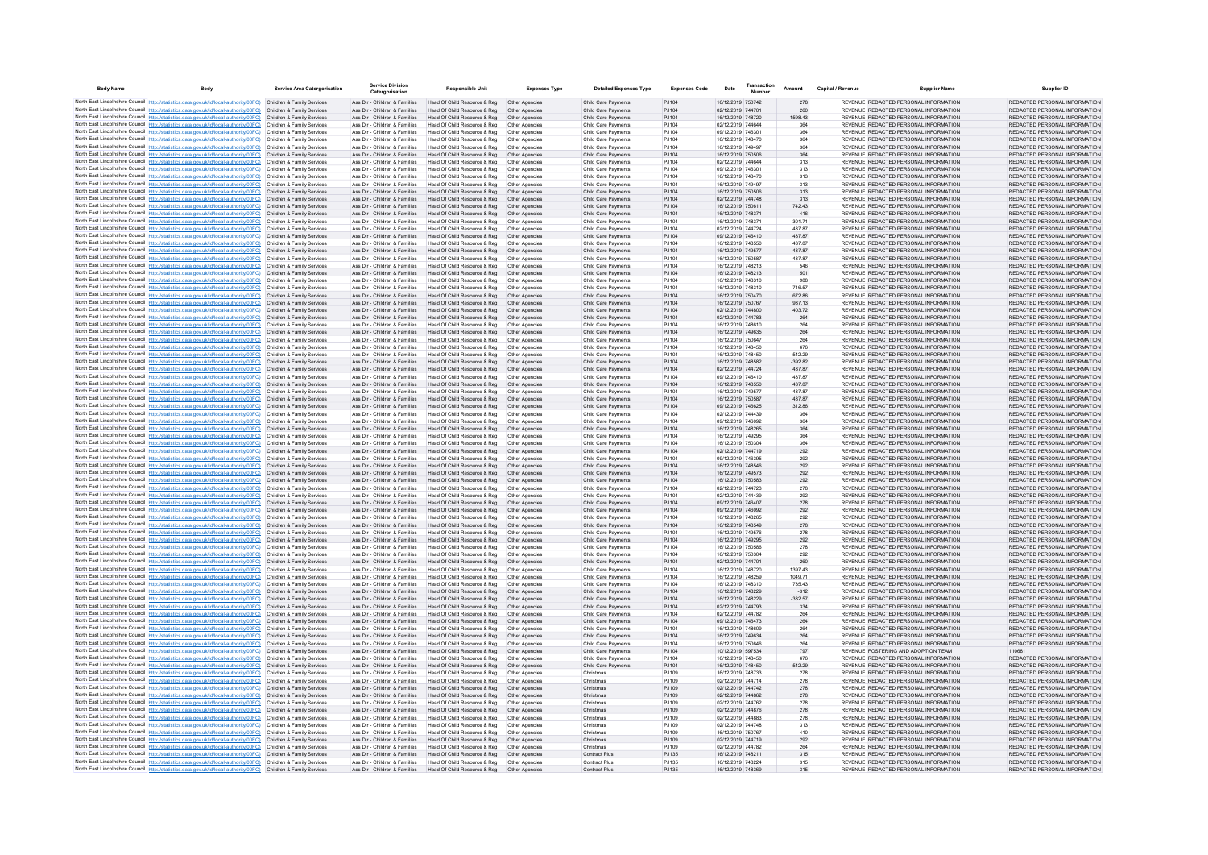| <b>Body Name</b> | Body                                                                                                                                                                             | <b>Service Area Catergorisation</b>                      | <b>Service Division</b>                                        | <b>Responsible Unit</b>                                       | <b>Expenses Type</b>             | <b>Detailed Expenses Type</b>                            | <b>Expenses Code</b> | Date                                   | Transaction | Amount              | Capital / Revenue | <b>Supplier Name</b>                                                           | <b>Supplier ID</b>                                             |
|------------------|----------------------------------------------------------------------------------------------------------------------------------------------------------------------------------|----------------------------------------------------------|----------------------------------------------------------------|---------------------------------------------------------------|----------------------------------|----------------------------------------------------------|----------------------|----------------------------------------|-------------|---------------------|-------------------|--------------------------------------------------------------------------------|----------------------------------------------------------------|
|                  | North East Lincolnshire Council http://statistics.data.gov.uk/id/local-authority/00FC) Children & Family Services                                                                |                                                          | Ass Dir - Children & Families                                  | Head Of Child Resource & Reg  Other Agencies                  |                                  | Child Care Payments                                      | PJ104                | 16/12/2019 750742                      |             | 278                 |                   | REVENUE REDACTED PERSONAL INFORMATION                                          | REDACTED PERSONAL INFORMATION                                  |
|                  | North East Lincolnshire Council http://statistics.data.gov.uk/id/local-authority/00FC)                                                                                           | Children & Family Services                               | Ass Dir - Children & Families                                  | Head Of Child Resource & Reg                                  |                                  | Child Care Payments                                      | PJ104                | 02/12/2019 744701                      |             | 260                 |                   | REVENUE REDACTED PERSONAL INFORMATION                                          | REDACTED PERSONAL INFORMATION                                  |
|                  | North East Lincolnshire Council http://statistics.data.gov.uk/id/local-authority/00FC)                                                                                           | Children & Family Services                               | Ass Dir - Children & Families                                  | Head Of Child Resource & Reg                                  | Other Agencies                   | Child Care Payments                                      | PJ104                | 16/12/2019 748720                      |             | 1598.43             |                   | REVENUE REDACTED PERSONAL INFORMATION                                          | REDACTED PERSONAL INFORMATION                                  |
|                  | North East Lincolnshire Council http://statistics.data.gov.uk/id/local-authority/00FC)<br>North East Lincolnshire Council http://statistics.data.gov.uk/id/local-authority/00FC) | Children & Family Services<br>Children & Family Services | Ass Dir - Children & Families<br>Ass Dir - Children & Families | Head Of Child Resource & Reg<br>Head Of Child Resource & Reg  | Other Agencies<br>Other Agencies | <b>Child Care Payments</b><br>Child Care Payments        | PJ104<br>PJ104       | 02/12/2019 744644<br>09/12/2019 746301 |             | 364<br>364          |                   | REVENUE REDACTED PERSONAL INFORMATION<br>REVENUE REDACTED PERSONAL INFORMATION | REDACTED PERSONAL INFORMATION<br>REDACTED PERSONAL INFORMATION |
|                  | North East Lincolnshire Council http://statistics.data.gov.uk/id/local-authority/00FC)                                                                                           | Children & Family Services                               | Ass Dir - Children & Families                                  | Head Of Child Resource & Reg                                  | Other Agencies                   | Child Care Payments                                      | PJ104                | 16/12/2019 748470                      |             | 364                 |                   | REVENUE REDACTED PERSONAL INFORMATION                                          | REDACTED PERSONAL INFORMATION                                  |
|                  | North East Lincolnshire Council http://statistics.data.gov.uk/id/local-authority/00FC)                                                                                           | Children & Family Services                               | Ass Dir - Children & Families                                  | Head Of Child Resource & Reg                                  | Other Agencie                    | Child Care Payments                                      | PJ104                | 16/12/2019 749497                      |             | 364                 |                   | REVENUE REDACTED PERSONAL INFORMATION                                          | REDACTED PERSONAL INFORMATION                                  |
|                  | North East Lincolnshire Council http://statistics.data.gov.uk/id/local-authority/00FC)                                                                                           | Children & Family Services                               | Ass Dir - Children & Families                                  | Head Of Child Resource & Reg                                  | Other Agencies                   | Child Care Payments                                      | PJ104                | 16/12/2019 750506                      |             | 364                 |                   | REVENUE REDACTED PERSONAL INFORMATION                                          | REDACTED PERSONAL INFORMATION                                  |
|                  | North East Lincolnshire Council http://statistics.data.gov.uk/id/local-authority/00FC)                                                                                           | Children & Family Services<br>Children & Family Services | Ass Dir - Children & Families<br>Ass Dir - Children & Families | Head Of Child Resource & Reg                                  | Other Agencies<br>Other Anencies | Child Care Payments<br><b>Child Care Payments</b>        | PJ104<br>PJ104       | 02/12/2019 744644<br>09/12/2019 746301 |             | 313                 |                   | REVENUE REDACTED PERSONAL INFORMATION<br>REVENUE REDACTED PERSONAL INFORMATION | REDACTED PERSONAL INFORMATION<br>REDACTED PERSONAL INFORMATION |
|                  | North East Lincolnshire Council http://statistics.data.gov.uk/id/local-authority/00FC)<br>North East Lincolnshire Council http://statistics.data.gov.uk/id/local-authority/00FC) | Children & Family Services                               | Ass Dir - Children & Families                                  | Head Of Child Resource & Reg<br>Head Of Child Resource & Reg  | Other Agencies                   | Child Care Payments                                      | PJ104                | 16/12/2019 748470                      |             | 313<br>313          |                   | REVENUE REDACTED PERSONAL INFORMATION                                          | REDACTED PERSONAL INFORMATION                                  |
|                  | North East Lincolnshire Council http://statistics.data.gov.uk/id/local-authority/00FC)                                                                                           | Children & Family Services                               | Ass Dir - Children & Families                                  | Head Of Child Resource & Reg                                  | Other Agencies                   | Child Care Payments                                      | PJ104                | 16/12/2019 749497                      |             | 313                 |                   | REVENUE REDACTED PERSONAL INFORMATION                                          | REDACTED PERSONAL INFORMATION                                  |
|                  | North East Lincolnshire Council http://statistics.data.gov.uk/id/local-authority/00FC)                                                                                           | Children & Family Services                               | Ass Dir - Children & Families                                  | Head Of Child Resource & Reg                                  | Other Agencies                   | <b>Child Care Payments</b>                               | PJ104                | 16/12/2019 750506                      |             | 313                 |                   | REVENUE REDACTED PERSONAL INFORMATION                                          | REDACTED PERSONAL INFORMATION                                  |
|                  | North East Lincolnshire Council http://statistics.data.gov.uk/id/local-authority/00FC)                                                                                           | Children & Family Services                               | Ass Dir - Children & Families                                  | Head Of Child Resource & Reg                                  | Other Agencies                   | Child Care Payments                                      | PJ104                | 02/12/2019 744748                      |             | 313                 |                   | REVENUE REDACTED PERSONAL INFORMATION                                          | REDACTED PERSONAL INFORMATION                                  |
|                  | North East Lincolnshire Council http://statistics.data.gov.uk/id/local-authority/00FC)<br>North East Lincolnshire Council http://statistics.data.gov.uk/id/local-authority/00FC) | Children & Family Services<br>Children & Family Services | Ass Dir - Children & Families<br>Ass Dir - Children & Families | Head Of Child Resource & Reg<br>Head Of Child Resource & Reg  | Other Agencies<br>Other Agencies | Child Care Payments<br>Child Care Payments               | PJ104<br>PJ104       | 16/12/2019 750611<br>16/12/2019 748371 |             | 742.43<br>416       |                   | REVENUE REDACTED PERSONAL INFORMATION<br>REVENUE REDACTED PERSONAL INFORMATION | REDACTED PERSONAL INFORMATION<br>REDACTED PERSONAL INFORMATION |
|                  | North East Lincolnshire Council http://statistics.data.gov.uk/id/local-authority/00FC)                                                                                           | Children & Family Services                               | Ass Dir - Children & Families                                  | Head Of Child Resource & Reg                                  | Other Agencies                   | <b>Child Care Payments</b>                               | PJ104                | 16/12/2019 748371                      |             | 301.71              |                   | REVENUE REDACTED PERSONAL INFORMATION                                          | REDACTED PERSONAL INFORMATION                                  |
|                  | North East Lincolnshire Council http://statistics.data.gov.uk/id/local-authority/00FC)                                                                                           | Children & Family Services                               | Ass Dir - Children & Families                                  | Head Of Child Resource & Reg                                  | Other Anencies                   | <b>Child Care Payments</b>                               | P.1104               | 02/12/2019 744724                      |             | 437 87              |                   | REVENUE REDACTED PERSONAL INFORMATION                                          | REDACTED PERSONAL INFORMATION                                  |
|                  | North East Lincolnshire Council http://statistics.data.gov.uk/id/local-authority/00FC)                                                                                           | Children & Family Services                               | Ass Dir - Children & Families                                  | Head Of Child Resource & Reg                                  | Other Agencies                   | <b>Child Care Payments</b>                               | PJ104                | 09/12/2019 746410                      |             | 43787               |                   | REVENUE REDACTED PERSONAL INFORMATION                                          | REDACTED PERSONAL INFORMATION                                  |
|                  | North East Lincolnshire Council http://statistics.data.gov.uk/id/local-authority/00FC)                                                                                           | Children & Family Services                               | Ass Dir - Children & Families                                  | Head Of Child Resource & Reg                                  |                                  | Child Care Payments                                      | PJ104                | 16/12/2019 748550                      |             | 437.87              |                   | REVENUE REDACTED PERSONAL INFORMATION                                          | REDACTED PERSONAL INFORMATION                                  |
|                  | North East Lincolnshire Council http://statistics.data.gov.uk/id/local-authority/00FC)<br>North East Lincolnshire Council http://statistics.data.gov.uk/id/local-authority/00FC) | Children & Family Services<br>Children & Family Services | Ass Dir - Children & Families<br>Ass Dir - Children & Families | Head Of Child Resource & Reg<br>Head Of Child Resource & Reg  | Other Agencies<br>Other Agencies | Child Care Payments<br><b>Child Care Payments</b>        | PJ104<br>PJ104       | 16/12/2019 749577<br>16/12/2019 750587 |             | 437.87<br>437.87    |                   | REVENUE REDACTED PERSONAL INFORMATION<br>REVENUE REDACTED PERSONAL INFORMATION | REDACTED PERSONAL INFORMATION<br>REDACTED PERSONAL INFORMATION |
|                  | North East Lincolnshire Council http://statistics.data.gov.uk/id/local-authority/00FC)                                                                                           | Children & Family Services                               | Ass Dir - Children & Families                                  | Head Of Child Resource & Reg.                                 | Other Agencies                   | <b>Child Care Payments</b>                               | PJ104                | 16/12/2019 748213                      |             | 546                 |                   | REVENUE REDACTED PERSONAL INFORMATION                                          | REDACTED PERSONAL INFORMATION                                  |
|                  | North East Lincolnshire Council http://statistics.data.gov.uk/id/local-authority/00FC)                                                                                           | Children & Family Services                               | Ass Dir - Children & Families                                  | Head Of Child Resource & Reg                                  | Other Agencies                   | Child Care Payments                                      | PJ104                | 16/12/2019 748213                      |             | 501                 |                   | REVENUE REDACTED PERSONAL INFORMATION                                          | REDACTED PERSONAL INFORMATION                                  |
|                  | North East Lincolnshire Council http://statistics.data.gov.uk/id/local-authority/00FC)                                                                                           | Children & Family Services                               | Ass Dir - Children & Families                                  | Head Of Child Resource & Reg                                  | Other Agencie                    | Child Care Payments                                      | PJ104                | 16/12/2019 748310                      |             | 988                 |                   | REVENUE REDACTED PERSONAL INFORMATION                                          | REDACTED PERSONAL INFORMATION                                  |
|                  | North East Lincolnshire Council http://statistics.data.gov.uk/id/local-authority/00FC)                                                                                           | Children & Family Services                               | Ass Dir - Children & Families                                  | Head Of Child Resource & Reg                                  | Other Agencies                   | Child Care Payments                                      | PJ104                | 16/12/2019 748310                      |             | 716.57              |                   | REVENUE REDACTED PERSONAL INFORMATION                                          | REDACTED PERSONAL INFORMATION                                  |
|                  | North East Lincolnshire Council http://statistics.data.gov.uk/id/local-authority/00FC)<br>North East Lincolnshire Council http://statistics.data.gov.uk/id/local-authority/00FC) | Children & Family Services<br>Children & Family Services | Ass Dir - Children & Families<br>Ass Dir - Children & Families | Head Of Child Resource & Reg<br>Head Of Child Resource & Reg  | Other Agencies<br>Other Anencies | Child Care Payments<br><b>Child Care Payments</b>        | PJ104<br>PJ104       | 16/12/2019 750470<br>16/12/2019 750767 |             | 672.86<br>937 13    |                   | REVENUE REDACTED PERSONAL INFORMATION<br>REVENUE REDACTED PERSONAL INFORMATION | REDACTED PERSONAL INFORMATION<br>REDACTED PERSONAL INFORMATION |
|                  | North East Lincolnshire Council http://statistics.data.gov.uk/id/local-authority/00FC)                                                                                           | Children & Family Services                               | Ass Dir - Children & Families                                  | Head Of Child Resource & Reg                                  | Other Agencies                   | Child Care Payments                                      | PJ104                | 02/12/2019 744800                      |             | 403.72              |                   | REVENUE REDACTED PERSONAL INFORMATION                                          | REDACTED PERSONAL INFORMATION                                  |
|                  | North East Lincolnshire Council http://statistics.data.gov.uk/id/local-authority/00FC)                                                                                           | Children & Family Services                               | Ass Dir - Children & Families                                  | Head Of Child Resource & Reg                                  | Other Agencies                   | Child Care Payments                                      | PJ104                | 02/12/2019 744783                      |             | 264                 |                   | REVENUE REDACTED PERSONAL INFORMATION                                          | REDACTED PERSONAL INFORMATION                                  |
|                  | North East Lincolnshire Council http://statistics.data.gov.uk/id/local-authority/00FC)                                                                                           | Children & Family Services                               | Ass Dir - Children & Families                                  | Head Of Child Resource & Reg                                  | Other Agencies                   | <b>Child Care Payments</b>                               | PJ104                | 16/12/2019 748610                      |             | 264                 |                   | REVENUE REDACTED PERSONAL INFORMATION                                          | REDACTED PERSONAL INFORMATION                                  |
|                  | North East Lincolnshire Council http://statistics.data.gov.uk/id/local-authority/00FC)                                                                                           | Children & Family Services                               | Ass Dir - Children & Families                                  | Head Of Child Resource & Reg                                  | Other Agencies                   | <b>Child Care Payments</b>                               | PJ104                | 16/12/2019 749635                      |             | 264                 |                   | REVENUE REDACTED PERSONAL INFORMATION                                          | REDACTED PERSONAL INFORMATION                                  |
|                  | North East Lincolnshire Council http://statistics.data.gov.uk/id/local-authority/00FC)<br>North East Lincolnshire Council http://statistics.data.gov.uk/id/local-authority/00FC) | Children & Family Services<br>Children & Family Services | Ass Dir - Children & Families<br>Ass Dir - Children & Families | Head Of Child Resource & Reg<br>Head Of Child Resource & Reg  | Other Agencies<br>Other Agencies | Child Care Payments<br>Child Care Payments               | PJ104<br>PJ104       | 16/12/2019 750647<br>16/12/2019 748450 |             | 264<br>676          |                   | REVENUE REDACTED PERSONAL INFORMATION<br>REVENUE REDACTED PERSONAL INFORMATION | REDACTED PERSONAL INFORMATION<br>REDACTED PERSONAL INFORMATION |
|                  | North East Lincolnshire Council http://statistics.data.gov.uk/id/local-authority/00FC)                                                                                           | Children & Family Services                               | Ass Dir - Children & Families                                  | Head Of Child Resource & Reg                                  | Other Agencies                   | Child Care Payments                                      | PJ104                | 16/12/2019 748450                      |             | 542.29              |                   | REVENUE REDACTED PERSONAL INFORMATION                                          | REDACTED PERSONAL INFORMATION                                  |
|                  | North East Lincolnshire Council http://statistics.data.gov.uk/id/local-authority/00FC)                                                                                           | Children & Family Services                               | Ass Dir - Children & Families                                  | Head Of Child Resource & Reg                                  | Other Agencies                   | Child Care Payments                                      | PJ104                | 16/12/2019 748582                      |             | $-392.82$           |                   | REVENUE REDACTED PERSONAL INFORMATION                                          | REDACTED PERSONAL INFORMATION                                  |
|                  | North East Lincolnshire Council http://statistics.data.gov.uk/id/local-authority/00FC)                                                                                           | Children & Family Services                               | Ass Dir - Children & Families                                  | Head Of Child Resource & Reg                                  | Other Agencies                   | Child Care Payments                                      | PJ104                | 02/12/2019 744724                      |             | 437.87              |                   | REVENUE REDACTED PERSONAL INFORMATION                                          | REDACTED PERSONAL INFORMATION                                  |
|                  | North East Lincolnshire Council http://statistics.data.gov.uk/id/local-authority/00FC)                                                                                           | Children & Family Services                               | Ass Dir - Children & Families                                  | Head Of Child Resource & Reg                                  | Other Agencies                   | Child Care Payments                                      | PJ104                | 09/12/2019 746410                      |             | 437.87              |                   | REVENUE REDACTED PERSONAL INFORMATION                                          | REDACTED PERSONAL INFORMATION                                  |
|                  | North East Lincolnshire Council http://statistics.data.gov.uk/id/local-authority/00FC)<br>North East Lincolnshire Council http://statistics.data.gov.uk/id/local-authority/00FC) | Children & Family Services<br>Children & Family Services | Ass Dir - Children & Families<br>Ass Dir - Children & Families | Head Of Child Resource & Reg<br>lead Of Child Resource & Reg  | Other Agencies<br>Other Agencies | Child Care Payments<br>Child Care Payments               | PJ104<br>PJ104       | 16/12/2019 748550<br>16/12/2019 749577 |             | 437.87<br>437.87    |                   | REVENUE REDACTED PERSONAL INFORMATION<br>REVENUE REDACTED PERSONAL INFORMATION | REDACTED PERSONAL INFORMATION<br>REDACTED PERSONAL INFORMATION |
|                  | North East Lincolnshire Council http://statistics.data.gov.uk/id/local-authority/00FC)                                                                                           | Children & Family Services                               | Ass Dir - Children & Families                                  | Head Of Child Resource & Reg                                  | Other Agencies                   | <b>Child Care Payments</b>                               | PJ104                | 16/12/2019 750587                      |             | 437.87              |                   | REVENUE REDACTED PERSONAL INFORMATION                                          | REDACTED PERSONAL INFORMATION                                  |
|                  | North East Lincolnshire Council http://statistics.data.gov.uk/id/local-authority/00FC)                                                                                           | Children & Family Services                               | Ass Dir - Children & Families                                  | Head Of Child Resource & Reg                                  | Other Agencies                   | Child Care Payments                                      | PJ104                | 09/12/2019 746625                      |             | 312.86              |                   | REVENUE REDACTED PERSONAL INFORMATION                                          | REDACTED PERSONAL INFORMATION                                  |
|                  | North East Lincolnshire Council http://statistics.data.gov.uk/id/local-authority/00FC)                                                                                           | Children & Family Services                               | Ass Dir - Children & Families                                  | Head Of Child Resource & Reg                                  | Other Agencie                    | Child Care Payments                                      | PJ104                | 02/12/2019 744439                      |             | 364                 |                   | REVENUE REDACTED PERSONAL INFORMATION                                          | REDACTED PERSONAL INFORMATION                                  |
|                  | North East Lincolnshire Council http://statistics.data.gov.uk/id/local-authority/00FC)                                                                                           | Children & Family Services<br>Children & Family Services | Ass Dir - Children & Families                                  | Head Of Child Resource & Reg                                  | Other Agencie                    | Child Care Payments                                      | PJ104                | 09/12/2019 746092<br>16/12/2019 748265 |             | 364                 |                   | REVENUE REDACTED PERSONAL INFORMATION<br>REVENUE REDACTED PERSONAL INFORMATION | REDACTED PERSONAL INFORMATION<br>REDACTED PERSONAL INFORMATION |
|                  | North East Lincolnshire Council http://statistics.data.gov.uk/id/local-authority/00FC)<br>North East Lincolnshire Council http://statistics.data.gov.uk/id/local-authority/00FC) | Children & Family Services                               | Ass Dir - Children & Families<br>Ass Dir - Children & Families | Head Of Child Resource & Reg<br>Head Of Child Resource & Reg  | Other Agencies<br>Other Agencies | Child Care Payments<br>Child Care Payments               | PJ104<br>PJ104       | 16/12/2019 749295                      |             | 364<br>364          |                   | REVENUE REDACTED PERSONAL INFORMATION                                          | REDACTED PERSONAL INFORMATION                                  |
|                  | North East Lincolnshire Council http://statistics.data.gov.uk/id/local-authority/00FC)                                                                                           | Children & Family Services                               | Ass Dir - Children & Families                                  | Head Of Child Resource & Reg                                  | Other Agencies                   | Child Care Payments                                      | PJ104                | 16/12/2019 750304                      |             | 364                 |                   | REVENUE REDACTED PERSONAL INFORMATION                                          | REDACTED PERSONAL INFORMATION                                  |
|                  | North East Lincolnshire Council http://statistics.data.gov.uk/id/local-authority/00FC)                                                                                           | Children & Family Services                               | Ass Dir - Children & Families                                  | Head Of Child Resource & Reg                                  | Other Agencies                   | Child Care Payments                                      | PJ104                | 02/12/2019 744719                      |             | 292                 |                   | REVENUE REDACTED PERSONAL INFORMATION                                          | REDACTED PERSONAL INFORMATION                                  |
|                  | North East Lincolnshire Council http://statistics.data.gov.uk/id/local-authority/00FC)                                                                                           | Children & Family Services                               | Ass Dir - Children & Families                                  | Head Of Child Resource & Reg                                  | Other Agencies                   | Child Care Payments                                      | PJ104                | 09/12/2019 746395                      |             | 292                 |                   | REVENUE REDACTED PERSONAL INFORMATION                                          | REDACTED PERSONAL INFORMATION                                  |
|                  | North East Lincolnshire Council http://statistics.data.gov.uk/id/local-authority/00FC)<br>North East Lincolnshire Council http://statistics.data.gov.uk/id/local-authority/00FC) | Children & Family Services<br>Children & Family Services | Ass Dir - Children & Families<br>Ass Dir - Children & Families | Head Of Child Resource & Reg<br>Head Of Child Resource & Reg  | Other Agencies<br>Other Agencies | <b>Child Care Payments</b><br><b>Child Care Payments</b> | PJ104<br>PJ104       | 16/12/2019 748546<br>16/12/2019 749573 |             | 292<br>292          |                   | REVENUE REDACTED PERSONAL INFORMATION<br>REVENUE REDACTED PERSONAL INFORMATION | REDACTED PERSONAL INFORMATION<br>REDACTED PERSONAL INFORMATION |
|                  | North East Lincolnshire Council http://statistics.data.gov.uk/id/local-authority/00FC)                                                                                           | Children & Family Services                               | Ass Dir - Children & Families                                  | Head Of Child Resource & Reg                                  | Other Agencies                   | Child Care Payments                                      | PJ104                | 16/12/2019 750583                      |             | 292                 |                   | REVENUE REDACTED PERSONAL INFORMATION                                          | REDACTED PERSONAL INFORMATION                                  |
|                  | North East Lincolnshire Council http://statistics.data.gov.uk/id/local-authority/00FC)                                                                                           | Children & Family Services                               | Ass Dir - Children & Families                                  | Head Of Child Resource & Reg                                  |                                  | Child Care Payments                                      | PJ104                | 02/12/2019 744723                      |             | 278                 |                   | REVENUE REDACTED PERSONAL INFORMATION                                          | REDACTED PERSONAL INFORMATION                                  |
|                  | North East Lincolnshire Council http://statistics.data.gov.uk/id/local-authority/00FC)                                                                                           | Children & Family Services                               | Ass Dir - Children & Families                                  | Head Of Child Resource & Reg                                  | Other Agencies                   | Child Care Payments                                      | PJ104                | 02/12/2019 744439                      |             | 292                 |                   | REVENUE REDACTED PERSONAL INFORMATION                                          | REDACTED PERSONAL INFORMATION                                  |
|                  | North East Lincolnshire Council http://statistics.data.gov.uk/id/local-authority/00FC)                                                                                           | Children & Family Services                               | Ass Dir - Children & Families                                  | Head Of Child Resource & Reg                                  | Other Agencies                   | <b>Child Care Payments</b>                               | PJ104                | 09/12/2019 746407                      |             | 278                 |                   | REVENUE REDACTED PERSONAL INFORMATION                                          | REDACTED PERSONAL INFORMATION                                  |
|                  | North East Lincolnshire Council http://statistics.data.gov.uk/id/local-authority/00FC)<br>North East Lincolnshire Council http://statistics.data.gov.uk/id/local-authority/00FC) | Children & Family Services<br>Children & Family Services | Ass Dir - Children & Families<br>Ass Dir - Children & Families | Head Of Child Resource & Reg<br>Head Of Child Resource & Reg  | Other Agencies<br>Other Agencies | Child Care Payments<br>Child Care Payments               | PJ104<br>PJ104       | 09/12/2019 746092<br>16/12/2019 748265 |             | 292<br>292          |                   | REVENUE REDACTED PERSONAL INFORMATION<br>REVENUE REDACTED PERSONAL INFORMATION | REDACTED PERSONAL INFORMATION<br>REDACTED PERSONAL INFORMATION |
|                  | North East Lincolnshire Council http://statistics.data.gov.uk/id/local-authority/00FC)                                                                                           | Children & Family Services                               | Ass Dir - Children & Families                                  | Head Of Child Resource & Reg                                  | Other Agencies                   | Child Care Payments                                      | PJ104                | 16/12/2019 748549                      |             | 278                 |                   | REVENUE REDACTED PERSONAL INFORMATION                                          | REDACTED PERSONAL INFORMATION                                  |
|                  | North East Lincolnshire Council http://statistics.data.gov.uk/id/local-authority/00FC)                                                                                           | Children & Family Services                               | Ass Dir - Children & Families                                  | Head Of Child Resource & Reg                                  | Other Agencies                   | <b>Child Care Payments</b>                               | PJ104                | 16/12/2019 749576                      |             | 278                 |                   | REVENUE REDACTED PERSONAL INFORMATION                                          | REDACTED PERSONAL INFORMATION                                  |
|                  | North East Lincolnshire Council http://statjstics.data.gov.uk/id/local-authority/00FC)                                                                                           | Children & Family Services                               | Ass Dir - Children & Families                                  | Head Of Child Resource & Reg                                  | Other Agencies                   | <b>Child Care Payments</b>                               | PJ104                | 16/12/2019 749295                      |             | 292                 |                   | REVENUE REDACTED PERSONAL INFORMATION                                          | REDACTED PERSONAL INFORMATION                                  |
|                  | North East Lincolnshire Council http://statistics.data.gov.uk/id/local-authority/00FC)                                                                                           | Children & Family Services                               | Ass Dir - Children & Families                                  | Head Of Child Resource & Reg<br>Head Of Child Resource & Reg  | Other Anencies                   | <b>Child Care Payments</b>                               | PJ104                | 16/12/2019 750586                      |             | 278                 |                   | REVENUE REDACTED PERSONAL INFORMATION<br>REVENUE REDACTED PERSONAL INFORMATION | REDACTED PERSONAL INFORMATION<br>REDACTED PERSONAL INFORMATION |
|                  | North East Lincolnshire Council http://statistics.data.gov.uk/id/local-authority/00FC)<br>North East Lincolnshire Council http://statistics.data.gov.uk/id/local-authority/00FC) | Children & Family Services<br>Children & Family Services | Ass Dir - Children & Families<br>Ass Dir - Children & Families | Head Of Child Resource & Reg                                  | Other Agencie<br>Other Agencies  | Child Care Payments<br>Child Care Payments               | PJ104<br>PJ104       | 16/12/2019 750304<br>02/12/2019 744701 |             | 292<br>260          |                   | REVENUE REDACTED PERSONAL INFORMATION                                          | REDACTED PERSONAL INFORMATION                                  |
|                  | North East Lincolnshire Council http://statistics.data.gov.uk/id/local-authority/00FC)                                                                                           | Children & Family Services                               | Ass Dir - Children & Families                                  | Head Of Child Resource & Reg                                  | Other Agencies                   | Child Care Payments                                      | PJ104                | 16/12/2019 748720                      |             | 1397.43             |                   | REVENUE REDACTED PERSONAL INFORMATION                                          | REDACTED PERSONAL INFORMATION                                  |
|                  | North East Lincolnshire Council http://statistics.data.gov.uk/id/local-authority/00FC)                                                                                           | Children & Family Services                               | Ass Dir - Children & Families                                  | Head Of Child Resource & Reg                                  | Other Agencies                   | Child Care Payments                                      | PJ104                | 16/12/2019 748259                      |             | 1049.71             |                   | REVENUE REDACTED PERSONAL INFORMATION                                          | REDACTED PERSONAL INFORMATION                                  |
|                  | North East Lincolnshire Council http://statistics.data.gov.uk/id/local-authority/00FC)                                                                                           | Children & Family Services                               | Ass Dir - Children & Families                                  | Head Of Child Resource & Reg                                  | Other Agencies                   | Child Care Payments                                      | PJ104                | 16/12/2019 748310                      |             | 735.43              |                   | REVENUE REDACTED PERSONAL INFORMATION                                          | REDACTED PERSONAL INFORMATION                                  |
|                  | North East Lincolnshire Council http://statistics.data.gov.uk/id/local-authority/00FC)<br>North East Lincolnshire Council http://statistics.data.gov.uk/id/local-authority/00FC) | Children & Family Services<br>Children & Family Services | Ass Dir - Children & Families<br>Ass Dir - Children & Families | Head Of Child Resource & Reg<br>Head Of Child Resource & Reg  | Other Agencies<br>Other Agencies | Child Care Payments<br>Child Care Payments               | PJ104<br>PJ104       | 16/12/2019 748229<br>16/12/2019 748229 |             | $-312$<br>$-332.57$ |                   | REVENUE REDACTED PERSONAL INFORMATION<br>REVENUE REDACTED PERSONAL INFORMATION | REDACTED PERSONAL INFORMATION<br>REDACTED PERSONAL INFORMATION |
|                  | North East Lincolnshire Council http://statistics.data.gov.uk/id/local-authority/00FC)                                                                                           | Children & Family Services                               | Ass Dir - Children & Families                                  | Head Of Child Resource & Reg                                  | Other Anencies                   | <b>Child Care Payments</b>                               | P.1104               | 02/12/2019 744793                      |             | 334                 |                   | REVENUE REDACTED PERSONAL INFORMATION                                          | REDACTED PERSONAL INFORMATION                                  |
|                  | North East Lincolnshire Council http://statistics.data.gov.uk/id/local-authority/00FC)                                                                                           | Children & Family Services                               | Ass Dir - Children & Families                                  | Head Of Child Resource & Reg                                  | Other Agencies                   | Child Care Payments                                      | P.1104               | 02/12/2019 744782                      |             | 264                 |                   | REVENUE REDACTED PERSONAL INFORMATION                                          | REDACTED PERSONAL INFORMATION                                  |
|                  | North East Lincolnshire Council http://statistics.data.gov.uk/id/local-authority/00FC)                                                                                           | Children & Family Services                               | Ass Dir - Children & Families                                  | Head Of Child Resource & Reg                                  | Other Agencies                   | <b>Child Care Payments</b>                               | PJ104                | 09/12/2019 746473                      |             | 264                 |                   | REVENUE REDACTED PERSONAL INFORMATION                                          | REDACTED PERSONAL INFORMATION                                  |
|                  | North East Lincolnshire Council http://statistics.data.gov.uk/id/local-authority/00FC)                                                                                           | Children & Family Services                               | Ass Dir - Children & Families                                  | Head Of Child Resource & Reg                                  | Other Agencies                   | Child Care Payments                                      | PJ104                | 16/12/2019 748609                      |             | 264                 |                   | REVENUE REDACTED PERSONAL INFORMATION                                          | REDACTED PERSONAL INFORMATION                                  |
|                  | North East Lincolnshire Council http://statistics.data.gov.uk/id/local-authority/00FC)<br>North East Lincolnshire Council http://statistics.data.gov.uk/id/local-authority/00FC) | Children & Family Services<br>Children & Family Services | Ass Dir - Children & Families<br>Ass Dir - Children & Families | Head Of Child Resource & Reg<br>Head Of Child Resource & Reg  | Other Agencies<br>Other Agencies | <b>Child Care Payments</b><br>Child Care Payments        | PJ104<br>PJ104       | 16/12/2019 749634<br>16/12/2019 750646 |             | 264<br>264          |                   | REVENUE REDACTED PERSONAL INFORMATION<br>REVENUE REDACTED PERSONAL INFORMATION | REDACTED PERSONAL INFORMATION<br>REDACTED PERSONAL INFORMATION |
|                  | North East Lincolnshire Council http://statistics.data.gov.uk/id/local-authority/00FC)                                                                                           | Children & Family Services                               | Ass Dir - Children & Families                                  | Head Of Child Resource & Reg                                  | Other Agencies                   | Child Care Payments                                      | PJ104                | 10/12/2019 597534                      |             | 797                 |                   | REVENUE FOSTERING AND ADOPTION TEAM                                            | 110681                                                         |
|                  | North East Lincolnshire Council http://statistics.data.gov.uk/id/local-authority/00FC)                                                                                           |                                                          | Ass Dir - Children & Families                                  | Head Of Child Resource & Reg                                  | Other Agencie                    | Child Care Payments                                      | PJ104                | 16/12/2019 748450                      |             | 676                 |                   | REVENUE REDACTED PERSONAL INFORMATION                                          | REDACTED PERSONAL INFORMATION                                  |
|                  | North East Lincolnshire Council http://statistics.data.gov.uk/id/local-authority/00FC)                                                                                           | Children & Family Services                               | Ass Dir - Children & Families                                  | Head Of Child Resource & Reg                                  | Other Agencies                   | Child Care Payments                                      | PJ104                | 16/12/2019 748450                      |             | 542.29              |                   | REVENUE REDACTED PERSONAL INFORMATION                                          | REDACTED PERSONAL INFORMATION                                  |
|                  | North East Lincolnshire Council http://statistics.data.gov.uk/id/local-authority/00FC)                                                                                           | Children & Family Services                               | Ass Dir - Children & Families                                  | Head Of Child Resource & Reg                                  | Other Agencies                   | Christmas                                                | PJ109                | 16/12/2019 748733                      |             | 278                 |                   | REVENUE REDACTED PERSONAL INFORMATION                                          | REDACTED PERSONAL INFORMATION                                  |
|                  | North East Lincolnshire Council http://statistics.data.gov.uk/id/local-authority/00FC)<br>North East Lincolnshire Council http://statistics.data.gov.uk/id/local-authority/00FC) | Children & Family Services<br>Children & Family Services | Ass Dir - Children & Families<br>Ass Dir - Children & Families | Head Of Child Resource & Reg.<br>Head Of Child Resource & Reg | Other Agencies<br>Other Agencies | Christmas<br>Christmas                                   | PJ109<br>PJ109       | 02/12/2019 744714<br>02/12/2019 744742 |             | 278<br>278          |                   | REVENUE REDACTED PERSONAL INFORMATION<br>REVENUE REDACTED PERSONAL INFORMATION | REDACTED PERSONAL INFORMATION<br>REDACTED PERSONAL INFORMATION |
|                  | North East Lincolnshire Council http://statistics.data.gov.uk/id/local-authority/00FC)                                                                                           | Children & Family Services                               | Ass Dir - Children & Families                                  | Head Of Child Resource & Reg                                  | Other Agencies                   | Christmas                                                | PJ109                | 02/12/2019 744862                      |             | 278                 |                   | REVENUE REDACTED PERSONAL INFORMATION                                          | REDACTED PERSONAL INFORMATION                                  |
|                  | North East Lincolnshire Council http://statistics.data.gov.uk/id/local-authority/00FC)                                                                                           | Children & Family Services                               | Ass Dir - Children & Families                                  | Head Of Child Resource & Reg                                  | Other Agencies                   | Christmas                                                | PJ109                | 02/12/2019 744762                      |             | 278                 |                   | REVENUE REDACTED PERSONAL INFORMATION                                          | REDACTED PERSONAL INFORMATION                                  |
|                  | North East Lincolnshire Council http://statistics.data.gov.uk/id/local-authority/00FC)                                                                                           | Children & Family Services                               | Ass Dir - Children & Families                                  | Head Of Child Resource & Reg                                  | Other Agencies                   | Christmas                                                | PJ109                | 02/12/2019 744876                      |             | 278                 |                   | REVENUE REDACTED PERSONAL INFORMATION                                          | REDACTED PERSONAL INFORMATION                                  |
|                  | North East Lincolnshire Council http://statistics.data.gov.uk/id/local-authority/00FC)                                                                                           | Children & Family Services                               | Ass Dir - Children & Families                                  | Head Of Child Resource & Reg                                  | Other Agencies                   | Christmas                                                | PJ109                | 02/12/2019 744883                      |             | 278                 |                   | REVENUE REDACTED PERSONAL INFORMATION                                          | REDACTED PERSONAL INFORMATION                                  |
|                  | North East Lincolnshire Council http://statistics.data.gov.uk/id/local-authority/00FC)<br>North East Lincolnshire Council http://statistics.data.gov.uk/id/local-authority/00FC) | Children & Family Services<br>Children & Family Services | Ass Dir - Children & Families<br>Ass Dir - Children & Families | Head Of Child Resource & Reg<br>Head Of Child Resource & Reg  | Other Agencies<br>Other Agencies | Christmas<br>Christmas                                   | PJ109<br>PJ109       | 02/12/2019 744748<br>16/12/2019 750767 |             | 313<br>410          |                   | REVENUE REDACTED PERSONAL INFORMATION<br>REVENUE REDACTED PERSONAL INFORMATION | REDACTED PERSONAL INFORMATION<br>REDACTED PERSONAL INFORMATION |
|                  | North East Lincolnshire Council http://statistics.data.gov.uk/id/local-authority/00FC)                                                                                           | Children & Family Services                               | Ass Dir - Children & Families                                  | Head Of Child Resource & Reg                                  | Other Agencies                   | Christmas                                                | PJ109                | 02/12/2019 744719                      |             | 292                 |                   | REVENUE REDACTED PERSONAL INFORMATION                                          | REDACTED PERSONAL INFORMATION                                  |
|                  | North East Lincolnshire Council http://statistics.data.gov.uk/id/local-authority/00FC)                                                                                           | Children & Family Services                               | Ass Dir - Children & Families                                  | Head Of Child Resource & Reg                                  | Other Agencies                   | Christmas                                                | P.1109               | 02/12/2019 744782                      |             | 264                 |                   | REVENUE REDACTED PERSONAL INFORMATION                                          | REDACTED PERSONAL INFORMATION                                  |
|                  | North East Lincolnshire Council http://statistics.data.gov.uk/id/local-authority/00FC)                                                                                           | Children & Family Services                               | Ass Dir - Children & Families                                  | Head Of Child Resource & Reg                                  | Other Agencies                   | <b>Contract Plus</b>                                     | PJ135                | 16/12/2019 748211                      |             | $315\,$             |                   | REVENUE REDACTED PERSONAL INFORMATION                                          | REDACTED PERSONAL INFORMATION                                  |
|                  | North East Lincolnshire Council http://statistics.data.gov.uk/id/local-authority/00FC) Children & Family Services                                                                |                                                          | Ass Dir - Children & Families<br>Ass Dir - Children & Families | Head Of Child Resource & Reg<br>Head Of Child Resource & Reg  | Other Agencies<br>Other Agencies | <b>Contract Plus</b><br>Contract Plus                    | PJ135<br>PJ135       | 16/12/2019 748224<br>16/12/2019 748369 |             | 315                 |                   | REVENUE REDACTED PERSONAL INFORMATION<br>REVENUE REDACTED PERSONAL INFORMATION | REDACTED PERSONAL INFORMATION<br>REDACTED PERSONAL INFORMATION |
|                  | North East Lincolnshire Council http://statistics.data.gov.uk/id/local-authority/00FC) Children & Family Services                                                                |                                                          |                                                                |                                                               |                                  |                                                          |                      |                                        |             |                     |                   |                                                                                |                                                                |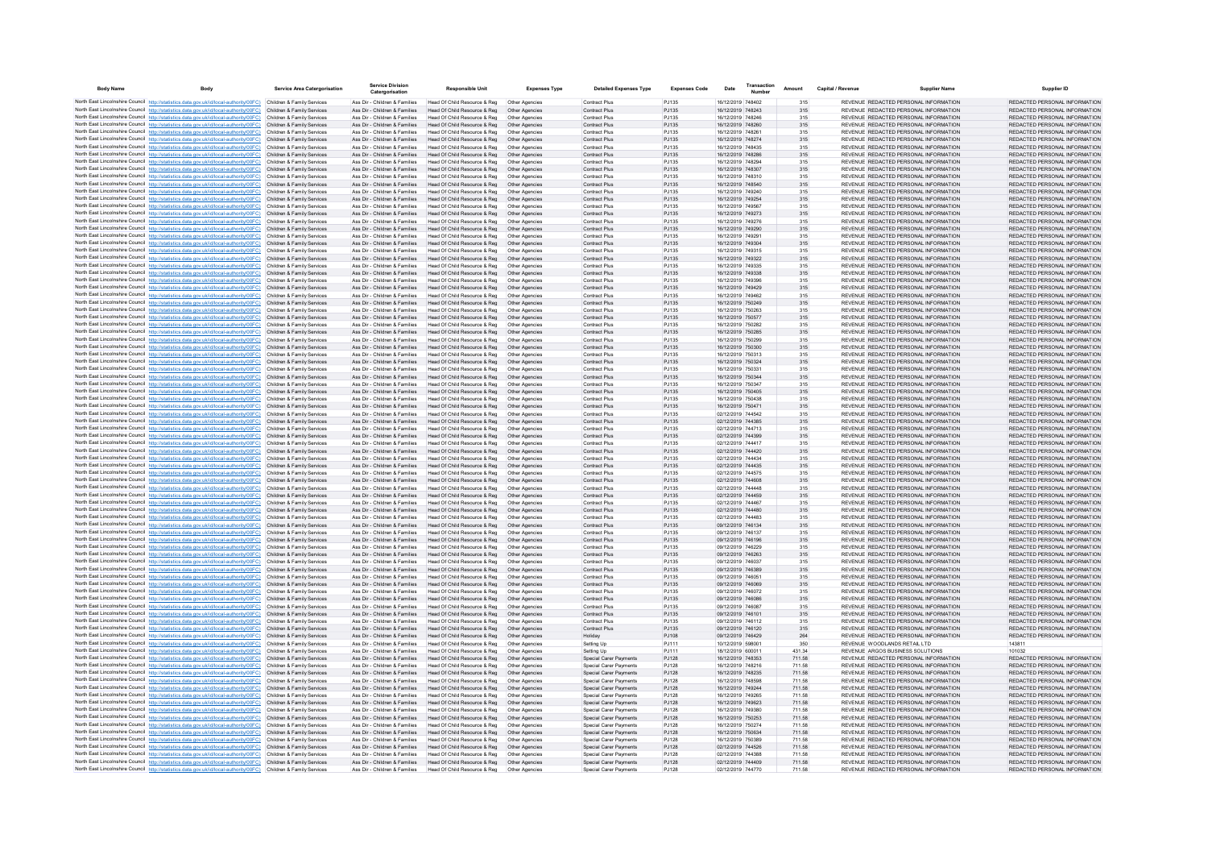| <b>Body Name</b> | Body                                                                                                                                                                                                        | <b>Service Area Catergorisation</b>                      | <b>Service Division</b><br>Catergorisatio                      | <b>Responsible Unit</b>                                       | <b>Expenses Type</b>             | <b>Detailed Expenses Type</b>                           | <b>Expenses Code</b> | Date                                   | Transaction | Amount           | Capital / Revenue | <b>Supplier Name</b>                                                           | <b>Supplier ID</b>                                             |
|------------------|-------------------------------------------------------------------------------------------------------------------------------------------------------------------------------------------------------------|----------------------------------------------------------|----------------------------------------------------------------|---------------------------------------------------------------|----------------------------------|---------------------------------------------------------|----------------------|----------------------------------------|-------------|------------------|-------------------|--------------------------------------------------------------------------------|----------------------------------------------------------------|
|                  | North East Lincolnshire Council http://statistics.data.gov.uk/id/local-authority/00FC) Children & Family Services                                                                                           |                                                          | Ass Dir - Children & Families                                  | Head Of Child Resource & Reg                                  | Other Agencies                   | Contract Plus                                           | PJ135                | 16/12/2019 748402                      |             | 315              |                   | REVENUE REDACTED PERSONAL INFORMATION                                          | REDACTED PERSONAL INFORMATION                                  |
|                  | North East Lincolnshire Council http://statistics.data.gov.uk/id/local-authority/00FC)                                                                                                                      | Children & Family Services                               | Ass Dir - Children & Families                                  | Head Of Child Resource & Reg                                  |                                  | Contract Plus                                           | PJ135                | 16/12/2019 748243                      |             | 315              |                   | REVENUE REDACTED PERSONAL INFORMATION                                          | REDACTED PERSONAL INFORMATION                                  |
|                  | North East Lincolnshire Council http://statistics.data.gov.uk/id/local-authority/00FC)                                                                                                                      | Children & Family Services                               | Ass Dir - Children & Families                                  | Head Of Child Resource & Reg                                  | Other Agencies                   | Contract Plus                                           | PJ135                | 16/12/2019 748246                      |             | 315              |                   | REVENUE REDACTED PERSONAL INFORMATION                                          | REDACTED PERSONAL INFORMATION                                  |
|                  | North East Lincolnshire Council http://statistics.data.gov.uk/id/local-authority/00FC)                                                                                                                      | Children & Family Services                               | Ass Dir - Children & Families                                  | Head Of Child Resource & Reg                                  | Other Agencies                   | <b>Contract Plus</b>                                    | PJ135                | 16/12/2019 748260                      |             | 315              |                   | REVENUE REDACTED PERSONAL INFORMATION                                          | REDACTED PERSONAL INFORMATION                                  |
|                  | North East Lincolnshire Council http://statistics.data.gov.uk/id/local-authority/00FC)                                                                                                                      | Children & Family Services<br>Children & Family Services | Ass Dir - Children & Families                                  | Head Of Child Resource & Reg                                  | Other Agencies                   | Contract Plus                                           | PJ135<br>PJ135       | 16/12/2019 748261<br>16/12/2019 748274 |             | 315              |                   | REVENUE REDACTED PERSONAL INFORMATION<br>REVENUE REDACTED PERSONAL INFORMATION | REDACTED PERSONAL INFORMATION<br>REDACTED PERSONAL INFORMATION |
|                  | North East Lincolnshire Council http://statistics.data.gov.uk/id/local-authority/00FC)<br>North East Lincolnshire Council http://statistics.data.gov.uk/id/local-authority/00FC)                            | Children & Family Services                               | Ass Dir - Children & Families<br>Ass Dir - Children & Families | Head Of Child Resource & Reg<br>Head Of Child Resource & Reg  | Other Agencies<br>Other Agencie  | Contract Plus<br>Contract Plus                          | PJ135                | 16/12/2019 748435                      |             | 315<br>315       |                   | REVENUE REDACTED PERSONAL INFORMATION                                          | REDACTED PERSONAL INFORMATION                                  |
|                  | North East Lincolnshire Council http://statistics.data.gov.uk/id/local-authority/00FC)                                                                                                                      | Children & Family Services                               | Ass Dir - Children & Families                                  | Head Of Child Resource & Reg                                  | Other Agencies                   | <b>Contract Plus</b>                                    | PJ135                | 16/12/2019 748286                      |             | 315              |                   | REVENUE REDACTED PERSONAL INFORMATION                                          | REDACTED PERSONAL INFORMATION                                  |
|                  | North East Lincolnshire Council http://statistics.data.gov.uk/id/local-authority/00FC)                                                                                                                      | Children & Family Services                               | Ass Dir - Children & Families                                  | Head Of Child Resource & Reg                                  | Other Agencies                   | <b>Contract Plus</b>                                    | P.1135               | 16/12/2019 748294                      |             | 315              |                   | REVENUE REDACTED PERSONAL INFORMATION                                          | REDACTED PERSONAL INFORMATION                                  |
|                  | North East Lincolnshire Council http://statistics.data.gov.uk/id/local-authority/00FC)                                                                                                                      | Children & Family Services                               | Ass Dir - Children & Families                                  | Head Of Child Resource & Reg                                  | Other Agencies                   | <b>Contract Plus</b>                                    | PJ135                | 16/12/2019 748307                      |             | 315              |                   | REVENUE REDACTED PERSONAL INFORMATION                                          | REDACTED PERSONAL INFORMATION                                  |
|                  | North East Lincolnshire Council http://statistics.data.gov.uk/id/local-authority/00FC) Children & Family Services<br>North East Lincolnshire Council http://statistics.data.gov.uk/id/local-authority/00FC) | Children & Family Services                               | Ass Dir - Children & Families<br>Ass Dir - Children & Families | Head Of Child Resource & Reg<br>Head Of Child Resource & Reg  | Other Agencie<br>Other Agencies  | Contract Plus<br><b>Contract Plus</b>                   | PJ135<br>PJ135       | 16/12/2019 748310<br>16/12/2019 748540 |             | 315<br>315       |                   | REVENUE REDACTED PERSONAL INFORMATION<br>REVENUE REDACTED PERSONAL INFORMATION | REDACTED PERSONAL INFORMATION<br>REDACTED PERSONAL INFORMATION |
|                  | North East Lincolnshire Council http://statistics.data.gov.uk/id/local-authority/00FC)                                                                                                                      | Children & Family Services                               | Ass Dir - Children & Families                                  | Head Of Child Resource & Reg                                  | Other Agencies                   | <b>Contract Plus</b>                                    | PJ135                | 16/12/2019 749240                      |             | 315              |                   | REVENUE REDACTED PERSONAL INFORMATION                                          | REDACTED PERSONAL INFORMATION                                  |
|                  | North East Lincolnshire Council http://statistics.data.gov.uk/id/local-authority/00FC).                                                                                                                     | Children & Family Services                               | Ass Dir - Children & Families                                  | Head Of Child Resource & Reg                                  | Other Agencies                   | Contract Plus                                           | PJ135                | 16/12/2019 749254                      |             | 315              |                   | REVENUE REDACTED PERSONAL INFORMATION                                          | REDACTED PERSONAL INFORMATION                                  |
|                  | North East Lincolnshire Council http://statistics.data.gov.uk/id/local-authority/00FC)                                                                                                                      | Children & Family Services                               | Ass Dir - Children & Families                                  | Head Of Child Resource & Reg                                  | Other Agencies                   | <b>Contract Plus</b>                                    | PJ135                | 16/12/2019 749567                      |             | 315              |                   | REVENUE REDACTED PERSONAL INFORMATION                                          | REDACTED PERSONAL INFORMATION                                  |
|                  | North East Lincolnshire Council http://statistics.data.gov.uk/id/local-authority/00FC) Children & Family Services                                                                                           |                                                          | Ass Dir - Children & Families                                  | Head Of Child Resource & Reg                                  | Other Agencies                   | <b>Contract Plus</b>                                    | PJ135                | 16/12/2019 749273                      |             | 315              |                   | REVENUE REDACTED PERSONAL INFORMATION                                          | REDACTED PERSONAL INFORMATION                                  |
|                  | North East Lincolnshire Council http://statistics.data.gov.uk/id/local-authority/00FC)<br>North East Lincolnshire Council http://statistics.data.gov.uk/id/local-authority/00FC)                            | Children & Family Services<br>Children & Family Services | Ass Dir - Children & Families<br>Ass Dir - Children & Families | Head Of Child Resource & Reg.<br>Head Of Child Resource & Reg | Other Agencies<br>Other Agencies | <b>Contract Plus</b><br><b>Contract Plus</b>            | PJ135<br>PJ135       | 16/12/2019 749276<br>16/12/2019 749290 |             | 315<br>315       |                   | REVENUE REDACTED PERSONAL INFORMATION<br>REVENUE REDACTED PERSONAL INFORMATION | REDACTED PERSONAL INFORMATION<br>REDACTED PERSONAL INFORMATION |
|                  | North East Lincolnshire Council http://statistics.data.gov.uk/id/local-authority/00FC)                                                                                                                      | Children & Family Services                               | Ass Dir - Children & Families                                  | Head Of Child Resource & Reg                                  | Other Agencies                   | <b>Contract Plus</b>                                    | P.1135               | 16/12/2019 749291                      |             | 315              |                   | REVENUE REDACTED PERSONAL INFORMATION                                          | REDACTED PERSONAL INFORMATION                                  |
|                  | North East Lincolnshire Council http://statistics.data.gov.uk/id/local-authority/00FC)                                                                                                                      | Children & Family Services                               | Ass Dir - Children & Families                                  | Head Of Child Resource & Reg                                  | Other Agencies                   | Contract Plus                                           | PJ135                | 16/12/2019 749304                      |             | 315              |                   | REVENUE REDACTED PERSONAL INFORMATION                                          | REDACTED PERSONAL INFORMATION                                  |
|                  | North East Lincolnshire Council http://statistics.data.gov.uk/id/local-authority/00FC)                                                                                                                      | Children & Family Services                               | Ass Dir - Children & Families                                  | Head Of Child Resource & Reg                                  | Other Agencies                   | Contract Plus                                           | PJ135                | 16/12/2019 749315                      |             | 315              |                   | REVENUE REDACTED PERSONAL INFORMATION                                          | REDACTED PERSONAL INFORMATION                                  |
|                  | North East Lincolnshire Council http://statistics.data.gov.uk/id/local-authority/00FC).                                                                                                                     | Children & Family Services                               | Ass Dir - Children & Families                                  | Head Of Child Resource & Reg.                                 | Other Agencies                   | <b>Contract Plus</b>                                    | PJ135                | 16/12/2019 749322                      |             | 315              |                   | REVENUE REDACTED PERSONAL INFORMATION                                          | REDACTED PERSONAL INFORMATION                                  |
|                  | North East Lincolnshire Council http://statistics.data.gov.uk/id/local-authority/00FC)<br>North East Lincolnshire Council http://statistics.data.gov.uk/id/local-authority/00FC)                            | Children & Family Services<br>Children & Family Services | Ass Dir - Children & Families<br>Ass Dir - Children & Families | Head Of Child Resource & Reg<br>Head Of Child Resource & Reg  | Other Agencies<br>Other Agencies | <b>Contract Plus</b><br>Contract Plus                   | PJ135<br>PJ135       | 16/12/2019 749335<br>16/12/2019 749338 |             | 315<br>315       |                   | REVENUE REDACTED PERSONAL INFORMATION<br>REVENUE REDACTED PERSONAL INFORMATION | REDACTED PERSONAL INFORMATION<br>REDACTED PERSONAL INFORMATION |
|                  | North East Lincolnshire Council http://statistics.data.gov.uk/id/local-authority/00FC)                                                                                                                      | Children & Family Services                               | Ass Dir - Children & Families                                  | Head Of Child Resource & Reg                                  | Other Agencie                    | Contract Plus                                           | PJ135                | 16/12/2019 749396                      |             | 315              |                   | REVENUE REDACTED PERSONAL INFORMATION                                          | REDACTED PERSONAL INFORMATION                                  |
|                  | North East Lincolnshire Council http://statistics.data.gov.uk/id/local-authority/00FC)                                                                                                                      | Children & Family Services                               | Ass Dir - Children & Families                                  | Head Of Child Resource & Reg                                  | Other Agencies                   | <b>Contract Plus</b>                                    | PJ135                | 16/12/2019 749429                      |             | 315              |                   | REVENUE REDACTED PERSONAL INFORMATION                                          | REDACTED PERSONAL INFORMATION                                  |
|                  | North East Lincolnshire Council http://statistics.data.gov.uk/id/local-authority/00FC)                                                                                                                      | Children & Family Services                               | Ass Dir - Children & Families                                  | Head Of Child Resource & Reg                                  | Other Agencies                   | <b>Contract Plus</b>                                    | PJ135                | 16/12/2019 749462                      |             | 315              |                   | REVENUE REDACTED PERSONAL INFORMATION                                          | REDACTED PERSONAL INFORMATION                                  |
|                  | North East Lincolnshire Council http://statistics.data.gov.uk/id/local-authority/00FC)                                                                                                                      | Children & Family Services                               | Ass Dir - Children & Families                                  | Head Of Child Resource & Reg                                  | Other Agencies                   | <b>Contract Plus</b>                                    | PJ135                | 16/12/2019 750249                      |             | 315              |                   | REVENUE REDACTED PERSONAL INFORMATION                                          | REDACTED PERSONAL INFORMATION                                  |
|                  | North East Lincolnshire Council http://statistics.data.gov.uk/id/local-authority/00FC)                                                                                                                      | Children & Family Services                               | Ass Dir - Children & Families<br>Ass Dir - Children & Families | Head Of Child Resource & Reg                                  | Other Agencie                    | <b>Contract Plus</b>                                    | PJ135                | 16/12/2019 750263<br>16/12/2019 750577 |             | 315              |                   | REVENUE REDACTED PERSONAL INFORMATION<br>REVENUE REDACTED PERSONAL INFORMATION | REDACTED PERSONAL INFORMATION<br>REDACTED PERSONAL INFORMATION |
|                  | North East Lincolnshire Council http://statistics.data.gov.uk/id/local-authority/00FC)<br>North East Lincolnshire Council http://statistics.data.gov.uk/id/local-authority/00FC)                            | Children & Family Services<br>Children & Family Services | Ass Dir - Children & Families                                  | Head Of Child Resource & Reg<br>Head Of Child Resource & Reg  | Other Agencies<br>Other Agencies | <b>Contract Plus</b><br><b>Contract Plus</b>            | PJ135<br>PJ135       | 16/12/2019 750282                      |             | 315<br>315       |                   | REVENUE REDACTED PERSONAL INFORMATION                                          | REDACTED PERSONAL INFORMATION                                  |
|                  | North East Lincolnshire Council http://statistics.data.gov.uk/id/local-authority/00FC)                                                                                                                      | Children & Family Services                               | Ass Dir - Children & Families                                  | Head Of Child Resource & Reg                                  | Other Agencies                   | <b>Contract Plus</b>                                    | PJ135                | 16/12/2019 750285                      |             | 315              |                   | REVENUE REDACTED PERSONAL INFORMATION                                          | REDACTED PERSONAL INFORMATION                                  |
|                  | North East Lincolnshire Council http://statistics.data.gov.uk/id/local-authority/00FC)                                                                                                                      | Children & Family Services                               | Ass Dir - Children & Families                                  | Head Of Child Resource & Reg                                  | Other Agencies                   | Contract Plus                                           | PJ135                | 16/12/2019 750299                      |             | 315              |                   | REVENUE REDACTED PERSONAL INFORMATION                                          | REDACTED PERSONAL INFORMATION                                  |
|                  | North East Lincolnshire Council http://statistics.data.gov.uk/id/local-authority/00FC)                                                                                                                      | Children & Family Services                               | Ass Dir - Children & Families                                  | Head Of Child Resource & Reg                                  | Other Agencies                   | <b>Contract Plus</b>                                    | PJ135                | 16/12/2019 750300                      |             | 315              |                   | REVENUE REDACTED PERSONAL INFORMATION                                          | REDACTED PERSONAL INFORMATION                                  |
|                  | North East Lincolnshire Council http://statistics.data.gov.uk/id/local-authority/00FC)                                                                                                                      | Children & Family Services                               | Ass Dir - Children & Families                                  | Head Of Child Resource & Reg                                  | Other Agencies                   | <b>Contract Plus</b>                                    | PJ135                | 16/12/2019 750313                      |             | 315              |                   | REVENUE REDACTED PERSONAL INFORMATION                                          | REDACTED PERSONAL INFORMATION                                  |
|                  | North East Lincolnshire Council http://statistics.data.gov.uk/id/local-authority/00FC)<br>North East Lincolnshire Council http://statistics.data.gov.uk/id/local-authority/00FC)                            | Children & Family Services<br>Children & Family Services | Ass Dir - Children & Families<br>Ass Dir - Children & Families | Head Of Child Resource & Reg<br>Head Of Child Resource & Reg  | Other Agencies<br>Other Agencies | <b>Contract Plus</b><br><b>Contract Plus</b>            | PJ135<br>P.1135      | 16/12/2019 750324<br>16/12/2019 750331 |             | 315<br>315       |                   | REVENUE REDACTED PERSONAL INFORMATION<br>REVENUE REDACTED PERSONAL INFORMATION | REDACTED PERSONAL INFORMATION<br>REDACTED PERSONAL INFORMATION |
|                  | North East Lincolnshire Council http://statistics.data.gov.uk/id/local-authority/00FC)                                                                                                                      | Children & Family Services                               | Ass Dir - Children & Families                                  | Head Of Child Resource & Reg                                  | Other Agencies                   | <b>Contract Plus</b>                                    | PJ135                | 16/12/2019 750344                      |             | 315              |                   | REVENUE REDACTED PERSONAL INFORMATION                                          | REDACTED PERSONAL INFORMATION                                  |
|                  | North East Lincolnshire Council http://statistics.data.gov.uk/id/local-authority/00FC)                                                                                                                      | Children & Family Services                               | Ass Dir - Children & Families                                  | Head Of Child Resource & Reg                                  | Other Agencies                   | Contract Plus                                           | PJ135                | 16/12/2019 750347                      |             | 315              |                   | REVENUE REDACTED PERSONAL INFORMATION                                          | REDACTED PERSONAL INFORMATION                                  |
|                  | North East Lincolnshire Council http://statistics.data.gov.uk/id/local-authority/00FC)                                                                                                                      | Children & Family Services                               | Ass Dir - Children & Families                                  | Head Of Child Resource & Reg                                  | Other Agencies                   | <b>Contract Plus</b>                                    | PJ135                | 16/12/2019 750405                      |             | 315              |                   | REVENUE REDACTED PERSONAL INFORMATION                                          | REDACTED PERSONAL INFORMATION                                  |
|                  | North East Lincolnshire Council http://statistics.data.gov.uk/id/local-authority/00FC)                                                                                                                      | Children & Family Services                               | Ass Dir - Children & Families                                  | Head Of Child Resource & Reg                                  | Other Agencies                   | <b>Contract Plus</b>                                    | PJ135                | 16/12/2019 750438                      |             | 315              |                   | REVENUE REDACTED PERSONAL INFORMATION                                          | REDACTED PERSONAL INFORMATION                                  |
|                  | North East Lincolnshire Council http://statistics.data.gov.uk/id/local-authority/00FC)<br>North East Lincolnshire Council http://statistics.data.gov.uk/id/local-authority/00FC)                            | Children & Family Services<br>Children & Family Services | Ass Dir - Children & Families<br>Ass Dir - Children & Families | Head Of Child Resource & Reg<br>Head Of Child Resource & Reg  | Other Agencies<br>Other Agencie  | Contract Plus<br>Contract Plus                          | PJ135<br>PJ135       | 16/12/2019 750471<br>02/12/2019 744542 |             | 315<br>315       |                   | REVENUE REDACTED PERSONAL INFORMATION<br>REVENUE REDACTED PERSONAL INFORMATION | REDACTED PERSONAL INFORMATION<br>REDACTED PERSONAL INFORMATION |
|                  | North East Lincolnshire Council http://statistics.data.gov.uk/id/local-authority/00FC)                                                                                                                      | Children & Family Services                               | Ass Dir - Children & Families                                  | Head Of Child Resource & Reg                                  | Other Agencies                   | <b>Contract Plus</b>                                    | PJ135                | 02/12/2019 744385                      |             | 315              |                   | REVENUE REDACTED PERSONAL INFORMATION                                          | REDACTED PERSONAL INFORMATION                                  |
|                  | North East Lincolnshire Council http://statistics.data.gov.uk/id/local-authority/00FC)                                                                                                                      | Children & Family Services                               | Ass Dir - Children & Families                                  | Head Of Child Resource & Reg                                  | Other Agencies                   | <b>Contract Plus</b>                                    | PJ135                | 02/12/2019 744713                      |             | 315              |                   | REVENUE REDACTED PERSONAL INFORMATION                                          | REDACTED PERSONAL INFORMATION                                  |
|                  | North East Lincolnshire Council http://statistics.data.gov.uk/id/local-authority/00FC)                                                                                                                      | Children & Family Services                               | Ass Dir - Children & Families                                  | Head Of Child Resource & Reg                                  | Other Agencies                   | <b>Contract Plus</b>                                    | PJ135                | 02/12/2019 744399                      |             | 315              |                   | REVENUE REDACTED PERSONAL INFORMATION                                          | REDACTED PERSONAL INFORMATION                                  |
|                  | North East Lincolnshire Council http://statistics.data.gov.uk/id/local-authority/00FC)                                                                                                                      | Children & Family Services                               | Ass Dir - Children & Families                                  | Head Of Child Resource & Reg                                  | Other Agencies                   | <b>Contract Plus</b>                                    | PJ135                | 02/12/2019 744417                      |             | 315              |                   | REVENUE REDACTED PERSONAL INFORMATION                                          | REDACTED PERSONAL INFORMATION                                  |
|                  | North East Lincolnshire Council http://statistics.data.gov.uk/id/local-authority/00FC)                                                                                                                      | Children & Family Services<br>Children & Family Services | Ass Dir - Children & Families<br>Ass Dir - Children & Families | Head Of Child Resource & Reg<br>Head Of Child Resource & Reg  | Other Agencies                   | Contract Plus<br>Contract Plus                          | PJ135<br>PJ135       | 02/12/2019 744420<br>02/12/2019 744434 |             | 315<br>315       |                   | REVENUE REDACTED PERSONAL INFORMATION<br>REVENUE REDACTED PERSONAL INFORMATION | REDACTED PERSONAL INFORMATION<br>REDACTED PERSONAL INFORMATION |
|                  | North East Lincolnshire Council http://statistics.data.gov.uk/id/local-authority/00FC)<br>North East Lincolnshire Council http://statistics.data.gov.uk/id/local-authority/00FC)                            | Children & Family Services                               | Ass Dir - Children & Families                                  | Head Of Child Resource & Reg                                  | Other Agencies<br>Other Agencies | <b>Contract Plus</b>                                    | PJ135                | 02/12/2019 744435                      |             | 315              |                   | REVENUE REDACTED PERSONAL INFORMATION                                          | REDACTED PERSONAL INFORMATION                                  |
|                  | North East Lincolnshire Council http://statistics.data.gov.uk/id/local-authority/00FC)                                                                                                                      | Children & Family Services                               | Ass Dir - Children & Families                                  | Head Of Child Resource & Reg                                  | Other Agencies                   | Contract Plus                                           | PJ135                | 02/12/2019 744575                      |             | 315              |                   | REVENUE REDACTED PERSONAL INFORMATION                                          | REDACTED PERSONAL INFORMATION                                  |
|                  | North East Lincolnshire Council http://statistics.data.gov.uk/id/local-authority/00FC)                                                                                                                      | Children & Family Services                               | Ass Dir - Children & Families                                  | Head Of Child Resource & Reg                                  | Other Agencies                   | Contract Plus                                           | PJ135                | 02/12/2019 744608                      |             | 315              |                   | REVENUE REDACTED PERSONAL INFORMATION                                          | REDACTED PERSONAL INFORMATION                                  |
|                  | North East Lincolnshire Council http://statistics.data.gov.uk/id/local-authority/00FC)                                                                                                                      | Children & Family Services                               | Ass Dir - Children & Families                                  | Head Of Child Resource & Reg                                  | Other Agencies                   | Contract Plus                                           | PJ135                | 02/12/2019 744448                      |             | 315              |                   | REVENUE REDACTED PERSONAL INFORMATION                                          | REDACTED PERSONAL INFORMATION                                  |
|                  | North East Lincolnshire Council http://statistics.data.gov.uk/id/local-authority/00FC)<br>North East Lincolnshire Council http://statistics.data.gov.uk/id/local-authority/00FC)                            | Children & Family Services<br>Children & Family Services | Ass Dir - Children & Families<br>Ass Dir - Children & Families | Head Of Child Resource & Reg                                  | Other Agencies<br>Other Agencies | <b>Contract Plus</b><br><b>Contract Plus</b>            | PJ135<br>PJ135       | 02/12/2019 744459<br>02/12/2019 744467 |             | 315              |                   | REVENUE REDACTED PERSONAL INFORMATION<br>REVENUE REDACTED PERSONAL INFORMATION | REDACTED PERSONAL INFORMATION<br>REDACTED PERSONAL INFORMATION |
|                  | North East Lincolnshire Council http://statistics.data.gov.uk/id/local-authority/00FC)                                                                                                                      | Children & Family Services                               | Ass Dir - Children & Families                                  | Head Of Child Resource & Reg<br>Head Of Child Resource & Reg  | Other Agencies                   | <b>Contract Plus</b>                                    | PJ135                | 02/12/2019 744480                      |             | 315<br>315       |                   | REVENUE REDACTED PERSONAL INFORMATION                                          | REDACTED PERSONAL INFORMATION                                  |
|                  | North East Lincolnshire Council http://statistics.data.gov.uk/id/local-authority/00FC)                                                                                                                      | Children & Family Services                               | Ass Dir - Children & Families                                  | Head Of Child Resource & Reg                                  | Other Agencie                    | Contract Plus                                           | PJ135                | 02/12/2019 744483                      |             | 315              |                   | REVENUE REDACTED PERSONAL INFORMATION                                          | REDACTED PERSONAL INFORMATION                                  |
|                  | North East Lincolnshire Council http://statistics.data.gov.uk/id/local-authority/00FC)                                                                                                                      | Children & Family Services                               | Ass Dir - Children & Families                                  | Head Of Child Resource & Reg                                  | Other Agencies                   | <b>Contract Plus</b>                                    | PJ135                | 09/12/2019 746134                      |             | 315              |                   | REVENUE REDACTED PERSONAL INFORMATION                                          | REDACTED PERSONAL INFORMATION                                  |
|                  | North East Lincolnshire Council http://statistics.data.gov.uk/id/local-authority/00FC)                                                                                                                      | Children & Family Services                               | Ass Dir - Children & Families                                  | Head Of Child Resource & Reg                                  | Other Agencies                   | <b>Contract Plus</b>                                    | PJ135                | 09/12/2019 746137                      |             | 315              |                   | REVENUE REDACTED PERSONAL INFORMATION                                          | REDACTED PERSONAL INFORMATION                                  |
|                  | North East Lincolnshire Council http://statistics.data.gov.uk/id/local-authority/00FC).<br>North East Lincolnshire Council http://statistics.data.gov.uk/id/local-authority/00FC)                           | Children & Family Services<br>Children & Family Services | Ass Dir - Children & Families<br>Ass Dir - Children & Families | Head Of Child Resource & Reg<br>Head Of Child Resource & Reg  | Other Agencies<br>Other Agencies | Contract Plus<br><b>Contract Plus</b>                   | PJ135<br>PJ135       | 09/12/2019 746196<br>09/12/2019 746229 |             | 315              |                   | REVENUE REDACTED PERSONAL INFORMATION<br>REVENUE REDACTED PERSONAL INFORMATION | REDACTED PERSONAL INFORMATION<br>REDACTED PERSONAL INFORMATION |
|                  | North East Lincolnshire Council http://statistics.data.gov.uk/id/local-authority/00FC)                                                                                                                      | Children & Family Services                               | Ass Dir - Children & Families                                  | Head Of Child Resource & Reg                                  | Other Agencies                   | <b>Contract Plus</b>                                    | PJ135                | 09/12/2019 746263                      |             | 315<br>315       |                   | REVENUE REDACTED PERSONAL INFORMATION                                          | REDACTED PERSONAL INFORMATION                                  |
|                  | North East Lincolnshire Council http://statistics.data.gov.uk/id/local-authority/00FC)                                                                                                                      | Children & Family Services                               | Ass Dir - Children & Families                                  | Head Of Child Resource & Reg.                                 | Other Agencies                   | <b>Contract Plus</b>                                    | PJ135                | 09/12/2019 746037                      |             | 315              |                   | REVENUE REDACTED PERSONAL INFORMATION                                          | REDACTED PERSONAL INFORMATION                                  |
|                  | North East Lincolnshire Council http://statistics.data.gov.uk/id/local-authority/00FC)                                                                                                                      | Children & Family Services                               | Ass Dir - Children & Families                                  | Head Of Child Resource & Reg                                  | Other Agencies                   | <b>Contract Plus</b>                                    | PJ135                | 09/12/2019 746389                      |             | 315              |                   | REVENUE REDACTED PERSONAL INFORMATION                                          | REDACTED PERSONAL INFORMATION                                  |
|                  | North East Lincolnshire Council http://statistics.data.gov.uk/id/local-authority/00FC)                                                                                                                      | Children & Family Services                               | Ass Dir - Children & Families                                  | Head Of Child Resource & Reg                                  | Other Agencies                   | <b>Contract Plus</b>                                    | PJ135                | 09/12/2019 746051                      |             | 315              |                   | REVENUE REDACTED PERSONAL INFORMATION                                          | REDACTED PERSONAL INFORMATION                                  |
|                  | North East Lincolnshire Council http://statistics.data.gov.uk/id/local-authority/00FC)                                                                                                                      | Children & Family Services<br>Children & Family Services | Ass Dir - Children & Families<br>Ass Dir - Children & Families | Head Of Child Resource & Reg                                  | Other Agencies                   | Contract Plus                                           | PJ135                | 09/12/2019 746069<br>09/12/2019 746072 |             | 315              |                   | REVENUE REDACTED PERSONAL INFORMATION<br>REVENUE REDACTED PERSONAL INFORMATION | REDACTED PERSONAL INFORMATION<br>REDACTED PERSONAL INFORMATION |
|                  | North East Lincolnshire Council http://statistics.data.gov.uk/id/local-authority/00FC)<br>North East Lincolnshire Council http://statistics.data.gov.uk/id/local-authority/00FC)                            | Children & Family Services                               | Ass Dir - Children & Families                                  | Head Of Child Resource & Reg<br>Head Of Child Resource & Reg. | Other Agencies<br>Other Agencies | Contract Plus<br><b>Contract Plus</b>                   | PJ135<br>PJ135       | 09/12/2019 746086                      |             | 315<br>315       |                   | REVENUE REDACTED PERSONAL INFORMATION                                          | REDACTED PERSONAL INFORMATION                                  |
|                  | North East Lincolnshire Council http://statistics.data.gov.uk/id/local-authority/00FC)                                                                                                                      | Children & Family Services                               | Ass Dir - Children & Families                                  | Head Of Child Resource & Reg                                  | Other Agencies                   | Contract Plus                                           | PJ135                | 09/12/2019 746087                      |             | 315              |                   | REVENUE REDACTED PERSONAL INFORMATION                                          | REDACTED PERSONAL INFORMATION                                  |
|                  | North East Lincolnshire Council http://statistics.data.gov.uk/id/local-authority/00FC)                                                                                                                      | Children & Family Services                               | Ass Dir - Children & Families                                  | Head Of Child Resource & Reg                                  | Other Agencies                   | Contract Plus                                           | PJ135                | 09/12/2019 746101                      |             | 315              |                   | REVENUE REDACTED PERSONAL INFORMATION                                          | REDACTED PERSONAL INFORMATION                                  |
|                  | North East Lincolnshire Council http://statistics.data.gov.uk/id/local-authority/00FC)                                                                                                                      | Children & Family Services                               | Ass Dir - Children & Families                                  | Head Of Child Resource & Reg                                  | Other Agencie                    | Contract Plus                                           | PJ135                | 09/12/2019 746112                      |             | 315              |                   | REVENUE REDACTED PERSONAL INFORMATION                                          | REDACTED PERSONAL INFORMATION                                  |
|                  | North East Lincolnshire Council http://statistics.data.gov.uk/id/local-authority/00FC)                                                                                                                      | Children & Family Services                               | Ass Dir - Children & Families                                  | Head Of Child Resource & Reg                                  | Other Agencies                   | <b>Contract Plus</b>                                    | PJ135                | 09/12/2019 746120                      |             | 315              |                   | REVENUE REDACTED PERSONAL INFORMATION                                          | REDACTED PERSONAL INFORMATION                                  |
|                  | North East Lincolnshire Council http://statistics.data.gov.uk/id/local-authority/00FC)<br>North East Lincolnshire Council http://statistics.data.gov.uk/id/local-authority/00FC)                            | Children & Family Services<br>Children & Family Services | Ass Dir - Children & Families<br>Ass Dir - Children & Families | Head Of Child Resource & Reg.<br>Head Of Child Resource & Reg | Other Agencies<br>Other Agencies | Holiday<br>Setting Up                                   | PJ108<br>PJ111       | 09/12/2019 746429<br>10/12/2019 598001 |             | 264<br>350       |                   | REVENUE REDACTED PERSONAL INFORMATION<br>REVENUE WOODLANDS RETAIL LTD          | REDACTED PERSONAL INFORMATION<br>143811                        |
|                  | North East Lincolnshire Council http://statistics.data.gov.uk/id/local-authority/00FC)                                                                                                                      | Children & Family Services                               | Ass Dir - Children & Families                                  | Head Of Child Resource & Reg                                  | Other Agencie                    | Setting Up                                              | PJ111                | 18/12/2019 600011                      |             | 431.34           |                   | REVENUE ARGOS BUSINESS SOLUTIONS                                               | 101032                                                         |
|                  | North East Lincolnshire Council http://statistics.data.gov.uk/id/local-authority/00FC)                                                                                                                      | Children & Family Services                               | Ass Dir - Children & Families                                  | Head Of Child Resource & Reg                                  | Other Agencies                   | Special Carer Payments                                  | PJ128                | 16/12/2019 748353                      |             | 711.58           |                   | REVENUE REDACTED PERSONAL INFORMATION                                          | REDACTED PERSONAL INFORMATION                                  |
|                  | North East Lincolnshire Council http://statistics.data.gov.uk/id/local-authority/00FC).                                                                                                                     | Children & Family Services                               | Ass Dir - Children & Families                                  | Head Of Child Resource & Reg                                  | Other Agencies                   | Special Carer Payments                                  | PJ128                | 16/12/2019 748216                      |             | 711.58           |                   | REVENUE REDACTED PERSONAL INFORMATION                                          | REDACTED PERSONAL INFORMATION                                  |
|                  | North East Lincolnshire Council http://statistics.data.gov.uk/id/local-authority/00FC)                                                                                                                      | Children & Family Services                               | Ass Dir - Children & Families                                  | Head Of Child Resource & Reg                                  | Other Agencies                   | <b>Special Carer Payments</b>                           | PJ128                | 16/12/2019 748235                      |             | 711.58           |                   | REVENUE REDACTED PERSONAL INFORMATION                                          | REDACTED PERSONAL INFORMATION                                  |
|                  | North East Lincolnshire Council http://statistics.data.gov.uk/id/local-authority/00FC)<br>North East Lincolnshire Council http://statistics.data.gov.uk/id/local-authority/00FC)                            | Children & Family Services<br>Children & Family Services | Ass Dir - Children & Families<br>Ass Dir - Children & Families | Head Of Child Resource & Reg<br>Head Of Child Resource & Reg  | Other Agencies<br>Other Agencies | Special Carer Payments<br><b>Special Carer Payments</b> | PJ128<br>PJ128       | 16/12/2019 748598<br>16/12/2019 749244 |             | 711.58<br>711.58 |                   | REVENUE REDACTED PERSONAL INFORMATION<br>REVENUE REDACTED PERSONAL INFORMATION | REDACTED PERSONAL INFORMATION<br>REDACTED PERSONAL INFORMATION |
|                  | North East Lincolnshire Council http://statistics.data.gov.uk/id/local-authority/00FC)                                                                                                                      | Children & Family Services                               | Ass Dir - Children & Families                                  | Head Of Child Resource & Reg                                  | Other Agencies                   | Special Carer Payments                                  | PJ128                | 16/12/2019 749265                      |             | 711.58           |                   | REVENUE REDACTED PERSONAL INFORMATION                                          | REDACTED PERSONAL INFORMATION                                  |
|                  | North East Lincolnshire Council http://statistics.data.gov.uk/id/local-authority/00FC).                                                                                                                     | Children & Family Services                               | Ass Dir - Children & Families                                  | Head Of Child Resource & Reg                                  | Other Agencies                   | Special Carer Payments                                  | PJ128                | 16/12/2019 749623                      |             | 711.58           |                   | REVENUE REDACTED PERSONAL INFORMATION                                          | REDACTED PERSONAL INFORMATION                                  |
|                  | North East Lincolnshire Council http://statistics.data.gov.uk/id/local-authority/00FC)                                                                                                                      | Children & Family Services                               | Ass Dir - Children & Families                                  | Head Of Child Resource & Reg                                  | Other Agencies                   | Special Carer Payments                                  | PJ128                | 16/12/2019 749380                      |             | 711.58           |                   | REVENUE REDACTED PERSONAL INFORMATION                                          | REDACTED PERSONAL INFORMATION                                  |
|                  | North East Lincolnshire Council http://statistics.data.gov.uk/id/local-authority/00FC)                                                                                                                      | Children & Family Services                               | Ass Dir - Children & Families                                  | Head Of Child Resource & Reg                                  | Other Agencies                   | <b>Special Carer Payments</b>                           | PJ128                | 16/12/2019 750253                      |             | 711.58           |                   | REVENUE REDACTED PERSONAL INFORMATION                                          | REDACTED PERSONAL INFORMATION                                  |
|                  | North East Lincolnshire Council http://statistics.data.gov.uk/id/local-authority/00FC)<br>North East Lincolnshire Council http://statistics.data.gov.uk/id/local-authority/00FC).                           | Children & Family Services<br>Children & Family Services | Ass Dir - Children & Families<br>Ass Dir - Children & Families | Head Of Child Resource & Reg<br>Head Of Child Resource & Reg. | Other Agencies<br>Other Agencies | <b>Special Carer Payments</b><br>Special Carer Payments | PJ128<br>PJ128       | 16/12/2019 750274<br>16/12/2019 750634 |             | 711.58<br>711.58 |                   | REVENUE REDACTED PERSONAL INFORMATION<br>REVENUE REDACTED PERSONAL INFORMATION | REDACTED PERSONAL INFORMATION<br>REDACTED PERSONAL INFORMATION |
|                  | North East Lincolnshire Council http://statistics.data.gov.uk/id/local-authority/00FC)                                                                                                                      | Children & Family Services                               | Ass Dir - Children & Families                                  | Head Of Child Resource & Reg.                                 | Other Agencies                   | Special Carer Payments                                  | PJ128                | 16/12/2019 750389                      |             | 711.58           |                   | REVENUE REDACTED PERSONAL INFORMATION                                          | REDACTED PERSONAL INFORMATION                                  |
|                  | North East Lincolnshire Council http://statistics.data.gov.uk/id/local-authority/00FC)                                                                                                                      | Children & Family Services                               | Ass Dir - Children & Families                                  | Head Of Child Resource & Reg                                  | Other Agencies                   | Special Carer Payments                                  | PJ128                | 02/12/2019 744526                      |             | 711.58           |                   | REVENUE REDACTED PERSONAL INFORMATION                                          | REDACTED PERSONAL INFORMATION                                  |
|                  | North East Lincolnshire Council http://statistics.data.gov.uk/id/local-authority/00FC)                                                                                                                      | Children & Family Services                               | Ass Dir - Children & Families                                  | Head Of Child Resource & Reg                                  |                                  | Special Carer Payment                                   | PJ128                | 02/12/2019 744388                      |             | 711.58           |                   | REVENUE REDACTED PERSONAL INFORMATION                                          | REDACTED PERSONAL INFORMATION                                  |
|                  | North East Lincolnshire Council http://statistics.data.gov.uk/id/local-authority/00FC) Children & Family Services                                                                                           |                                                          | Ass Dir - Children & Families                                  | Head Of Child Resource & Reg                                  | Other Agencies                   | Special Carer Payments                                  | PJ128                | 02/12/2019 744409                      |             | 711.58           |                   | REVENUE REDACTED PERSONAL INFORMATION                                          | REDACTED PERSONAL INFORMATION                                  |
|                  | North East Lincolnshire Council http://statistics.data.gov.uk/id/local-authority/00FC)                                                                                                                      | Children & Family Services                               | Ass Dir - Children & Families                                  | Head Of Child Resource & Reg                                  | Other Agencies                   | Special Carer Payments                                  | PJ128                | 02/12/2019 744770                      |             | 711.58           |                   | REVENUE REDACTED PERSONAL INFORMATION                                          | REDACTED PERSONAL INFORMATION                                  |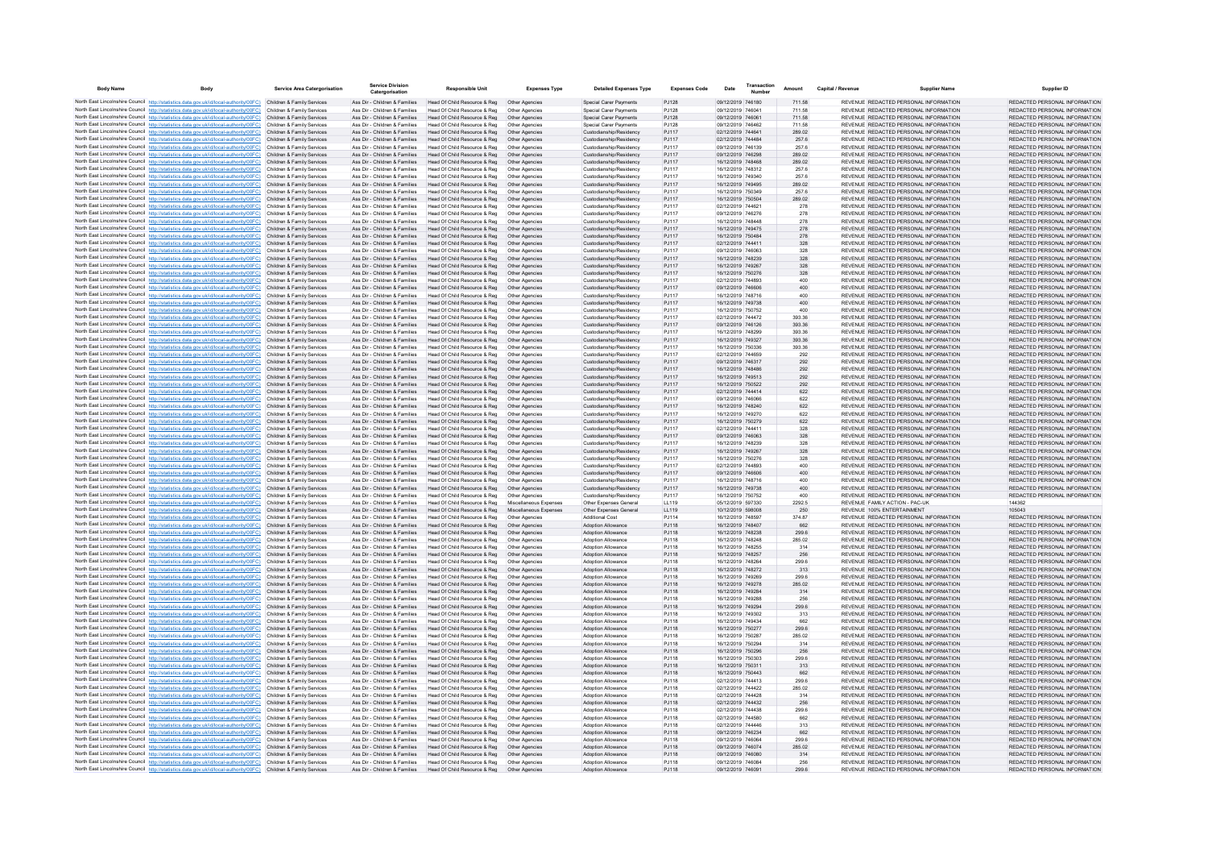| <b>Body Name</b> | Body                                                                                                                                                                                                        | <b>Service Area Catergorisation</b>                      | <b>Service Division</b>                                        | <b>Responsible Unit</b>                                       | <b>Expenses Type</b>                     | <b>Detailed Expenses Type</b>                          | <b>Expenses Code</b> | Date                                   | Transaction | Amount           | <b>Capital / Revenue</b> | <b>Supplier Name</b>                                                           | <b>Supplier ID</b>                                             |
|------------------|-------------------------------------------------------------------------------------------------------------------------------------------------------------------------------------------------------------|----------------------------------------------------------|----------------------------------------------------------------|---------------------------------------------------------------|------------------------------------------|--------------------------------------------------------|----------------------|----------------------------------------|-------------|------------------|--------------------------|--------------------------------------------------------------------------------|----------------------------------------------------------------|
|                  | North East Lincolnshire Council http://statistics.data.gov.uk/id/local-authority/00FC) Children & Family Services                                                                                           |                                                          | Ass Dir - Children & Families                                  | Head Of Child Resource & Reg   Other Agencies                 |                                          | <b>Special Carer Payments</b>                          | PJ128                | 09/12/2019 746180                      |             | 711.58           |                          | REVENUE REDACTED PERSONAL INFORMATION                                          | REDACTED PERSONAL INFORMATION                                  |
|                  | North East Lincolnshire Council http://statistics.data.gov.uk/id/local-authority/00FC)                                                                                                                      | Children & Family Services                               | Ass Dir - Children & Families                                  | Head Of Child Resource & Reg                                  | Other Agencie                            | Special Carer Payments                                 | <b>PJ128</b>         | 09/12/2019 746041                      |             | 711.58           |                          | REVENUE REDACTED PERSONAL INFORMATION                                          | REDACTED PERSONAL INFORMATION                                  |
|                  | North East Lincolnshire Council http://statistics.data.gov.uk/id/local-authority/00FC) Children & Family Services                                                                                           |                                                          | Ass Dir - Children & Families                                  | Head Of Child Resource & Reg                                  | Other Agencies                           | Special Carer Payments                                 | PJ128                | 09/12/2019 746061                      |             | 711.58           |                          | REVENUE REDACTED PERSONAL INFORMATION                                          | REDACTED PERSONAL INFORMATION                                  |
|                  | North East Lincolnshire Council http://statistics.data.gov.uk/id/local-authority/00FC)                                                                                                                      | Children & Family Services                               | Ass Dir - Children & Families                                  | Head Of Child Resource & Reg                                  | Other Agencies                           | Special Carer Payments                                 | PJ128                | 09/12/2019 746462                      |             | 711.58           |                          | REVENUE REDACTED PERSONAL INFORMATION                                          | REDACTED PERSONAL INFORMATION                                  |
|                  | North East Lincolnshire Council http://statistics.data.gov.uk/id/local-authority/00FC)                                                                                                                      | Children & Family Services                               | Ass Dir - Children & Families                                  | Head Of Child Resource & Reg                                  | Other Agencies                           | Custodianship/Residency                                | PJ117                | 02/12/2019 744641                      |             | 289.02           |                          | REVENUE REDACTED PERSONAL INFORMATION                                          | REDACTED PERSONAL INFORMATION                                  |
|                  | North East Lincolnshire Council http://statistics.data.gov.uk/id/local-authority/00FC)<br>North East Lincolnshire Council http://statistics.data.gov.uk/id/local-authority/00FC)                            | Children & Family Services<br>Children & Family Services | Ass Dir - Children & Families<br>Ass Dir - Children & Families | Head Of Child Resource & Reg<br>Head Of Child Resource & Reg  | Other Agencies<br>Other Agencies         | Custodianship/Residency<br>Custodianship/Residency     | PJ117<br>PJ117       | 02/12/2019 744484<br>09/12/2019 746139 |             | 257.6<br>257.6   |                          | REVENUE REDACTED PERSONAL INFORMATION<br>REVENUE REDACTED PERSONAL INFORMATION | REDACTED PERSONAL INFORMATION<br>REDACTED PERSONAL INFORMATION |
|                  | North East Lincolnshire Council http://statistics.data.gov.uk/id/local-authority/00FC)                                                                                                                      | Children & Family Services                               | Ass Dir - Children & Families                                  | Head Of Child Resource & Reg                                  | Other Agencies                           | Custodianship/Residency                                | PJ117                | 09/12/2019 746298                      |             | 289.02           |                          | REVENUE REDACTED PERSONAL INFORMATION                                          | REDACTED PERSONAL INFORMATION                                  |
|                  | North East Lincolnshire Council http://statistics.data.gov.uk/id/local-authority/00FC)                                                                                                                      | Children & Family Services                               | Ass Dir - Children & Families                                  | Head Of Child Resource & Reg.                                 | Other Agencies                           | Custodianship/Residency                                | PJ117                | 16/12/2019 748468                      |             | 289.02           |                          | REVENUE REDACTED PERSONAL INFORMATION                                          | REDACTED PERSONAL INFORMATION                                  |
|                  | North East Lincolnshire Council http://statistics.data.gov.uk/id/local-authority/00FC)                                                                                                                      | Children & Family Services                               | Ass Dir - Children & Families                                  | Head Of Child Resource & Reg                                  | Other Agencies                           | Custodianship/Residency                                | PJ117                | 16/12/2019 748312                      |             | 257.6            |                          | REVENUE REDACTED PERSONAL INFORMATION                                          | REDACTED PERSONAL INFORMATION                                  |
|                  | North East Lincolnshire Council http://statistics.data.gov.uk/id/local-authority/00FC) Children & Family Services                                                                                           |                                                          | Ass Dir - Children & Families                                  | Head Of Child Resource & Reg                                  | Other Agencies                           | Custodianship/Residency                                | PJ117                | 16/12/2019 749340                      |             | 257.6            |                          | REVENUE REDACTED PERSONAL INFORMATION                                          | REDACTED PERSONAL INFORMATION                                  |
|                  | North East Lincolnshire Council http://statistics.data.gov.uk/id/local-authority/00FC)                                                                                                                      | Children & Family Services                               | Ass Dir - Children & Families                                  | Head Of Child Resource & Reg                                  | Other Agencies                           | Custodianship/Residency                                | PJ117                | 16/12/2019 749495                      |             | 289.02           |                          | REVENUE REDACTED PERSONAL INFORMATION                                          | REDACTED PERSONAL INFORMATION                                  |
|                  | North East Lincolnshire Council http://statistics.data.gov.uk/id/local-authority/00FC)                                                                                                                      | Children & Family Services                               | Ass Dir - Children & Families                                  | Head Of Child Resource & Reg                                  | Other Agencies                           | Custodianship/Residency                                | PJ117                | 16/12/2019 750349                      |             | 257.6            |                          | REVENUE REDACTED PERSONAL INFORMATION                                          | REDACTED PERSONAL INFORMATION                                  |
|                  | North East Lincolnshire Council http://statistics.data.gov.uk/id/local-authority/00FC).<br>North East Lincolnshire Council http://statistics.data.gov.uk/id/local-authority/00FC)                           | Children & Family Services<br>Children & Family Services | Ass Dir - Children & Families<br>Ass Dir - Children & Families | Head Of Child Resource & Reg<br>Head Of Child Resource & Reg  | Other Agencies<br>Other Agencies         | Custodianship/Residency<br>Custodianship/Residency     | PJ117<br>PJ117       | 16/12/2019 750504<br>02/12/2019 744621 |             | 289.02<br>278    |                          | REVENUE REDACTED PERSONAL INFORMATION<br>REVENUE REDACTED PERSONAL INFORMATION | REDACTED PERSONAL INFORMATION<br>REDACTED PERSONAL INFORMATION |
|                  | North East Lincolnshire Council http://statistics.data.gov.uk/id/local-authority/00FC) Children & Family Services                                                                                           |                                                          | Ass Dir - Children & Families                                  | Head Of Child Resource & Reg                                  | Other Agencies                           | Custodianship/Residency                                | PJ117                | 09/12/2019 746276                      |             | 278              |                          | REVENUE REDACTED PERSONAL INFORMATION                                          | REDACTED PERSONAL INFORMATION                                  |
|                  | North East Lincolnshire Council http://statistics.data.gov.uk/id/local-authority/00FC)                                                                                                                      | Children & Family Services                               | Ass Dir - Children & Families                                  | Head Of Child Resource & Reg                                  | Other Agencies                           | Custodianship/Residency                                | PJ117                | 16/12/2019 748448                      |             | 278              |                          | REVENUE REDACTED PERSONAL INFORMATION                                          | REDACTED PERSONAL INFORMATION                                  |
|                  | North East Lincolnshire Council http://statistics.data.gov.uk/id/local-authority/00FC).                                                                                                                     | Children & Family Services                               | Ass Dir - Children & Families                                  | Head Of Child Resource & Reg                                  | Other Agencies                           | Custodianship/Residency                                | P.1117               | 16/12/2019 749475                      |             | 278              |                          | REVENUE REDACTED PERSONAL INFORMATION                                          | REDACTED PERSONAL INFORMATION                                  |
|                  | North East Lincolnshire Council http://statistics.data.gov.uk/id/local-authority/00FC)                                                                                                                      | Children & Family Services                               | Ass Dir - Children & Families                                  | Head Of Child Resource & Reg                                  | Other Agencies                           | Custodianship/Residency                                | PJ117                | 16/12/2019 750484                      |             | 278              |                          | REVENUE REDACTED PERSONAL INFORMATION                                          | REDACTED PERSONAL INFORMATION                                  |
|                  | North East Lincolnshire Council http://statistics.data.gov.uk/id/local-authority/00FC)                                                                                                                      | Children & Family Services                               | Ass Dir - Children & Families                                  | Head Of Child Resource & Reg                                  | Other Agencies                           | Custodianship/Residency                                | PJ117                | 02/12/2019 744411                      |             | 328              |                          | REVENUE REDACTED PERSONAL INFORMATION                                          | REDACTED PERSONAL INFORMATION                                  |
|                  | North East Lincolnshire Council http://statistics.data.gov.uk/id/local-authority/00FC)<br>North East Lincolnshire Council http://statistics.data.gov.uk/id/local-authority/00FC)                            | Children & Family Services                               | Ass Dir - Children & Families                                  | Head Of Child Resource & Reg                                  | Other Agencies                           | Custodianship/Residency                                | PJ117                | 09/12/2019 746063                      |             | 328<br>328       |                          | REVENUE REDACTED PERSONAL INFORMATION<br>REVENUE REDACTED PERSONAL INFORMATION | REDACTED PERSONAL INFORMATION<br>REDACTED PERSONAL INFORMATION |
|                  | North East Lincolnshire Council http://statistics.data.gov.uk/id/local-authority/00FC)                                                                                                                      | Children & Family Services<br>Children & Family Services | Ass Dir - Children & Families<br>Ass Dir - Children & Families | Head Of Child Resource & Reg.<br>Head Of Child Resource & Reg | Other Agencies<br>Other Agencies         | Custodianship/Residency<br>Custodianship/Residency     | PJ117<br>PJ117       | 16/12/2019 748239<br>16/12/2019 749267 |             | 328              |                          | REVENUE REDACTED PERSONAL INFORMATION                                          | REDACTED PERSONAL INFORMATION                                  |
|                  | North East Lincolnshire Council http://statistics.data.gov.uk/id/local-authority/00FC)                                                                                                                      | Children & Family Services                               | Ass Dir - Children & Families                                  | Head Of Child Resource & Reg                                  | Other Agencies                           | Custodianship/Residency                                | PJ117                | 16/12/2019 750276                      |             | 328              |                          | REVENUE REDACTED PERSONAL INFORMATION                                          | REDACTED PERSONAL INFORMATION                                  |
|                  | North East Lincolnshire Council http://statistics.data.gov.uk/id/local-authority/00FC)                                                                                                                      |                                                          | Ass Dir - Children & Families                                  | Head Of Child Resource & Reg                                  | Other Agencie                            | Custodianship/Residency                                | PJ117                | 02/12/2019 744893                      |             | 400              |                          | REVENUE REDACTED PERSONAL INFORMATION                                          | REDACTED PERSONAL INFORMATION                                  |
|                  | North East Lincolnshire Council http://statistics.data.gov.uk/id/local-authority/00FC)                                                                                                                      | Children & Family Services                               | Ass Dir - Children & Families                                  | Head Of Child Resource & Reg                                  | Other Agencies                           | Custodianship/Residency                                | PJ117                | 09/12/2019 746606                      |             | 400              |                          | REVENUE REDACTED PERSONAL INFORMATION                                          | REDACTED PERSONAL INFORMATION                                  |
|                  | North East Lincolnshire Council http://statistics.data.gov.uk/id/local-authority/00FC)                                                                                                                      | Children & Family Services                               | Ass Dir - Children & Families                                  | Head Of Child Resource & Reg                                  | Other Agencies                           | Custodianship/Residency                                | PJ117                | 16/12/2019 748716                      |             | 400              |                          | REVENUE REDACTED PERSONAL INFORMATION                                          | REDACTED PERSONAL INFORMATION                                  |
|                  | North East Lincolnshire Council http://statistics.data.gov.uk/id/local-authority/00FC)                                                                                                                      | Children & Family Services                               | Ass Dir - Children & Families                                  | Head Of Child Resource & Reg                                  | Other Agencies                           | Custodianship/Residency                                | PJ117                | 16/12/2019 749738                      |             | 400              |                          | REVENUE REDACTED PERSONAL INFORMATION                                          | REDACTED PERSONAL INFORMATION                                  |
|                  | North East Lincolnshire Council http://statistics.data.gov.uk/id/local-authority/00FC)                                                                                                                      | Children & Family Services                               | Ass Dir - Children & Families                                  | Head Of Child Resource & Reg                                  | Other Agencies                           | Custodianship/Residency                                | PJ117                | 16/12/2019 750752                      |             | 400              |                          | REVENUE REDACTED PERSONAL INFORMATION                                          | REDACTED PERSONAL INFORMATION                                  |
|                  | North East Lincolnshire Council http://statistics.data.gov.uk/id/local-authority/00FC)<br>North East Lincolnshire Council http://statistics.data.gov.uk/id/local-authority/00FC)                            | Children & Family Services<br>Children & Family Services | Ass Dir - Children & Families<br>Ass Dir - Children & Families | Head Of Child Resource & Reg<br>Head Of Child Resource & Reg  | Other Agencies<br>Other Agencies         | Custodianship/Residency<br>Custodianship/Residency     | PJ117<br>PJ117       | 02/12/2019 744472<br>09/12/2019 746126 |             | 393.36<br>393.36 |                          | REVENUE REDACTED PERSONAL INFORMATION<br>REVENUE REDACTED PERSONAL INFORMATION | REDACTED PERSONAL INFORMATION<br>REDACTED PERSONAL INFORMATION |
|                  | North East Lincolnshire Council http://statistics.data.gov.uk/id/local-authority/00FC)                                                                                                                      | Children & Family Services                               | Ass Dir - Children & Families                                  | Head Of Child Resource & Reg                                  | Other Agencies                           | Custodianship/Residency                                | PJ117                | 16/12/2019 748299                      |             | 393.36           |                          | REVENUE REDACTED PERSONAL INFORMATION                                          | REDACTED PERSONAL INFORMATION                                  |
|                  | North East Lincolnshire Council http://statistics.data.gov.uk/id/local-authority/00FC)                                                                                                                      | Children & Family Services                               | Ass Dir - Children & Families                                  | Head Of Child Resource & Reg                                  | Other Agencies                           | Custodianship/Residency                                | PJ117                | 16/12/2019 749327                      |             | 393.36           |                          | REVENUE REDACTED PERSONAL INFORMATION                                          | REDACTED PERSONAL INFORMATION                                  |
|                  | North East Lincolnshire Council http://statistics.data.gov.uk/id/local-authority/00FC)                                                                                                                      | Children & Family Services                               | Ass Dir - Children & Families                                  | Head Of Child Resource & Reg                                  | Other Agencies                           | Custodianship/Residency                                | PJ117                | 16/12/2019 750336                      |             | 393.36           |                          | REVENUE REDACTED PERSONAL INFORMATION                                          | REDACTED PERSONAL INFORMATION                                  |
|                  | North East Lincolnshire Council http://statistics.data.gov.uk/id/local-authority/00FC)                                                                                                                      | Children & Family Services                               | Ass Dir - Children & Families                                  | Head Of Child Resource & Reg                                  | Other Agencies                           | Custodianship/Residency                                | PJ117                | 02/12/2019 744659                      |             | 292              |                          | REVENUE REDACTED PERSONAL INFORMATION                                          | REDACTED PERSONAL INFORMATION                                  |
|                  | North East Lincolnshire Council http://statistics.data.gov.uk/id/local-authority/00FC)                                                                                                                      | Children & Family Services                               | Ass Dir - Children & Families                                  | Head Of Child Resource & Reg                                  | Other Agencies                           | Custodianship/Residency                                | PJ117                | 09/12/2019 746317                      |             | 292              |                          | REVENUE REDACTED PERSONAL INFORMATION                                          | REDACTED PERSONAL INFORMATION                                  |
|                  | North East Lincolnshire Council http://statistics.data.gov.uk/id/local-authority/00FC)                                                                                                                      | Children & Family Services                               | Ass Dir - Children & Families                                  | Head Of Child Resource & Reg                                  | Other Agencies                           | Custodianship/Residency                                | PJ117                | 16/12/2019 748486                      |             | 292              |                          | REVENUE REDACTED PERSONAL INFORMATION                                          | REDACTED PERSONAL INFORMATION                                  |
|                  | North East Lincolnshire Council http://statistics.data.gov.uk/id/local-authority/00FC)<br>North East Lincolnshire Council http://statistics.data.gov.uk/id/local-authority/00FC)                            | Children & Family Services<br>Children & Family Services | Ass Dir - Children & Families<br>Ass Dir - Children & Families | Head Of Child Resource & Reg                                  | Other Agencies<br>Other Agencies         | Custodianship/Residency<br>Custodianship/Residency     | PJ117<br>PJ117       | 16/12/2019 749513<br>16/12/2019 750522 |             | 292              |                          | REVENUE REDACTED PERSONAL INFORMATION<br>REVENUE REDACTED PERSONAL INFORMATION | REDACTED PERSONAL INFORMATION<br>REDACTED PERSONAL INFORMATION |
|                  | North East Lincolnshire Council http://statistics.data.gov.uk/id/local-authority/00FC)                                                                                                                      | Children & Family Services                               | Ass Dir - Children & Families                                  | Head Of Child Resource & Reg<br>Head Of Child Resource & Reg  | Other Agencies                           | Custodianship/Residency                                | PJ117                | 02/12/2019 744414                      |             | 292<br>622       |                          | REVENUE REDACTED PERSONAL INFORMATION                                          | REDACTED PERSONAL INFORMATION                                  |
|                  | North East Lincolnshire Council http://statistics.data.gov.uk/id/local-authority/00FC)                                                                                                                      | Children & Family Services                               | Ass Dir - Children & Families                                  | Head Of Child Resource & Reg.                                 | Other Agencies                           | Custodianship/Residency                                | PJ117                | 09/12/2019 746066                      |             | 622              |                          | REVENUE REDACTED PERSONAL INFORMATION                                          | REDACTED PERSONAL INFORMATION                                  |
|                  | North East Lincolnshire Council http://statistics.data.gov.uk/id/local-authority/00FC)                                                                                                                      | Children & Family Services                               | Ass Dir - Children & Families                                  | Head Of Child Resource & Reg                                  | Other Agencies                           | Custodianship/Residency                                | PJ117                | 16/12/2019 748240                      |             | 622              |                          | REVENUE REDACTED PERSONAL INFORMATION                                          | REDACTED PERSONAL INFORMATION                                  |
|                  | North East Lincolnshire Council http://statistics.data.gov.uk/id/local-authority/00FC)                                                                                                                      | Children & Family Services                               | Ass Dir - Children & Families                                  | Head Of Child Resource & Reg                                  |                                          | Custodianship/Residency                                | PJ117                | 16/12/2019 749270                      |             | 622              |                          | REVENUE REDACTED PERSONAL INFORMATION                                          | REDACTED PERSONAL INFORMATION                                  |
|                  | North East Lincolnshire Council http://statistics.data.gov.uk/id/local-authority/00FC)                                                                                                                      | Children & Family Services                               | Ass Dir - Children & Families                                  | Head Of Child Resource & Reg                                  | Other Agencies                           | Custodianship/Residency                                | PJ117                | 16/12/2019 750279                      |             | 622              |                          | REVENUE REDACTED PERSONAL INFORMATION                                          | REDACTED PERSONAL INFORMATION                                  |
|                  | North East Lincolnshire Council http://statistics.data.gov.uk/id/local-authority/00FC)                                                                                                                      | Children & Family Services                               | Ass Dir - Children & Families                                  | Head Of Child Resource & Reg                                  | Other Agencies                           | Custodianship/Residency                                | PJ117                | 02/12/2019 744411                      |             | 328              |                          | REVENUE REDACTED PERSONAL INFORMATION                                          | REDACTED PERSONAL INFORMATION                                  |
|                  | North East Lincolnshire Council http://statistics.data.gov.uk/id/local-authority/00FC)                                                                                                                      | Children & Family Services                               | Ass Dir - Children & Families<br>Ass Dir - Children & Families | Head Of Child Resource & Reg                                  | Other Agencies                           | Custodianship/Residency                                | PJ117                | 09/12/2019 746063<br>16/12/2019 748239 |             | 328              |                          | REVENUE REDACTED PERSONAL INFORMATION<br>REVENUE REDACTED PERSONAL INFORMATION | REDACTED PERSONAL INFORMATION<br>REDACTED PERSONAL INFORMATION |
|                  | North East Lincolnshire Council http://statistics.data.gov.uk/id/local-authority/00FC)<br>North East Lincolnshire Council http://statistics.data.gov.uk/id/local-authority/00FC)                            | Children & Family Services<br>Children & Family Services | Ass Dir - Children & Families                                  | Head Of Child Resource & Reg<br>Head Of Child Resource & Reg  | Other Agencies<br>Other Agencies         | Custodianship/Residency<br>Custodianship/Residency     | PJ117<br>PJ117       | 16/12/2019 749267                      |             | 328<br>328       |                          | REVENUE REDACTED PERSONAL INFORMATION                                          | REDACTED PERSONAL INFORMATION                                  |
|                  | North East Lincolnshire Council http://statistics.data.gov.uk/id/local-authority/00FC)                                                                                                                      | Children & Family Services                               | Ass Dir - Children & Families                                  | Head Of Child Resource & Reg                                  | Other Agencies                           | Custodianship/Residency                                | PJ117                | 16/12/2019 750276                      |             | 328              |                          | REVENUE REDACTED PERSONAL INFORMATION                                          | REDACTED PERSONAL INFORMATION                                  |
|                  | North East Lincolnshire Council http://statistics.data.gov.uk/id/local-authority/00FC)                                                                                                                      | Children & Family Services                               | Ass Dir - Children & Families                                  | Head Of Child Resource & Reg.                                 | Other Agencies                           | Custodianship/Residency                                | PJ117                | 02/12/2019 744893                      |             | 400              |                          | REVENUE REDACTED PERSONAL INFORMATION                                          | REDACTED PERSONAL INFORMATION                                  |
|                  | North East Lincolnshire Council http://statistics.data.gov.uk/id/local-authority/00FC)                                                                                                                      | Children & Family Services                               | Ass Dir - Children & Families                                  | Head Of Child Resource & Reg                                  | Other Agencies                           | Custodianship/Residency                                | PJ117                | 09/12/2019 746606                      |             | 400              |                          | REVENUE REDACTED PERSONAL INFORMATION                                          | REDACTED PERSONAL INFORMATION                                  |
|                  | North East Lincolnshire Council http://statistics.data.gov.uk/id/local-authority/00FC)                                                                                                                      | Children & Family Services                               | Ass Dir - Children & Families                                  | Head Of Child Resource & Reg                                  | Other Agencies                           | Custodianship/Residency                                | PJ117                | 16/12/2019 748716                      |             | 400              |                          | REVENUE REDACTED PERSONAL INFORMATION                                          | REDACTED PERSONAL INFORMATION                                  |
|                  | North East Lincolnshire Council http://statistics.data.gov.uk/id/local-authority/00FC)                                                                                                                      | Children & Family Services<br>Children & Family Services | Ass Dir - Children & Families<br>Ass Dir - Children & Families | Head Of Child Resource & Reg                                  |                                          | Custodianship/Residency                                | PJ117                | 16/12/2019 749738<br>16/12/2019 750752 |             | 400<br>400       |                          | REVENUE REDACTED PERSONAL INFORMATION                                          | REDACTED PERSONAL INFORMATION                                  |
|                  | North East Lincolnshire Council http://statistics.data.gov.uk/id/local-authority/00FC)<br>North East Lincolnshire Council http://statistics.data.gov.uk/id/local-authority/00FC)                            | Children & Family Services                               | Ass Dir - Children & Families                                  | Head Of Child Resource & Reg<br>Head Of Child Resource & Reg  | Other Agencies<br>Miscellaneous Expenses | Custodianship/Residency<br>Other Expenses General      | PJ117<br>LL119       | 05/12/2019 597330                      |             | 2292.5           |                          | REVENUE REDACTED PERSONAL INFORMATION<br>REVENUE FAMILY ACTION - PAC-UK        | REDACTED PERSONAL INFORMATION<br>144362                        |
|                  | North East Lincolnshire Council http://statistics.data.gov.uk/id/local-authority/00FC)                                                                                                                      | Children & Family Services                               | Ass Dir - Children & Families                                  | Head Of Child Resource & Reg                                  | Miscellaneous Expenses                   | Other Expenses General                                 | LL119                | 10/12/2019 598008                      |             | 250              |                          | REVENUE 100% ENTERTAINMENT                                                     | 105043                                                         |
|                  | North East Lincolnshire Council http://statistics.data.gov.uk/id/local-authority/00FC)                                                                                                                      | Children & Family Services                               | Ass Dir - Children & Families                                  | Head Of Child Resource & Reg                                  | Other Agencies                           | <b>Additional Cost</b>                                 | PJ114                | 16/12/2019 748597                      |             | 374.87           |                          | REVENUE REDACTED PERSONAL INFORMATION                                          | REDACTED PERSONAL INFORMATION                                  |
|                  | North East Lincolnshire Council http://statistics.data.gov.uk/id/local-authority/00FC)                                                                                                                      | Children & Family Services                               | Ass Dir - Children & Families                                  | Head Of Child Resource & Reg                                  | Other Agencies                           | <b>Adoption Allowance</b>                              | PJ118                | 16/12/2019 748407                      |             | 662              |                          | REVENUE REDACTED PERSONAL INFORMATION                                          | REDACTED PERSONAL INFORMATION                                  |
|                  | North East Lincolnshire Council http://statistics.data.gov.uk/id/local-authority/00FC)                                                                                                                      | Children & Family Services                               | Ass Dir - Children & Families                                  | Head Of Child Resource & Reg.                                 | Other Agencies                           | <b>Adoption Allowance</b>                              | PJ118                | 16/12/2019 748238                      |             | 299.6            |                          | REVENUE REDACTED PERSONAL INFORMATION                                          | REDACTED PERSONAL INFORMATION                                  |
|                  | North East Lincolnshire Council http://statistics.data.gov.uk/id/local-authority/00FC)                                                                                                                      | Children & Family Services                               | Ass Dir - Children & Families                                  | Head Of Child Resource & Reg                                  | Other Agencies                           | <b>Adoption Allowance</b>                              | PJ118                | 16/12/2019 748248                      |             | 285.02           |                          | REVENUE REDACTED PERSONAL INFORMATION                                          | REDACTED PERSONAL INFORMATION                                  |
|                  | North East Lincolnshire Council http://statistics.data.gov.uk/id/local-authority/00FC)                                                                                                                      | Children & Family Services                               | Ass Dir - Children & Families                                  | Head Of Child Resource & Reg<br>Head Of Child Resource & Reg  | Other Agencies                           | <b>Adoption Allowance</b>                              | P.1118               | 16/12/2019 748255                      |             | 314              |                          | REVENUE REDACTED PERSONAL INFORMATION                                          | REDACTED PERSONAL INFORMATION<br>REDACTED PERSONAL INFORMATION |
|                  | North East Lincolnshire Council http://statistics.data.gov.uk/id/local-authority/00FC) Children & Family Services<br>North East Lincolnshire Council http://statistics.data.gov.uk/id/local-authority/00FC) | Children & Family Services                               | Ass Dir - Children & Families<br>Ass Dir - Children & Families | Head Of Child Resource & Reg                                  | Other Agencies<br>Other Agencies         | <b>Adoption Allowance</b><br><b>Adoption Allowance</b> | PJ118<br>PJ118       | 16/12/2019 748257<br>16/12/2019 748264 |             | 256<br>299.6     |                          | REVENUE REDACTED PERSONAL INFORMATION<br>REVENUE REDACTED PERSONAL INFORMATION | REDACTED PERSONAL INFORMATION                                  |
|                  | North East Lincolnshire Council http://statistics.data.gov.uk/id/local-authority/00FC)                                                                                                                      | Children & Family Services                               | Ass Dir - Children & Families                                  | Head Of Child Resource & Reg                                  | Other Agencies                           | Adoption Allowance                                     | PJ118                | 16/12/2019 748272                      |             | 313              |                          | REVENUE REDACTED PERSONAL INFORMATION                                          | REDACTED PERSONAL INFORMATION                                  |
|                  | North East Lincolnshire Council http://statistics.data.gov.uk/id/local-authority/00FC)                                                                                                                      | Children & Family Services                               | Ass Dir - Children & Families                                  | Head Of Child Resource & Reg                                  | Other Agencies                           | Adoption Allowance                                     | PJ118                | 16/12/2019 749269                      |             | 299.6            |                          | REVENUE REDACTED PERSONAL INFORMATION                                          | REDACTED PERSONAL INFORMATION                                  |
|                  | North East Lincolnshire Council http://statistics.data.gov.uk/id/local-authority/00FC)                                                                                                                      | Children & Family Services                               | Ass Dir - Children & Families                                  | Head Of Child Resource & Reg                                  | Other Agencies                           | <b>Adoption Allowance</b>                              | PJ118                | 16/12/2019 749278                      |             | 285.02           |                          | REVENUE REDACTED PERSONAL INFORMATION                                          | REDACTED PERSONAL INFORMATION                                  |
|                  | North East Lincolnshire Council http://statistics.data.gov.uk/id/local-authority/00FC)                                                                                                                      | Children & Family Services                               | Ass Dir - Children & Families                                  | Head Of Child Resource & Reg                                  | Other Agencies                           | <b>Adoption Allowance</b>                              | PJ118                | 16/12/2019 749284                      |             | 314              |                          | REVENUE REDACTED PERSONAL INFORMATION                                          | REDACTED PERSONAL INFORMATION                                  |
|                  | North East Lincolnshire Council http://statistics.data.gov.uk/id/local-authority/00FC)                                                                                                                      | Children & Family Services                               | Ass Dir - Children & Families                                  | Head Of Child Resource & Reg                                  | Other Agencies                           | <b>Adoption Allowance</b>                              | PJ118                | 16/12/2019 749288                      |             | 256              |                          | REVENUE REDACTED PERSONAL INFORMATION                                          | REDACTED PERSONAL INFORMATION                                  |
|                  | North East Lincolnshire Council http://statistics.data.gov.uk/id/local-authority/00FC)<br>North East Lincolnshire Council http://statistics.data.gov.uk/id/local-authority/00FC)                            | Children & Family Services<br>Children & Family Services | Ass Dir - Children & Families<br>Ass Dir - Children & Families | Head Of Child Resource & Reg                                  | Other Agencies<br>Other Agencies         | Adoption Allowance<br><b>Adoption Allowance</b>        | PJ118<br>PJ118       | 16/12/2019 749294<br>16/12/2019 749302 |             | 299.6<br>313     |                          | REVENUE REDACTED PERSONAL INFORMATION<br>REVENUE REDACTED PERSONAL INFORMATION | REDACTED PERSONAL INFORMATION<br>REDACTED PERSONAL INFORMATION |
|                  | North East Lincolnshire Council http://statistics.data.gov.uk/id/local-authority/00FC)                                                                                                                      | Children & Family Services                               | Ass Dir - Children & Families                                  | Head Of Child Resource & Reg<br>Head Of Child Resource & Reg  | Other Agencies                           | <b>Adoption Allowance</b>                              | PJ118                | 16/12/2019 749434                      |             | 662              |                          | REVENUE REDACTED PERSONAL INFORMATION                                          | REDACTED PERSONAL INFORMATION                                  |
|                  | North East Lincolnshire Council http://statistics.data.gov.uk/id/local-authority/00FC)                                                                                                                      | Children & Family Services                               | Ass Dir - Children & Families                                  | Head Of Child Resource & Reg                                  | Other Agencies                           | Adoption Allowance                                     | PJ118                | 16/12/2019 750277                      |             | 299.6            |                          | REVENUE REDACTED PERSONAL INFORMATION                                          | REDACTED PERSONAL INFORMATION                                  |
|                  | North East Lincolnshire Council http://statistics.data.gov.uk/id/local-authority/00FC)                                                                                                                      | Children & Family Services                               | Ass Dir - Children & Families                                  | Head Of Child Resource & Reg                                  | Other Agencies                           | <b>Adoption Allowance</b>                              | PJ118                | 16/12/2019 750287                      |             | 285.02           |                          | REVENUE REDACTED PERSONAL INFORMATION                                          | REDACTED PERSONAL INFORMATION                                  |
|                  | North East Lincolnshire Council http://statistics.data.gov.uk/id/local-authority/00FC)                                                                                                                      | Children & Family Services                               | Ass Dir - Children & Families                                  | Head Of Child Resource & Reg                                  | Other Agencies                           | <b>Adoption Allowance</b>                              | PJ118                | 16/12/2019 750294                      |             | 314              |                          | REVENUE REDACTED PERSONAL INFORMATION                                          | REDACTED PERSONAL INFORMATION                                  |
|                  | North East Lincolnshire Council http://statistics.data.gov.uk/id/local-authority/00FC)                                                                                                                      | Children & Family Services                               | Ass Dir - Children & Families                                  | Head Of Child Resource & Reg                                  | Other Agencies                           | <b>Adoption Allowance</b>                              | PJ118                | 16/12/2019 750296                      |             | 256              |                          | REVENUE REDACTED PERSONAL INFORMATION                                          | REDACTED PERSONAL INFORMATION                                  |
|                  | North East Lincolnshire Council http://statistics.data.gov.uk/id/local-authority/00FC)                                                                                                                      |                                                          | Ass Dir - Children & Families                                  | Head Of Child Resource & Reg                                  | Other Agencie                            | <b>Adoption Allowance</b>                              | PJ118                | 16/12/2019 750303                      |             | 299.6            |                          | REVENUE REDACTED PERSONAL INFORMATION                                          | REDACTED PERSONAL INFORMATION                                  |
|                  | North East Lincolnshire Council http://statistics.data.gov.uk/id/local-authority/00FC)                                                                                                                      | Children & Family Services                               | Ass Dir - Children & Families                                  | Head Of Child Resource & Reg                                  | Other Agencies                           | Adoption Allowance                                     | PJ118<br>PJ118       | 16/12/2019 750311                      |             | 313<br>662       |                          | REVENUE REDACTED PERSONAL INFORMATION<br>REVENUE REDACTED PERSONAL INFORMATION | REDACTED PERSONAL INFORMATION<br>REDACTED PERSONAL INFORMATION |
|                  | North East Lincolnshire Council http://statistics.data.gov.uk/id/local-authority/00FC)<br>North East Lincolnshire Council http://statistics.data.gov.uk/id/local-authority/00FC)                            | Children & Family Services<br>Children & Family Services | Ass Dir - Children & Families<br>Ass Dir - Children & Families | Head Of Child Resource & Reg<br>Head Of Child Resource & Reg  | Other Agencies<br>Other Agencies         | Adoption Allowance<br><b>Adoption Allowance</b>        | PJ118                | 16/12/2019 750443<br>02/12/2019 744413 |             | 299.6            |                          | REVENUE REDACTED PERSONAL INFORMATION                                          | REDACTED PERSONAL INFORMATION                                  |
|                  | North East Lincolnshire Council http://statistics.data.gov.uk/id/local-authority/00FC)                                                                                                                      | Children & Family Services                               | Ass Dir - Children & Families                                  | Head Of Child Resource & Reg                                  | Other Agencies                           | <b>Adoption Allowance</b>                              | PJ118                | 02/12/2019 744422                      |             | 285.02           |                          | REVENUE REDACTED PERSONAL INFORMATION                                          | REDACTED PERSONAL INFORMATION                                  |
|                  | North East Lincolnshire Council http://statistics.data.gov.uk/id/local-authority/00FC)                                                                                                                      | Children & Family Services                               | Ass Dir - Children & Families                                  | Head Of Child Resource & Reg                                  | Other Agencies                           | <b>Adoption Allowance</b>                              | PJ118                | 02/12/2019 744428                      |             | 314              |                          | REVENUE REDACTED PERSONAL INFORMATION                                          | REDACTED PERSONAL INFORMATION                                  |
|                  | North East Lincolnshire Council http://statistics.data.gov.uk/id/local-authority/00FC)                                                                                                                      | Children & Family Services                               | Ass Dir - Children & Families                                  | Head Of Child Resource & Reg                                  | Other Agencies                           | <b>Adoption Allowance</b>                              | PJ118                | 02/12/2019 744432                      |             | 256              |                          | REVENUE REDACTED PERSONAL INFORMATION                                          | REDACTED PERSONAL INFORMATION                                  |
|                  | North East Lincolnshire Council http://statistics.data.gov.uk/id/local-authority/00FC)                                                                                                                      | Children & Family Services                               | Ass Dir - Children & Families                                  | Head Of Child Resource & Reg                                  | Other Agencies                           | <b>Adoption Allowance</b>                              | PJ118                | 02/12/2019 744438                      |             | 299.6            |                          | REVENUE REDACTED PERSONAL INFORMATION                                          | REDACTED PERSONAL INFORMATION                                  |
|                  | North East Lincolnshire Council http://statistics.data.gov.uk/id/local-authority/00FC)                                                                                                                      | Children & Family Services                               | Ass Dir - Children & Families                                  | Head Of Child Resource & Reg                                  | Other Agencies                           | <b>Adoption Allowance</b>                              | PJ118                | 02/12/2019 744580                      |             | 662              |                          | REVENUE REDACTED PERSONAL INFORMATION                                          | REDACTED PERSONAL INFORMATION                                  |
|                  | North East Lincolnshire Council http://statistics.data.gov.uk/id/local-authority/00FC)<br>North East Lincolnshire Council http://statistics.data.gov.uk/id/local-authority/00FC)                            | Children & Family Services                               | Ass Dir - Children & Families                                  | Head Of Child Resource & Reg                                  | Other Agencies                           | <b>Adoption Allowance</b>                              | PJ118                | 02/12/2019 744446<br>09/12/2019 746234 |             | 313              |                          | REVENUE REDACTED PERSONAL INFORMATION<br>REVENUE REDACTED PERSONAL INFORMATION | REDACTED PERSONAL INFORMATION<br>REDACTED PERSONAL INFORMATION |
|                  | North East Lincolnshire Council http://statistics.data.gov.uk/id/local-authority/00FC)                                                                                                                      | Children & Family Services<br>Children & Family Services | Ass Dir - Children & Families<br>Ass Dir - Children & Families | Head Of Child Resource & Reg<br>Head Of Child Resource & Reg  | Other Agencies<br>Other Agencies         | Adoption Allowance<br><b>Adoption Allowance</b>        | PJ118<br>PJ118       | 09/12/2019 746064                      |             | 662<br>299.6     |                          | REVENUE REDACTED PERSONAL INFORMATION                                          | REDACTED PERSONAL INFORMATION                                  |
|                  | North East Lincolnshire Council http://statistics.data.gov.uk/id/local-authority/00FC)                                                                                                                      | Children & Family Services                               | Ass Dir - Children & Families                                  | Head Of Child Resource & Reg                                  | Other Agencies                           | <b>Adoption Allowance</b>                              | PJ118                | 09/12/2019 746074                      |             | 285.02           |                          | REVENUE REDACTED PERSONAL INFORMATION                                          | REDACTED PERSONAL INFORMATION                                  |
|                  | North East Lincolnshire Council http://statistics.data.gov.uk/id/local-authority/00FC) Children & Family Services                                                                                           |                                                          | Ass Dir - Children & Families                                  | Head Of Child Resource & Reg                                  | Other Agencies                           | <b>Adoption Allowance</b>                              | PJ118                | 09/12/2019 746080                      |             | 314              |                          | REVENUE REDACTED PERSONAL INFORMATION                                          | REDACTED PERSONAL INFORMATION                                  |
|                  | North East Lincolnshire Council http://statistics.data.gov.uk/id/local-authority/00FC) Children & Family Services                                                                                           |                                                          | Ass Dir - Children & Families                                  | Head Of Child Resource & Reg                                  | Other Agencies                           | <b>Adoption Allowance</b>                              | PJ118                | 09/12/2019 746084                      |             | 256              |                          | REVENUE REDACTED PERSONAL INFORMATION                                          | REDACTED PERSONAL INFORMATION                                  |
|                  | North East Lincolnshire Council http://statistics.data.gov.uk/id/local-authority/00FC) Children & Family Services                                                                                           |                                                          | Ass Dir - Children & Families                                  | Head Of Child Resource & Reg                                  | Other Agencies                           | Adoption Allowance                                     | PJ118                | 09/12/2019 746091                      |             | 299.6            |                          | REVENUE REDACTED PERSONAL INFORMATION                                          | REDACTED PERSONAL INFORMATION                                  |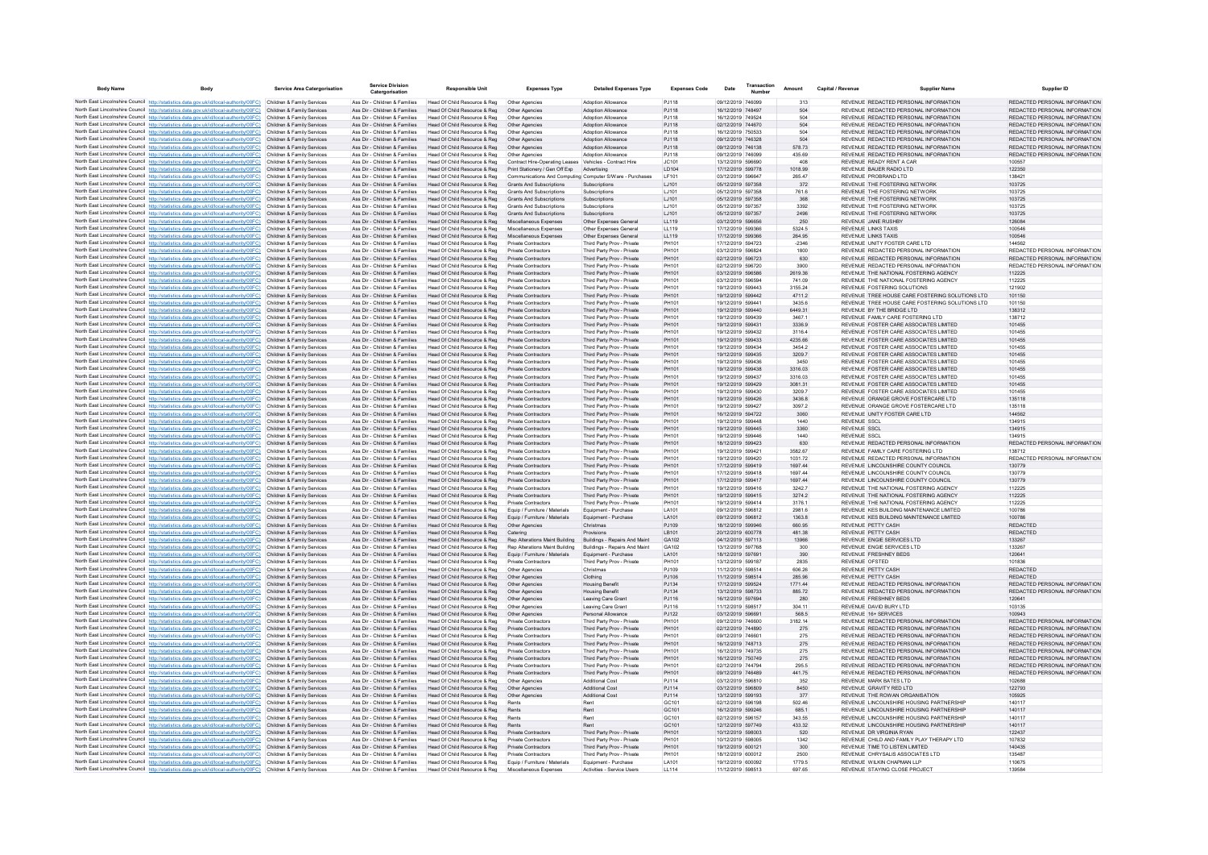| <b>Body Name</b> | <b>Body</b>                                                                                                                                                                       | <b>Service Area Catergorisation</b>                      | <b>Service Division</b>                                        | <b>Responsible Unit</b>                                       | <b>Expenses Type</b>                                                      | <b>Detailed Expenses Type</b>                            | <b>Expenses Code</b> | Date                                   | Transaction | Amount             | Capital / Revenue   | <b>Supplier Name</b>                                                              | Supplier ID                                                    |
|------------------|-----------------------------------------------------------------------------------------------------------------------------------------------------------------------------------|----------------------------------------------------------|----------------------------------------------------------------|---------------------------------------------------------------|---------------------------------------------------------------------------|----------------------------------------------------------|----------------------|----------------------------------------|-------------|--------------------|---------------------|-----------------------------------------------------------------------------------|----------------------------------------------------------------|
|                  | North East Lincolnshire Council http://statistics.data.gov.uk/id/local-authority/00FC) Children & Family Services                                                                 |                                                          | Ass Dir - Children & Families                                  | Head Of Child Resource & Reg                                  | Other Agencies                                                            | <b>Adoption Allowance</b>                                | PJ118                | 09/12/2019 746099                      |             | 313                |                     | REVENUE REDACTED PERSONAL INFORMATION                                             | REDACTED PERSONAL INFORMATION                                  |
|                  | North East Lincolnshire Council http://statistics.data.gov.uk/id/local-authority/00FC)                                                                                            | Children & Family Services                               | Ass Dir - Children & Families                                  | Head Of Child Resource & Reg                                  | Other Agencies                                                            | <b>Adoption Allowance</b>                                | PJ118                | 16/12/2019 748497                      |             | 504                |                     | REVENUE REDACTED PERSONAL INFORMATION                                             | REDACTED PERSONAL INFORMATION                                  |
|                  | North East Lincolnshire Council http://statistics.data.gov.uk/id/local-authority/00FC)                                                                                            | Children & Family Services                               | Ass Dir - Children & Families                                  | Head Of Child Resource & Reg                                  | Other Agencies                                                            | <b>Adoption Allowance</b>                                | PJ118                | 16/12/2019 749524                      |             | 504                |                     | REVENUE REDACTED PERSONAL INFORMATION                                             | REDACTED PERSONAL INFORMATION                                  |
|                  | North East Lincolnshire Council http://statistics.data.gov.uk/id/local-authority/00FC)                                                                                            | Children & Family Services                               | Ass Dir - Children & Families                                  | Head Of Child Resource & Reg                                  | Other Agencies                                                            | <b>Adoption Allowance</b>                                | PJ118                | 02/12/2019 744670                      |             | 504                |                     | REVENUE REDACTED PERSONAL INFORMATION                                             | REDACTED PERSONAL INFORMATION                                  |
|                  | North East Lincolnshire Council http://statistics.data.gov.uk/id/local-authority/00FC).                                                                                           | Children & Family Services                               | Ass Dir - Children & Families                                  | Head Of Child Resource & Reg                                  | Other Agencies                                                            | <b>Adoption Allowance</b>                                | PJ118                | 16/12/2019 750533                      |             | 504                |                     | REVENUE REDACTED PERSONAL INFORMATION                                             | REDACTED PERSONAL INFORMATION                                  |
|                  | North East Lincolnshire Council http://statistics.data.gov.uk/id/local-authority/00FC)                                                                                            | Children & Family Services                               | Ass Dir - Children & Families                                  | Head Of Child Resource & Reg                                  | Other Agencies                                                            | <b>Adoption Allowance</b>                                | PJ118                | 09/12/2019 746328                      |             | 504                |                     | REVENUE REDACTED PERSONAL INFORMATION                                             | REDACTED PERSONAL INFORMATION                                  |
|                  | North East Lincolnshire Council http://statistics.data.gov.uk/id/local-authority/00FC)<br>North East Lincolnshire Council http://statistics.data.gov.uk/id/local-authority/00FC)  | Children & Family Services<br>Children & Family Services | Ass Dir - Children & Families<br>Ass Dir - Children & Families | Head Of Child Resource & Reg<br>Head Of Child Resource & Reg  | Other Agencies                                                            | <b>Adoption Allowance</b><br>Adoption Allowance          | PJ118<br>PJ118       | 09/12/2019 746138<br>09/12/2019 746099 |             | 578.73<br>435.69   |                     | REVENUE REDACTED PERSONAL INFORMATION<br>REVENUE REDACTED PERSONAL INFORMATION    | REDACTED PERSONAL INFORMATION<br>REDACTED PERSONAL INFORMATION |
|                  | North East Lincolnshire Council http://statistics.data.gov.uk/id/local-authority/00FC)                                                                                            | Children & Family Services                               | Ass Dir - Children & Families                                  | Head Of Child Resource & Reg.                                 | Other Agencies<br>Contract Hire-Operating Leases Vehicles - Contract Hire |                                                          | IC.101               | 13/12/2019 596690                      |             | 408                |                     | REVENUE READY RENT A CAR                                                          | 100557                                                         |
|                  | North East Lincolnshire Council http://statistics.data.gov.uk/id/local-authority/00FC)                                                                                            | Children & Family Services                               | Ass Dir - Children & Families                                  | Head Of Child Resource & Reg                                  | Print Stationery / Gen Off Exp                                            | Advertising                                              | <b>ID104</b>         | 17/12/2019 599778                      |             | 1018 99            |                     | REVENUE BAUER RADIO LTD                                                           | 122350                                                         |
|                  | North East Lincolnshire Council http://statistics.data.gov.uk/id/local-authority/00FC)                                                                                            | Children & Family Services                               | Ass Dir - Children & Families                                  | Head Of Child Resource & Reg                                  | Communications And Computing Computer S/Ware - Purchases                  |                                                          | LF101                | 03/12/2019 596647                      |             | 265.47             |                     | REVENUE PROBRAND LTD                                                              | 138421                                                         |
|                  | North East Lincolnshire Council http://statistics.data.gov.uk/id/local-authority/00FC)                                                                                            | Children & Family Services                               | Ass Dir - Children & Families                                  | Head Of Child Resource & Reg                                  | <b>Grants And Subscriptions</b>                                           | Subscriptions                                            | LJ101                | 05/12/2019 597358                      |             | 372                |                     | REVENUE THE FOSTERING NETWORK                                                     | 103725                                                         |
|                  | North East Lincolnshire Council http://statistics.data.gov.uk/id/local-authority/00FC)                                                                                            | Children & Family Services                               | Ass Dir - Children & Families                                  | Head Of Child Resource & Reg.                                 | <b>Grants And Subscriptions</b>                                           | Subscriptions                                            | LJ101                | 05/12/2019 597358                      |             | 761.6              |                     | REVENUE THE FOSTERING NETWORK                                                     | 103725                                                         |
|                  | North East Lincolnshire Council http://statistics.data.gov.uk/id/local-authority/00FC).                                                                                           | Children & Family Services                               | Ass Dir - Children & Families<br>Ass Dir - Children & Families | Head Of Child Resource & Reg                                  | Grants And Subscriptions<br><b>Grants And Subscriptions</b>               | Subscriptions<br>Subscriptions                           | 1.1101<br>1.1101     | 05/12/2019 597358                      |             | 368                |                     | REVENUE THE FOSTERING NETWORK<br>REVENUE THE FOSTERING NETWORK                    | 103725<br>103725                                               |
|                  | North East Lincolnshire Council http://statistics.data.gov.uk/id/local-authority/00FC)<br>North East Lincolnshire Council http://statistics.data.gov.uk/id/local-authority/00FC)  | Children & Family Services<br>Children & Family Services | Ass Dir - Children & Families                                  | Head Of Child Resource & Reg<br>Head Of Child Resource & Reg  | <b>Grants And Subscriptions</b>                                           | Subscriptions                                            | LJ101                | 05/12/2019 597357<br>05/12/2019 597357 |             | 3392<br>2496       |                     | REVENUE THE FOSTERING NETWORK                                                     | 103725                                                         |
|                  | North East Lincolnshire Council http://statistics.data.gov.uk/id/local-authority/00FC)                                                                                            | Children & Family Services                               | Ass Dir - Children & Families                                  | Head Of Child Resource & Reg                                  | Miscellaneous Expenses                                                    | Other Expenses General                                   | LL119                | 03/12/2019 596656                      |             | 250                |                     | REVENUE JANE RUSHBY                                                               | 126084                                                         |
|                  | North East Lincolnshire Council http://statistics.data.gov.uk/id/local-authority/00FC).                                                                                           | Children & Family Services                               | Ass Dir - Children & Families                                  | Head Of Child Resource & Reg                                  | Miscellaneous Expenses                                                    | Other Expenses General                                   | 11119                | 17/12/2019 599366                      |             | 5324.5             |                     | <b>REVENUE LINKS TAXIS</b>                                                        | 100546                                                         |
|                  | North East Lincolnshire Council http://statistics.data.gov.uk/id/local-authority/00EC)                                                                                            | Children & Family Services                               | Ass Dir - Children & Families                                  | Head Of Child Resource & Reg                                  | Miscellaneous Expenses                                                    | Other Expenses General                                   | 119                  | 17/12/2019 599366                      |             | 264 95             |                     | <b>REVENUE LINKS TAXIS</b>                                                        | 100546                                                         |
|                  | North East Lincolnshire Council http://statistics.data.gov.uk/id/local-authority/00FC)                                                                                            | Children & Family Services                               | Ass Dir - Children & Families                                  | Head Of Child Resource & Reg                                  | Private Contractors                                                       | Third Party Prov - Private                               | PH101                | 17/12/2019 594723                      |             | $-2346$            |                     | REVENUE UNITY FOSTER CARE LTD                                                     | 144562                                                         |
|                  | North East Lincolnshire Council http://statistics.data.gov.uk/id/local-authority/00FC)                                                                                            | Children & Family Services                               | Ass Dir - Children & Families                                  | Head Of Child Resource & Reg                                  | Private Contractors                                                       | Third Party Prov - Private                               | PH101                | 03/12/2019 596824                      |             | 1800               |                     | REVENUE REDACTED PERSONAL INFORMATION                                             | REDACTED PERSONAL INFORMATION                                  |
|                  | North East Lincolnshire Council http://statistics.data.gov.uk/id/local-authority/00FC).                                                                                           | Children & Family Services                               | Ass Dir - Children & Families                                  | Head Of Child Resource & Reg.                                 | <b>Private Contractors</b>                                                | Third Party Prov - Private                               | PH101                | 02/12/2019 596723<br>02/12/2019 596720 |             | 630                |                     | REVENUE REDACTED PERSONAL INFORMATION<br>REVENUE REDACTED PERSONAL INFORMATION    | REDACTED PERSONAL INFORMATION                                  |
|                  | North East Lincolnshire Council http://statistics.data.gov.uk/id/local-authority/00FC)<br>North East Lincolnshire Council http://statistics.data.gov.uk/id/local-authority/00FC)  | Children & Family Services<br>Children & Family Services | Ass Dir - Children & Families<br>Ass Dir - Children & Families | Head Of Child Resource & Reg<br>Head Of Child Resource & Reg  | Private Contractors<br><b>Private Contractors</b>                         | Third Party Prov - Private<br>Third Party Prov - Private | PH101<br>PH101       | 03/12/2019 596586                      |             | 3900<br>2619.36    |                     | REVENUE THE NATIONAL FOSTERING AGENCY                                             | REDACTED PERSONAL INFORMATION<br>112225                        |
|                  | North East Lincolnshire Council http://statistics.data.gov.uk/id/local-authority/00FC)                                                                                            | Children & Family Services                               | Ass Dir - Children & Families                                  | Head Of Child Resource & Reg                                  | Private Contractors                                                       | Third Party Prov - Private                               | PH101                | 03/12/2019 596594                      |             | 741.09             |                     | REVENUE THE NATIONAL FOSTERING AGENCY                                             | 112225                                                         |
|                  | North East Lincolnshire Council http://statistics.data.gov.uk/id/local-authority/00FC)                                                                                            | Children & Family Services                               | Ass Dir - Children & Families                                  | Head Of Child Resource & Reg                                  | Private Contractors                                                       | Third Party Prov - Private                               | PH101                | 19/12/2019 599443                      |             | 3155.24            |                     | REVENUE FOSTERING SOLUTIONS                                                       | 121902                                                         |
|                  | North East Lincolnshire Council http://statistics.data.gov.uk/id/local-authority/00FC)                                                                                            | Children & Family Services                               | Ass Dir - Children & Families                                  | Head Of Child Resource & Reg                                  | Private Contractors                                                       | Third Party Prov - Private                               | PH101                | 19/12/2019 599442                      |             | 4711.2             |                     | REVENUE TREE HOUSE CARE FOSTERING SOLUTIONS LTD                                   | 101150                                                         |
|                  | North East Lincolnshire Council http://statistics.data.gov.uk/id/local-authority/00FC)                                                                                            | Children & Family Services                               | Ass Dir - Children & Families                                  | Head Of Child Resource & Reg                                  | Private Contractors                                                       | Third Party Prov - Private                               | PH101                | 19/12/2019 599441                      |             | 34356              |                     | REVENUE TREE HOUSE CARE FOSTERING SOLUTIONS LTD                                   | 101150                                                         |
|                  | North East Lincolnshire Council http://statistics.data.gov.uk/id/local-authority/00FC)                                                                                            | Children & Family Services                               | Ass Dir - Children & Families                                  | Head Of Child Resource & Reg                                  | <b>Private Contractors</b>                                                | Third Party Prov - Private                               | PH101                | 19/12/2019 599440                      |             | 6449.31            |                     | REVENUE BY THE BRIDGE LTD.                                                        | 138312                                                         |
|                  | North East Lincolnshire Council http://statistics.data.gov.uk/id/local-authority/00FC)                                                                                            | Children & Family Services                               | Ass Dir - Children & Families                                  | Head Of Child Resource & Reg                                  | Private Contractors                                                       | Third Party Prov - Private                               | PH101                | 19/12/2019 599439                      |             | 3467.1             |                     | REVENUE FAMILY CARE FOSTERING LTD                                                 | 138712                                                         |
|                  | North East Lincolnshire Council http://statistics.data.gov.uk/id/local-authority/00FC)<br>North East Lincolnshire Council http://statistics.data.gov.uk/id/local-authority/00FC)  | Children & Family Services<br>Children & Family Services | Ass Dir - Children & Families<br>Ass Dir - Children & Families | Head Of Child Resource & Reg<br>Head Of Child Resource & Reg. | Private Contractors<br><b>Private Contractors</b>                         | Third Party Prov - Private<br>Third Party Prov - Private | PH101<br>PH101       | 19/12/2019 599431<br>19/12/2019 599432 |             | 3336.9<br>3116.4   |                     | REVENUE FOSTER CARE ASSOCIATES LIMITED<br>REVENUE FOSTER CARE ASSOCIATES LIMITED  | 101455<br>101455                                               |
|                  | North East Lincolnshire Council http://statistics.data.gov.uk/id/local-authority/00FC)                                                                                            | Children & Family Services                               | Ass Dir - Children & Families                                  | Head Of Child Resource & Reg                                  | Private Contractors                                                       | Third Party Prov - Private                               | PH101                | 19/12/2019 599433                      |             | 4235.66            |                     | REVENUE FOSTER CARE ASSOCIATES LIMITED                                            | 101455                                                         |
|                  | North East Lincolnshire Council http://statistics.data.gov.uk/id/local-authority/00FC)                                                                                            | Children & Family Services                               | Ass Dir - Children & Families                                  | Head Of Child Resource & Reg                                  | Private Contractors                                                       | Third Party Prov - Private                               | PH101                | 19/12/2019 599434                      |             | 3454.2             |                     | REVENUE FOSTER CARE ASSOCIATES LIMITED                                            | 101455                                                         |
|                  | North East Lincolnshire Council http://statistics.data.gov.uk/id/local-authority/00FC)                                                                                            | Children & Family Services                               | Ass Dir - Children & Families                                  | Head Of Child Resource & Reg                                  | Private Contractors                                                       | Third Party Prov - Private                               | PH101                | 19/12/2019 599435                      |             | 3209.7             |                     | REVENUE FOSTER CARE ASSOCIATES LIMITED                                            | 101455                                                         |
|                  | North East Lincolnshire Council http://statistics.data.gov.uk/id/local-authority/00FC)                                                                                            | Children & Family Services                               | Ass Dir - Children & Families                                  | Head Of Child Resource & Reg                                  | <b>Private Contractors</b>                                                | Third Party Prov - Private                               | PH101                | 19/12/2019 599436                      |             | 3450               |                     | REVENUE FOSTER CARE ASSOCIATES LIMITED                                            | 101455                                                         |
|                  | North East Lincolnshire Council http://statistics.data.gov.uk/id/local-authority/00FC)                                                                                            | Children & Family Services                               | Ass Dir - Children & Families                                  | Head Of Child Resource & Reg                                  | Private Contractors                                                       | Third Party Prov - Private                               | PH101                | 19/12/2019 599438                      |             | 3316.03            |                     | REVENUE FOSTER CARE ASSOCIATES LIMITED                                            | 101455                                                         |
|                  | North East Lincolnshire Council http://statistics.data.gov.uk/id/local-authority/00FC)                                                                                            | Children & Family Services                               | Ass Dir - Children & Families                                  | Head Of Child Resource & Reg                                  | Private Contractors                                                       | Third Party Prov - Private                               | PH101                | 19/12/2019 599437                      |             | 3316.03            |                     | REVENUE, FOSTER CARE ASSOCIATES LIMITED.                                          | 101455                                                         |
|                  | North East Lincolnshire Council http://statistics.data.gov.uk/id/local-authority/00FC).<br>North East Lincolnshire Council http://statistics.data.gov.uk/id/local-authority/00FC) | Children & Family Services<br>Children & Family Services | Ass Dir - Children & Families<br>Ass Dir - Children & Families | Head Of Child Resource & Reg<br>Head Of Child Resource & Reg  | Private Contractors<br>Private Contractors                                | Third Party Prov - Private<br>Third Party Prov - Private | PH101<br>PH10        | 19/12/2019 599429<br>19/12/2019 599430 |             | 3081.31<br>3209.7  |                     | REVENUE FOSTER CARE ASSOCIATES LIMITED<br>REVENUE FOSTER CARE ASSOCIATES LIMITED  | 101455<br>101455                                               |
|                  | North East Lincolnshire Council http://statistics.data.gov.uk/id/local-authority/00FC)                                                                                            | Children & Family Services                               | Ass Dir - Children & Families                                  | Head Of Child Resource & Reg                                  | <b>Private Contractors</b>                                                | Third Party Prov - Private                               | PH101                | 19/12/2019 599426                      |             | 3436.8             |                     | REVENUE ORANGE GROVE FOSTERCARE LTD                                               | 135118                                                         |
|                  | North East Lincolnshire Council http://statistics.data.gov.uk/id/local-authority/00FC)                                                                                            | Children & Family Services                               | Ass Dir - Children & Families                                  | Head Of Child Resource & Reg                                  | Private Contractors                                                       | Third Party Prov - Private                               | PH101                | 19/12/2019 599427                      |             | 3097.2             |                     | REVENUE ORANGE GROVE FOSTERCARE LTD                                               | 135118                                                         |
|                  | North East Lincolnshire Council http://statistics.data.gov.uk/id/local-authority/00FC)                                                                                            | Children & Family Services                               | Ass Dir - Children & Families                                  | Head Of Child Resource & Reg                                  | Private Contractors                                                       | Third Party Prov - Private                               | PH101                | 16/12/2019 594722                      |             | 3060               |                     | REVENUE UNITY FOSTER CARE LTD                                                     | 144562                                                         |
|                  | North East Lincolnshire Council http://statistics.data.gov.uk/id/local-authority/00FC)                                                                                            | Children & Family Services                               | Ass Dir - Children & Families                                  | Head Of Child Resource & Reg                                  | Private Contractors                                                       | Third Party Prov - Private                               | PH101                | 19/12/2019 599448                      |             | 1440               | <b>REVENUE SSCI</b> |                                                                                   | 134915                                                         |
|                  | North East Lincolnshire Council http://statistics.data.gov.uk/id/local-authority/00FC)                                                                                            | Children & Family Services                               | Ass Dir - Children & Families                                  | Head Of Child Resource & Reg                                  | Private Contractors                                                       | Third Party Prov - Private                               | PH101                | 19/12/2019 599445                      |             | 3360               | <b>REVENUE SSCL</b> |                                                                                   | 134915                                                         |
|                  | North East Lincolnshire Council http://statistics.data.gov.uk/id/local-authority/00FC)                                                                                            | Children & Family Services                               | Ass Dir - Children & Families                                  | Head Of Child Resource & Reg                                  | Private Contractors                                                       | Third Party Prov - Private                               | PH101                | 19/12/2019 599446                      |             | 1440               | <b>REVENUE SSCL</b> |                                                                                   | 134915                                                         |
|                  | North East Lincolnshire Council http://statistics.data.gov.uk/id/local-authority/00FC)                                                                                            | Children & Family Services                               | Ass Dir - Children & Families                                  | Head Of Child Resource & Reg                                  | <b>Private Contractors</b>                                                | Third Party Prov - Private                               | PH101                | 18/12/2019 599423                      |             | 630                |                     | REVENUE REDACTED PERSONAL INFORMATION                                             | REDACTED PERSONAL INFORMATION                                  |
|                  | North East Lincolnshire Council http://statistics.data.gov.uk/id/local-authority/00FC)<br>North East Lincolnshire Council http://statistics.data.gov.uk/id/local-authority/00FC)  | Children & Family Services<br>Children & Family Services | Ass Dir - Children & Families<br>Ass Dir - Children & Families | Head Of Child Resource & Reg<br>Head Of Child Resource & Reg  | Private Contractors<br>Private Contractors                                | Third Party Prov - Private<br>Third Party Prov - Private | PH101<br>PH101       | 19/12/2019 599421<br>19/12/2019 599420 |             | 3582.67<br>1031.72 |                     | REVENUE FAMILY CARE FOSTERING LTD<br>REVENUE REDACTED PERSONAL INFORMATION        | 138712<br>REDACTED PERSONAL INFORMATION                        |
|                  | North East Lincolnshire Council http://statistics.data.gov.uk/id/local-authority/00FC)                                                                                            | Children & Family Services                               | Ass Dir - Children & Families                                  | Head Of Child Resource & Reg.                                 | <b>Private Contractors</b>                                                | Third Party Prov - Private                               | PH101                | 17/12/2019 599419                      |             | 1697.44            |                     | REVENUE LINCOLNSHIRE COUNTY COUNCIL                                               | 130779                                                         |
|                  | North East Lincolnshire Council http://statistics.data.gov.uk/id/local-authority/00FC)                                                                                            | Children & Family Services                               | Ass Dir - Children & Families                                  | Head Of Child Resource & Reg.                                 | Private Contractors                                                       | Third Party Prov - Private                               | PH101                | 17/12/2019 599418                      |             | 1697 44            |                     | REVENUE LINCOLNSHIRE COUNTY COUNCIL                                               | 130779                                                         |
|                  | North East Lincolnshire Council http://statistics.data.gov.uk/id/local-authority/00FC).                                                                                           | Children & Family Services                               | Ass Dir - Children & Families                                  | Head Of Child Resource & Reg                                  | Private Contractors                                                       | Third Party Prov - Private                               | PH101                | 17/12/2019 599417                      |             | 1697.44            |                     | REVENUE LINCOLNSHIRE COUNTY COUNCIL                                               | 130779                                                         |
|                  | North East Lincolnshire Council http://statistics.data.gov.uk/id/local-authority/00FC)                                                                                            | Children & Family Services                               | Ass Dir - Children & Families                                  | Head Of Child Resource & Reg                                  | Private Contractors                                                       | Third Party Prov - Private                               | PH101                | 19/12/2019 599416                      |             | 3242.7             |                     | REVENUE THE NATIONAL FOSTERING AGENCY                                             | 112225                                                         |
|                  | North East Lincolnshire Council http://statistics.data.gov.uk/id/local-authority/00FC)                                                                                            | Children & Family Services                               | Ass Dir - Children & Families                                  | Head Of Child Resource & Reg                                  | Private Contractors                                                       | Third Party Prov - Private                               | PH101                | 19/12/2019 599415                      |             | 3274.2             |                     | REVENUE THE NATIONAL FOSTERING AGENCY                                             | 112225                                                         |
|                  | North East Lincolnshire Council http://statistics.data.gov.uk/id/local-authority/00FC)<br>North East Lincolnshire Council http://statistics.data.gov.uk/id/local-authority/00FC)  | Children & Family Services<br>Children & Family Services | Ass Dir - Children & Families<br>Ass Dir - Children & Families | Head Of Child Resource & Reg<br>Head Of Child Resource & Reg  | Private Contractors<br>Equip / Furniture / Materials                      | Third Party Prov - Private<br>Equipment - Purchase       | PH101<br>LA101       | 19/12/2019 599414<br>09/12/2019 596812 |             | 3176.1<br>2981.6   |                     | REVENUE THE NATIONAL FOSTERING AGENCY<br>REVENUE KES BUILDING MAINTENANCE LIMITED | 112225<br>100786                                               |
|                  | North East Lincolnshire Council http://statistics.data.gov.uk/id/local-authority/00FC)                                                                                            | Children & Family Services                               | Ass Dir - Children & Families                                  | Head Of Child Resource & Reg                                  | Equip / Furniture / Materials                                             | Equipment - Purchase                                     | LA101                | 09/12/2019 596812                      |             | 1363.8             |                     | REVENUE KES BUILDING MAINTENANCE LIMITED                                          | 100786                                                         |
|                  | North East Lincolnshire Council http://statistics.data.gov.uk/id/local-authority/00FC)                                                                                            | Children & Family Services                               | Ass Dir - Children & Families                                  | Head Of Child Resource & Reg                                  | Other Agencies                                                            | Christmas                                                | PJ109                | 18/12/2019 599946                      |             | 660.95             |                     | REVENUE PETTY CASH                                                                | REDACTED                                                       |
|                  | North East Lincolnshire Council http://statistics.data.gov.uk/id/local-authority/00FC)                                                                                            | Children & Family Services                               | Ass Dir - Children & Families                                  | Head Of Child Resource & Reg                                  | Catering                                                                  | Provisions                                               | I B101               | 20/12/2019 600778                      |             | 481.38             |                     | REVENUE PETTY CASH                                                                | REDACTED                                                       |
|                  | North East Lincolnshire Council http://statistics.data.gov.uk/id/local-authority/00FC).                                                                                           | Children & Family Services                               | Ass Dir - Children & Families                                  | Head Of Child Resource & Reg.                                 | Ren Alterations Maint Building                                            | Buildings - Renairs And Maint                            | GA102                | 04/12/2019 597113                      |             | 13966              |                     | REVENUE ENGIE SERVICES LTD.                                                       | 133267                                                         |
|                  | North East Lincolnshire Council http://statistics.data.gov.uk/id/local-authority/00FC)                                                                                            | Children & Family Services                               | Ass Dir - Children & Families                                  | Head Of Child Resource & Reg.                                 | Ren Alterations Maint Building                                            | Buildings - Repairs And Maint                            | GA102                | 13/12/2019 597768                      |             | 300                |                     | REVENUE ENGIE SERVICES LTD                                                        | 133267                                                         |
|                  | North East Lincolnshire Council http://statistics.data.gov.uk/id/local-authority/00FC)                                                                                            | Children & Family Services                               | Ass Dir - Children & Families                                  | Head Of Child Resource & Reg                                  | Equip / Furniture / Materials                                             | Equipment - Purchase                                     | LA101                | 18/12/2019 597691                      |             | 390                |                     | REVENUE FRESHNEY BEDS                                                             | 120641                                                         |
|                  | North East Lincolnshire Council http://statistics.data.gov.uk/id/local-authority/00FC)<br>North East Lincolnshire Council http://statistics.data.gov.uk/id/local-authority/00FC)  | Children & Family Services<br>Children & Family Services | Ass Dir - Children & Families<br>Ass Dir - Children & Families | Head Of Child Resource & Reg<br>Head Of Child Resource & Reg. | <b>Private Contractors</b><br>Other Agencies                              | Third Party Prov - Private<br>Christmas                  | PH101<br>PJ109       | 13/12/2019 599187<br>11/12/2019 598514 |             | 2835<br>606.26     |                     | REVENUE OFSTED<br>REVENUE PETTY CASH                                              | 101836<br><b>REDACTED</b>                                      |
|                  | North East Lincolnshire Council http://statistics.data.gov.uk/id/local-authority/00FC).                                                                                           | Children & Family Services                               | Ass Dir - Children & Families                                  | Head Of Child Resource & Reg                                  | Other Agencies                                                            | Clothing                                                 | PJ106                | 11/12/2019 598514                      |             | 285.96             |                     | REVENUE PETTY CASH                                                                | <b>REDACTED</b>                                                |
|                  | North East Lincolnshire Council http://statistics.data.gov.uk/id/local-authority/00FC)                                                                                            | Children & Family Services                               | Ass Dir - Children & Families                                  | Head Of Child Resource & Reg                                  | Other Agencies                                                            | <b>Housing Benefit</b>                                   | PJ134                | 17/12/2019 599524                      |             | 1771.44            |                     | REVENUE REDACTED PERSONAL INFORMATION                                             | REDACTED PERSONAL INFORMATION                                  |
|                  | North East Lincolnshire Council http://statistics.data.gov.uk/id/local-authority/00FC)                                                                                            | Children & Family Services                               | Ass Dir - Children & Families                                  | Head Of Child Resource & Reg                                  | Other Agencies                                                            | <b>Housing Benefit</b>                                   | PJ134                | 13/12/2019 598733                      |             | 885.72             |                     | REVENUE REDACTED PERSONAL INFORMATION                                             | REDACTED PERSONAL INFORMATION                                  |
|                  | North East Lincolnshire Council http://statistics.data.gov.uk/id/local-authority/00FC)                                                                                            | Children & Family Services                               | Ass Dir - Children & Families                                  | Head Of Child Resource & Reg                                  | Other Agencies                                                            | Leaving Care Grant                                       | PJ116                | 16/12/2019 597694                      |             | 280                |                     | REVENUE FRESHNEY BEDS                                                             | 120641                                                         |
|                  | North East Lincolnshire Council http://statistics.data.gov.uk/id/local-authority/00FC).                                                                                           | Children & Family Services                               | Ass Dir - Children & Families                                  | Head Of Child Resource & Reg.                                 | Other Agencies                                                            | Leaving Care Grant                                       | P.1116               | 11/12/2019 598517                      |             | 304 11             |                     | REVENUE DAVID BURY LTD                                                            | 103135                                                         |
|                  | North East Lincolnshire Council http://statistics.data.gov.uk/id/local-authority/00EC)                                                                                            | Children & Family Services                               | Ass Dir - Children & Families                                  | Head Of Child Resource & Reg                                  | Other Agencies                                                            | Personal Allowance                                       | P.1122               | 03/12/2019 596691                      |             | 568.5<br>3182.14   |                     | REVENUE 16+ SERVICES<br>REVENUE REDACTED PERSONAL INFORMATION                     | 100943<br>REDACTED PERSONAL INFORMATION                        |
|                  | North East Lincolnshire Council http://statistics.data.gov.uk/id/local-authority/00FC)<br>North East Lincolnshire Council http://statistics.data.gov.uk/id/local-authority/00FC)  | Children & Family Services<br>Children & Family Services | Ass Dir - Children & Families<br>Ass Dir - Children & Families | Head Of Child Resource & Reg<br>Head Of Child Resource & Reg  | Private Contractors<br><b>Private Contractors</b>                         | Third Party Prov - Private<br>Third Party Prov - Private | PH101<br>PH101       | 09/12/2019 746600<br>02/12/2019 744890 |             | 275                |                     | REVENUE REDACTED PERSONAL INFORMATION                                             | REDACTED PERSONAL INFORMATION                                  |
|                  | North East Lincolnshire Council http://statistics.data.gov.uk/id/local-authority/00FC)                                                                                            | Children & Family Services                               | Ass Dir - Children & Families                                  | Head Of Child Resource & Reg                                  | <b>Private Contractors</b>                                                | Third Party Prov - Private                               | PH101                | 09/12/2019 746601                      |             | 275                |                     | REVENUE REDACTED PERSONAL INFORMATION                                             | REDACTED PERSONAL INFORMATION                                  |
|                  | North East Lincolnshire Council http://statistics.data.gov.uk/id/local-authority/00FC)                                                                                            | Children & Family Services                               | Ass Dir - Children & Families                                  | Head Of Child Resource & Reg                                  | Private Contractors                                                       | Third Party Prov - Private                               | PH101                | 16/12/2019 748713                      |             | 275                |                     | REVENUE REDACTED PERSONAL INFORMATION                                             | REDACTED PERSONAL INFORMATION                                  |
|                  | North East Lincolnshire Council http://statistics.data.gov.uk/id/local-authority/00FC)                                                                                            | Children & Family Services                               | Ass Dir - Children & Families                                  | Head Of Child Resource & Reg                                  | Private Contractors                                                       | Third Party Prov - Private                               | PH101                | 16/12/2019 749735                      |             | 275                |                     | REVENUE REDACTED PERSONAL INFORMATION                                             | REDACTED PERSONAL INFORMATION                                  |
|                  | North East Lincolnshire Council http://statistics.data.gov.uk/id/local-authority/00FC)                                                                                            | Children & Family Services                               | Ass Dir - Children & Families                                  | Head Of Child Resource & Reg                                  | Private Contractors                                                       | Third Party Prov - Private                               | PH101                | 16/12/2019 750749                      |             | 275                |                     | REVENUE REDACTED PERSONAL INFORMATION                                             | REDACTED PERSONAL INFORMATION                                  |
|                  | North East Lincolnshire Council http://statistics.data.gov.uk/id/local-authority/00FC)                                                                                            | Children & Family Services                               | Ass Dir - Children & Families                                  | Head Of Child Resource & Reg                                  | Private Contractors                                                       | Third Party Prov - Private                               | PH101                | 02/12/2019 744794                      |             | 295.5              |                     | REVENUE REDACTED PERSONAL INFORMATION                                             | REDACTED PERSONAL INFORMATION                                  |
|                  | North East Lincolnshire Council http://statistics.data.gov.uk/id/local-authority/00FC)                                                                                            | Children & Family Services                               | Ass Dir - Children & Families                                  | Head Of Child Resource & Reg                                  | Private Contractors                                                       | Third Party Prov - Private                               | PH101                | 09/12/2019 746489                      |             | 441.75             |                     | REVENUE REDACTED PERSONAL INFORMATION                                             | REDACTED PERSONAL INFORMATION                                  |
|                  | North East Lincolnshire Council http://statistics.data.gov.uk/id/local-authority/00FC)<br>North East Lincolnshire Council http://statistics.data.gov.uk/id/local-authority/00FC)  | Children & Family Services<br>Children & Family Services | Ass Dir - Children & Families<br>Ass Dir - Children & Families | Head Of Child Resource & Reg.<br>Head Of Child Resource & Reg | Other Agencies<br>Other Agencies                                          | <b>Additional Cost</b><br><b>Additional Cost</b>         | P.1114<br>PJ114      | 03/12/2019 596810<br>03/12/2019 596809 |             | 352<br>8450        |                     | REVENUE MARK BATES LTD.<br>REVENUE GRAVITY RED LTD                                | 102688<br>122793                                               |
|                  | North East Lincolnshire Council http://statistics.data.gov.uk/id/local-authority/00FC)                                                                                            | Children & Family Services                               | Ass Dir - Children & Families                                  | Head Of Child Resource & Reg                                  | Other Agencies                                                            | <b>Additional Cost</b>                                   | PJ114                | 13/12/2019 599193                      |             | 377                |                     | REVENUE THE ROWAN ORGANISATION                                                    | 105925                                                         |
|                  | North East Lincolnshire Council http://statistics.data.gov.uk/id/local-authority/00FC)                                                                                            | Children & Family Services                               | Ass Dir - Children & Families                                  | Head Of Child Resource & Reg.                                 | Rents                                                                     | Rent                                                     | GC101                | 02/12/2019 596198                      |             | 502.46             |                     | REVENUE LINCOLNSHIRE HOUSING PARTNERSHIP                                          | 140117                                                         |
|                  | North East Lincolnshire Council http://statistics.data.gov.uk/id/local-authority/00FC)                                                                                            | Children & Family Services                               | Ass Dir - Children & Families                                  | Head Of Child Resource & Reg                                  | Rents                                                                     | Rent                                                     | GC101                | 16/12/2019 599246                      |             | 685.1              |                     | REVENUE LINCOLNSHIRE HOUSING PARTNERSHIP                                          | 140117                                                         |
|                  | North East Lincolnshire Council http://statistics.data.gov.uk/id/local-authority/00FC)                                                                                            | Children & Family Services                               | Ass Dir - Children & Families                                  | Head Of Child Resource & Reg                                  | Rents                                                                     | Rent                                                     | GC101                | 02/12/2019 596157                      |             | 343.55             |                     | REVENUE LINCOLNSHIRE HOUSING PARTNERSHIP                                          | 140117                                                         |
|                  | North East Lincolnshire Council http://statistics.data.gov.uk/id/local-authority/00FC)                                                                                            | Children & Family Services                               | Ass Dir - Children & Families                                  | Head Of Child Resource & Reg                                  | Rents                                                                     | Rent                                                     | GC101                | 12/12/2019 597749                      |             | 433.32             |                     | REVENUE LINCOLNSHIRE HOUSING PARTNERSHIP                                          | 140117                                                         |
|                  | North East Lincolnshire Council http://statistics.data.gov.uk/id/local-authority/00FC)                                                                                            | Children & Family Services                               | Ass Dir - Children & Families                                  | Head Of Child Resource & Reg                                  | Private Contractors                                                       | Third Party Prov - Private                               | PH101                | 10/12/2019 598003<br>10/12/2019 598005 |             | 520                |                     | REVENUE DR VIRGINIA RYAN                                                          | 122437                                                         |
|                  | North East Lincolnshire Council http://statistics.data.gov.uk/id/local-authority/00FC)<br>North East Lincolnshire Council http://statistics.data.gov.uk/id/local-authority/00EC)  | Children & Family Services<br>Children & Family Services | Ass Dir - Children & Families<br>Ass Dir - Children & Families | Head Of Child Resource & Reg<br>Head Of Child Resource & Reg  | <b>Private Contractors</b><br>Private Contractors                         | Third Party Prov - Private<br>Third Party Prov - Private | PH101<br>PH101       | 19/12/2019 600121                      |             | 1342<br>300        |                     | REVENUE CHILD AND FAMILY PLAY THERAPY LTD<br>REVENUE TIME TO LISTEN LIMITED.      | 107832<br>140435                                               |
|                  | North East Lincolnshire Council http://statistics.data.gov.uk/id/local-authority/00FC)                                                                                            | Children & Family Services                               | Ass Dir - Children & Families                                  | Head Of Child Resource & Reg                                  | Private Contractors                                                       | Third Party Prov - Private                               | PH101                | 18/12/2019 600012                      |             | 2500               |                     | REVENUE CHRYSALIS ASSOCIATES LTD                                                  | 135487                                                         |
|                  | North East Lincolnshire Council http://statistics.data.gov.uk/id/local-authority/00FC) Children & Family Services                                                                 |                                                          | Ass Dir - Children & Families                                  | Head Of Child Resource & Reg                                  | Equip / Furniture / Materials                                             | Equipment - Purchase                                     | LA101                | 19/12/2019 600092                      |             | 1779.5             |                     | REVENUE WILKIN CHAPMAN LLP                                                        | 110675                                                         |
|                  | North East Lincolnshire Council http://statistics.data.gov.uk/id/local-authority/00FC)                                                                                            | Children & Family Services                               | Ass Dir - Children & Families                                  | Head Of Child Resource & Reg                                  | Miscellaneous Expenses                                                    | Activities - Service Users                               | LL114                | 11/12/2019 598513                      |             | 697.65             |                     | REVENUE STAYING CLOSE PROJECT                                                     | 139584                                                         |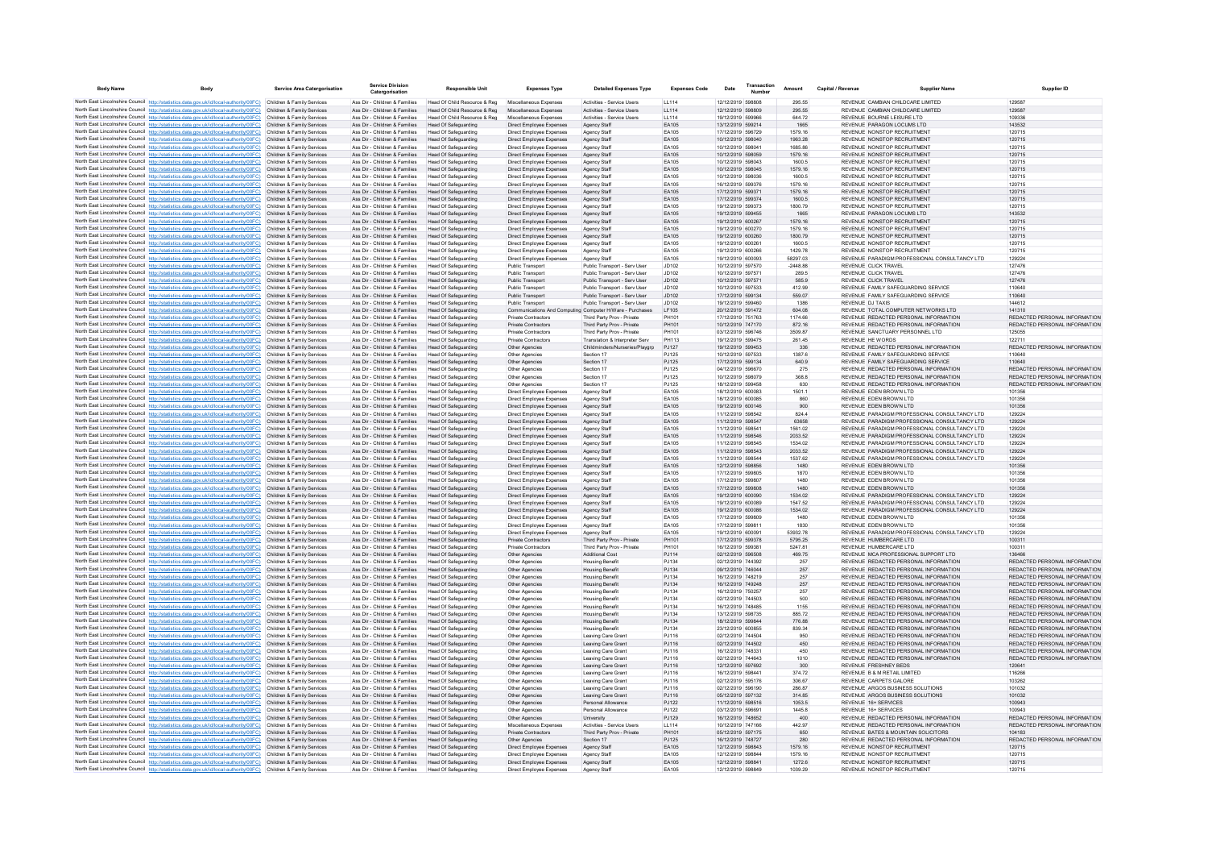| <b>Body Name</b> | Body                                                                                                                                                                              | Service Area Catergorisation                             | <b>Service Division</b><br>Catergorisation                     | <b>Responsible Unit</b>                                    | <b>Expenses Type</b>                                 | <b>Detailed Expenses Type</b>                                    | <b>Expenses Code</b>       | Date                                   | Transaction | Amount             | Capital / Revenue | <b>Supplier Name</b>                                                           | <b>Supplier ID</b>                                             |
|------------------|-----------------------------------------------------------------------------------------------------------------------------------------------------------------------------------|----------------------------------------------------------|----------------------------------------------------------------|------------------------------------------------------------|------------------------------------------------------|------------------------------------------------------------------|----------------------------|----------------------------------------|-------------|--------------------|-------------------|--------------------------------------------------------------------------------|----------------------------------------------------------------|
|                  | North East Lincolnshire Council http://statistics.data.gov.uk/id/local-authority/00FC) Children & Family Services                                                                 |                                                          | Ass Dir - Children & Families                                  | Head Of Child Resource & Reg                               | Miscellaneous Expenses                               | Activities - Service Users                                       | LL114                      | 12/12/2019 598808                      |             | 295.55             |                   | REVENUE CAMBIAN CHILDCARE LIMITED                                              | 129587                                                         |
|                  | North East Lincolnshire Council http://statistics.data.gov.uk/id/local-authority/00FC)                                                                                            | Children & Family Services                               | Ass Dir - Children & Families                                  | Head Of Child Resource & Reg                               | Miscellaneous Expenses                               | Activities - Service Users                                       | LL114                      | 12/12/2019 598809                      |             | 295.55             |                   | REVENUE CAMBIAN CHILDCARE LIMITED                                              | 129587                                                         |
|                  | North East Lincolnshire Council http://statistics.data.gov.uk/id/local-authority/00FC)                                                                                            | Children & Family Services                               | Ass Dir - Children & Families                                  | Head Of Child Resource & Reg                               | Miscellaneous Expenses                               | Activities - Service Users                                       | LL114                      | 19/12/2019 599966                      |             | 644.72             |                   | REVENUE BOURNE LEISURE LTD                                                     | 109336                                                         |
|                  | North East Lincolnshire Council http://statistics.data.gov.uk/id/local-authority/00FC)                                                                                            | Children & Family Services                               | Ass Dir - Children & Families                                  | Head Of Safeguarding                                       | Direct Employee Expenses                             | Agency Staff                                                     | FA105                      | 13/12/2019 599214                      |             | 1665               |                   | REVENUE PARAGON LOCUMS LTD                                                     | 143532                                                         |
|                  | North East Lincolnshire Council http://statistics.data.gov.uk/id/local-authority/00FC)                                                                                            | Children & Family Services                               | Ass Dir - Children & Families                                  | <b>Head Of Safeguarding</b>                                | Direct Employee Expenses                             | Agency Staft                                                     | EA105                      | 17/12/2019 596729                      |             | 1579.16            |                   | REVENUE NONSTOP RECRUITMENT                                                    | 120715                                                         |
|                  | North East Lincolnshire Council http://statistics.data.gov.uk/id/local-authority/00FC)                                                                                            | Children & Family Services                               | Ass Dir - Children & Families                                  | <b>Head Of Safeguarding</b>                                | Direct Employee Expenses                             | Agency Staff                                                     | EA105                      | 10/12/2019 598040                      |             | 1963.28            |                   | REVENUE NONSTOP RECRUITMENT                                                    | 120715                                                         |
|                  | North East Lincolnshire Council http://statistics.data.gov.uk/id/local-authority/00FC)<br>North East Lincolnshire Council http://statistics.data.gov.uk/id/local-authority/00FC)  | Children & Family Services<br>Children & Family Services | Ass Dir - Children & Families<br>Ass Dir - Children & Families | <b>Head Of Safeguarding</b><br>Head Of Safeguarding        | Direct Employee Expenses<br>Direct Employee Expenses | Agency Staff                                                     | EA105<br>EA105             | 10/12/2019 598041<br>10/12/2019 598059 |             | 1685.86<br>1579.16 |                   | REVENUE NONSTOP RECRUITMENT<br>REVENUE NONSTOP RECRUITMENT                     | 120715<br>120715                                               |
|                  | North East Lincolnshire Council http://statistics.data.gov.uk/id/local-authority/00FC)                                                                                            | Children & Family Services                               | Ass Dir - Children & Families                                  | <b>Head Of Safeguarding</b>                                | Direct Employee Expenses                             | Agency Staff<br>Agency Staff                                     | EA105                      | 10/12/2019 598043                      |             | 1600.5             |                   | REVENUE NONSTOP RECRUITMENT                                                    | 120715                                                         |
|                  | North East Lincolnshire Council http://statistics.data.gov.uk/id/local-authority/00FC)                                                                                            | Children & Family Services                               | Ass Dir - Children & Families                                  | <b>Head Of Safeguarding</b>                                | Direct Employee Expenses                             | Agency Staff                                                     | EA105                      | 10/12/2019 598045                      |             | 1579.16            |                   | REVENUE NONSTOP RECRUITMENT                                                    | 120715                                                         |
|                  | North East Lincolnshire Council http://statistics.data.gov.uk/id/local-authority/00FC)                                                                                            | Children & Family Services                               | Ass Dir - Children & Families                                  | <b>Head Of Safeguarding</b>                                | Direct Employee Expenses                             | Agency Staff                                                     | EA105                      | 10/12/2019 598036                      |             | 1600.5             |                   | REVENUE NONSTOP RECRUITMENT                                                    | 120715                                                         |
|                  | North East Lincolnshire Council http://statistics.data.gov.uk/id/local-authority/00FC)                                                                                            | Children & Family Services                               | Ass Dir - Children & Families                                  | Head Of Safeguarding                                       | Direct Employee Expenses                             | Agency Staff                                                     | EA105                      | 16/12/2019 599376                      |             | 1579.16            |                   | REVENUE NONSTOP RECRUITMENT                                                    | 120715                                                         |
|                  | North East Lincolnshire Council http://statistics.data.gov.uk/id/local-authority/00FC)                                                                                            | Children & Family Services                               | Ass Dir - Children & Families                                  | Head Of Safeguarding                                       | Direct Employee Expenses                             | Agency Staff                                                     | FA105                      | 17/12/2019 599371                      |             | 1579 16            |                   | REVENUE NONSTOP RECRUITMENT                                                    | 120715                                                         |
|                  | North East Lincolnshire Council http://statistics.data.gov.uk/id/local-authority/00FC).                                                                                           | Children & Family Services                               | Ass Dir - Children & Families                                  | <b>Head Of Safeguarding</b>                                | Direct Employee Expenses                             | Agency Staff                                                     | EA105                      | 17/12/2019 599374                      |             | 1600.5             |                   | REVENUE NONSTOP RECRUITMENT                                                    | 120715                                                         |
|                  | North East Lincolnshire Council http://statistics.data.gov.uk/id/local-authority/00FC)                                                                                            | Children & Family Services<br>Children & Family Services | Ass Dir - Children & Families<br>Ass Dir - Children & Families | <b>Head Of Safeguarding</b>                                | Direct Employee Expenses                             | Agency Staft                                                     | EA105<br>EA105             | 19/12/2019 599373<br>19/12/2019 599455 |             | 1800.79<br>1665    |                   | REVENUE NONSTOP RECRUITMENT<br>REVENUE PARAGON LOCUMS LTD                      | 120715<br>143532                                               |
|                  | North East Lincolnshire Council http://statistics.data.gov.uk/id/local-authority/00FC)<br>North East Lincolnshire Council http://statistics.data.gov.uk/id/local-authority/00FC)  | Children & Family Services                               | Ass Dir - Children & Families                                  | <b>Head Of Safeguarding</b><br>Head Of Safeguarding        | Direct Employee Expenses<br>Direct Employee Expenses | Agency Staff<br>Agency Staff                                     | EA105                      | 19/12/2019 600267                      |             | 1579.16            |                   | REVENUE NONSTOP RECRUITMENT                                                    | 120715                                                         |
|                  | North East Lincolnshire Council http://statistics.data.gov.uk/id/local-authority/00FC).                                                                                           | Children & Family Services                               | Ass Dir - Children & Families                                  | Head Of Safeguarding                                       | Direct Employee Expenses                             | Agency Staff                                                     | FA105                      | 19/12/2019 600270                      |             | 1579.16            |                   | REVENUE NONSTOP RECRUITMENT                                                    | 120715                                                         |
|                  | North East Lincolnshire Council http://statistics.data.gov.uk/id/local-authority/00FC)                                                                                            | Children & Family Services                               | Ass Dir - Children & Families                                  | <b>Head Of Safeguarding</b>                                | Direct Employee Expenses                             | Agency Staff                                                     | EA105                      | 19/12/2019 600260                      |             | 1800.79            |                   | REVENUE NONSTOP RECRUITMENT                                                    | 120715                                                         |
|                  | North East Lincolnshire Council http://statistics.data.gov.uk/id/local-authority/00FC)                                                                                            | Children & Family Services                               | Ass Dir - Children & Families                                  | <b>Head Of Safeguarding</b>                                | Direct Employee Expenses                             | Agency Staff                                                     | EA105                      | 19/12/2019 600261                      |             | 1600.5             |                   | REVENUE NONSTOP RECRUITMENT                                                    | 120715                                                         |
|                  | North East Lincolnshire Council http://statistics.data.gov.uk/id/local-authority/00FC)                                                                                            | Children & Family Services                               | Ass Dir - Children & Families                                  | <b>Head Of Safeguarding</b>                                | Direct Employee Expenses                             | Agency Staff                                                     | EA105                      | 19/12/2019 600266                      |             | 1429.78            |                   | REVENUE NONSTOP RECRUITMENT                                                    | 120715                                                         |
|                  | North East Lincolnshire Council http://statistics.data.gov.uk/id/local-authority/00FC).                                                                                           | Children & Family Services                               | Ass Dir - Children & Families                                  | Head Of Safeguarding                                       | Direct Employee Expenses                             | Anency Staff                                                     | FA105                      | 19/12/2019 600093                      |             | 58297 03           |                   | REVENUE PARADIGM PROFESSIONAL CONSULTANCY LTD.                                 | 129224                                                         |
|                  | North East Lincolnshire Council http://statistics.data.gov.uk/id/local-authority/00FC)                                                                                            | Children & Family Services                               | Ass Dir - Children & Families                                  | Head Of Safeguarding                                       | Public Transport                                     | Public Transport - Serv User                                     | J <sub>D102</sub><br>JD102 | 10/12/2019 597570                      |             | $-2448.88$         |                   | REVENUE CLICK TRAVEL<br>REVENUE CLICK TRAVEL                                   | 127476<br>127476                                               |
|                  | North East Lincolnshire Council http://statistics.data.gov.uk/id/local-authority/00FC)<br>North East Lincolnshire Council http://statistics.data.gov.uk/id/local-authority/00FC)  | Children & Family Services<br>Children & Family Services | Ass Dir - Children & Families<br>Ass Dir - Children & Families | <b>Head Of Safeguarding</b><br>Head Of Safeguarding        | Public Transport<br>Public Transport                 | Public Transport - Serv User<br>Public Transport - Serv User     | JD102                      | 10/12/2019 597571<br>10/12/2019 597571 |             | 289.5<br>585.9     |                   | REVENUE CLICK TRAVEL                                                           | 127476                                                         |
|                  | North East Lincolnshire Council http://statistics.data.gov.uk/id/local-authority/00FC)                                                                                            | Children & Family Services                               | Ass Dir - Children & Families                                  | Head Of Safeguarding                                       | <b>Public Transport</b>                              | Public Transport - Serv User                                     | JD102                      | 10/12/2019 597533                      |             | 412.99             |                   | REVENUE FAMILY SAFEGUARDING SERVICE                                            | 110640                                                         |
|                  | North East Lincolnshire Council http://statistics.data.gov.uk/id/local-authority/00FC)                                                                                            | Children & Family Services                               | Ass Dir - Children & Families                                  | Head Of Safeguarding                                       | Public Transport                                     | Public Transport - Serv User                                     | JD102                      | 17/12/2019 599134                      |             | 559.07             |                   | REVENUE FAMILY SAFEGUARDING SERVICE                                            | 110640                                                         |
|                  | North East Lincolnshire Council http://statistics.data.gov.uk/id/local-authority/00FC)                                                                                            | Children & Family Services                               | Ass Dir - Children & Families                                  | Head Of Safeguarding                                       | Public Transport                                     | Public Transport - Serv User                                     | J <sub>D102</sub>          | 19/12/2019 599460                      |             | 1386               |                   | REVENUE DJ TAXIS                                                               | 144612                                                         |
|                  | North East Lincolnshire Council http://statistics.data.gov.uk/id/local-authority/00FC)                                                                                            | Children & Family Services                               | Ass Dir - Children & Families                                  | <b>Head Of Safeguarding</b>                                | Communications And Comput                            | ing Computer H/Ware - Purchases                                  | LF105                      | 20/12/2019 591472                      |             | 604.08             |                   | REVENUE TOTAL COMPUTER NETWORKS LTD                                            | 141310                                                         |
|                  | North East Lincolnshire Council http://statistics.data.gov.uk/id/local-authority/00FC)                                                                                            | Children & Family Services                               | Ass Dir - Children & Families                                  | <b>Head Of Safeguarding</b>                                | Private Contractors                                  | Third Party Prov - Private                                       | PH101                      | 17/12/2019 751763                      |             | 1174.66            |                   | REVENUE REDACTED PERSONAL INFORMATION                                          | REDACTED PERSONAL INFORMATION                                  |
|                  | North East Lincolnshire Council http://statistics.data.gov.uk/id/local-authority/00FC).                                                                                           | Children & Family Services                               | Ass Dir - Children & Families                                  | Head Of Safeguarding                                       | <b>Private Contractors</b>                           | Third Party Prov - Private                                       | PH101                      | 10/12/2019 747170                      |             | 872.16             |                   | REVENUE REDACTED PERSONAL INFORMATION                                          | REDACTED PERSONAL INFORMATION                                  |
|                  | North East Lincolnshire Council http://statistics.data.gov.uk/id/local-authority/00FC)                                                                                            | Children & Family Services                               | Ass Dir - Children & Families                                  | Head Of Safeguarding                                       | Private Contractors                                  | Third Party Prov - Private                                       | PH101<br>PH113             | 03/12/2019 596746                      |             | 3509.87            |                   | REVENUE SANCTUARY PERSONNEL LTD.                                               | 125055<br>122711                                               |
|                  | North East Lincolnshire Council http://statistics.data.gov.uk/id/local-authority/00FC)<br>North East Lincolnshire Council http://statistics.data.gov.uk/id/local-authority/00FC)  | Children & Family Services<br>Children & Family Services | Ass Dir - Children & Families<br>Ass Dir - Children & Families | Head Of Safeguarding<br>Head Of Safeguarding               | Private Contractors                                  | Translation & Interpreter Serv<br>Childminders/Nurseries/Playarp | PJ127                      | 19/12/2019 599475<br>19/12/2019 599453 |             | 261.45<br>336      |                   | REVENUE HE WORDS<br>REVENUE REDACTED PERSONAL INFORMATION                      | REDACTED PERSONAL INFORMATION                                  |
|                  | North East Lincolnshire Council http://statistics.data.gov.uk/id/local-authority/00FC)                                                                                            | Children & Family Services                               | Ass Dir - Children & Families                                  | Head Of Safeguarding                                       | Other Agencies<br>Other Agencies                     | Section 17                                                       | PJ125                      | 10/12/2019 597533                      |             | 1387.6             |                   | REVENUE FAMILY SAFEGUARDING SERVICE                                            | 110640                                                         |
|                  | North East Lincolnshire Council http://statistics.data.gov.uk/id/local-authority/00FC)                                                                                            | Children & Family Services                               | Ass Dir - Children & Families                                  | Head Of Safeguarding                                       | Other Agencies                                       | Section 17                                                       | PJ125                      | 17/12/2019 599134                      |             | 640.9              |                   | REVENUE FAMILY SAFEGUARDING SERVICE                                            | 110640                                                         |
|                  | North East Lincolnshire Council http://statistics.data.gov.uk/id/local-authority/00FC)                                                                                            | Children & Family Services                               | Ass Dir - Children & Families                                  | Head Of Safeguarding                                       | Other Agencies                                       | Section 17                                                       | P.1125                     | 04/12/2019 596670                      |             | 275                |                   | REVENUE REDACTED PERSONAL INFORMATION                                          | REDACTED PERSONAL INFORMATION                                  |
|                  | North East Lincolnshire Council http://statistics.data.gov.uk/id/local-authority/00FC)                                                                                            | Children & Family Services                               | Ass Dir - Children & Families                                  | <b>Head Of Safeguarding</b>                                | Other Agencies                                       | Section 17                                                       | PJ125                      | 10/12/2019 598079                      |             | 368.8              |                   | REVENUE REDACTED PERSONAL INFORMATION                                          | REDACTED PERSONAL INFORMATION                                  |
|                  | North East Lincolnshire Council http://statistics.data.gov.uk/id/local-authority/00FC)                                                                                            | Children & Family Services                               | Ass Dir - Children & Families                                  | <b>Head Of Safeguarding</b>                                | Other Agencies                                       | Section 17                                                       | PJ125                      | 18/12/2019 599458                      |             | 630                |                   | REVENUE REDACTED PERSONAL INFORMATION                                          | REDACTED PERSONAL INFORMATION                                  |
|                  | North East Lincolnshire Council http://statistics.data.gov.uk/id/local-authority/00FC)                                                                                            | Children & Family Services                               | Ass Dir - Children & Families                                  | <b>Head Of Safeguarding</b>                                | Direct Employee Expenses                             | Agency Staff                                                     | EA105                      | 18/12/2019 600083                      |             | 1501.1             |                   | REVENUE EDEN BROWN LTD                                                         | 101356                                                         |
|                  | North East Lincolnshire Council http://statistics.data.gov.uk/id/local-authority/00FC)                                                                                            | Children & Family Services                               | Ass Dir - Children & Families<br>Ass Dir - Children & Families | Head Of Safeguarding<br>Head Of Safeguarding               | Direct Employee Expenses                             | Agency Staff                                                     | EA105<br>EA105             | 18/12/2019 600085<br>19/12/2019 600146 |             | 860<br>900         |                   | REVENUE EDEN BROWN LTD<br>REVENUE EDEN BROWN LTD                               | 101356<br>101356                                               |
|                  | North East Lincolnshire Council http://statistics.data.gov.uk/id/local-authority/00FC)<br>North East Lincolnshire Council http://statistics.data.gov.uk/id/local-authority/00FC). | Children & Family Services<br>Children & Family Services | Ass Dir - Children & Families                                  | <b>Head Of Safeguarding</b>                                | Direct Employee Expenses<br>Direct Employee Expenses | Agency Staff<br>Agency Staft                                     | EA105                      | 11/12/2019 598542                      |             | 824.4              |                   | REVENUE PARADIGM PROFESSIONAL CONSULTANCY LTD                                  | 129224                                                         |
|                  | North East Lincolnshire Council http://statistics.data.gov.uk/id/local-authority/00FC)                                                                                            | Children & Family Services                               | Ass Dir - Children & Families                                  | <b>Head Of Safeguarding</b>                                | Direct Employee Expenses                             | Agency Staff                                                     | EA105                      | 11/12/2019 598547                      |             | 63658              |                   | REVENUE PARADIGM PROFESSIONAL CONSULTANCY LTD                                  | 129224                                                         |
|                  | North East Lincolnshire Council http://statistics.data.gov.uk/id/local-authority/00FC)                                                                                            | Children & Family Services                               | Ass Dir - Children & Families                                  | Head Of Safeguarding                                       | Direct Employee Expenses                             | Agency Staff                                                     | EA105                      | 11/12/2019 598541                      |             | 1561.02            |                   | REVENUE PARADIGM PROFESSIONAL CONSULTANCY LTD.                                 | 129224                                                         |
|                  | North East Lincolnshire Council http://statistics.data.gov.uk/id/local-authority/00FC)                                                                                            | Children & Family Services                               | Ass Dir - Children & Families                                  | Head Of Safeguarding                                       | Direct Employee Expenses                             | Agency Staff                                                     | EA105                      | 11/12/2019 598546                      |             | 2033 52            |                   | REVENUE PARADIGM PROFESSIONAL CONSULTANCY LTD.                                 | 129224                                                         |
|                  | North East Lincolnshire Council http://statistics.data.gov.uk/id/local-authority/00FC)                                                                                            | Children & Family Services                               | Ass Dir - Children & Families                                  | <b>Head Of Safeguarding</b>                                | Direct Employee Expenses                             | Agency Staff                                                     | EA105                      | 11/12/2019 598545                      |             | 1534.02            |                   | REVENUE PARADIGM PROFESSIONAL CONSULTANCY LTD                                  | 129224                                                         |
|                  | North East Lincolnshire Council http://statistics.data.gov.uk/id/local-authority/00FC)                                                                                            | Children & Family Services                               | Ass Dir - Children & Families                                  | Head Of Safeguarding                                       | Direct Employee Expenses                             | Agency Staff                                                     | EA105                      | 11/12/2019 598543                      |             | 2033.52            |                   | REVENUE PARADIGM PROFESSIONAL CONSULTANCY LTD                                  | 129224                                                         |
|                  | North East Lincolnshire Council http://statistics.data.gov.uk/id/local-authority/00FC)<br>North East Lincolnshire Council http://statistics.data.gov.uk/id/local-authority/00FC)  | Children & Family Services                               | Ass Dir - Children & Families                                  | <b>Head Of Safeguarding</b>                                | Direct Employee Expenses                             | Agency Staff                                                     | EA105<br>EA105             | 11/12/2019 598544<br>12/12/2019 598856 |             | 1537.62<br>1480    |                   | REVENUE PARADIGM PROFESSIONAL CONSULTANCY LTD<br>REVENUE EDEN BROWN LTD        | 129224<br>101356                                               |
|                  | North East Lincolnshire Council http://statistics.data.gov.uk/id/local-authority/00FC)                                                                                            | Children & Family Services<br>Children & Family Services | Ass Dir - Children & Families<br>Ass Dir - Children & Families | Head Of Safeguarding<br>Head Of Safeguarding               | Direct Employee Expenses<br>Direct Employee Expenses | Agency Staff<br>Agency Staff                                     | EA105                      | 17/12/2019 599805                      |             | 1870               |                   | REVENUE EDEN BROWN LTD                                                         | 101356                                                         |
|                  | North East Lincolnshire Council http://statistics.data.gov.uk/id/local-authority/00FC).                                                                                           | Children & Family Services                               | Ass Dir - Children & Families                                  | <b>Head Of Safeguarding</b>                                | Direct Employee Expenses                             | Agency Staff                                                     | EA105                      | 17/12/2019 599807                      |             | 1480               |                   | REVENUE EDEN BROWN LTD                                                         | 101356                                                         |
|                  | North East Lincolnshire Council http://statistics.data.gov.uk/id/local-authority/00FC)                                                                                            | Children & Family Services                               | Ass Dir - Children & Families                                  | <b>Head Of Safeguarding</b>                                | Direct Employee Expenses                             | Agency Staff                                                     | EA105                      | 17/12/2019 599808                      |             | 1480               |                   | REVENUE EDEN BROWN LTD                                                         | 101356                                                         |
|                  | North East Lincolnshire Council http://statistics.data.gov.uk/id/local-authority/00FC)                                                                                            | Children & Family Services                               | Ass Dir - Children & Families                                  | Head Of Safeguarding                                       | Direct Employee Expenses                             | Agency Staff                                                     | EA105                      | 19/12/2019 600090                      |             | 1534.02            |                   | REVENUE PARADIGM PROFESSIONAL CONSULTANCY LTD                                  | 129224                                                         |
|                  | North East Lincolnshire Council http://statistics.data.gov.uk/id/local-authority/00FC)                                                                                            | Children & Family Services                               | Ass Dir - Children & Families                                  | Head Of Safeguarding                                       | Direct Employee Expenses                             | Agency Staff                                                     | FA105                      | 19/12/2019 600089                      |             | 1547.52            |                   | REVENUE PARADIGM PROFESSIONAL CONSULTANCY LTD.                                 | 129224                                                         |
|                  | North East Lincolnshire Council http://statistics.data.gov.uk/id/local-authority/00FC).                                                                                           | Children & Family Services                               | Ass Dir - Children & Families                                  | <b>Head Of Safeguarding</b>                                | Direct Employee Expenses                             | Agency Staff                                                     | EA105                      | 19/12/2019 600086                      |             | 1534.02            |                   | REVENUE PARADIGM PROFESSIONAL CONSULTANCY LTD                                  | 129224                                                         |
|                  | North East Lincolnshire Council http://statistics.data.gov.uk/id/local-authority/00FC)                                                                                            | Children & Family Services<br>Children & Family Services | Ass Dir - Children & Families<br>Ass Dir - Children & Families | <b>Head Of Safeguarding</b><br><b>Head Of Safeguarding</b> | Direct Employee Expenses                             | Agency Staff                                                     | EA105<br>EA105             | 17/12/2019 599809<br>17/12/2019 599811 |             | 1480<br>1830       |                   | REVENUE EDEN BROWN LTD<br>REVENUE EDEN BROWN LTD                               | 101356<br>101356                                               |
|                  | North East Lincolnshire Council http://statistics.data.gov.uk/id/local-authority/00FC)<br>North East Lincolnshire Council http://statistics.data.gov.uk/id/local-authority/00FC)  | Children & Family Services                               | Ass Dir - Children & Families                                  | Head Of Safeguarding                                       | Direct Employee Expenses<br>Direct Employee Expenses | Agency Staff<br>Agency Staff                                     | EA105                      | 19/12/2019 600091                      |             | 53932.78           |                   | REVENUE PARADIGM PROFESSIONAL CONSULTANCY LTD                                  | 129224                                                         |
|                  | North East Lincolnshire Council http://statistics.data.gov.uk/id/local-authority/00FC)                                                                                            | Children & Family Services                               | Ass Dir - Children & Families                                  | Head Of Safeguarding                                       | Private Contractors                                  | Third Party Prov - Private                                       | PH101                      | 17/12/2019 599378                      |             | 5795 25            |                   | REVENUE HUMBERCARE LTD                                                         | 100311                                                         |
|                  | North East Lincolnshire Council http://statistics.data.gov.uk/id/local-authority/00FC)                                                                                            | Children & Family Services                               | Ass Dir - Children & Families                                  | Head Of Safeguarding                                       | <b>Private Contractors</b>                           | Third Party Prov - Private                                       | PH101                      | 16/12/2019 599381                      |             | 5247 81            |                   | REVENUE HUMBERCARE LTD                                                         | 100311                                                         |
|                  | North East Lincolnshire Council http://statistics.data.gov.uk/id/local-authority/00FC)                                                                                            | Children & Family Services                               | Ass Dir - Children & Families                                  | <b>Head Of Safeguarding</b>                                | Other Agencies                                       | <b>Additional Cost</b>                                           | PJ114                      | 02/12/2019 596508                      |             | 469.75             |                   | REVENUE MCA PROFESSIONAL SUPPORT LTD                                           | 136466                                                         |
|                  | North East Lincolnshire Council http://statistics.data.gov.uk/id/local-authority/00FC)                                                                                            | Children & Family Services                               | Ass Dir - Children & Families                                  | <b>Head Of Safeguarding</b>                                | Other Agencies                                       | <b>Housing Benefit</b>                                           | PJ134                      | 02/12/2019 744392                      |             | 257                |                   | REVENUE REDACTED PERSONAL INFORMATION                                          | REDACTED PERSONAL INFORMATION                                  |
|                  | North East Lincolnshire Council http://statistics.data.gov.uk/id/local-authority/00FC)                                                                                            | Children & Family Services                               | Ass Dir - Children & Families                                  | Head Of Safeguarding                                       | Other Agencies                                       | <b>Housing Benefit</b>                                           | PJ134                      | 09/12/2019 746044                      |             | 257                |                   | REVENUE REDACTED PERSONAL INFORMATION                                          | REDACTED PERSONAL INFORMATION                                  |
|                  | North East Lincolnshire Council http://statistics.data.gov.uk/id/local-authority/00FC).                                                                                           | Children & Family Services                               | Ass Dir - Children & Families                                  | <b>Head Of Safeguarding</b>                                | Other Agencies                                       | <b>Housing Benefit</b>                                           | PJ134                      | 16/12/2019 748219                      |             | 257                |                   | REVENUE REDACTED PERSONAL INFORMATION                                          | REDACTED PERSONAL INFORMATION                                  |
|                  | North East Lincolnshire Council http://statistics.data.gov.uk/id/local-authority/00FC)<br>North East Lincolnshire Council http://statistics.data.gov.uk/id/local-authority/00FC)  | Children & Family Services<br>Children & Family Services | Ass Dir - Children & Families<br>Ass Dir - Children & Families | <b>Head Of Safeguarding</b><br>Head Of Safeguarding        | Other Agencies<br>Other Agencies                     | <b>Housing Benefit</b>                                           | PJ134<br>PJ134             | 16/12/2019 749248<br>16/12/2019 750257 |             | 257<br>257         |                   | REVENUE REDACTED PERSONAL INFORMATION<br>REVENUE REDACTED PERSONAL INFORMATION | REDACTED PERSONAL INFORMATION<br>REDACTED PERSONAL INFORMATION |
|                  | North East Lincolnshire Council http://statistics.data.gov.uk/id/local-authority/00FC)                                                                                            | Children & Family Services                               | Ass Dir - Children & Families                                  | Head Of Safeguarding                                       | Other Agencies                                       | <b>Housing Benefit</b><br><b>Housing Benefit</b>                 | PJ134                      | 02/12/2019 744503                      |             | 500                |                   | REVENUE REDACTED PERSONAL INFORMATION                                          | REDACTED PERSONAL INFORMATION                                  |
|                  | North East Lincolnshire Council http://statistics.data.gov.uk/id/local-authority/00FC).                                                                                           | Children & Family Services                               | Ass Dir - Children & Families                                  | Head Of Safeguarding                                       | Other Agencies                                       | <b>Housing Benefit</b>                                           | P.1134                     | 16/12/2019 748485                      |             | 1155               |                   | REVENUE REDACTED PERSONAL INFORMATION                                          | REDACTED PERSONAL INFORMATION                                  |
|                  | North East Lincolnshire Council http://statistics.data.gov.uk/id/local-authority/00FC)                                                                                            | Children & Family Services                               | Ass Dir - Children & Families                                  | Head Of Safeguarding                                       | Other Agencies                                       | <b>Housing Benefit</b>                                           | P.1134                     | 13/12/2019 598735                      |             | 885.72             |                   | REVENUE REDACTED PERSONAL INFORMATION                                          | REDACTED PERSONAL INFORMATION                                  |
|                  | North East Lincolnshire Council http://statistics.data.gov.uk/id/local-authority/00FC)                                                                                            | Children & Family Services                               | Ass Dir - Children & Families                                  | <b>Head Of Safeguarding</b>                                | Other Agencies                                       | <b>Housing Benefit</b>                                           | PJ134                      | 18/12/2019 599844                      |             | 776.88             |                   | REVENUE REDACTED PERSONAL INFORMATION                                          | REDACTED PERSONAL INFORMATION                                  |
|                  | North East Lincolnshire Council http://statistics.data.gov.uk/id/local-authority/00FC)                                                                                            | Children & Family Services                               | Ass Dir - Children & Families                                  | <b>Head Of Safeguarding</b>                                | Other Agencies                                       | <b>Housing Benefit</b>                                           | PJ134                      | 23/12/2019 600855                      |             | 839.34             |                   | REVENUE REDACTED PERSONAL INFORMATION                                          | REDACTED PERSONAL INFORMATION                                  |
|                  | North East Lincolnshire Council http://statistics.data.gov.uk/id/local-authority/00FC)                                                                                            | Children & Family Services                               | Ass Dir - Children & Families                                  | Head Of Safeguarding                                       | Other Agencies                                       | Leaving Care Grant                                               | PJ116                      | 02/12/2019 744504                      |             | 950                |                   | REVENUE REDACTED PERSONAL INFORMATION                                          | REDACTED PERSONAL INFORMATION                                  |
|                  | North East Lincolnshire Council http://statistics.data.gov.uk/id/local-authority/00FC)                                                                                            | Children & Family Services                               | Ass Dir - Children & Families<br>Ass Dir - Children & Families | Head Of Safeguarding                                       | Other Agencies                                       | Leaving Care Grant                                               | PJ116                      | 02/12/2019 744502<br>16/12/2019 748331 |             | 450                |                   | REVENUE REDACTED PERSONAL INFORMATION<br>REVENUE REDACTED PERSONAL INFORMATION | REDACTED PERSONAL INFORMATION<br>REDACTED PERSONAL INFORMATION |
|                  | North East Lincolnshire Council http://statistics.data.gov.uk/id/local-authority/00FC)<br>North East Lincolnshire Council http://statistics.data.gov.uk/id/local-authority/00FC)  | Children & Family Services<br>Children & Family Services | Ass Dir - Children & Families                                  | <b>Head Of Safeguarding</b><br><b>Head Of Safeguarding</b> | Other Agencies<br>Other Agencies                     | Leaving Care Grant<br>Leaving Care Gran                          | PJ116<br>PJ116             | 02/12/2019 744643                      |             | 450<br>1010        |                   | REVENUE REDACTED PERSONAL INFORMATION                                          | REDACTED PERSONAL INFORMATION                                  |
|                  | North East Lincolnshire Council http://statistics.data.gov.uk/id/local-authority/00FC)                                                                                            | Children & Family Services                               | Ass Dir - Children & Families                                  | Head Of Safeguarding                                       | Other Agencies                                       | Leaving Care Grant                                               | PJ116                      | 12/12/2019 597692                      |             | 300                |                   | REVENUE FRESHNEY BEDS                                                          | 120641                                                         |
|                  | North East Lincolnshire Council http://statistics.data.gov.uk/id/local-authority/00FC)                                                                                            | Children & Family Services                               | Ass Dir - Children & Families                                  | Head Of Safeguarding                                       | Other Agencies                                       | Leaving Care Grant                                               | PJ116                      | 16/12/2019 598441                      |             | 374.72             |                   | REVENUE B & M RETAIL LIMITED                                                   | 116266                                                         |
|                  | North East Lincolnshire Council http://statistics.data.gov.uk/id/local-authority/00FC)                                                                                            | Children & Family Services                               | Ass Dir - Children & Families                                  | Head Of Safeguarding                                       | Other Agencies                                       | Leaving Care Grant                                               | P.1116                     | 02/12/2019 595176                      |             | 306.67             |                   | REVENUE CARPETS GALORE                                                         | 103262                                                         |
|                  | North East Lincolnshire Council http://statistics.data.gov.uk/id/local-authority/00FC)                                                                                            | Children & Family Services                               | Ass Dir - Children & Families                                  | <b>Head Of Safeguarding</b>                                | Other Agencies                                       | Leaving Care Grant                                               | PJ116                      | 02/12/2019 596190                      |             | 286.87             |                   | REVENUE ARGOS BUSINESS SOLUTIONS                                               | 101032                                                         |
|                  | North East Lincolnshire Council http://statistics.data.gov.uk/id/local-authority/00FC)                                                                                            | Children & Family Services                               | Ass Dir - Children & Families                                  | <b>Head Of Safeguarding</b>                                | Other Agencies                                       | Leaving Care Grant                                               | PJ116                      | 05/12/2019 597132                      |             | 314.85             |                   | REVENUE ARGOS BUSINESS SOLUTIONS                                               | 101032                                                         |
|                  | North East Lincolnshire Council http://statistics.data.gov.uk/id/local-authority/00FC)                                                                                            | Children & Family Services                               | Ass Dir - Children & Families                                  | Head Of Safeguarding                                       | Other Agencies                                       | Personal Allowance                                               | PJ122                      | 11/12/2019 598516                      |             | 1053.5             |                   | REVENUE 16+ SERVICES                                                           | 100943                                                         |
|                  | North East Lincolnshire Council http://statistics.data.gov.uk/id/local-authority/00FC)                                                                                            | Children & Family Services                               | Ass Dir - Children & Families                                  | Head Of Safeguarding                                       | Other Agencies                                       | Personal Allowance                                               | PJ122                      | 03/12/2019 596691                      |             | 1445.8             |                   | REVENUE 16+ SERVICES                                                           | 100943<br>REDACTED PERSONAL INFORMATION                        |
|                  | North East Lincolnshire Council http://statistics.data.gov.uk/id/local-authority/00FC)<br>North East Lincolnshire Council http://statistics.data.gov.uk/id/local-authority/00FC)  | Children & Family Services<br>Children & Family Services | Ass Dir - Children & Families<br>Ass Dir - Children & Families | Head Of Safeguarding<br><b>Head Of Safeguarding</b>        | Other Agencies<br>Miscellaneous Expenses             | University<br>Activities - Service Users                         | PJ129<br>LL114             | 16/12/2019 748652<br>10/12/2019 747166 |             | 400<br>442.97      |                   | REVENUE REDACTED PERSONAL INFORMATION<br>REVENUE REDACTED PERSONAL INFORMATION | REDACTED PERSONAL INFORMATION                                  |
|                  | North East Lincolnshire Council http://statistics.data.gov.uk/id/local-authority/00FC).                                                                                           | Children & Family Services                               | Ass Dir - Children & Families                                  | <b>Head Of Safeguarding</b>                                | Private Contractors                                  | Third Party Prov - Private                                       | PH101                      | 05/12/2019 597175                      |             | 650                |                   | REVENUE BATES & MOUNTAIN SOLICITORS                                            | 104183                                                         |
|                  | North East Lincolnshire Council http://statistics.data.gov.uk/id/local-authority/00FC)                                                                                            | Children & Family Services                               | Ass Dir - Children & Families                                  | <b>Head Of Safeguarding</b>                                | Other Agencies                                       | Section 17                                                       | PJ125                      | 16/12/2019 748727                      |             | 280                |                   | REVENUE REDACTED PERSONAL INFORMATION                                          | REDACTED PERSONAL INFORMATION                                  |
|                  | North East Lincolnshire Council http://statistics.data.gov.uk/id/local-authority/00FC)                                                                                            | Children & Family Services                               | Ass Dir - Children & Families                                  | <b>Head Of Safeguarding</b>                                | Direct Employee Expenses                             | Agency Staff                                                     | FA105                      | 12/12/2019 598843                      |             | 1579 16            |                   | REVENUE NONSTOP RECRUITMENT                                                    | 120715                                                         |
|                  | North East Lincolnshire Council http://statistics.data.gov.uk/id/local-authority/00FC)                                                                                            | Children & Family Services                               | Ass Dir - Children & Families                                  | Head Of Safeguarding                                       | Direct Employee Expenses                             | Agency Staff                                                     | FA105                      | 12/12/2019 598844                      |             | 1579 16            |                   | REVENUE NONSTOP RECRUITMENT                                                    | 120715                                                         |
|                  | North East Lincolnshire Council http://statistics.data.gov.uk/id/local-authority/00FC) Children & Family Services                                                                 |                                                          | Ass Dir - Children & Families                                  | Head Of Safeguarding                                       | Direct Employee Expenses                             | Agency Staff                                                     | EA105                      | 12/12/2019 598841                      |             | 1272.6             |                   | REVENUE NONSTOP RECRUITMENT                                                    | 120715                                                         |
|                  | North East Lincolnshire Council http://statistics.data.gov.uk/id/local-authority/00FC)                                                                                            | Children & Family Services                               | Ass Dir - Children & Families                                  | <b>Head Of Safeguarding</b>                                | Direct Employee Expenses                             | Agency Staff                                                     | EA105                      | 12/12/2019 598849                      |             | 1039.29            |                   | REVENUE NONSTOP RECRUITMENT                                                    | 120715                                                         |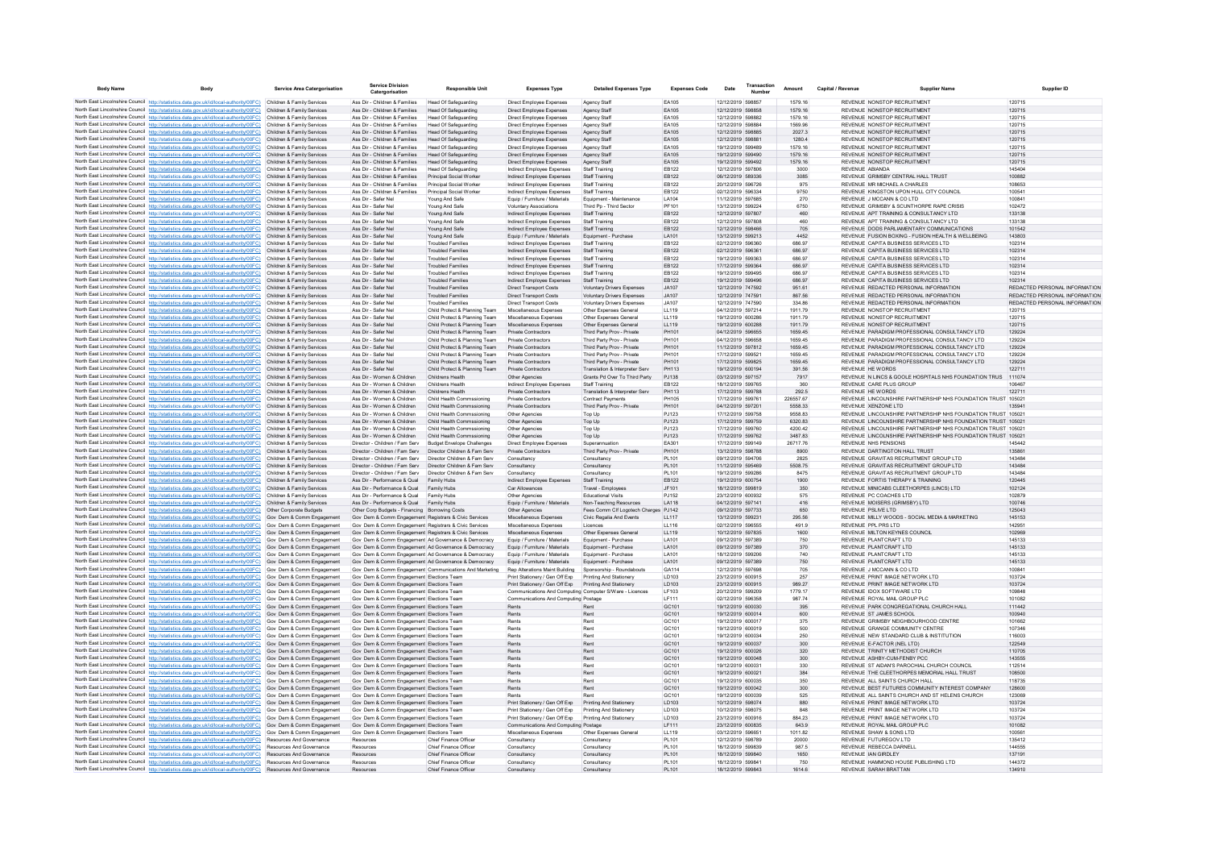| <b>Body Name</b> | Body                                                                                                                                                                              | Service Area Catergorisation                             | Service Division<br>Catergorisation                                                                          | <b>Responsible Unit</b>                                        | <b>Expenses Type</b>                                              | <b>Detailed Expenses Type</b>                                   | <b>Expenses Code</b>  | Date                                   | Transaction | Amount             | Canital / Revenue | <b>Supplier Name</b>                                                                                                          | Supplier ID                                                    |
|------------------|-----------------------------------------------------------------------------------------------------------------------------------------------------------------------------------|----------------------------------------------------------|--------------------------------------------------------------------------------------------------------------|----------------------------------------------------------------|-------------------------------------------------------------------|-----------------------------------------------------------------|-----------------------|----------------------------------------|-------------|--------------------|-------------------|-------------------------------------------------------------------------------------------------------------------------------|----------------------------------------------------------------|
|                  | North East Lincolnshire Council http://statistics.data.gov.uk/id/local-authority/00FC) Children & Family Services                                                                 |                                                          | Ass Dir - Children & Families                                                                                | <b>Head Of Safeguarding</b>                                    | Direct Employee Expenses                                          | Agency Staff                                                    | FA105                 | 12/12/2019 598857                      |             | 1579 16            |                   | REVENUE NONSTOP RECRUITMENT                                                                                                   | 120715                                                         |
|                  | North East Lincolnshire Council http://statistics.data.gov.uk/id/local-authority/00FC)                                                                                            | Children & Family Services                               | Ass Dir - Children & Families                                                                                | <b>Head Of Safeguarding</b>                                    | Direct Employee Expenses                                          | Agency Staff                                                    | EA105                 | 12/12/2019 598858                      |             | 1579.16            |                   | REVENUE NONSTOP RECRUITMENT                                                                                                   | 120715                                                         |
|                  | North East Lincolnshire Council http://statistics.data.gov.uk/id/local-authority/00FC)                                                                                            | Children & Family Services                               | Ass Dir - Children & Families                                                                                | Head Of Safeguarding                                           | Direct Employee Expenses                                          | Agency Staff                                                    | EA105                 | 12/12/2019 598882                      |             | 1579.16            |                   | REVENUE NONSTOP RECRUITMENT                                                                                                   | 120715                                                         |
|                  | North East Lincolnshire Council http://statistics.data.gov.uk/id/local-authority/00FC)<br>North East Lincolnshire Council http://statistics.data.gov.uk/id/local-authority/00FC)  | Children & Family Services<br>Children & Family Services | Ass Dir - Children & Families<br>Ass Dir - Children & Families                                               | <b>Head Of Safeguarding</b><br>Head Of Safeguarding            | Direct Employee Expenses<br>Direct Employee Expenses              | Agency Staff<br>Agency Staff                                    | EA105<br>FA105        | 12/12/2019 598884<br>12/12/2019 598885 |             | 1569.96<br>2027.3  |                   | REVENUE NONSTOP RECRUITMENT<br>REVENUE NONSTOP RECRUITMENT                                                                    | 120715<br>120715                                               |
|                  | North East Lincolnshire Council http://statistics.data.gov.uk/id/local-authority/00FC)                                                                                            | Children & Family Services                               | Ass Dir - Children & Families                                                                                | Head Of Safeguarding                                           | Direct Employee Expenses                                          | Agency Staff                                                    | EA105                 | 12/12/2019 598881                      |             | 1280.4             |                   | REVENUE NONSTOP RECRUITMENT                                                                                                   | 120715                                                         |
|                  | North East Lincolnshire Council http://statistics.data.gov.uk/id/local-authority/00FC)                                                                                            | Children & Family Services                               | Ass Dir - Children & Families                                                                                | <b>Head Of Safeguarding</b>                                    | Direct Employee Expenses                                          | Agency Staf                                                     | EA105                 | 19/12/2019 599489                      |             | 1579.16            |                   | REVENUE NONSTOP RECRUITMENT                                                                                                   | 120715                                                         |
|                  | North East Lincolnshire Council http://statistics.data.gov.uk/id/local-authority/00FC)                                                                                            | Children & Family Services                               | Ass Dir - Children & Families                                                                                | <b>Head Of Safeguarding</b>                                    | Direct Employee Expenses                                          | Agency Staff                                                    | EA105                 | 19/12/2019 599490                      |             | 1579.16            |                   | REVENUE NONSTOP RECRUITMENT                                                                                                   | 120715                                                         |
|                  | North East Lincolnshire Council http://statistics.data.gov.uk/id/local-authority/00FC)<br>North East Lincolnshire Council http://statistics.data.gov.uk/id/local-authority/00FC)  | Children & Family Services<br>Children & Family Services | Ass Dir - Children & Families<br>Ass Dir - Children & Families                                               | Head Of Safeguarding<br>Head Of Safeguarding                   | Direct Employee Expenses<br>Indirect Employee Expenses            | Anency Staff<br>Staff Training                                  | FA105<br>FR122        | 19/12/2019 599492<br>12/12/2019 597806 |             | 1579 16<br>3000    | REVENUE ARIANDA   | REVENUE NONSTOP RECRUITMENT                                                                                                   | 120715<br>145404                                               |
|                  | North East Lincolnshire Council http://statistics.data.gov.uk/id/local-authority/00FC)                                                                                            | Children & Family Services                               | Ass Dir - Children & Families                                                                                | Principal Social Worke                                         | Indirect Employee Expenses                                        | <b>Staff Training</b>                                           | EB122                 | 06/12/2019 589336                      |             | 3085               |                   | REVENUE GRIMSBY CENTRAL HALL TRUST                                                                                            | 100882                                                         |
|                  | North East Lincolnshire Council http://statistics.data.gov.uk/id/local-authority/00FC)                                                                                            | Children & Family Services                               | Ass Dir - Children & Families                                                                                | Principal Social Worker                                        | Indirect Employee Expenses                                        | Staff Training                                                  | EB122                 | 20/12/2019 596726                      |             | 975                |                   | REVENUE MR MICHAEL A CHARLES                                                                                                  | 108653                                                         |
|                  | North East Lincolnshire Council http://statistics.data.gov.uk/id/local-authority/00FC)                                                                                            | Children & Family Services                               | Ass Dir - Children & Families                                                                                | Principal Social Worker                                        | Indirect Employee Expenses                                        | Staff Training                                                  | EB122                 | 02/12/2019 596334                      |             | 9750               |                   | REVENUE KINGSTON UPON HULL CITY COUNCIL                                                                                       | 100541                                                         |
|                  | North East Lincolnshire Council http://statistics.data.gov.uk/id/local-authority/00FC)                                                                                            | Children & Family Services                               | Ass Dir - Safer Nel<br>Ass Dir - Safer Nel                                                                   | Young And Safe                                                 | Equip / Furniture / Materials<br><b>Voluntary Associations</b>    | Foujoment - Maintenance                                         | LA104<br>PF101        | 11/12/2019 597685<br>13/12/2019 599224 |             | 270                |                   | REVENUE J MCCANN & CO LTD.<br>REVENUE GRIMSBY & SCUNTHORPE RAPE CRISIS                                                        | 100841<br>102472                                               |
|                  | North East Lincolnshire Council http://statistics.data.gov.uk/id/local-authority/00FC)<br>North East Lincolnshire Council http://statistics.data.gov.uk/id/local-authority/00FC)  | Children & Family Services<br>Children & Family Services | Ass Dir - Safer Nel                                                                                          | Young And Safe<br>Young And Safe                               | Indirect Employee Expenses                                        | Third Pp - Third Sector<br><b>Staff Training</b>                | EB122                 | 12/12/2019 597807                      |             | 6750<br>460        |                   | REVENUE APT TRAINING & CONSULTANCY LTD                                                                                        | 133138                                                         |
|                  | North East Lincolnshire Council http://statistics.data.gov.uk/id/local-authority/00FC)                                                                                            | Children & Family Services                               | Ass Dir - Safer Nel                                                                                          | Young And Safe                                                 | Indirect Employee Expenses                                        | Staff Training                                                  | EB122                 | 12/12/2019 597808                      |             | 460                |                   | REVENUE APT TRAINING & CONSULTANCY LTD                                                                                        | 133138                                                         |
|                  | North East Lincolnshire Council http://statistics.data.gov.uk/id/local-authority/00FC)                                                                                            | Children & Family Services                               | Ass Dir - Safer Nel                                                                                          | Young And Safe                                                 | Indirect Employee Expenses                                        | Staff Training                                                  | EB122                 | 12/12/2019 598466                      |             | 705                |                   | REVENUE DODS PARLIAMENTARY COMMUNICATIONS                                                                                     | 101542                                                         |
|                  | North East Lincolnshire Council http://statistics.data.gov.uk/id/local-authority/00FC)                                                                                            | Children & Family Services                               | Ass Dir - Safer Nel                                                                                          | Young And Safe                                                 | Equip / Furniture / Materials                                     | Equipment - Purchase                                            | LA101                 | 13/12/2019 599213                      |             | 4452               |                   | REVENUE FUSION BOXING - FUSION HEALTH & WELLBEING                                                                             | 143803                                                         |
|                  | North East Lincolnshire Council http://statistics.data.gov.uk/id/local-authority/00FC)<br>North East Lincolnshire Council http://statistics.data.gov.uk/id/local-authority/00FC)  | Children & Family Services<br>Children & Family Services | Ass Dir - Safer Nel<br>Ass Dir - Safer Nel                                                                   | <b>Troubled Families</b><br><b>Troubled Families</b>           | Indirect Employee Expenses                                        | Staff Training<br>Staff Training                                | FR122<br>EB122        | 02/12/2019 596360<br>02/12/2019 596361 |             | 686.97<br>686.97   |                   | REVENUE CAPITA BUSINESS SERVICES LTD.<br>REVENUE CAPITA BUSINESS SERVICES LTD                                                 | 102314<br>102314                                               |
|                  | North East Lincolnshire Council http://statistics.data.gov.uk/id/local-authority/00FC)                                                                                            | Children & Family Services                               | Ass Dir - Safer Nel                                                                                          | <b>Troubled Families</b>                                       | Indirect Employee Expenses<br>Indirect Employee Expenses          | Staff Training                                                  | EB122                 | 19/12/2019 599363                      |             | 686.97             |                   | REVENUE CAPITA BUSINESS SERVICES LTD                                                                                          | 102314                                                         |
|                  | North East Lincolnshire Council http://statistics.data.gov.uk/id/local-authority/00FC)                                                                                            | Children & Family Services                               | Ass Dir - Safer Nel                                                                                          | <b>Troubled Families</b>                                       | Indirect Employee Expenses                                        | Staff Training                                                  | EB122                 | 17/12/2019 599364                      |             | 686.97             |                   | REVENUE CAPITA BUSINESS SERVICES LTD                                                                                          | 102314                                                         |
|                  | North East Lincolnshire Council http://statistics.data.gov.uk/id/local-authority/00FC)                                                                                            | Children & Family Services                               | Ass Dir - Safer Nel                                                                                          | <b>Troubled Families</b>                                       | <b>Indirect Employee Expenses</b>                                 | <b>Staff Training</b>                                           | FR122                 | 19/12/2019 599495                      |             | 686.97             |                   | REVENUE, CAPITA BUSINESS SERVICES LTD.                                                                                        | 102314                                                         |
|                  | North East Lincolnshire Council http://statistics.data.gov.uk/id/local-authority/00FC)                                                                                            | Children & Family Services                               | Ass Dir - Safer Nel                                                                                          | <b>Troubled Families</b>                                       | Indirect Employee Expenses                                        | <b>Staff Training</b>                                           | EB122                 | 19/12/2019 599496                      |             | 686.97             |                   | REVENUE CAPITA BUSINESS SERVICES LTD                                                                                          | 102314                                                         |
|                  | North East Lincolnshire Council http://statistics.data.gov.uk/id/local-authority/00FC)<br>North East Lincolnshire Council http://statistics.data.gov.uk/id/local-authority/00FC)  | Children & Family Services<br>Children & Family Services | Ass Dir - Safer Nel<br>Ass Dir - Safer Nel                                                                   | <b>Troubled Families</b><br><b>Troubled Families</b>           | Direct Transport Costs<br>Direct Transport Costs                  | Voluntary Drivers Expenses<br>Voluntary Drivers Expenses        | JA107<br>JA107        | 12/12/2019 747592<br>12/12/2019 747591 |             | 951.61<br>867.56   |                   | REVENUE REDACTED PERSONAL INFORMATION<br>REVENUE REDACTED PERSONAL INFORMATION                                                | REDACTED PERSONAL INFORMATION<br>REDACTED PERSONAL INFORMATION |
|                  | North East Lincolnshire Council http://statistics.data.gov.uk/id/local-authority/00FC)                                                                                            | Children & Family Services                               | Ass Dir - Safer Nel                                                                                          | <b>Troubled Families</b>                                       | <b>Direct Transport Costs</b>                                     | Voluntary Drivers Expenses                                      | JA107                 | 12/12/2019 747590                      |             | 334.86             |                   | REVENUE REDACTED PERSONAL INFORMATION                                                                                         | REDACTED PERSONAL INFORMATION                                  |
|                  | North East Lincolnshire Council http://statistics.data.gov.uk/id/local-authority/00FC)                                                                                            | Children & Family Services                               | Ass Dir - Safer Nel                                                                                          | Child Protect & Planning Team                                  | Miscellaneous Expenses                                            | Other Expenses General                                          | LL119                 | 04/12/2019 597214                      |             | 1911.79            |                   | REVENUE NONSTOP RECRUITMENT                                                                                                   | 120715                                                         |
|                  | North East Lincolnshire Council http://statistics.data.gov.uk/id/local-authority/00FC)                                                                                            | Children & Family Services                               | Ass Dir - Safer Nel                                                                                          | Child Protect & Planning Team                                  | Miscellaneous Expenses                                            | Other Expenses General                                          | LL119                 | 19/12/2019 600286                      |             | 1911.79            |                   | REVENUE NONSTOP RECRUITMENT                                                                                                   | 120715                                                         |
|                  | North East Lincolnshire Council http://statistics.data.gov.uk/id/local-authority/00FC)<br>North East Lincolnshire Council http://statistics.data.gov.uk/id/local-authority/00FC)  | Children & Family Services<br>Children & Family Services | Ass Dir - Safer Nel<br>Ass Dir - Safer Nel                                                                   | Child Protect & Planning Team<br>Child Protect & Planning Team | Miscellaneous Expenses<br>Private Contractors                     | Other Expenses General<br>Third Party Prov - Private            | LL119<br>PH101        | 19/12/2019 600288<br>04/12/2019 596655 |             | 1911.79<br>1659.45 |                   | <b>REVENUE NONSTOP RECRUITMENT</b><br>REVENUE PARADIGM PROFESSIONAL CONSULTANCY LTD                                           | 120715<br>129224                                               |
|                  | North East Lincolnshire Council http://statistics.data.gov.uk/id/local-authority/00FC)                                                                                            | Children & Family Services                               | Ass Dir - Safer Nel                                                                                          | Child Protect & Planning Team                                  | Private Contractors                                               | Third Party Prov - Private                                      | PH101                 | 04/12/2019 596658                      |             | 1659 45            |                   | REVENUE PARADIGM PROFESSIONAL CONSULTANCY LTD.                                                                                | 129224                                                         |
|                  | North East Lincolnshire Council http://statistics.data.gov.uk/id/local-authority/00FC)                                                                                            | Children & Family Services                               | Ass Dir - Safer Nel                                                                                          | Child Protect & Planning Team                                  | Private Contractors                                               | Third Party Prov - Private                                      | PH101                 | 11/12/2019 597812                      |             | 1659.45            |                   | REVENUE PARADIGM PROFESSIONAL CONSULTANCY LTD                                                                                 | 129224                                                         |
|                  | North East Lincolnshire Council http://statistics.data.gov.uk/id/local-authority/00FC)                                                                                            | Children & Family Services                               | Ass Dir - Safer Nel                                                                                          | Child Protect & Planning Team                                  | Private Contractors                                               | Third Party Prov - Private                                      | PH101                 | 17/12/2019 599521                      |             | 1659.45            |                   | REVENUE PARADIGM PROFESSIONAL CONSULTANCY LTD                                                                                 | 129224                                                         |
|                  | North East Lincolnshire Council http://statistics.data.gov.uk/id/local-authority/00FC)                                                                                            | Children & Family Services                               | Ass Dir - Safer Nel                                                                                          | Child Protect & Planning Team                                  | Private Contractors                                               | Third Party Prov - Private                                      | PH101                 | 17/12/2019 599825                      |             | 1659.45            |                   | REVENUE PARADIGM PROFESSIONAL CONSULTANCY LTD                                                                                 | 129224                                                         |
|                  | North East Lincolnshire Council http://statistics.data.gov.uk/id/local-authority/00FC)<br>North East Lincolnshire Council http://statistics.data.gov.uk/id/local-authority/00FC)  | Children & Family Services<br>Children & Family Services | Ass Dir - Safer Nel<br>Ass Dir - Women & Children                                                            | Child Protect & Planning Team<br>Childrens Health              | <b>Private Contractors</b><br>Other Agencies                      | Translation & Interpreter Serv<br>Grants Pd Over To Third Party | PH113<br>PJ138        | 19/12/2019 600194<br>03/12/2019 597157 |             | 391.56<br>7917     |                   | <b>REVENUE HE WORDS</b><br>REVENUE IN LINCS & GOOLE HOSPITALS NHS FOUNDATION TRUS                                             | 122711<br>111074                                               |
|                  | North East Lincolnshire Council http://statistics.data.gov.uk/id/local-authority/00FC).                                                                                           | Children & Family Services                               | Ass Dir - Women & Children                                                                                   | Childrens Health                                               | Indirect Employee Expenses                                        | <b>Staff Training</b>                                           | EB122                 | 18/12/2019 599765                      |             | 360                |                   | REVENUE CARE PLUS GROUP                                                                                                       | 106467                                                         |
|                  | North East Lincolnshire Council http://statistics.data.gov.uk/id/local-authority/00FC)                                                                                            | Children & Family Services                               | Ass Dir - Women & Children                                                                                   | Childrens Health                                               | Private Contractors                                               | Translation & Interpreter Serv                                  | PH113                 | 17/12/2019 599788                      |             | 292.5              |                   | REVENUE HE WORDS                                                                                                              | 122711                                                         |
|                  | North East Lincolnshire Council http://statistics.data.gov.uk/id/local-authority/00FC)                                                                                            | Children & Family Services                               | Ass Dir - Women & Children                                                                                   | Child Health Commssioning                                      | Private Contractors                                               | <b>Contract Payments</b>                                        | PH105                 | 17/12/2019 599761                      |             | 226557.67          |                   | REVENUE LINCOLNSHIRE PARTNERSHIP NHS FOUNDATION TRUST 105021                                                                  |                                                                |
|                  | North East Lincolnshire Council http://statistics.data.gov.uk/id/local-authority/00FC)                                                                                            | Children & Family Services                               | Ass Dir - Women & Children                                                                                   | Child Health Commssioning                                      | <b>Private Contractors</b>                                        | Third Party Prov - Private                                      | PH101                 | 04/12/2019 597201                      |             | 5558.33            |                   | REVENUE XENZONE LTD                                                                                                           | 135941                                                         |
|                  | North East Lincolnshire Council http://statistics.data.gov.uk/id/local-authority/00FC)<br>North East Lincolnshire Council http://statistics.data.gov.uk/id/local-authority/00FC)  | Children & Family Services<br>Children & Family Services | Ass Dir - Women & Children<br>Ass Dir - Women & Children                                                     | Child Health Commssioning<br>Child Health Commssioning         | Other Agencies<br>Other Agencies                                  | Top Up<br>Top Up                                                | PJ123<br>PJ123        | 17/12/2019 599758<br>17/12/2019 599759 |             | 9558 83<br>6320.83 |                   | REVENUE LINCOLNSHIRE PARTNERSHIP NHS EQUINDATION TRUST 105021<br>REVENUE LINCOLNSHIRE PARTNERSHIP NHS FOUNDATION TRUST 105021 |                                                                |
|                  | North East Lincolnshire Council http://statistics.data.gov.uk/id/local-authority/00FC)                                                                                            | Children & Family Services                               | Ass Dir - Women & Children                                                                                   | Child Health Commssioning                                      | Other Agencies                                                    | Top Up                                                          | PJ123                 | 17/12/2019 599760                      |             | 4200.42            |                   | REVENUE LINCOLNSHIRE PARTNERSHIP NHS FOUNDATION TRUST 10502                                                                   |                                                                |
|                  | North East Lincolnshire Council http://statistics.data.gov.uk/id/local-authority/00FC)                                                                                            | Children & Family Services                               | Ass Dir - Women & Children                                                                                   | Child Health Commssioning                                      | Other Agencies                                                    | Top Up                                                          | PJ123                 | 17/12/2019 599762                      |             | 3487.83            |                   | REVENUE LINCOLNSHIRE PARTNERSHIP NHS FOUNDATION TRUST 105021                                                                  |                                                                |
|                  | North East Lincolnshire Council http://statistics.data.gov.uk/id/local-authority/00FC)                                                                                            | Children & Family Services                               | Director - Children / Fam Serv                                                                               | Budget Envelope Challenges                                     | Direct Employee Expenses                                          | Superannuation                                                  | FA301                 | 17/12/2019 599149                      |             | 26717.76           |                   | REVENUE NHS PENSIONS                                                                                                          | 145442                                                         |
|                  | North East Lincolnshire Council http://statistics.data.gov.uk/id/local-authority/00FC).<br>North East Lincolnshire Council http://statistics.data.gov.uk/id/local-authority/00FC) | Children & Family Services<br>Children & Family Services | Director - Children / Fam Serv<br>Director - Children / Fam Serv                                             | Director Children & Fam Serv<br>Director Children & Fam Serv   | Private Contractors<br>Consultancy                                | Third Party Prov - Private<br>Consultancy                       | PH101<br>PL101        | 13/12/2019 598788<br>09/12/2019 594706 |             | 8900<br>2825       |                   | REVENUE DARTINGTON HALL TRUST<br>REVENUE GRAVITAS RECRUITMENT GROUP LTD                                                       | 135861<br>143484                                               |
|                  | North East Lincolnshire Council http://statistics.data.gov.uk/id/local-authority/00FC)                                                                                            | Children & Family Services                               | Director - Children / Fam Serv                                                                               | Director Children & Fam Serv                                   | Consultancy                                                       | Consultancy                                                     | PL101                 | 11/12/2019 595469                      |             | 5508.75            |                   | REVENUE GRAVITAS RECRUITMENT GROUP LTD                                                                                        | 143484                                                         |
|                  | North East Lincolnshire Council http://statistics.data.gov.uk/id/local-authority/00FC)                                                                                            | Children & Family Services                               | Director - Children / Fam Serv                                                                               | Director Children & Fam Serv                                   | Consultancy                                                       | Consultancy                                                     | PL101                 | 19/12/2019 599286                      |             | 8475               |                   | REVENUE GRAVITAS RECRUITMENT GROUP LTD                                                                                        | 143484                                                         |
|                  | North East Lincolnshire Council http://statistics.data.gov.uk/id/local-authority/00FC)                                                                                            | Children & Family Services                               | Ass Dir - Performance & Qual                                                                                 | Family Hubs                                                    | Indirect Employee Expenses                                        | Staff Training                                                  | EB122                 | 19/12/2019 600754                      |             | 1900               |                   | REVENUE FORTIS THERAPY & TRAINING                                                                                             | 120445                                                         |
|                  | North East Lincolnshire Council http://statistics.data.gov.uk/id/local-authority/00FC)                                                                                            | Children & Family Services<br>Children & Family Services | Ass Dir - Performance & Qual<br>Ass Dir - Performance & Qual                                                 | Family Hubs<br>Family Hubs                                     | Car Allowances<br>Other Agencies                                  | Travel - Employeer<br><b>Educational Visits</b>                 | JF101<br>PJ152        | 18/12/2019 599819<br>23/12/2019 600932 |             | 350<br>575         |                   | REVENUE MINICABS CLEETHORPES (LINCS) LTD<br>REVENUE PC COACHES LTD                                                            | 102124<br>102879                                               |
|                  | North East Lincolnshire Council http://statistics.data.gov.uk/id/local-authority/00FC)<br>North East Lincolnshire Council http://statistics.data.gov.uk/id/local-authority/00FC)  | Children & Family Services                               | Ass Dir - Performance & Qual                                                                                 | Family Hubs                                                    | Equip / Furniture / Materials                                     | Non-Teaching Resources                                          | <b>LA118</b>          | 04/12/2019 597141                      |             | 416                |                   | REVENUE MOISERS (GRIMSBY) LTD                                                                                                 | 100746                                                         |
|                  | North East Lincolnshire Council http://statistics.data.gov.uk/id/local-authority/00FC)                                                                                            | Other Corporate Budgets                                  | Other Corp Budgets - Financing Borrowing Costs                                                               |                                                                | Other Agencies                                                    | Fees Comm Clf Longtech Charges P.1142                           |                       | 09/12/2019 597733                      |             | 650                |                   | REVENUE PSLIVE LTD                                                                                                            | 125043                                                         |
|                  | North East Lincolnshire Council http://statistics.data.gov.uk/id/local-authority/00FC)                                                                                            | Gov Dem & Comm Engagement                                | Gov Dem & Comm Engagement Registrars & Civic Services                                                        |                                                                | Miscellaneous Expenses                                            | Civic Regalia And Events                                        | 117                   | 13/12/2019 599231                      |             | 295.56             |                   | REVENUE MILLY WOODS - SOCIAL MEDIA & MARKETING                                                                                | 145153                                                         |
|                  | North East Lincolnshire Council http://statistics.data.gov.uk/id/local-authority/00FC)                                                                                            | Gov Dem & Comm Engagement                                | Gov Dem & Comm Engagement Registrars & Civic Service                                                         |                                                                | Miscellaneous Expenses                                            | Licences                                                        | LL116<br>LL119        | 02/12/2019 596555<br>10/12/2019 597835 |             | 491.9              |                   | REVENUE PPL PRS LTD<br>REVENUE MILTON KEYNES COUNCIL                                                                          | 142951<br>102969                                               |
|                  | North East Lincolnshire Council http://statistics.data.gov.uk/id/local-authority/00FC)<br>North East Lincolnshire Council http://statistics.data.gov.uk/id/local-authority/00FC)  | Gov Dem & Comm Engagement<br>Gov Dem & Comm Engagement   | Gov Dem & Comm Engagement Registrars & Civic Services<br>Gov Dem & Comm Engagement Ad Governance & Democracy |                                                                | Miscellaneous Expenses<br>Equip / Furniture / Materials           | Other Expenses General<br>Equipment - Purchase                  | LA101                 | 09/12/2019 597389                      |             | 1600<br>750        |                   | REVENUE PLANTCRAFT LTD                                                                                                        | 145133                                                         |
|                  | North East Lincolnshire Council http://statistics.data.gov.uk/id/local-authority/00FC)                                                                                            | Gov Dem & Comm Engagement                                | Gov Dem & Comm Engagement Ad Governance & Democracy                                                          |                                                                | Equip / Furniture / Materials                                     | Equipment - Purchase                                            | LA101                 | 09/12/2019 597389                      |             | 370                |                   | REVENUE PLANTCRAFT LTD                                                                                                        | 145133                                                         |
|                  | North East Lincolnshire Council http://statistics.data.gov.uk/id/local-authority/00FC)                                                                                            | Gov Dem & Comm Engagement                                | Gov Dem & Comm Engagement Ad Governance & Democracy                                                          |                                                                | Equip / Furniture / Materials                                     | Equipment - Purchase                                            | LA101                 | 18/12/2019 599206                      |             | 740                |                   | REVENUE PLANTCRAFT LTD                                                                                                        | 145133                                                         |
|                  | North East Lincolnshire Council http://statistics.data.gov.uk/id/local-authority/00FC)                                                                                            | Gov Dem & Comm Engagement                                | Gov Dem & Comm Engagement Ad Governance & Democracy                                                          |                                                                | Equip / Furniture / Materials                                     | Equipment - Purchase                                            | LA101                 | 09/12/2019 597389                      |             | 750                |                   | REVENUE PLANTCRAFT LTD                                                                                                        | 145133                                                         |
|                  | North East Lincolnshire Council http://statistics.data.gov.uk/id/local-authority/00FC)<br>North East Lincolnshire Council http://statistics.data.gov.uk/id/local-authority/00FC)  | Gov Dem & Comm Engagement<br>Gov Dem & Comm Engagement   | Gov Dem & Comm Engagement Elections Team                                                                     | Gov Dem & Comm Engagement Communications And Marketing         | Rep Alterations Maint Building<br>Print Stationery / Gen Off Exp. | Sponsorship - Roundabouts<br>Printing And Stationery            | GA114<br><b>ID103</b> | 12/12/2019 597698<br>23/12/2019 600915 |             | 705<br>257         |                   | REVENUE J MCCANN & CO LTD<br>REVENUE PRINT IMAGE NETWORK ITD                                                                  | 100841<br>103724                                               |
|                  | North East Lincolnshire Council http://statistics.data.gov.uk/id/local-authority/00FC)                                                                                            | Gov Dem & Comm Engagement                                | Gov Dem & Comm Engagement Elections Team                                                                     |                                                                | Print Stationery / Gen Off Exp                                    | Printing And Stationery                                         | <b>ID103</b>          | 23/12/2019 600915                      |             | 989.27             |                   | REVENUE PRINT IMAGE NETWORK ITD                                                                                               | 103724                                                         |
|                  | North East Lincolnshire Council http://statistics.data.gov.uk/id/local-authority/00FC)                                                                                            | Gov Dem & Comm Engagement                                | Gov Dem & Comm Engagement Elections Team                                                                     |                                                                | Communications And Computing Computer S/Ware - Licences           |                                                                 | LF103                 | 20/12/2019 599209                      |             | 1779.17            |                   | REVENUE IDOX SOFTWARE LTD                                                                                                     | 109848                                                         |
|                  | North East Lincolnshire Council http://statistics.data.gov.uk/id/local-authority/00FC)                                                                                            | Gov Dem & Comm Engagement                                | Gov Dem & Comm Engagement Elections Team                                                                     |                                                                | Communications And Computing Postage                              |                                                                 | LF111                 | 02/12/2019 596358                      |             | 987.74             |                   | REVENUE ROYAL MAIL GROUP PLC                                                                                                  | 101082                                                         |
|                  | North East Lincolnshire Council http://statistics.data.gov.uk/id/local-authority/00FC)<br>North East Lincolnshire Council http://statistics.data.gov.uk/id/local-authority/00FC)  | Gov Dem & Comm Engagement                                | Gov Dem & Comm Engagement Elections Team                                                                     |                                                                | Rents                                                             | Rent<br>Rent                                                    | GC101                 | 19/12/2019 600030<br>19/12/2019 600014 |             | 395<br>600         |                   | REVENUE PARK CONGREGATIONAL CHURCH HALL<br>REVENUE ST JAMES SCHOOL                                                            | 111442<br>100940                                               |
|                  | North East Lincolnshire Council http://statistics.data.gov.uk/id/local-authority/00FC)                                                                                            | Gov Dem & Comm Engagement<br>Gov Dem & Comm Engagement   | Gov Dem & Comm Engagement Elections Team<br>Gov Dem & Comm Engagement Elections Team                         |                                                                | Rents<br>Rents                                                    | Rent                                                            | GC101<br>GC101        | 19/12/2019 600017                      |             | 375                |                   | REVENUE GRIMSRY NEIGHROURHOOD CENTRE                                                                                          | 101662                                                         |
|                  | North East Lincolnshire Council http://statistics.data.gov.uk/id/local-authority/00FC)                                                                                            | Gov Dem & Comm Engagement                                | Gov Dem & Comm Engagement Elections Team                                                                     |                                                                | Rents                                                             | Rent                                                            | GC101                 | 19/12/2019 600019                      |             | 500                |                   | REVENUE GRANGE COMMUNITY CENTRE                                                                                               | 107346                                                         |
|                  | North East Lincolnshire Council http://statistics.data.gov.uk/id/local-authority/00FC)                                                                                            | Gov Dem & Comm Engagement                                | Gov Dem & Comm Engagement Elections Team                                                                     |                                                                | Rents                                                             | Rent                                                            | GC101                 | 19/12/2019 600034                      |             | 250                |                   | REVENUE NEW STANDARD CLUB & INSTITUTION                                                                                       | 116003                                                         |
|                  | North East Lincolnshire Council http://statistics.data.gov.uk/id/local-authority/00FC)                                                                                            | Gov Dem & Comm Engagement                                | Gov Dem & Comm Engagement Elections Team                                                                     |                                                                | Rents                                                             | Rent                                                            | GC101                 | 19/12/2019 600037                      |             | 300                |                   | REVENUE E-FACTOR (NEL LTD)                                                                                                    | 122549                                                         |
|                  | North East Lincolnshire Council http://statistics.data.gov.uk/id/local-authority/00FC)<br>North East Lincolnshire Council http://statistics.data.gov.uk/id/local-authority/00FC)  | Gov Dem & Comm Engagement<br>Gov Dem & Comm Engagement   | Gov Dem & Comm Engagement Elections Team<br>Gov Dem & Comm Engagement Elections Team                         |                                                                | Rents<br>Rents                                                    | Rent<br>Rent                                                    | GC101<br>GC101        | 19/12/2019 600026<br>19/12/2019 600048 |             | 320<br>300         |                   | REVENUE TRINITY METHODIST CHURCH<br>REVENUE ASHBY-CUM-FENBY PCC                                                               | 110705<br>143555                                               |
|                  | North East Lincolnshire Council http://statistics.data.gov.uk/id/local-authority/00FC)                                                                                            | Gov Dem & Comm Engagement                                | Gov Dem & Comm Engagement Elections Team                                                                     |                                                                | Rents                                                             | Rent                                                            | GC101                 | 19/12/2019 600031                      |             | 330                |                   | REVENUE ST AIDAN'S PAROCHIAL CHURCH COUNCIL                                                                                   | 112514                                                         |
|                  | North East Lincolnshire Council http://statistics.data.gov.uk/id/local-authority/00FC)                                                                                            | Gov Dem & Comm Engagement                                | Gov Dem & Comm Engagement Elections Team                                                                     |                                                                | Rents                                                             | Rent                                                            | GC101                 | 19/12/2019 600021                      |             | 384                |                   | REVENUE THE CLEETHORPES MEMORIAL HALL TRUST                                                                                   | 108500                                                         |
|                  | North East Lincolnshire Council http://statistics.data.gov.uk/id/local-authority/00FC)                                                                                            | Gov Dem & Comm Engagement                                | Gov Dem & Comm Engagement Elections Team                                                                     |                                                                | Rents                                                             | Rent                                                            | GC101                 | 19/12/2019 600035                      |             | 350                |                   | REVENUE ALL SAINTS CHURCH HALL                                                                                                | 118735                                                         |
|                  | North East Lincolnshire Council http://statistics.data.gov.uk/id/local-authority/00FC)                                                                                            | Gov Dem & Comm Engagement                                | Gov Dem & Comm Engagement Elections Team                                                                     |                                                                | Rents<br>Rents                                                    | Rent                                                            | GC101<br>GC101        | 19/12/2019 600042<br>19/12/2019 600039 |             | 300<br>525         |                   | REVENUE BEST EUTURES COMMUNITY INTEREST COMPANY<br>REVENUE ALL SAINTS CHURCH AND ST HELENS CHURCH                             | 128600<br>123069                                               |
|                  | North East Lincolnshire Council http://statistics.data.gov.uk/id/local-authority/00FC)<br>North East Lincolnshire Council http://statistics.data.gov.uk/id/local-authority/00FC)  | Gov Dem & Comm Engagement<br>Gov Dem & Comm Engagement   | Gov Dem & Comm Engagement Elections Team<br>Gov Dem & Comm Engagement Elections Team                         |                                                                | Print Stationery / Gen Off Exp Printing And Stationery            |                                                                 | LD103                 | 10/12/2019 598074                      |             | 880                |                   | REVENUE PRINT IMAGE NETWORK LTD                                                                                               | 103724                                                         |
|                  | North East Lincolnshire Council http://statistics.data.gov.uk/id/local-authority/00FC)                                                                                            | Gov Dem & Comm Engagement                                | Gov Dem & Comm Engagement Elections Team                                                                     |                                                                | Print Stationery / Gen Off Exp                                    | Printing And Stationery                                         | LD103                 | 10/12/2019 598075                      |             | 848                |                   | REVENUE PRINT IMAGE NETWORK LTD                                                                                               | 103724                                                         |
|                  | North East Lincolnshire Council http://statistics.data.gov.uk/id/local-authority/00FC)                                                                                            | Gov Dem & Comm Engagement                                | Gov Dem & Comm Engagement Elections Team                                                                     |                                                                | Print Stationery / Gen Off Exp                                    | Printing And Stationery                                         | LD103                 | 23/12/2019 600916                      |             | 884.23             |                   | REVENUE PRINT IMAGE NETWORK LTD                                                                                               | 103724                                                         |
|                  | North East Lincolnshire Council http://statistics.data.gov.uk/id/local-authority/00FC)                                                                                            | Gov Dem & Comm Engagement                                | Gov Dem & Comm Engagement Elections Team                                                                     |                                                                | Communications And Computing Postage                              |                                                                 | LF111                 | 23/12/2019 600835                      |             | 643.9              |                   | REVENUE ROYAL MAIL GROUP PLC                                                                                                  | 101082                                                         |
|                  | North East Lincolnshire Council http://statistics.data.gov.uk/id/local-authority/00FC)<br>North East Lincolnshire Council http://statistics.data.gov.uk/id/local-authority/00FC)  | Gov Dem & Comm Engagement<br>Resources And Governance    | Gov Dem & Comm Engagement Elections Team<br>Resources                                                        | Chief Finance Office                                           | Miscellaneous Expenses<br>Consultancy                             | Other Expenses General<br>Consultancy                           | LL119<br>PL101        | 03/12/2019 596651<br>12/12/2019 598789 |             | 1011.82<br>20000   |                   | REVENUE SHAW & SONS LTD<br>REVENUE FUTUREGOV.LTD                                                                              | 100561<br>135412                                               |
|                  | North East Lincolnshire Council http://statistics.data.gov.uk/id/local-authority/00FC)                                                                                            | <b>Resources And Governance</b>                          | Resources                                                                                                    | Chief Finance Office                                           | Consultancy                                                       | Consultancy                                                     | PL101                 | 18/12/2019 599839                      |             | 987.5              |                   | REVENUE REBECCA DARNELL                                                                                                       | 144555                                                         |
|                  | North East Lincolnshire Council http://statistics.data.gov.uk/id/local-authority/00FC)                                                                                            | <b>Resources And Governance</b>                          | Resources                                                                                                    | Chief Finance Officer                                          | Consultancy                                                       | Consultancy                                                     | PI 101                | 18/12/2019 599840                      |             | 1650               |                   | REVENUE JAN GIRDLEY                                                                                                           | 137191                                                         |
|                  | North East Lincolnshire Council http://statistics.data.gov.uk/id/local-authority/00FC) Resources And Governance                                                                   |                                                          | Resources                                                                                                    | Chief Finance Officer                                          | Consultancy                                                       | Consultancy                                                     | PL101                 | 18/12/2019 599841                      |             | 750                |                   | REVENUE HAMMOND HOUSE PUBLISHING LTD                                                                                          | 144372                                                         |
|                  | North East Lincolnshire Council http://statistics.data.gov.uk/id/local-authority/00FC)                                                                                            | Resources And Governance                                 | Resource                                                                                                     | Chief Finance Office                                           | Consultancy                                                       | Consultancy                                                     | PL101                 | 18/12/2019 599843                      |             | 1614.6             |                   | REVENUE SARAH BRATTAN                                                                                                         | 134910                                                         |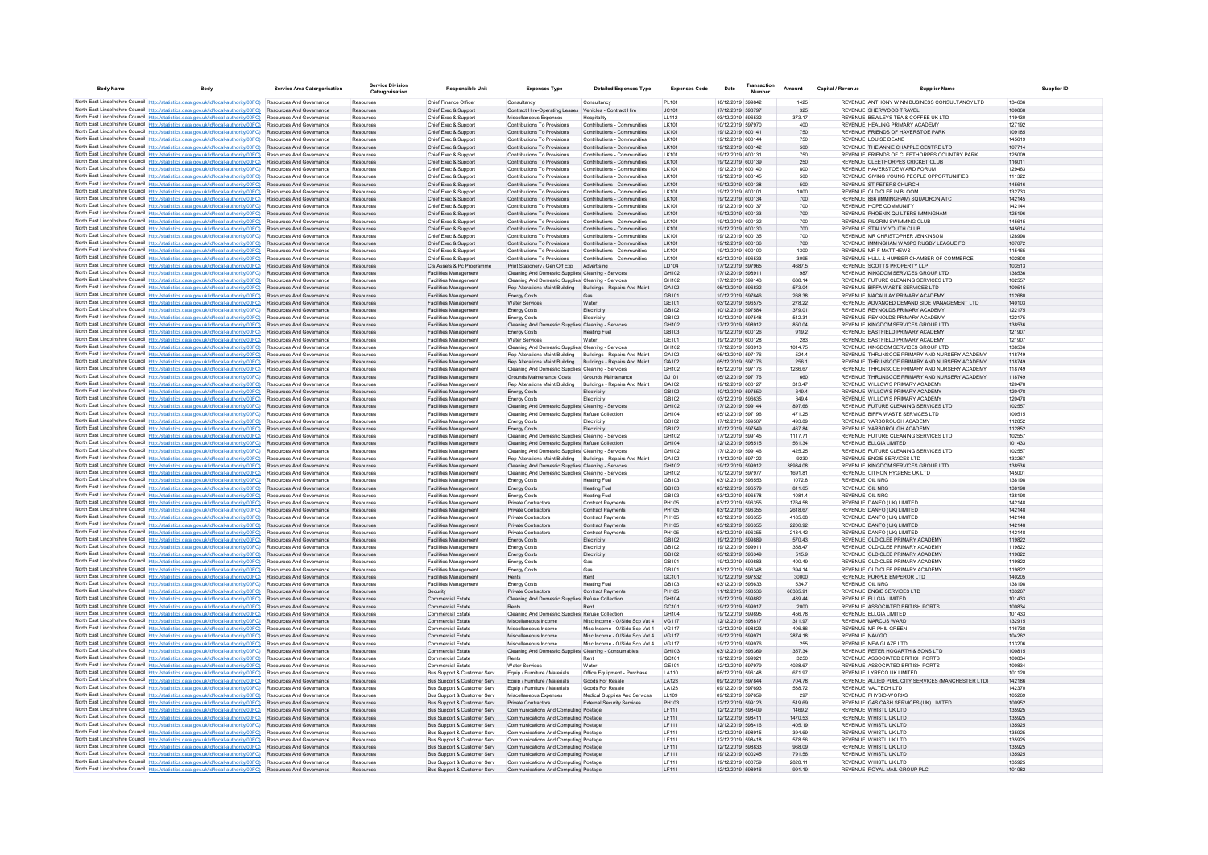| <b>Body Name</b> | Body                                                                                                                                                                                                      | <b>Service Area Catergorisation</b>                                | <b>Service Division</b><br>Catergorisation | <b>Responsible Unit</b>                                      | <b>Expenses Type</b>                                                                                               | <b>Detailed Expenses Type</b>                                    | <b>Expenses Code</b>         | Date                                   | Transaction | Amount             | Capital / Revenue | <b>Supplier Name</b>                                                             | <b>Supplier ID</b> |
|------------------|-----------------------------------------------------------------------------------------------------------------------------------------------------------------------------------------------------------|--------------------------------------------------------------------|--------------------------------------------|--------------------------------------------------------------|--------------------------------------------------------------------------------------------------------------------|------------------------------------------------------------------|------------------------------|----------------------------------------|-------------|--------------------|-------------------|----------------------------------------------------------------------------------|--------------------|
|                  | North East Lincolnshire Council http://statistics.data.gov.uk/id/local-authority/00FC) Resources And Governance                                                                                           |                                                                    | Resources                                  | Chief Finance Officer                                        | Consultancy                                                                                                        | Consultancy                                                      | PI 101                       | 18/12/2019 599842                      |             | 1425               |                   | REVENUE ANTHONY WINN BUSINESS CONSULTANCY LTD                                    | 134636             |
|                  | North East Lincolnshire Council http://statistics.data.gov.uk/id/local-authority/00FC)                                                                                                                    | Resources And Governance                                           | Resources                                  | Chief Exec & Support                                         | Contract Hire-Operating Leases Vehicles - Contract Hire                                                            |                                                                  | JC101                        | 17/12/2019 598797                      |             | 325                |                   | REVENUE SHERWOOD TRAVEL                                                          | 100868             |
|                  | North East Lincolnshire Council http://statistics.data.gov.uk/id/local-authority/00FC)                                                                                                                    | Resources And Governance                                           | Resources                                  | Chief Exec & Support                                         | Miscellaneous Expenses                                                                                             | Hospitality                                                      | LL112                        | 03/12/2019 596532                      |             | 373.17             |                   | REVENUE BEWLEYS TEA & COFFEE UK LTD                                              | 119430             |
|                  | North East Lincolnshire Council http://statistics.data.gov.uk/id/local-authority/00FC)<br>North East Lincolnshire Council http://statistics.data.gov.uk/id/local-authority/00FC).                         | Resources And Governance<br>Resources And Governance               | Resources<br>Resources                     | Chief Exec & Support<br>Chief Exec & Support                 | Contributions To Provisions<br>Contributions To Provisions                                                         | Contributions - Communities<br>Contributions - Communities       | LK101<br>LK101               | 10/12/2019 597970<br>19/12/2019 600141 |             | 400<br>750         |                   | REVENUE HEALING PRIMARY ACADEMY<br>REVENUE FRIENDS OF HAVERSTOE PARK             | 127192<br>109185   |
|                  | North East Lincolnshire Council http://statistics.data.gov.uk/id/local-authority/00FC)                                                                                                                    | Resources And Governance                                           | Resources                                  | Chief Exec & Support                                         | Contributions To Provisions                                                                                        | Contributions - Communities                                      | I K101                       | 19/12/2019 600144                      |             | 750                |                   | REVENUE LOUISE DEANE                                                             | 145619             |
|                  | North East Lincolnshire Council http://statistics.data.gov.uk/id/local-authority/00FC)                                                                                                                    | Resources And Governance                                           | Resources                                  | Chief Exec & Support                                         | Contributions To Provisions                                                                                        | Contributions - Communities                                      | LK101                        | 19/12/2019 600142                      |             | 500                |                   | REVENUE THE ANNIE CHAPPLE CENTRE LTD                                             | 107714             |
|                  | North East Lincolnshire Council http://statistics.data.gov.uk/id/local-authority/00FC)<br>North East Lincolnshire Council http://statistics.data.gov.uk/id/local-authority/00FC)                          | Resources And Governance                                           | Resources                                  | Chief Exec & Support                                         | Contributions To Provisions                                                                                        | Contributions - Communities                                      | LK101                        | 19/12/2019 600131                      |             | 750                |                   | REVENUE FRIENDS OF CLEETHORPES COUNTRY PARK<br>REVENUE CLEETHORPES CRICKET CLUB  | 125009<br>116011   |
|                  | North East Lincolnshire Council http://statistics.data.gov.uk/id/local-authority/00FC)                                                                                                                    | <b>Resources And Governance</b><br><b>Resources And Governance</b> | Resources<br>Resources                     | Chief Exec & Sunnort<br>Chief Exec & Support                 | Contributions To Provisions<br>Contributions To Provisions                                                         | Contributions - Communities<br>Contributions - Communities       | 1K101<br>I K101              | 19/12/2019 600139<br>19/12/2019 600140 |             | 250<br>800         |                   | REVENUE, HAVERSTOF WARD FORUM                                                    | 129463             |
|                  | North East Lincolnshire Council http://statistics.data.gov.uk/id/local-authority/00FC)                                                                                                                    | Resources And Governance                                           | Resources                                  | Chief Exec & Support                                         | Contributions To Provisions                                                                                        | Contributions - Communities                                      | I K101                       | 19/12/2019 600145                      |             | 500                |                   | REVENUE GIVING YOUNG PEOPLE OPPORTUNITIES                                        | 111322             |
|                  | North East Lincolnshire Council http://statistics.data.gov.uk/id/local-authority/00FC)                                                                                                                    | Resources And Governance                                           | Resources                                  | Chief Exec & Support                                         | Contributions To Provisions                                                                                        | Contributions - Communities                                      | LK101                        | 19/12/2019 600138                      |             | 500                |                   | REVENUE ST PETERS CHURCH                                                         | 145616             |
|                  | North East Lincolnshire Council http://statistics.data.gov.uk/id/local-authority/00FC)<br>North East Lincolnshire Council http://statistics.data.gov.uk/id/local-authority/00FC).                         | Resources And Governance                                           | Resources                                  | Chief Exec & Support                                         | Contributions To Provisions                                                                                        | Contributions - Communities                                      | LK101                        | 19/12/2019 600101                      |             | 1000               |                   | REVENUE OLD CLEE IN BLOOM                                                        | 132733             |
|                  | North East Lincolnshire Council http://statistics.data.gov.uk/id/local-authority/00FC)                                                                                                                    | <b>Resources And Governance</b><br><b>Resources And Governance</b> | Resources<br>Resources                     | Chief Exec & Support<br>Chief Exec & Support                 | Contributions To Provisions<br>Contributions To Provisions                                                         | Contributions - Communities<br>Contributions - Communities       | 1K101<br>I K101              | 19/12/2019 600134<br>19/12/2019 600137 |             | 700<br>700         |                   | REVENUE 866 (IMMINGHAM) SQUADRON ATC<br>REVENUE HOPE COMMUNITY                   | 142145<br>142144   |
|                  | North East Lincolnshire Council http://statistics.data.gov.uk/id/local-authority/00FC)                                                                                                                    | Resources And Governance                                           | Resources                                  | Chief Exec & Support                                         | Contributions To Provisions                                                                                        | Contributions - Communities                                      | LK101                        | 19/12/2019 600133                      |             | 700                |                   | REVENUE PHOENIX QUILTERS IMMINGHAM                                               | 125196             |
|                  | North East Lincolnshire Council http://statistics.data.gov.uk/id/local-authority/00FC)                                                                                                                    | Resources And Governance                                           | Resources                                  | Chief Exec & Support                                         | Contributions To Provisions                                                                                        | Contributions - Communities                                      | LK101                        | 19/12/2019 600132                      |             | 700                |                   | REVENUE PILGRIM SWIMMING CLUB                                                    | 145615             |
|                  | North East Lincolnshire Council http://statistics.data.gov.uk/id/local-authority/00FC)<br>North East Lincolnshire Council http://statistics.data.gov.uk/id/local-authority/00FC)                          | Resources And Governance<br>Resources And Governance               | Resources<br>Resources                     | Chief Exec & Support<br>Chief Exec & Support                 | Contributions To Provisions<br>Contributions To Provisions                                                         | Contributions - Communities<br>Contributions - Communities       | LK101<br>LK101               | 19/12/2019 600130<br>19/12/2019 600135 |             | 700<br>700         |                   | REVENUE STALLY YOUTH CLUB<br>REVENUE MR CHRISTOPHER JENKINSON                    | 145614<br>128998   |
|                  | North East Lincolnshire Council http://statistics.data.gov.uk/id/local-authority/00FC)                                                                                                                    | <b>Resources And Governance</b>                                    | Resources                                  | Chief Exec & Support                                         | Contributions To Provisions                                                                                        | Contributions - Communities                                      | LK101                        | 19/12/2019 600136                      |             | 700                |                   | REVENUE IMMINGHAM WASPS RUGBY LEAGUE FC.                                         | 107072             |
|                  | North East Lincolnshire Council http://statistics.data.gov.uk/id/local-authority/00FC)                                                                                                                    | Resources And Governance                                           | Resources                                  | Chief Exec & Support                                         | Contributions To Provisions                                                                                        | Contributions - Communities                                      | LK101                        | 19/12/2019 600100                      |             | 1300               |                   | <b>REVENUE MR F MATTHEWS</b>                                                     | 115465             |
|                  | North East Lincolnshire Council http://statistics.data.gov.uk/id/local-authority/00FC).                                                                                                                   | <b>Resources And Governance</b>                                    | Resources                                  | Chief Exec & Support                                         | Contributions To Provisions                                                                                        | Contributions - Communities                                      | LK101                        | 02/12/2019 596533                      |             | 3095               |                   | REVENUE HULL & HUMBER CHAMBER OF COMMERCE                                        | 102808             |
|                  | North East Lincolnshire Council http://statistics.data.gov.uk/id/local-authority/00FC)<br>North East Lincolnshire Council http://statistics.data.gov.uk/id/local-authority/00FC)                          | Resources And Governance<br><b>Resources And Governance</b>        | Resources<br>Resources                     | Cfs Assets & Pc Programme<br><b>Facilities Management</b>    | Print Stationery / Gen Off Exp<br>Cleaning And Domestic Supplies Cleaning - Services                               | Advertising                                                      | LD104<br>GH102               | 17/12/2019 597965<br>17/12/2019 598911 |             | 4687.5<br>987      |                   | REVENUE SCOTTS PROPERTY LLP<br>REVENUE KINGDOM SERVICES GROUP LTD.               | 103513<br>138536   |
|                  | North East Lincolnshire Council http://statistics.data.gov.uk/id/local-authority/00FC)                                                                                                                    | Resources And Governance                                           | Resource                                   | Facilities Management                                        | Cleaning And Domestic Supplies Cleaning - Services                                                                 |                                                                  | GH102                        | 17/12/2019 599143                      |             | 688.14             |                   | REVENUE FUTURE CLEANING SERVICES LTD                                             | 102557             |
|                  | North East Lincolnshire Council http://statistics.data.gov.uk/id/local-authority/00FC)                                                                                                                    | Resources And Governance                                           | Resources                                  | Facilities Management                                        | Rep Alterations Maint Building                                                                                     | Buildings - Repairs And Maint                                    | GA102                        | 05/12/2019 596832                      |             | 573.04             |                   | REVENUE BIFFA WASTE SERVICES LTD                                                 | 100515             |
|                  | North East Lincolnshire Council http://statistics.data.gov.uk/id/local-authority/00FC)                                                                                                                    | Resources And Governance                                           | Resources                                  | Facilities Management                                        | <b>Energy Costs</b>                                                                                                | Gas                                                              | GB101                        | 10/12/2019 597646                      |             | 268.38             |                   | REVENUE MACAULAY PRIMARY ACADEMY                                                 | 112680             |
|                  | North East Lincolnshire Council http://statistics.data.gov.uk/id/local-authority/00FC)<br>North East Lincolnshire Council http://statistics.data.gov.uk/id/local-authority/00FC)                          | Resources And Governance<br>Resources And Governance               | Resources                                  | <b>Facilities Management</b>                                 | <b>Water Services</b>                                                                                              | Water<br>Electricity                                             | GE101<br>GB102               | 03/12/2019 596575<br>10/12/2019 597584 |             | 278.22<br>379.01   |                   | REVENUE ADVANCED DEMAND SIDE MANAGEMENT LTD<br>REVENUE REYNOLDS PRIMARY ACADEMY  | 140103<br>122175   |
|                  | North East Lincolnshire Council http://statistics.data.gov.uk/id/local-authority/00FC)                                                                                                                    | Resources And Governance                                           | Resources<br>Resources                     | Facilities Management<br>Facilities Management               | Energy Costs<br><b>Energy Costs</b>                                                                                | Electricity                                                      | GB102                        | 10/12/2019 597548                      |             | 512.31             |                   | REVENUE REYNOLDS PRIMARY ACADEMY                                                 | 122175             |
|                  | North East Lincolnshire Council http://statistics.data.gov.uk/id/local-authority/00FC)                                                                                                                    | Resources And Governance                                           | Resources                                  | <b>Facilities Management</b>                                 | Cleaning And Domestic Supplies Cleaning - Services                                                                 |                                                                  | GH102                        | 17/12/2019 598912                      |             | 850.04             |                   | REVENUE KINGDOM SERVICES GROUP LTD                                               | 138536             |
|                  | North East Lincolnshire Council http://statistics.data.gov.uk/id/local-authority/00FC)                                                                                                                    | Resources And Governance                                           | Resources                                  | <b>Facilities Management</b>                                 | <b>Energy Costs</b>                                                                                                | <b>Heating Fuel</b>                                              | GB103                        | 19/12/2019 600126                      |             | 919.2              |                   | REVENUE EASTFIELD PRIMARY ACADEMY                                                | 121907             |
|                  | North East Lincolnshire Council http://statistics.data.gov.uk/id/local-authority/00FC)                                                                                                                    | Resources And Governance                                           | Resources                                  | <b>Facilities Management</b>                                 | <b>Water Services</b>                                                                                              | Water                                                            | GF101                        | 19/12/2019 600128<br>17/12/2019 598913 |             | 283                |                   | REVENUE EASTEIELD PRIMARY ACADEMY<br>REVENUE, KINGDOM SERVICES GROUP LTD         | 121907             |
|                  | North East Lincolnshire Council http://statistics.data.gov.uk/id/local-authority/00FC)<br>North East Lincolnshire Council http://statistics.data.gov.uk/id/local-authority/00FC).                         | Resources And Governance<br>Resources And Governance               | Resources<br>Resources                     | Facilities Management<br>Facilities Management               | Cleaning And Domestic Supplies Cleaning - Services<br>Rep Alterations Maint Building                               | Buildings - Repairs And Maint                                    | GH102<br>GA102               | 05/12/2019 597176                      |             | 1014.75<br>524.4   |                   | REVENUE THRUNSCOE PRIMARY AND NURSERY ACADEMY                                    | 138536<br>118749   |
|                  | North East Lincolnshire Council http://statistics.data.gov.uk/id/local-authority/00FC)                                                                                                                    | Resources And Governance                                           | Resources                                  | <b>Facilities Management</b>                                 | Rep Alterations Maint Building                                                                                     | Buildings - Repairs And Maint                                    | GA102                        | 05/12/2019 597176                      |             | 256.1              |                   | REVENUE THRUNSCOE PRIMARY AND NURSERY ACADEMY                                    | 118749             |
|                  | North East Lincolnshire Council http://statistics.data.gov.uk/id/local-authority/00FC)                                                                                                                    | Resources And Governance                                           | Resources                                  | <b>Facilities Management</b>                                 | Cleaning And Domestic Supplies Cleaning - Services                                                                 |                                                                  | GH102                        | 05/12/2019 597176                      |             | 1286.67            |                   | REVENUE THRUNSCOE PRIMARY AND NURSERY ACADEMY                                    | 118749             |
|                  | North East Lincolnshire Council http://statistics.data.gov.uk/id/local-authority/00FC)                                                                                                                    | <b>Resources And Governance</b>                                    | Resources                                  | Facilities Management                                        | Grounds Maintenance Costs Grounds Maintenance                                                                      |                                                                  | GJ101                        | 05/12/2019 597176                      |             | 660                |                   | REVENUE THRUNSCOE PRIMARY AND NURSERY ACADEMY<br>REVENUE WILLOWS PRIMARY ACADEMY | 118749             |
|                  | North East Lincolnshire Council http://statistics.data.gov.uk/id/local-authority/00FC)<br>North East Lincolnshire Council http://statistics.data.gov.uk/id/local-authority/00FC)                          | Resources And Governance<br>Resources And Governance               | Resources<br>Resources                     | <b>Facilities Management</b><br><b>Facilities Management</b> | Rep Alterations Maint Building<br><b>Energy Costs</b>                                                              | Buildings - Repairs And Maint<br>Electricity                     | GA102<br>GB102               | 19/12/2019 600127<br>10/12/2019 597550 |             | 313.47<br>$-649.4$ |                   | REVENUE WILLOWS PRIMARY ACADEMY                                                  | 120478<br>120478   |
|                  | North East Lincolnshire Council http://statistics.data.gov.uk/id/local-authority/00FC)                                                                                                                    | Resources And Governance                                           | Resources                                  | <b>Facilities Management</b>                                 | <b>Energy Costs</b>                                                                                                | Electricity                                                      | GB102                        | 03/12/2019 596635                      |             | 649.4              |                   | REVENUE WILLOWS PRIMARY ACADEMY                                                  | 120478             |
|                  | North East Lincolnshire Council http://statistics.data.gov.uk/id/local-authority/00FC)                                                                                                                    | Resources And Governance                                           | Resources                                  | <b>Facilities Management</b>                                 | Cleaning And Domestic Supplies Cleaning - Services                                                                 |                                                                  | GH102                        | 17/12/2019 599144                      |             | 897.66             |                   | REVENUE FUTURE CLEANING SERVICES LTD                                             | 102557             |
|                  | North East Lincolnshire Council http://statistics.data.gov.uk/id/local-authority/00FC).                                                                                                                   | Resources And Governance                                           | Resources                                  | <b>Facilities Management</b>                                 | Cleaning And Domestic Supplies Refuse Collection                                                                   |                                                                  | GH104<br>GR102               | 05/12/2019 597196<br>17/12/2019 599507 |             | 471.25             |                   | REVENUE BIFFA WASTE SERVICES LTD<br>REVENUE YARROROUGH ACADEMY                   | 100515<br>112852   |
|                  | North East Lincolnshire Council http://statistics.data.gov.uk/id/local-authority/00FC)<br>North East Lincolnshire Council http://statistics.data.gov.uk/id/local-authority/00FC)                          | Resources And Governance<br>Resources And Governance               | Resources<br>Resources                     | Facilities Management<br>Facilities Management               | <b>Energy Costs</b><br><b>Energy Costs</b>                                                                         | Electricity<br>Electricity                                       | GB102                        | 10/12/2019 597549                      |             | 493.89<br>467.84   |                   | REVENUE YARBOROUGH ACADEMY                                                       | 112852             |
|                  | North East Lincolnshire Council http://statistics.data.gov.uk/id/local-authority/00FC)                                                                                                                    | Resources And Governance                                           | Resources                                  | <b>Facilities Management</b>                                 | Cleaning And Domestic Supplies Cleaning - Services                                                                 |                                                                  | GH102                        | 17/12/2019 599145                      |             | 1117.71            |                   | REVENUE FUTURE CLEANING SERVICES LTD                                             | 102557             |
|                  | North East Lincolnshire Council http://statistics.data.gov.uk/id/local-authority/00FC)                                                                                                                    | <b>Resources And Governance</b>                                    | Resources                                  | <b>Facilities Management</b>                                 | Cleaning And Domestic Supplies Refuse Collection                                                                   |                                                                  | GH104                        | 12/12/2019 598515                      |             | 561.34             |                   | REVENUE ELLGIA LIMITED                                                           | 101433             |
|                  | North East Lincolnshire Council http://statistics.data.gov.uk/id/local-authority/00FC).                                                                                                                   | Resources And Governance                                           | Resources                                  | <b>Facilities Management</b>                                 | Cleaning And Domestic Supplies Cleaning - Services                                                                 |                                                                  | GH102<br>GA102               | 17/12/2019 599146<br>11/12/2019 597122 |             | 425.25             |                   | REVENUE FUTURE CLEANING SERVICES LTD                                             | 102557             |
|                  | North East Lincolnshire Council http://statistics.data.gov.uk/id/local-authority/00FC)<br>North East Lincolnshire Council http://statistics.data.gov.uk/id/local-authority/00FC)                          | Resources And Governance<br>Resources And Governance               | Resources<br>Resources                     | Facilities Management<br>Facilities Management               | Rep Alterations Maint Building Buildings - Repairs And Maint<br>Cleaning And Domestic Supplies Cleaning - Services |                                                                  | GH102                        | 19/12/2019 599912                      |             | 9230<br>38984.08   |                   | REVENUE ENGIE SERVICES LTD<br>REVENUE KINGDOM SERVICES GROUP LTD                 | 133267<br>138536   |
|                  | North East Lincolnshire Council http://statistics.data.gov.uk/id/local-authority/00FC)                                                                                                                    | Resources And Governance                                           | Resources                                  | <b>Facilities Management</b>                                 | Cleaning And Domestic Supplies Cleaning - Services                                                                 |                                                                  | GH102                        | 10/12/2019 597977                      |             | 1691.81            |                   | REVENUE CITRON HYGIENE UK LTD                                                    | 145001             |
|                  | North East Lincolnshire Council http://statistics.data.gov.uk/id/local-authority/00FC).                                                                                                                   | Resources And Governance                                           | Resources                                  | <b>Facilities Management</b>                                 | <b>Energy Costs</b>                                                                                                | <b>Heating Fuel</b>                                              | GB103                        | 03/12/2019 596553                      |             | 1072.8             |                   | <b>REVENUE OIL NRG</b>                                                           | 138198             |
|                  | North East Lincolnshire Council http://statistics.data.gov.uk/id/local-authority/00FC)<br>North East Lincolnshire Council http://statistics.data.gov.uk/id/local-authority/00FC)                          | Resources And Governance<br>Resources And Governance               | Resources<br>Resources                     | <b>Facilities Management</b>                                 | <b>Energy Costs</b>                                                                                                | <b>Heating Fuel</b>                                              | GB103<br>GB103               | 03/12/2019 596579<br>03/12/2019 596578 |             | 811.05<br>1081.4   |                   | <b>REVENUE OIL NRG</b><br>REVENUE OIL NRG                                        | 138198<br>138198   |
|                  | North East Lincolnshire Council http://statistics.data.gov.uk/id/local-authority/00FC)                                                                                                                    | <b>Resources And Governance</b>                                    | Resources                                  | <b>Facilities Management</b><br><b>Facilities Management</b> | Energy Costs<br><b>Private Contractors</b>                                                                         | <b>Heating Fuel</b><br><b>Contract Payments</b>                  | PH105                        | 03/12/2019 596355                      |             | 1764.58            |                   | REVENUE DANFO (UK) LIMITED                                                       | 142148             |
|                  | North East Lincolnshire Council http://statistics.data.gov.uk/id/local-authority/00FC).                                                                                                                   | <b>Resources And Governance</b>                                    | Resources                                  | <b>Facilities Management</b>                                 | <b>Private Contractors</b>                                                                                         | <b>Contract Payments</b>                                         | PH105                        | 03/12/2019 596355                      |             | 2618.67            |                   | REVENUE DANEO (UK) LIMITED.                                                      | 142148             |
|                  | North East Lincolnshire Council http://statistics.data.gov.uk/id/local-authority/00FC)                                                                                                                    | Resources And Governance                                           | Resources                                  | Facilities Management                                        | Private Contractors                                                                                                | <b>Contract Payments</b>                                         | PH105                        | 03/12/2019 596355                      |             | 4185.08            |                   | REVENUE DANEO (UK) LIMITED.                                                      | 142148             |
|                  | North East Lincolnshire Council http://statistics.data.gov.uk/id/local-authority/00FC)<br>North East Lincolnshire Council http://statistics.data.gov.uk/id/local-authority/00FC)                          | Resources And Governance<br>Resources And Governance               | Resources<br>Resources                     | <b>Facilities Management</b><br>Facilities Management        | Private Contractors<br>Private Contractors                                                                         | <b>Contract Payments</b><br><b>Contract Payments</b>             | PH105<br><b>PH105</b>        | 03/12/2019 596355<br>03/12/2019 596355 |             | 2200.92<br>2184.42 |                   | REVENUE DANFO (UK) LIMITED<br>REVENUE DANFO (UK) LIMITED                         | 142148<br>142148   |
|                  | North East Lincolnshire Council http://statistics.data.gov.uk/id/local-authority/00FC).                                                                                                                   | Resources And Governance                                           | Resources                                  | <b>Facilities Management</b>                                 | <b>Energy Costs</b>                                                                                                | Electricity                                                      | GB102                        | 19/12/2019 599889                      |             | 570.43             |                   | REVENUE OLD CLEE PRIMARY ACADEMY                                                 | 119822             |
|                  | North East Lincolnshire Council http://statistics.data.gov.uk/id/local-authority/00FC)                                                                                                                    | Resources And Governance                                           | Resources                                  | Facilities Management                                        | <b>Energy Costs</b>                                                                                                | Electricity                                                      | GB102                        | 19/12/2019 599911                      |             | 358.47             |                   | REVENUE OLD CLEE PRIMARY ACADEMY                                                 | 119822             |
|                  | North East Lincolnshire Council http://statistics.data.gov.uk/id/local-authority/00FC)                                                                                                                    | Resources And Governance                                           | Resources                                  | Facilities Management                                        | <b>Energy Costs</b>                                                                                                | Electricity                                                      | GB102                        | 03/12/2019 596349                      |             | 515.9              |                   | REVENUE OLD CLEE PRIMARY ACADEMY                                                 | 119822             |
|                  | North East Lincolnshire Council http://statistics.data.gov.uk/id/local-authority/00FC)<br>North East Lincolnshire Council http://statistics.data.gov.uk/id/local-authority/00FC)                          | Resources And Governance<br>Resources And Governance               | Resources<br>Resources                     | <b>Facilities Management</b><br>Facilities Management        | <b>Energy Costs</b><br><b>Energy Costs</b>                                                                         | Gas<br>Gas                                                       | GB101<br>GB101               | 19/12/2019 599883<br>03/12/2019 596348 |             | 400.49<br>394.14   |                   | REVENUE OLD CLEE PRIMARY ACADEMY<br>REVENUE OLD CLEE PRIMARY ACADEMY             | 119822<br>119822   |
|                  | North East Lincolnshire Council http://statistics.data.gov.uk/id/local-authority/00FC).                                                                                                                   | <b>Resources And Governance</b>                                    | Resources                                  | <b>Facilities Management</b>                                 | Rents                                                                                                              | Rent                                                             | GC <sub>101</sub>            | 10/12/2019 597532                      |             | 30000              |                   | REVENUE PURPLE EMPEROR LTD.                                                      | 140205             |
|                  | North East Lincolnshire Council http://statistics.data.gov.uk/id/local-authority/00FC)                                                                                                                    | Resources And Governance                                           | Resources                                  | <b>Facilities Management</b>                                 | <b>Energy Costs</b>                                                                                                | <b>Heating Fuel</b>                                              | GB103                        | 03/12/2019 596633                      |             | 5347               |                   | REVENUE OIL NRG                                                                  | 138198             |
|                  | North East Lincolnshire Council http://statistics.data.gov.uk/id/local-authority/00FC)                                                                                                                    | Resources And Governance                                           | Resources                                  | Security                                                     | Private Contractors                                                                                                | Contract Payments                                                | PH105                        | 11/12/2019 598536                      |             | 66385.91           |                   | REVENUE ENGIE SERVICES LTD                                                       | 133267             |
|                  | North East Lincolnshire Council http://statistics.data.gov.uk/id/local-authority/00FC)<br>North East Lincolnshire Council http://statistics.data.gov.uk/id/local-authority/00FC)                          | Resources And Governance<br>Resources And Governance               | Resources<br>Resources                     | <b>Commercial Estate</b><br><b>Commercial Estate</b>         | Cleaning And Domestic Supplies Refuse Collection<br>Rents                                                          | Rent                                                             | GH104<br>GC101               | 19/12/2019 599882<br>19/12/2019 599917 |             | 489.44<br>2000     |                   | REVENUE ELLGIA LIMITED<br>REVENUE ASSOCIATED BRITISH PORTS                       | 101433<br>100834   |
|                  | North East Lincolnshire Council http://statistics.data.gov.uk/id/local-authority/00FC)                                                                                                                    | Resources And Governance                                           | Resources                                  | <b>Commercial Estate</b>                                     | Cleaning And Domestic Supplies Refuse Collection                                                                   |                                                                  | GH104                        | 19/12/2019 599895                      |             | 456.78             |                   | REVENUE ELLGIA LIMITED                                                           | 101433             |
|                  | North East Lincolnshire Council http://statistics.data.gov.uk/id/local-authority/00FC)                                                                                                                    | <b>Resources And Governance</b>                                    | Resources                                  | <b>Commercial Estate</b>                                     | Miscellaneous Income                                                                                               | Misc Income - O/Side Sco Vat 4                                   | VG117                        | 12/12/2019 598817                      |             | 311.97             |                   | REVENUE MARCUS WARD                                                              | 132915             |
|                  | North East Lincolnshire Council http://statistics.data.gov.uk/id/local-authority/00FC)                                                                                                                    | Resources And Governance                                           | Resources                                  | <b>Commercial Estate</b>                                     | Miscellaneous Income                                                                                               | Misc Income - O/Side Scp Vat 4                                   | <b>VG117</b>                 | 12/12/2019 598823                      |             | 406.86             |                   | REVENUE MR PHIL GREEN                                                            | 116738             |
|                  | North East Lincolnshire Council http://statistics.data.gov.uk/id/local-authority/00FC).<br>North East Lincolnshire Council http://statistics.data.gov.uk/id/local-authority/00FC)                         | Resources And Governance<br>Resources And Governance               | Resources<br>Resources                     | <b>Commercial Estate</b><br><b>Commercial Estate</b>         | Miscellaneous Income<br>Miscellaneous Income                                                                       | Misc Income - O/Side Scp Vat 4<br>Misc Income - O/Side Scp Vat 4 | <b>VG117</b><br><b>VG117</b> | 19/12/2019 599971<br>19/12/2019 599976 |             | 2874.18<br>255     |                   | REVENUE NAVIGO<br>REVENUE NEWGLAZE LTD                                           | 104262<br>113206   |
|                  | North East Lincolnshire Council http://statistics.data.gov.uk/id/local-authority/00FC)                                                                                                                    | Resources And Governance                                           | Resources                                  | <b>Commercial Estate</b>                                     | Cleaning And Domestic Supplies Cleaning - Consumables                                                              |                                                                  | GH103                        | 03/12/2019 596369                      |             | 357.34             |                   | REVENUE PETER HOGARTH & SONS LTD                                                 | 100815             |
|                  | North East Lincolnshire Council http://statistics.data.gov.uk/id/local-authority/00FC)                                                                                                                    | <b>Resources And Governance</b>                                    | Resources                                  | Commercial Estate                                            | Rents                                                                                                              | Rent                                                             | GC <sub>101</sub>            | 19/12/2019 599921                      |             | 3250               |                   | REVENUE ASSOCIATED BRITISH PORTS                                                 | 100834             |
|                  | North East Lincolnshire Council http://statistics.data.gov.uk/id/local-authority/00FC).<br>North East Lincolnshire Council http://statistics.data.gov.uk/id/local-authority/00FC)                         | Resources And Governance<br>Resources And Governance               | Resources<br>Resources                     | <b>Commercial Estate</b><br>Bus Support & Customer Serv      | <b>Water Services</b><br>Equip / Furniture / Materials                                                             | Water<br>Office Equipment - Purchase                             | GE101<br>LA110               | 12/12/2019 597979<br>06/12/2019 596148 |             | 4028.67<br>671.97  |                   | REVENUE ASSOCIATED BRITISH PORTS<br>REVENUE LYRECO UK LIMITED                    | 100834<br>101120   |
|                  | North East Lincolnshire Council http://statistics.data.gov.uk/id/local-authority/00FC)                                                                                                                    | Resources And Governance                                           | Resources                                  | Bus Support & Customer Serv                                  | Equip / Furniture / Materials                                                                                      | Goods For Resale                                                 | LA123                        | 09/12/2019 597844                      |             | 704.78             |                   | REVENUE ALLIED PUBLICITY SERVICES (MANCHESTER LTD)                               | 142186             |
|                  | North East Lincolnshire Council http://statistics.data.gov.uk/id/local-authority/00FC)                                                                                                                    | <b>Resources And Governance</b>                                    | Resources                                  | Bus Support & Customer Serv                                  | Fouin / Furniture / Materials                                                                                      | Goods For Resale                                                 | LA123                        | 09/12/2019 597693                      |             | 538.72             |                   | REVENUE VALTECH LTD.                                                             | 142370             |
|                  | North East Lincolnshire Council http://statistics.data.gov.uk/id/local-authority/00FC)                                                                                                                    | Resources And Governance                                           | Resources                                  | Bus Support & Customer Serv                                  | Miscellaneous Expenses                                                                                             | Medical Supplies And Service                                     | LL109                        | 09/12/2019 597659                      |             | 297                |                   | REVENUE PHYSIO-WORKS                                                             | 105269             |
|                  | North East Lincolnshire Council http://statistics.data.gov.uk/id/local-authority/00FC).                                                                                                                   | Resources And Governance                                           | Resources                                  | Bus Support & Customer Serv                                  | Private Contractors                                                                                                | External Security Services                                       | PH103                        | 12/12/2019 599123                      |             | 519.69             |                   | REVENUE G4S CASH SERVICES (UK) LIMITED                                           | 100952             |
|                  | North East Lincolnshire Council http://statistics.data.gov.uk/id/local-authority/00FC)<br>North East Lincolnshire Council http://statistics.data.gov.uk/id/local-authority/00FC)                          | Resources And Governance<br>Resources And Governance               | Resources<br>Resources                     | Bus Support & Customer Serv<br>Bus Support & Customer Serv   | Communications And Computing Postage<br>Communications And Computing Postage                                       |                                                                  | LF111<br>LF111               | 12/12/2019 598409<br>12/12/2019 598411 |             | 1469.2<br>1470.53  |                   | REVENUE WHISTL UK LTD<br>REVENUE WHISTL UK LTD                                   | 135925<br>135925   |
|                  | North East Lincolnshire Council http://statistics.data.gov.uk/id/local-authority/00FC)                                                                                                                    | Resources And Governance                                           | Resources                                  | Bus Support & Customer Serv                                  | Communications And Computing Postage                                                                               |                                                                  | LF111                        | 12/12/2019 598416                      |             | 405.19             |                   | REVENUE WHISTL UK LTD                                                            | 135925             |
|                  | North East Lincolnshire Council http://statistics.data.gov.uk/id/local-authority/00FC).                                                                                                                   | Resources And Governance                                           | Resources                                  | Bus Support & Customer Serv                                  | Communications And Computing Postage                                                                               |                                                                  | LF111                        | 12/12/2019 598915                      |             | 394.69             |                   | REVENUE WHISTL UK LTD                                                            | 135925             |
|                  | North East Lincolnshire Council http://statistics.data.gov.uk/id/local-authority/00FC)                                                                                                                    | Resources And Governance                                           | Resources                                  | Bus Support & Customer Serv                                  | Communications And Computing Postage                                                                               |                                                                  | LF111                        | 12/12/2019 598418                      |             | 578.56             |                   | REVENUE WHISTL UK LTD                                                            | 135925             |
|                  | North East Lincolnshire Council http://statistics.data.gov.uk/id/local-authority/00FC)<br>North East Lincolnshire Council http://statistics.data.gov.uk/id/local-authority/00FC) Resources And Governance | <b>Resources And Governance</b>                                    | Resources<br>Resources                     | Bus Support & Customer Serv<br>Bus Support & Customer Serv   | Communications And Computing Postage<br>Communications And Computing Postage                                       |                                                                  | <b>LF111</b><br>LF111        | 12/12/2019 598833<br>19/12/2019 600245 |             | 968.09<br>791.56   |                   | REVENUE WHISTL UK LTD<br>REVENUE WHISTLUK LTD                                    | 135925<br>135925   |
|                  | North East Lincolnshire Council http://statistics.data.gov.uk/id/local-authority/00FC) Resources And Governance                                                                                           |                                                                    | Resources                                  | Bus Support & Customer Serv                                  | Communications And Computing Postage                                                                               |                                                                  | LF111                        | 19/12/2019 600759                      |             | 2828.11            |                   | REVENUE WHISTL UK LTD                                                            | 135925             |
|                  | North East Lincolnshire Council http://statistics.data.gov.uk/id/local-authority/00FC)                                                                                                                    | Resources And Governance                                           | Resource                                   | Bus Support & Customer Serv                                  | Communications And Computing Postage                                                                               |                                                                  | LF111                        | 12/12/2019 598916                      |             | 991.19             |                   | REVENUE ROYAL MAIL GROUP PLC                                                     | 101082             |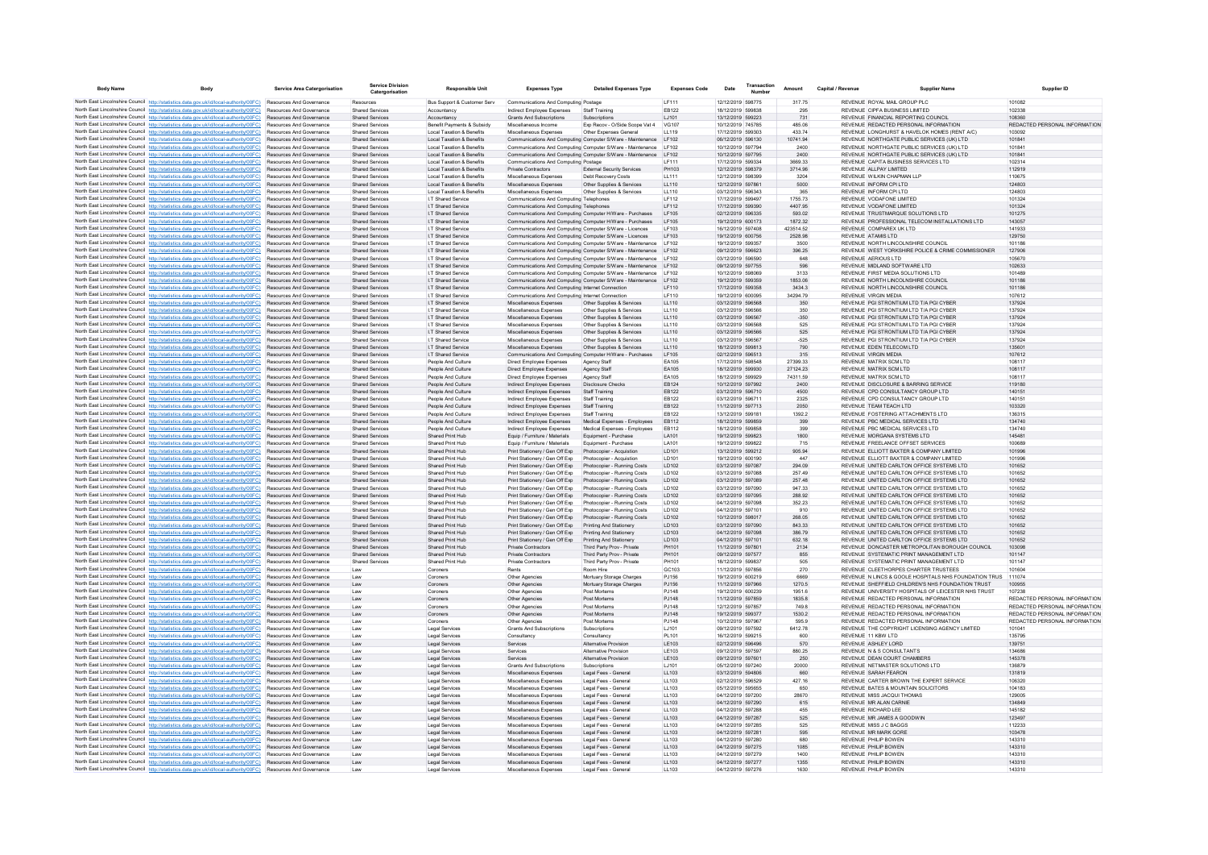| <b>Body Name</b> | Body                                                                                                                                                                                                      | <b>Service Area Catergorisation</b>                         | Service Division<br>Catergorisation              | <b>Responsible Unit</b>                                            | <b>Expenses Type</b>                                                                                                | <b>Detailed Expenses Type</b>                                                                                                        | <b>Expenses Code</b> | Date                                   | Transaction | Amount               | Capital / Revenue | <b>Supplier Name</b>                                                                   | <b>Supplier ID</b>                                             |
|------------------|-----------------------------------------------------------------------------------------------------------------------------------------------------------------------------------------------------------|-------------------------------------------------------------|--------------------------------------------------|--------------------------------------------------------------------|---------------------------------------------------------------------------------------------------------------------|--------------------------------------------------------------------------------------------------------------------------------------|----------------------|----------------------------------------|-------------|----------------------|-------------------|----------------------------------------------------------------------------------------|----------------------------------------------------------------|
|                  | North East Lincolnshire Council http://statistics.data.gov.uk/id/local-authority/00FC) Resources And Governance                                                                                           |                                                             | Resources                                        | Bus Support & Customer Serv                                        | Communications And Computing Postage                                                                                |                                                                                                                                      | IF111                | 12/12/2019 598775                      |             | 317.75               |                   | REVENUE ROYAL MAIL GROUP PLC                                                           | 101082                                                         |
|                  | North East Lincolnshire Council http://statistics.data.gov.uk/id/local-authority/00FC)                                                                                                                    | Resources And Governance                                    | <b>Shared Service:</b>                           |                                                                    | Indirect Employee Expenses                                                                                          | Staff Training                                                                                                                       | FR122                | 18/12/2019 599838                      |             | 295                  |                   | REVENUE CIPEA BUSINESS LIMITED                                                         | 102338                                                         |
|                  | North East Lincolnshire Council http://statistics.data.gov.uk/id/local-authority/00FC)                                                                                                                    | Resources And Governance                                    | Shared Services                                  | Accountancy                                                        | Grants And Subscriptions                                                                                            | Subscriptions                                                                                                                        | LJ101                | 13/12/2019 599223                      |             | 731                  |                   | REVENUE FINANCIAL REPORTING COUNCIL                                                    | 108360                                                         |
|                  | North East Lincolnshire Council http://statistics.data.gov.uk/id/local-authority/00FC)<br>North East Lincolnshire Council http://statistics.data.gov.uk/id/local-authority/00FC)                          | Resources And Governance<br><b>Resources And Governance</b> | <b>Shared Services</b><br>Shared Services        | Benefit Payments & Subsidy<br><b>Local Taxation &amp; Benefits</b> | Miscellaneous Income<br>Miscellaneous Expenses                                                                      | Exp Recov - O/Side Scope Vat 4<br>Other Expenses General                                                                             | VG107<br>LL119       | 10/12/2019 745785<br>17/12/2019 599303 |             | 485.06<br>433 74     |                   | REVENUE REDACTED PERSONAL INFORMATION<br>REVENUE LONGHURST & HAVELOK HOMES (RENT A/C)  | REDACTED PERSONAL INFORMATION<br>103092                        |
|                  | North East Lincolnshire Council http://statistics.data.gov.uk/id/local-authority/00FC)                                                                                                                    | Resources And Governance                                    | <b>Shared Services</b>                           | Local Taxation & Benefits                                          |                                                                                                                     | Communications And Computing Computer S/Ware - Maintenance LF102                                                                     |                      | 06/12/2019 596130                      |             | 10741.94             |                   | REVENUE NORTHGATE PUBLIC SERVICES (UK) LTD                                             | 101841                                                         |
|                  | North East Lincolnshire Council http://statistics.data.gov.uk/id/local-authority/00FC)                                                                                                                    | Resources And Governance                                    | Shared Service                                   | Local Taxation & Benefits                                          |                                                                                                                     | Communications And Computing Computer S/Ware - Maintenance                                                                           | LF102                | 10/12/2019 597794                      |             | 2400                 |                   | REVENUE NORTHGATE PUBLIC SERVICES (UK) LTD                                             | 101841                                                         |
|                  | North East Lincolnshire Council http://statistics.data.gov.uk/id/local-authority/00FC)                                                                                                                    | Resources And Governance                                    | <b>Shared Services</b>                           | <b>Local Taxation &amp; Benefits</b>                               |                                                                                                                     | Communications And Computing Computer S/Ware - Maintenance LF102                                                                     |                      | 10/12/2019 597795                      |             | 2400                 |                   | REVENUE NORTHGATE PUBLIC SERVICES (UK) LTD                                             | 101841                                                         |
|                  | North East Lincolnshire Council http://statistics.data.gov.uk/id/local-authority/00FC)                                                                                                                    | Resources And Governance                                    | <b>Shared Services</b>                           | Local Taxation & Benefits                                          | Communications And Computing Postage                                                                                |                                                                                                                                      | LF111                | 17/12/2019 599334                      |             | 3669.33              |                   | REVENUE CAPITA BUSINESS SERVICES LTD                                                   | 102314                                                         |
|                  | North East Lincolnshire Council http://statistics.data.gov.uk/id/local-authority/00FC)                                                                                                                    | <b>Resources And Governance</b><br>Resources And Governance | Shared Services<br><b>Shared Services</b>        | Local Taxation & Benefits<br><b>Local Taxation &amp; Benefits</b>  | Private Contractors                                                                                                 | <b>External Security Services</b>                                                                                                    | PH103<br>LL111       | 12/12/2019 598379<br>12/12/2019 598399 |             | 3714.96<br>3204      |                   | REVENUE ALLPAY LIMITED.                                                                | 112919<br>110675                                               |
|                  | North East Lincolnshire Council http://statistics.data.gov.uk/id/local-authority/00FC)<br>North East Lincolnshire Council http://statistics.data.gov.uk/id/local-authority/00FC)                          | Resources And Governance                                    | <b>Shared Services</b>                           | <b>Local Taxation &amp; Benefits</b>                               | Miscellaneous Expenses<br>Miscellaneous Expenses                                                                    | Debt Recovery Costs<br>Other Supplies & Services                                                                                     | LL110                | 12/12/2019 597861                      |             | 5000                 |                   | REVENUE WILKIN CHAPMAN LLP<br>REVENUE INFORM CPI LTD                                   | 124803                                                         |
|                  | North East Lincolnshire Council http://statistics.data.gov.uk/id/local-authority/00FC)                                                                                                                    | Resources And Governance                                    | <b>Shared Services</b>                           | Local Taxation & Benefits                                          | Miscellaneous Expenses                                                                                              | Other Supplies & Services                                                                                                            | LL110                | 03/12/2019 596343                      |             | 365                  |                   | REVENUE INFORM CPI LTD                                                                 | 124803                                                         |
|                  | North East Lincolnshire Council http://statistics.data.gov.uk/id/local-authority/00FC)                                                                                                                    | <b>Resources And Governance</b>                             | Shared Services                                  | <b>IT Shared Service</b>                                           | Communications And Computing Telephones                                                                             |                                                                                                                                      | IF112                | 17/12/2019 599497                      |             | 1755 73              |                   | REVENUE VODAEONE LIMITED                                                               | 101324                                                         |
|                  | North East Lincolnshire Council http://statistics.data.gov.uk/id/local-authority/00FC)                                                                                                                    | <b>Resources And Governance</b>                             | Shared Services                                  | <b>IT Shared Service</b>                                           | Communications And Computing Telephones                                                                             |                                                                                                                                      | IF112                | 17/12/2019 599390                      |             | 440795               |                   | REVENUE VODAEONE LIMITED                                                               | 101324                                                         |
|                  | North East Lincolnshire Council http://statistics.data.gov.uk/id/local-authority/00FC)                                                                                                                    | Resources And Governance                                    | <b>Shared Services</b>                           | I.T Shared Service                                                 | Communications And Computing Computer H/Ware - Purchases                                                            |                                                                                                                                      | LF105                | 02/12/2019 596335                      |             | 593.02               |                   | REVENUE TRUSTMARQUE SOLUTIONS LTD                                                      | 101275                                                         |
|                  | North East Lincolnshire Council http://statistics.data.gov.uk/id/local-authority/00FC)<br>North East Lincolnshire Council http://statistics.data.gov.uk/id/local-authority/00FC) Resources And Governance | Resources And Governance                                    | <b>Shared Services</b><br><b>Shared Services</b> | I.T Shared Service<br>I.T Shared Service                           | Communications And Computing Computer H/Ware - Purchases<br>Communications And Computing Computer S/Ware - Licences |                                                                                                                                      | LF105<br>LF103       | 19/12/2019 600173<br>16/12/2019 597408 |             | 1872.32<br>423514.52 |                   | REVENUE PROFESSIONAL TELECOM INSTALLATIONS LTD<br>REVENUE COMPAREX UK LTD              | 143057<br>141933                                               |
|                  | North East Lincolnshire Council http://statistics.data.gov.uk/id/local-authority/00FC)                                                                                                                    | Resources And Governance                                    | <b>Shared Services</b>                           | I.T Shared Service                                                 | Communications And Computing Computer S/Ware - Licences                                                             |                                                                                                                                      | LF103                | 19/12/2019 600756                      |             | 2528.98              |                   | REVENUE ATAMIS LTD                                                                     | 129750                                                         |
|                  | North East Lincolnshire Council http://statistics.data.gov.uk/id/local-authority/00FC)                                                                                                                    | <b>Resources And Governance</b>                             | Shared Services                                  | <b>I.T Shared Service</b>                                          |                                                                                                                     | Communications And Computing Computer S/Ware - Maintenance LF102                                                                     |                      | 19/12/2019 599357                      |             | 3500                 |                   | REVENUE NORTH LINCOLNSHIRE COUNCIL                                                     | 101186                                                         |
|                  | North East Lincolnshire Council http://statistics.data.gov.uk/id/local-authority/00FC)                                                                                                                    | Resources And Governance                                    | <b>Shared Services</b>                           | I.T Shared Service                                                 |                                                                                                                     | Communications And Computing Computer S/Ware - Maintenance LF102                                                                     |                      | 09/12/2019 596623                      |             | 396.25               |                   | REVENUE WEST YORKSHIRE POLICE & CRIME COMMISSIONER                                     | 127906                                                         |
|                  | North East Lincolnshire Council http://statistics.data.gov.uk/id/local-authority/00FC)                                                                                                                    | Resources And Governance                                    | <b>Shared Services</b>                           | I.T Shared Service                                                 |                                                                                                                     | Communications And Computing Computer S/Ware - Maintenance LF102                                                                     |                      | 03/12/2019 596590                      |             | 648                  |                   | REVENUE AERIOUS LTD                                                                    | 105670                                                         |
|                  | North East Lincolnshire Council http://statistics.data.gov.uk/id/local-authority/00FC)<br>North East Lincolnshire Council http://statistics.data.gov.uk/id/local-authority/00EC)                          | Resources And Governance<br><b>Resources And Governance</b> | <b>Shared Services</b><br>Shared Services        | I.T Shared Service<br><b>IT Shared Service</b>                     |                                                                                                                     | Communications And Computing Computer S/Ware - Maintenance LF102<br>Communications And Computing Computer S/Ware - Maintenance LF102 |                      | 09/12/2019 597755<br>10/12/2019 598069 |             | 596<br>3133          |                   | REVENUE MIDLAND SOFTWARE LTD<br>REVENUE FIRST MEDIA SOLUTIONS LTD                      | 102633<br>101489                                               |
|                  | North East Lincolnshire Council http://statistics.data.gov.uk/id/local-authority/00FC)                                                                                                                    | Resources And Governance                                    | <b>Shared Services</b>                           | <b>I.T Shared Service</b>                                          |                                                                                                                     | Communications And Computing Computer S/Ware - Maintenance LF102                                                                     |                      | 19/12/2019 599359                      |             | 1853.06              |                   | REVENUE NORTH LINCOLNSHIRE COUNCIL                                                     | 101186                                                         |
|                  | North East Lincolnshire Council http://statistics.data.gov.uk/id/local-authority/00FC)                                                                                                                    | Resources And Governance                                    | <b>Shared Services</b>                           | I.T Shared Service                                                 | Communications And Computing Internet Connection                                                                    |                                                                                                                                      | LF110                | 17/12/2019 599358                      |             | 3434.3               |                   | REVENUE NORTH LINCOLNSHIRE COUNCIL                                                     | 101186                                                         |
|                  | North East Lincolnshire Council http://statistics.data.gov.uk/id/local-authority/00FC)                                                                                                                    | Resources And Governance                                    | <b>Shared Services</b>                           | I.T Shared Service                                                 | Communications And Computing Internet Connection                                                                    |                                                                                                                                      | LF110                | 19/12/2019 600095                      |             | 34294.79             |                   | REVENUE VIRGIN MEDIA                                                                   | 107612                                                         |
|                  | North East Lincolnshire Council http://statistics.data.gov.uk/id/local-authority/00FC)                                                                                                                    | Resources And Governance                                    | <b>Shared Services</b>                           | I.T Shared Service                                                 | Miscellaneous Expenses                                                                                              | Other Supplies & Services                                                                                                            | LL110                | 03/12/2019 596568                      |             | 350                  |                   | REVENUE PGI STRONTIUM LTD T/A PGI CYBER                                                | 137924                                                         |
|                  | North East Lincolnshire Council http://statistics.data.gov.uk/id/local-authority/00FC)                                                                                                                    | <b>Resources And Governance</b>                             | Shared Services                                  | <b>IT Shared Service</b>                                           | Miscellaneous Expenses                                                                                              | Other Supplies & Services                                                                                                            | LL110                | 03/12/2019 596566                      |             | 350                  |                   | REVENUE PGLSTRONTIUM LTD T/A PGLCYBER                                                  | 137924                                                         |
|                  | North East Lincolnshire Council http://statistics.data.gov.uk/id/local-authority/00FC)<br>North East Lincolnshire Council http://statistics.data.gov.uk/id/local-authority/00FC)                          | Resources And Governance<br>Resources And Governance        | <b>Shared Services</b><br><b>Shared Services</b> | I.T Shared Service<br>I.T Shared Service                           | Miscellaneous Expenses<br>Miscellaneous Expenses                                                                    | Other Supplies & Services<br>Other Supplies & Services                                                                               | LL110<br>LL110       | 03/12/2019 596567<br>03/12/2019 596568 |             | $-350$<br>525        |                   | REVENUE PGI STRONTIUM LTD T/A PGI CYBER<br>REVENUE PGI STRONTIUM LTD T/A PGI CYBER     | 137924<br>137924                                               |
|                  | North East Lincolnshire Council http://statistics.data.gov.uk/id/local-authority/00FC)                                                                                                                    | Resources And Governance                                    | <b>Shared Services</b>                           | I.T Shared Service                                                 | Miscellaneous Expenses                                                                                              | Other Supplies & Services                                                                                                            | LL110                | 03/12/2019 596566                      |             | 525                  |                   | REVENUE PGI STRONTIUM LTD T/A PGI CYBER                                                | 137924                                                         |
|                  | North East Lincolnshire Council http://statistics.data.gov.uk/id/local-authority/00FC)                                                                                                                    | Resources And Governance                                    | <b>Shared Services</b>                           | I.T Shared Service                                                 | Miscellaneous Expenses                                                                                              | Other Supplies & Services                                                                                                            | LL110                | 03/12/2019 596567                      |             | $-525$               |                   | REVENUE PGI STRONTIUM LTD T/A PGI CYBER                                                | 137924                                                         |
|                  | North East Lincolnshire Council http://statistics.data.gov.uk/id/local-authority/00FC)                                                                                                                    | Resources And Governance                                    | <b>Shared Services</b>                           | I.T Shared Service                                                 | Miscellaneous Expenses                                                                                              | Other Supplies & Services                                                                                                            | LL110                | 18/12/2019 599813                      |             | 790                  |                   | REVENUE EDEN TELECOM LTD                                                               | 135601                                                         |
|                  | North East Lincolnshire Council http://statistics.data.gov.uk/id/local-authority/00FC)                                                                                                                    | Resources And Governance                                    | <b>Shared Services</b>                           | I.T Shared Service                                                 | Communications And Computing Computer H/Ware - Purchases                                                            |                                                                                                                                      | LF105                | 02/12/2019 596513                      |             | 315                  |                   | REVENUE VIRGIN MEDIA                                                                   | 107612                                                         |
|                  | North East Lincolnshire Council http://statistics.data.gov.uk/id/local-authority/00FC)<br>North East Lincolnshire Council http://statistics.data.gov.uk/id/local-authority/00FC)                          | Resources And Governance<br>Resources And Governance        | <b>Shared Services</b><br><b>Shared Services</b> | People And Culture<br>People And Culture                           | Direct Employee Expenses<br>Direct Employee Expenses                                                                | Agency Staff<br>Agency Staff                                                                                                         | EA105<br>EA105       | 17/12/2019 598548<br>18/12/2019 599930 |             | 27399.33<br>27124.23 |                   | REVENUE MATRIX SCM LTD<br>REVENUE MATRIX SCM LTD                                       | 108117<br>108117                                               |
|                  | North East Lincolnshire Council http://statistics.data.gov.uk/id/local-authority/00FC)                                                                                                                    | <b>Resources And Governance</b>                             | Shared Services                                  | People And Culture                                                 | Direct Employee Expenses                                                                                            | Agency Staff                                                                                                                         | FA105                | 18/12/2019 599929                      |             | 74311.59             |                   | REVENUE MATRIX SCM LTD                                                                 | 108117                                                         |
|                  | North East Lincolnshire Council http://statistics.data.gov.uk/id/local-authority/00FC)                                                                                                                    | Resources And Governance                                    | <b>Shared Services</b>                           | People And Culture                                                 | Indirect Employee Expenses                                                                                          | <b>Disclosure Checks</b>                                                                                                             | EB124                | 10/12/2019 597992                      |             | 2400                 |                   | REVENUE DISCLOSURE & BARRING SERVICE                                                   | 119180                                                         |
|                  | North East Lincolnshire Council http://statistics.data.gov.uk/id/local-authority/00FC)                                                                                                                    | Resources And Governance                                    | <b>Shared Services</b>                           | People And Culture                                                 | Indirect Employee Expenses                                                                                          | <b>Staff Training</b>                                                                                                                | EB122                | 03/12/2019 596710                      |             | 4500                 |                   | REVENUE CPD CONSULTANCY GROUP LTD                                                      | 140151                                                         |
|                  | North East Lincolnshire Council http://statistics.data.gov.uk/id/local-authority/00FC)                                                                                                                    | Resources And Governance                                    | <b>Shared Services</b>                           | People And Culture                                                 | Indirect Employee Expenses                                                                                          | Staff Training                                                                                                                       | EB122                | 03/12/2019 596711                      |             | 2325                 |                   | REVENUE CPD CONSULTANCY GROUP LTD                                                      | 140151                                                         |
|                  | North East Lincolnshire Council http://statistics.data.gov.uk/id/local-authority/00FC)<br>North East Lincolnshire Council http://statistics.data.gov.uk/id/local-authority/00FC)                          | Resources And Governance<br><b>Resources And Governance</b> | <b>Shared Services</b><br>Shared Services        | People And Culture<br>People And Culture                           | Indirect Employee Expenses                                                                                          | Staff Training                                                                                                                       | EB122<br>FR122       | 11/12/2019 597713<br>13/12/2019 599181 |             | 2050                 |                   | REVENUE TEAM TEACH LTD                                                                 | 103320<br>136315                                               |
|                  | North East Lincolnshire Council http://statistics.data.gov.uk/id/local-authority/00FC)                                                                                                                    | Resources And Governance                                    | <b>Shared Services</b>                           | People And Culture                                                 | Indirect Employee Expenses<br>Indirect Employee Expenses                                                            | Staff Training<br>Medical Expenses - Employees                                                                                       | EB112                | 18/12/2019 599859                      |             | 1392.2<br>399        |                   | REVENUE FOSTERING ATTACHMENTS LTD<br>REVENUE PBC MEDICAL SERVICES LTD                  | 134740                                                         |
|                  | North East Lincolnshire Council http://statistics.data.gov.uk/id/local-authority/00FC)                                                                                                                    | Resources And Governance                                    | <b>Shared Service:</b>                           | People And Culture                                                 | Indirect Employee Expenses                                                                                          | Medical Expenses - Employees                                                                                                         | EB112                | 18/12/2019 599858                      |             | 399                  |                   | REVENUE PBC MEDICAL SERVICES LTD                                                       | 134740                                                         |
|                  | North East Lincolnshire Council http://statistics.data.gov.uk/id/local-authority/00FC)                                                                                                                    | Resources And Governance                                    | <b>Shared Services</b>                           | Shared Print Hub                                                   | Equip / Furniture / Materials                                                                                       | Equipment - Purchase                                                                                                                 | LA101                | 19/12/2019 599823                      |             | 1800                 |                   | REVENUE MORGANA SYSTEMS LTD                                                            | 145481                                                         |
|                  | North East Lincolnshire Council http://statistics.data.gov.uk/id/local-authority/00FC) Resources And Governance                                                                                           |                                                             | <b>Shared Services</b>                           | Shared Print Hub                                                   | Equip / Furniture / Materials                                                                                       | Equipment - Purchase                                                                                                                 | LA101                | 19/12/2019 599822                      |             | 715                  |                   | REVENUE FREELANCE OFFSET SERVICES                                                      | 100689                                                         |
|                  | North East Lincolnshire Council http://statistics.data.gov.uk/id/local-authority/00FC)                                                                                                                    | Resources And Governance                                    | <b>Shared Services</b>                           | Shared Print Hub                                                   | Print Stationery / Gen Off Exp                                                                                      | Photocopier - Acquistion                                                                                                             | LD101                | 13/12/2019 599212                      |             | 905.94<br>447        |                   | REVENUE ELLIOTT BAXTER & COMPANY LIMITED<br>REVENUE ELLIOTT BAXTER & COMPANY LIMITED   | 101996                                                         |
|                  | North East Lincolnshire Council http://statistics.data.gov.uk/id/local-authority/00FC)<br>North East Lincolnshire Council http://statistics.data.gov.uk/id/local-authority/00FC)                          | Resources And Governance<br>Resources And Governance        | <b>Shared Services</b><br><b>Shared Services</b> | Shared Print Hub<br>Shared Print Hub                               | Print Stationery / Gen Off Exp<br>Print Stationery / Gen Off Exp                                                    | Photocopier - Acquistion<br>Photocopier - Running Costs                                                                              | LD101<br>LD102       | 19/12/2019 600190<br>03/12/2019 597087 |             | 294.09               |                   | REVENUE UNITED CARLTON OFFICE SYSTEMS LTD                                              | 101996<br>101652                                               |
|                  | North East Lincolnshire Council http://statistics.data.gov.uk/id/local-authority/00FC)                                                                                                                    | Resources And Governance                                    | <b>Shared Services</b>                           | Shared Print Hub                                                   | Print Stationery / Gen Off Exp                                                                                      | Photocopier - Running Costs                                                                                                          | LD102                | 03/12/2019 597088                      |             | 257.49               |                   | REVENUE UNITED CARLTON OFFICE SYSTEMS LTD                                              | 101652                                                         |
|                  | North East Lincolnshire Council http://statistics.data.gov.uk/id/local-authority/00FC)                                                                                                                    | <b>Resources And Governance</b>                             | Shared Services                                  | Shared Print Hub                                                   | Print Stationery / Gen Off Exp                                                                                      | Photocopier - Running Costs                                                                                                          | <b>ID102</b>         | 03/12/2019 597089                      |             | 257 48               |                   | REVENUE UNITED CARLTON OFFICE SYSTEMS LTD.                                             | 101652                                                         |
|                  | North East Lincolnshire Council http://statistics.data.gov.uk/id/local-authority/00FC)                                                                                                                    | <b>Resources And Governance</b>                             | Shared Services                                  | Shared Print Hub                                                   | Print Stationery / Gen Off Exp                                                                                      | Photocopier - Running Costs                                                                                                          | <b>ID102</b>         | 03/12/2019 597090                      |             | 94733                |                   | REVENUE UNITED CARLTON OFFICE SYSTEMS LTD.                                             | 101652                                                         |
|                  | North East Lincolnshire Council http://statistics.data.gov.uk/id/local-authority/00FC)                                                                                                                    | Resources And Governance                                    | <b>Shared Services</b>                           | Shared Print Hub                                                   | Print Stationery / Gen Off Exp                                                                                      | Photocopier - Running Costs                                                                                                          | LD102                | 03/12/2019 597095                      |             | 288.92               |                   | REVENUE UNITED CARLTON OFFICE SYSTEMS LTD                                              | 101652                                                         |
|                  | North East Lincolnshire Council http://statistics.data.gov.uk/id/local-authority/00FC)<br>North East Lincolnshire Council http://statistics.data.gov.uk/id/local-authority/00FC)                          | Resources And Governance<br>Resources And Governance        | <b>Shared Services</b><br><b>Shared Services</b> | Shared Print Hub<br>Shared Print Hub                               | Print Stationery / Gen Off Exp<br>Print Stationery / Gen Off Exp                                                    | Photocopier - Running Costs<br>Photocopier - Running Costs                                                                           | LD102<br>LD102       | 04/12/2019 597098<br>04/12/2019 597101 |             | 352.23<br>910        |                   | REVENUE UNITED CARLTON OFFICE SYSTEMS LTD<br>REVENUE UNITED CARLTON OFFICE SYSTEMS LTD | 101652<br>101652                                               |
|                  | North East Lincolnshire Council http://statistics.data.gov.uk/id/local-authority/00FC)                                                                                                                    | Resources And Governance                                    | <b>Shared Services</b>                           | Shared Print Hub                                                   | Print Stationery / Gen Off Exp                                                                                      | Photocopier - Running Costs                                                                                                          | LD102                | 10/12/2019 598017                      |             | 268.05               |                   | REVENUE UNITED CARLTON OFFICE SYSTEMS LTD                                              | 101652                                                         |
|                  | North East Lincolnshire Council http://statistics.data.gov.uk/id/local-authority/00FC)                                                                                                                    | <b>Resources And Governance</b>                             | <b>Shared Services</b>                           | Shared Print Hub                                                   | Print Stationery / Gen Off Exp                                                                                      | Printing And Stationery                                                                                                              | LD103                | 03/12/2019 597090                      |             | 843.33               |                   | REVENUE UNITED CARLTON OFFICE SYSTEMS LTD                                              | 101652                                                         |
|                  | North East Lincolnshire Council http://statistics.data.gov.uk/id/local-authority/00FC)                                                                                                                    | Resources And Governance                                    | <b>Shared Services</b>                           | Shared Print Hub                                                   | Print Stationery / Gen Off Exp                                                                                      | Printing And Stationery                                                                                                              | LD103                | 04/12/2019 597098                      |             | 386.79               |                   | REVENUE UNITED CARLTON OFFICE SYSTEMS LTD                                              | 101652                                                         |
|                  | North East Lincolnshire Council http://statistics.data.gov.uk/id/local-authority/00FC)                                                                                                                    | Resources And Governance                                    | <b>Shared Services</b>                           | Shared Print Hub                                                   | Print Stationery / Gen Off Exp                                                                                      | Printing And Stationery                                                                                                              | LD103                | 04/12/2019 597101                      |             | 632.18               |                   | REVENUE UNITED CARLTON OFFICE SYSTEMS LTD                                              | 101652                                                         |
|                  | North East Lincolnshire Council http://statistics.data.gov.uk/id/local-authority/00FC)<br>North East Lincolnshire Council http://statistics.data.gov.uk/id/local-authority/00FC)                          | Resources And Governance                                    | <b>Shared Services</b>                           | Shared Print Hub                                                   | Private Contractors                                                                                                 | Third Party Prov - Private                                                                                                           | PH101                | 11/12/2019 597801                      |             | 2134                 |                   | REVENUE DONCASTER METROPOLITAN BOROUGH COUNCIL                                         | 103098                                                         |
|                  | North East Lincolnshire Council http://statistics.data.gov.uk/id/local-authority/00FC)                                                                                                                    | <b>Resources And Governance</b><br>Resources And Governance | Shared Services<br><b>Shared Service</b>         | Shared Print Hub<br>Shared Print Hub                               | Private Contractors<br>Private Contractors                                                                          | Third Party Prov - Private<br>Third Party Prov - Private                                                                             | PH101<br>PH101       | 09/12/2019 597577<br>18/12/2019 599837 |             | 855<br>505           |                   | REVENUE SYSTEMATIC PRINT MANAGEMENT LTD<br>REVENUE SYSTEMATIC PRINT MANAGEMENT LTD     | 101147<br>101147                                               |
|                  | North East Lincolnshire Council http://statistics.data.gov.uk/id/local-authority/00FC)                                                                                                                    | Resources And Governance                                    | Law                                              | Coroners                                                           | Rents                                                                                                               | Room Hire                                                                                                                            | GC103                | 11/12/2019 597856                      |             | 270                  |                   | REVENUE CLEETHORPES CHARTER TRUSTEES                                                   | 101604                                                         |
|                  | North East Lincolnshire Council http://statistics.data.gov.uk/id/local-authority/00FC)                                                                                                                    | Resources And Governance                                    | Law                                              | Coroners                                                           | Other Agencies                                                                                                      | Mortuary Storage Charges                                                                                                             | PJ156                | 19/12/2019 600219                      |             | 6669                 |                   | REVENUE IN LINCS & GOOLE HOSPITALS NHS FOUNDATION TRUS                                 | 111074                                                         |
|                  | North East Lincolnshire Council http://statistics.data.gov.uk/id/local-authority/00FC)                                                                                                                    | Resources And Governance                                    | Law                                              | Coroners                                                           | Other Agencies                                                                                                      | Mortuary Storage Charges                                                                                                             | PJ156                | 11/12/2019 597966                      |             | 1270.5               |                   | REVENUE SHEFFIELD CHILDREN'S NHS FOUNDATION TRUST                                      | 100955                                                         |
|                  | North East Lincolnshire Council http://statistics.data.gov.uk/id/local-authority/00FC)                                                                                                                    | Resources And Governance                                    | I aw                                             | Coroners                                                           | Other Agencies                                                                                                      | Post Mortems                                                                                                                         | P.1148               | 19/12/2019 600239                      |             | 1951.6               |                   | REVENUE UNIVERSITY HOSPITALS OF LEICESTER NHS TRUST                                    | 107238                                                         |
|                  | North East Lincolnshire Council http://statistics.data.gov.uk/id/local-authority/00FC)<br>North East Lincolnshire Council http://statistics.data.gov.uk/id/local-authority/00FC)                          | Resources And Governance<br>Resources And Governance        | Law                                              | Coroners                                                           | Other Agencies<br>Other Agencies                                                                                    | Post Mortems<br>Post Mortems                                                                                                         | PJ148<br>PJ148       | 11/12/2019 597859<br>12/12/2019 597857 |             | 1835.8<br>749.8      |                   | REVENUE REDACTED PERSONAL INFORMATION<br>REVENUE REDACTED PERSONAL INFORMATION         | REDACTED PERSONAL INFORMATION<br>REDACTED PERSONAL INFORMATION |
|                  | North East Lincolnshire Council http://statistics.data.gov.uk/id/local-authority/00FC)                                                                                                                    | Resources And Governance                                    | Law<br>Law                                       | Coroners<br>Coroners                                               | Other Agencies                                                                                                      | Post Mortems                                                                                                                         | PJ148                | 19/12/2019 599377                      |             | 1530.2               |                   | REVENUE REDACTED PERSONAL INFORMATION                                                  | REDACTED PERSONAL INFORMATION                                  |
|                  | North East Lincolnshire Council http://statistics.data.gov.uk/id/local-authority/00FC)                                                                                                                    | Resources And Governance                                    | Law                                              | Coroners                                                           | Other Agencies                                                                                                      | Post Mortems                                                                                                                         | PJ148                | 10/12/2019 597967                      |             | 595.9                |                   | REVENUE REDACTED PERSONAL INFORMATION                                                  | REDACTED PERSONAL INFORMATION                                  |
|                  | North East Lincolnshire Council http://statistics.data.gov.uk/id/local-authority/00FC)                                                                                                                    | Resources And Governance                                    | Law                                              | <b>Legal Services</b>                                              | <b>Grants And Subscriptions</b>                                                                                     | Subscriptions                                                                                                                        | LJ101                | 09/12/2019 597592                      |             | 6412.78              |                   | REVENUE THE COPYRIGHT LICENSING AGENCY LIMITED                                         | 101041                                                         |
|                  | North East Lincolnshire Council http://statistics.data.gov.uk/id/local-authority/00FC)                                                                                                                    | Resources And Governance                                    | Law                                              | Legal Services                                                     | Consultancy                                                                                                         | Consultancy                                                                                                                          | PL101                | 16/12/2019 599215                      |             | 600                  |                   | REVENUE 11 KBW LTD                                                                     | 135795                                                         |
|                  | North East Lincolnshire Council http://statistics.data.gov.uk/id/local-authority/00FC)<br>North East Lincolnshire Council http://statistics.data.gov.uk/id/local-authority/00FC)                          | Resources And Governance<br><b>Resources And Governance</b> | Law                                              | Legal Services<br>Legal Services                                   | Services                                                                                                            | <b>Alternative Provision</b><br><b>Alternative Provision</b>                                                                         | LE103<br>LE103       | 02/12/2019 596496<br>09/12/2019 597597 |             | 570<br>880.25        |                   | REVENUE ASHLEY LORD<br>REVENUE N & S CONSULTANTS                                       | 139751<br>134686                                               |
|                  | North East Lincolnshire Council http://statistics.data.gov.uk/id/local-authority/00FC)                                                                                                                    | <b>Resources And Governance</b>                             | Law<br>1aw                                       | Legal Services                                                     | Services<br>Services.                                                                                               | <b>Alternative Provision</b>                                                                                                         | LE103                | 09/12/2019 597601                      |             | 250                  |                   | REVENUE DEAN COURT CHAMBERS                                                            | 145378                                                         |
|                  | North East Lincolnshire Council http://statistics.data.gov.uk/id/local-authority/00FC)                                                                                                                    | Resources And Governance                                    |                                                  | <b>Legal Services</b>                                              | <b>Grants And Subscriptions</b>                                                                                     | Subscriptions                                                                                                                        | LJ101                | 05/12/2019 597240                      |             | 20000                |                   | REVENUE NETMASTER SOLUTIONS LTD                                                        | 136879                                                         |
|                  | North East Lincolnshire Council http://statistics.data.gov.uk/id/local-authority/00FC)                                                                                                                    | Resources And Governance                                    | Law                                              | <b>Legal Services</b>                                              | Miscellaneous Expenses                                                                                              | Legal Fees - Genera                                                                                                                  | LL103                | 03/12/2019 594806                      |             | 660                  |                   | REVENUE SARAH FEARON                                                                   | 131819                                                         |
|                  | North East Lincolnshire Council http://statistics.data.gov.uk/id/local-authority/00FC)                                                                                                                    | Resources And Governance                                    | Law                                              | Legal Services                                                     | Miscellaneous Expenses                                                                                              | Legal Fees - General                                                                                                                 | LL103                | 02/12/2019 596529                      |             | 427.16               |                   | REVENUE CARTER BROWN THE EXPERT SERVICE                                                | 106320                                                         |
|                  | North East Lincolnshire Council http://statistics.data.gov.uk/id/local-authority/00FC)                                                                                                                    | Resources And Governance                                    | Law                                              | Legal Services                                                     | Miscellaneous Expenses                                                                                              | Legal Fees - General                                                                                                                 | LL103                | 05/12/2019 595655                      |             | 650                  |                   | REVENUE BATES & MOUNTAIN SOLICITORS                                                    | 104183                                                         |
|                  | North East Lincolnshire Council http://statistics.data.gov.uk/id/local-authority/00FC)<br>North East Lincolnshire Council http://statistics.data.gov.uk/id/local-authority/00FC)                          | <b>Resources And Governance</b><br>Resources And Governance | Law<br>Law                                       | <b>Legal Services</b><br>Legal Services                            | Miscellaneous Expenses<br>Miscellaneous Expenses                                                                    | Legal Fees - General<br>Legal Fees - General                                                                                         | LL103<br>LL103       | 04/12/2019 597200<br>04/12/2019 597290 |             | 28670<br>615         |                   | REVENUE MISS JACQUI THOMAS<br>REVENUE MR ALAN CARNIE                                   | 129005<br>134849                                               |
|                  | North East Lincolnshire Council http://statistics.data.gov.uk/id/local-authority/00FC)                                                                                                                    | Resources And Governance                                    | Law                                              | Legal Services                                                     | Miscellaneous Expenses                                                                                              | Legal Fees - Genera                                                                                                                  | LL103                | 04/12/2019 597288                      |             | 455                  |                   | REVENUE RICHARD LEE                                                                    | 145182                                                         |
|                  | North East Lincolnshire Council http://statistics.data.gov.uk/id/local-authority/00FC)                                                                                                                    | Resources And Governance                                    | Law                                              | Legal Services                                                     | Miscellaneous Expenses                                                                                              | Legal Fees - General                                                                                                                 | LL103                | 04/12/2019 597287                      |             | 525                  |                   | REVENUE MR JAMES A GOODWIN                                                             | 123497                                                         |
|                  | North East Lincolnshire Council http://statistics.data.gov.uk/id/local-authority/00FC)                                                                                                                    | Resources And Governance                                    | Law                                              | Legal Services                                                     | Miscellaneous Expenses                                                                                              | Legal Fees - General                                                                                                                 | LL103                | 04/12/2019 597285                      |             | 525                  |                   | REVENUE MISS J C BAGGS                                                                 | 112233                                                         |
|                  | North East Lincolnshire Council http://statistics.data.gov.uk/id/local-authority/00FC)                                                                                                                    | <b>Resources And Governance</b>                             | Law                                              | <b>Legal Services</b>                                              | Miscellaneous Expenses                                                                                              | Legal Fees - General                                                                                                                 | LL103                | 04/12/2019 597281                      |             | 595                  |                   | REVENUE MR MARK GORE                                                                   | 103478                                                         |
|                  | North East Lincolnshire Council http://statistics.data.gov.uk/id/local-authority/00FC)                                                                                                                    | Resources And Governance                                    | Law                                              | Legal Services                                                     | Miscellaneous Expenses                                                                                              | Legal Fees - General                                                                                                                 | LL103                | 04/12/2019 597280                      |             | 680                  |                   | REVENUE PHILIP BOWEN                                                                   | 143310                                                         |
|                  | North East Lincolnshire Council http://statistics.data.gov.uk/id/local-authority/00FC)<br>North East Lincolnshire Council http://statistics.data.gov.uk/id/local-authority/00FC) Resources And Governance | Resources And Governance                                    | Law<br>Law                                       | <b>Legal Services</b><br>Legal Services                            | Miscellaneous Expenses<br>Miscellaneous Expenses                                                                    | Legal Fees - General<br>Legal Fees - General                                                                                         | LL103<br>LL103       | 04/12/2019 597275<br>04/12/2019 597279 |             | 1085<br>1400         |                   | <b>REVENUE PHILIP BOWEN</b><br>REVENUE PHILIP BOWEN                                    | 143310<br>143310                                               |
|                  | North East Lincolnshire Council http://statistics.data.gov.uk/id/local-authority/00FC) Resources And Governance                                                                                           |                                                             | Law                                              | Legal Services                                                     | Miscellaneous Expenses                                                                                              | Legal Fees - General                                                                                                                 | LL103                | 04/12/2019 597277                      |             | 1355                 |                   | REVENUE PHILIP BOWEN                                                                   | 143310                                                         |
|                  | North East Lincolnshire Council http://statistics.data.gov.uk/id/local-authority/00FC) Resources And Governance                                                                                           |                                                             | Law                                              | Legal Services                                                     | Miscellaneous Expenses                                                                                              | Legal Fees - General                                                                                                                 | LL103                | 04/12/2019 597276                      |             | 1630                 |                   | REVENUE PHILIP BOWEN                                                                   | 143310                                                         |
|                  |                                                                                                                                                                                                           |                                                             |                                                  |                                                                    |                                                                                                                     |                                                                                                                                      |                      |                                        |             |                      |                   |                                                                                        |                                                                |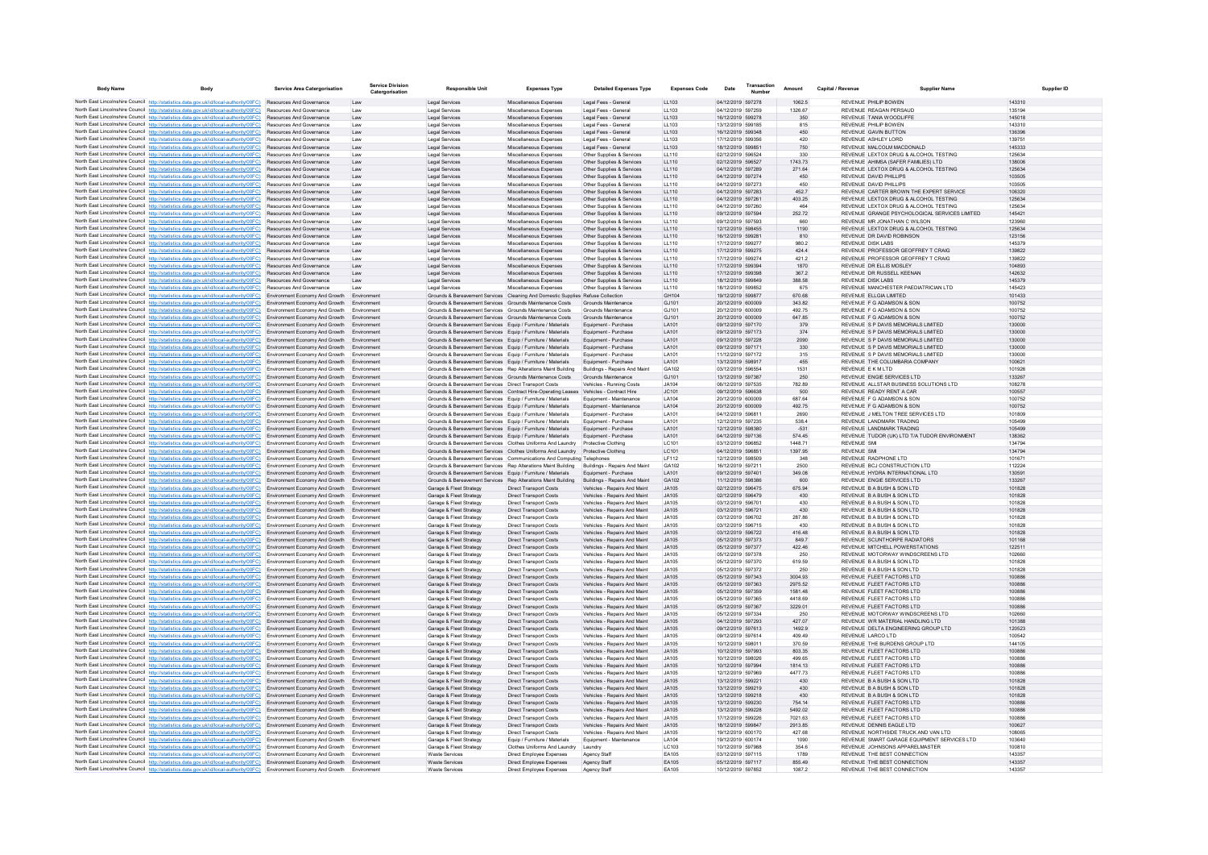| <b>Body Name</b> | Body                                                                                                                                                                                                                                           | <b>Service Area Catergorisation</b>                              | <b>Service Division</b><br>Catergorisation | <b>Responsible Unit</b>                                                                                                     | <b>Expenses Type</b>                                           | <b>Detailed Expenses Type</b>                                | <b>Expenses Code</b>  | Transaction<br>Date                    | Amount             | Capital / Revenue | <b>Supplier Name</b>                                                              | <b>Supplier ID</b> |
|------------------|------------------------------------------------------------------------------------------------------------------------------------------------------------------------------------------------------------------------------------------------|------------------------------------------------------------------|--------------------------------------------|-----------------------------------------------------------------------------------------------------------------------------|----------------------------------------------------------------|--------------------------------------------------------------|-----------------------|----------------------------------------|--------------------|-------------------|-----------------------------------------------------------------------------------|--------------------|
|                  | North East Lincolnshire Council http://statistics.data.gov.uk/id/local-authority/00FC) Resources And Governance                                                                                                                                |                                                                  | Law                                        | Legal Services                                                                                                              | Miscellaneous Expenses                                         | Legal Fees - General                                         | LL103                 | 04/12/2019 597278                      | 1062.5             |                   | REVENUE PHILIP BOWEN                                                              | 143310             |
|                  | North East Lincolnshire Council http://statistics.data.gov.uk/id/local-authority/00FC)                                                                                                                                                         | Resources And Governance                                         | Law                                        | <b>Legal Services</b>                                                                                                       | Miscellaneous Expenses                                         | Legal Fees - Genera                                          | LL103                 | 04/12/2019 597259                      | 1326.67            |                   | REVENUE REAGAN PERSAUD                                                            | 13519              |
|                  | North East Lincolnshire Council http://statistics.data.gov.uk/id/local-authority/00FC)                                                                                                                                                         | Resources And Governance                                         | Law                                        | Legal Services                                                                                                              | Miscellaneous Expenses                                         | Legal Fees - General                                         | LL103                 | 16/12/2019 599278                      | 350                |                   | REVENUE TANIA WOODLIFFE                                                           | 145018             |
|                  | North East Lincolnshire Council http://statistics.data.gov.uk/id/local-authority/00FC)                                                                                                                                                         | <b>Resources And Governance</b>                                  | I aw                                       | Legal Services                                                                                                              | Miscellaneous Expenses                                         | Legal Fees - General                                         | LL103                 | 13/12/2019 599185                      | 815                |                   | REVENUE PHILIP BOWEN                                                              | 143310             |
|                  | North East Lincolnshire Council http://statistics.data.gov.uk/id/local-authority/00FC).<br>North East Lincolnshire Council http://statistics.data.gov.uk/id/local-authority/00FC)                                                              | Resources And Governance<br>Resources And Governance             | Law<br>Law                                 | <b>Legal Services</b><br>Legal Services                                                                                     | Miscellaneous Expenses<br>Miscellaneous Expenses               | Legal Fees - General<br>Legal Fees - Genera                  | LL103<br>LL103        | 16/12/2019 599348<br>17/12/2019 599356 | 450<br>420         |                   | REVENUE GAVIN BUTTON<br>REVENUE ASHLEY LORD                                       | 136396<br>139751   |
|                  | North East Lincolnshire Council http://statistics.data.gov.uk/id/local-authority/00FC)                                                                                                                                                         | Resources And Governance                                         | Law                                        | Legal Services                                                                                                              | Miscellaneous Expenses                                         | Legal Fees - General                                         | LL103                 | 18/12/2019 599851                      | 750                |                   | REVENUE MALCOLM MACDONALD                                                         | 145333             |
|                  | North East Lincolnshire Council http://statistics.data.gov.uk/id/local-authority/00FC)                                                                                                                                                         | Resources And Governance                                         | Law                                        | Legal Services                                                                                                              | Miscellaneous Expenses                                         | Other Supplies & Services                                    | LL110                 | 02/12/2019 596524                      | 330                |                   | REVENUE LEXTOX DRUG & ALCOHOL TESTING                                             | 125634             |
|                  | North East Lincolnshire Council http://statistics.data.gov.uk/id/local-authority/00FC)                                                                                                                                                         | Resources And Governance                                         | Law                                        | Legal Services                                                                                                              | Miscellaneous Expenses                                         | Other Supplies & Services                                    | LL110                 | 02/12/2019 596527                      | 1743.73            |                   | REVENUE AHIMSA (SAFER FAMILIES) LTD                                               | 138006             |
|                  | North East Lincolnshire Council http://statistics.data.gov.uk/id/local-authority/00FC)                                                                                                                                                         | Resources And Governance                                         | Law                                        | <b>Legal Services</b>                                                                                                       | Miscellaneous Expenses                                         | Other Supplies & Services                                    | 11110                 | 04/12/2019 597289                      | 271.64             |                   | REVENUE LEXTOX DRUG & ALCOHOL TESTING                                             | 125634             |
|                  | North East Lincolnshire Council http://statistics.data.gov.uk/id/local-authority/00FC)                                                                                                                                                         | Resources And Governance                                         | Law                                        | Legal Services                                                                                                              | Miscellaneous Expenses                                         | Other Supplies & Services                                    | LL110                 | 04/12/2019 597274                      | 450                |                   | REVENUE DAVID PHILLIPS                                                            | 103505             |
|                  | North East Lincolnshire Council http://statistics.data.gov.uk/id/local-authority/00FC)                                                                                                                                                         | Resources And Governance                                         | Law                                        | Legal Services                                                                                                              | Miscellaneous Expenses                                         | Other Supplies & Services                                    | LL110                 | 04/12/2019 597273                      | 450                |                   | REVENUE DAVID PHILLIPS                                                            | 103505             |
|                  | North East Lincolnshire Council http://statistics.data.gov.uk/id/local-authority/00FC)<br>North East Lincolnshire Council http://statistics.data.gov.uk/id/local-authority/00FC)                                                               | <b>Resources And Governance</b><br>Resources And Governance      | Law<br>Law                                 | Legal Services<br><b>Legal Services</b>                                                                                     | Miscellaneous Expenses<br>Miscellaneous Expenses               | Other Supplies & Services<br>Other Supplies & Services       | 11110<br>LL110        | 04/12/2019 597283<br>04/12/2019 597261 | 452.7<br>403.25    |                   | REVENUE, CARTER BROWN THE EXPERT SERVICE<br>REVENUE LEXTOX DRUG & ALCOHOL TESTING | 106320<br>125634   |
|                  | North East Lincolnshire Council http://statistics.data.gov.uk/id/local-authority/00FC)                                                                                                                                                         | Resources And Governance                                         | Law                                        | Legal Services                                                                                                              | Miscellaneous Expense                                          | Other Supplies & Services                                    | LL110                 | 04/12/2019 597260                      | 464                |                   | REVENUE LEXTOX DRUG & ALCOHOL TESTING                                             | 125634             |
|                  | North East Lincolnshire Council http://statistics.data.gov.uk/id/local-authority/00FC)                                                                                                                                                         | Resources And Governance                                         | Law                                        | Legal Services                                                                                                              | Miscellaneous Expenses                                         | Other Supplies & Services                                    | LL110                 | 09/12/2019 597594                      | 252.72             |                   | REVENUE GRANGE PSYCHOLOGICAL SERVICES LIMITED                                     | 145421             |
|                  | North East Lincolnshire Council http://statistics.data.gov.uk/id/local-authority/00FC) Resources And Governance                                                                                                                                |                                                                  | Law                                        | Legal Services                                                                                                              | Miscellaneous Expenses                                         | Other Supplies & Services                                    | LL110                 | 09/12/2019 597593                      | 660                |                   | REVENUE MR JONATHAN C WILSON                                                      | 123960             |
|                  | North East Lincolnshire Council http://statistics.data.gov.uk/id/local-authority/00FC).                                                                                                                                                        | Resources And Governance                                         | Law                                        | <b>Legal Services</b>                                                                                                       | Miscellaneous Expenses                                         | Other Supplies & Services                                    | LL110                 | 12/12/2019 598455                      | 1190               |                   | REVENUE LEXTOX DRUG & ALCOHOL TESTING                                             | 125634             |
|                  | North East Lincolnshire Council http://statistics.data.gov.uk/id/local-authority/00FC)                                                                                                                                                         | Resources And Governance                                         | Law                                        | Legal Services                                                                                                              | Miscellaneous Expenses                                         | Other Supplies & Services                                    | LL110                 | 16/12/2019 599281                      | 810                |                   | REVENUE DR DAVID ROBINSON                                                         | 123156             |
|                  | North East Lincolnshire Council http://statistics.data.gov.uk/id/local-authority/00FC)                                                                                                                                                         | Resources And Governance<br><b>Resources And Governance</b>      | Law                                        | <b>Legal Services</b>                                                                                                       | Miscellaneous Expenses                                         | Other Supplies & Services                                    | LL110                 | 17/12/2019 599277                      | 980.2              |                   | REVENUE DISK LABS                                                                 | 145379             |
|                  | North East Lincolnshire Council http://statistics.data.gov.uk/id/local-authority/00FC)<br>North East Lincolnshire Council http://statistics.data.gov.uk/id/local-authority/00FC)                                                               | <b>Resources And Governance</b>                                  | Law<br>I aw                                | <b>Legal Services</b><br>Legal Services                                                                                     | Miscellaneous Expenses<br>Miscellaneous Expenses               | Other Supplies & Services<br>Other Supplies & Services       | LL110<br>11110        | 17/12/2019 599275<br>17/12/2019 599274 | 424.4<br>4212      |                   | REVENUE PROFESSOR GEOFFREY T CRAIG<br>REVENUE, PROFESSOR GEOFFREY TICRAIG         | 139822<br>139822   |
|                  | North East Lincolnshire Council http://statistics.data.gov.uk/id/local-authority/00FC)                                                                                                                                                         | <b>Resources And Governance</b>                                  | I aw                                       | Legal Services                                                                                                              | Miscellaneous Expenses                                         | Other Supplies & Services                                    | 11110                 | 17/12/2019 599394                      | 1870               |                   | REVENUE DR ELLIS MOSLEY                                                           | 104893             |
|                  | North East Lincolnshire Council http://statistics.data.gov.uk/id/local-authority/00FC)                                                                                                                                                         | Resources And Governance                                         | Law                                        | <b>Legal Services</b>                                                                                                       | Miscellaneous Expenses                                         | Other Supplies & Services                                    | LL110                 | 17/12/2019 599398                      | 367.2              |                   | REVENUE DR RUSSELL KEENAN                                                         | 142632             |
|                  | North East Lincolnshire Council http://statistics.data.gov.uk/id/local-authority/00FC)                                                                                                                                                         | Resources And Governance                                         | Law                                        | Legal Services                                                                                                              | Miscellaneous Expenses                                         | Other Supplies & Services                                    | LL110                 | 18/12/2019 599849                      | 388.58             |                   | <b>REVENUE DISK LABS</b>                                                          | 145379             |
|                  | North East Lincolnshire Council http://statistics.data.gov.uk/id/local-authority/00FC)                                                                                                                                                         | Resources And Governance                                         | Law                                        | Legal Services                                                                                                              | Miscellaneous Expenses                                         | Other Supplies & Services                                    | LL110                 | 18/12/2019 599852                      | 675                |                   | REVENUE MANCHESTER PAEDIATRICIAN LTD                                              | 145423             |
|                  | North East Lincolnshire Council http://statistics.data.gov.uk/id/local-authority/00FC)                                                                                                                                                         | Environment Economy And Growth                                   | Environment                                | Grounds & Bereavement Services Cleaning And Domestic Supplies Refuse Collection                                             |                                                                |                                                              | GH104                 | 19/12/2019 599877                      | 670.68             |                   | REVENUE ELLGIA LIMITED                                                            | 101433             |
|                  | North East Lincolnshire Council http://statistics.data.gov.uk/id/local-authority/00FC)                                                                                                                                                         | Environment Economy And Growth                                   | Environment                                | Grounds & Bereavement Services Grounds Maintenance Costs                                                                    |                                                                | Grounds Maintenance                                          | GJ101                 | 20/12/2019 600009                      | 343.82             |                   | REVENUE F G ADAMSON & SON                                                         | 100752             |
|                  | North East Lincolnshire Council http://statistics.data.gov.uk/id/local-authority/00FC)<br>North East Lincolnshire Council http://statistics.data.gov.uk/id/local-authority/00FC)                                                               | Environment Economy And Growth<br>Environment Economy And Growth | Environment<br>Environment                 | Grounds & Bereavement Services Grounds Maintenance Costs<br>Grounds & Bereavement Services Grounds Maintenance Costs        |                                                                | Grounds Maintenance<br>Grounds Maintenance                   | GJ101<br>GJ101        | 20/12/2019 600009<br>20/12/2019 600009 | 492.75<br>647.85   |                   | REVENUE F G ADAMSON & SON<br>REVENUE F G ADAMSON & SON                            | 100752<br>100752   |
|                  | North East Lincolnshire Council http://statistics.data.gov.uk/id/local-authority/00FC) Environment Economy And Growth                                                                                                                          |                                                                  | Environment                                | Grounds & Bereavement Services Equip / Furniture / Materials                                                                |                                                                | Equipment - Purchase                                         | LA101                 | 09/12/2019 597170                      | 379                |                   | REVENUE S P DAVIS MEMORIALS LIMITED                                               | 130000             |
|                  | North East Lincolnshire Council http://statistics.data.gov.uk/id/local-authority/00FC) Environment Economy And Growth                                                                                                                          |                                                                  | Environment                                | Grounds & Bereavement Services Equip / Furniture / Materials                                                                |                                                                | Foujoment - Purchase                                         | I A101                | 09/12/2019 597173                      | 374                |                   | REVENUE S P DAVIS MEMORIALS LIMITED.                                              | 130000             |
|                  | North East Lincolnshire Council http://statistics.data.gov.uk/id/local-authority/00FC)                                                                                                                                                         | Environment Economy And Growth                                   | Environment                                | Grounds & Bereavement Services Equip / Furniture / Materials                                                                |                                                                | Equipment - Purchase                                         | I A101                | 09/12/2019 597228                      | 2090               |                   | REVENUE S P DAVIS MEMORIALS LIMITED                                               | 130000             |
|                  | North East Lincolnshire Council http://statistics.data.gov.uk/id/local-authority/00FC) Environment Economy And Growth                                                                                                                          |                                                                  | Environment                                | Grounds & Bereavement Services Equip / Furniture / Materials                                                                |                                                                | Equipment - Purchase                                         | LA101                 | 09/12/2019 597171                      | 330                |                   | REVENUE S P DAVIS MEMORIALS LIMITED                                               | 130000             |
|                  | North East Lincolnshire Council http://statistics.data.gov.uk/id/local-authority/00FC) Environment Economy And Growth                                                                                                                          |                                                                  | Environment                                | Grounds & Bereavement Services Equip / Furniture / Materials                                                                |                                                                | Equipment - Purchase                                         | LA101                 | 11/12/2019 597172                      | 315                |                   | REVENUE S P DAVIS MEMORIALS LIMITED                                               | 130000             |
|                  | North East Lincolnshire Council http://statistics.data.gov.uk/id/local-authority/00FC) Environment Economy And Growth                                                                                                                          |                                                                  | Environment                                | Grounds & Bereavement Services Equip / Furniture / Materials                                                                |                                                                | Equipment - Purchase                                         | LA101                 | 13/12/2019 598917                      | 455                |                   | REVENUE THE COLUMBARIA COMPANY                                                    | 100621             |
|                  | North East Lincolnshire Council http://statistics.data.gov.uk/id/local-authority/00FC)                                                                                                                                                         | Environment Economy And Growth                                   | Environment<br>Environment                 | Grounds & Bereavement Services Rep Alterations Maint Building                                                               |                                                                | Buildings - Repairs And Maint                                | GA102<br>GJ101        | 03/12/2019 596554                      | 1531               |                   | REVENUE E K M I TD                                                                | 101926<br>133267   |
|                  | North East Lincolnshire Council http://statistics.data.gov.uk/id/local-authority/00FC)<br>North East Lincolnshire Council http://statistics.data.gov.uk/id/local-authority/00FC)                                                               | Environment Economy And Growth<br>Environment Economy And Growth | Environment                                | Grounds & Bereavement Services Grounds Maintenance Costs<br>Grounds & Bereavement Services  Direct Transport Costs          |                                                                | Grounds Maintenance<br>Vehicles - Running Costs              | <b>JA104</b>          | 13/12/2019 597387<br>06/12/2019 597535 | 250<br>782.89      |                   | REVENUE ENGIE SERVICES LTD<br>REVENUE ALLSTAR BUSINESS SOLUTIONS LTD              | 108278             |
|                  | North East Lincolnshire Council http://statistics.data.gov.uk/id/local-authority/00FC)                                                                                                                                                         | Environment Economy And Growth                                   | Environment                                | Grounds & Bereavement Services Contract Hire-Operating Leases Vehicles - Contract Hire                                      |                                                                |                                                              | JC101                 | 09/12/2019 596638                      | 500                |                   | REVENUE READY RENT A CAR                                                          | 100557             |
|                  | North East Lincolnshire Council http://statistics.data.gov.uk/id/local-authority/00FC) Environment Economy And Growth                                                                                                                          |                                                                  | Environment                                | Grounds & Bereavement Services Equip / Furniture / Materials                                                                |                                                                | Equipment - Maintenance                                      | LA104                 | 20/12/2019 600009                      | 687.64             |                   | REVENUE F G ADAMSON & SON                                                         | 100752             |
|                  | North East Lincolnshire Council http://statistics.data.gov.uk/id/local-authority/00FC) Environment Economy And Growth                                                                                                                          |                                                                  | Environment                                | Grounds & Bereavement Services Equip / Furniture / Materials                                                                |                                                                | Equipment - Maintenance                                      | LA104                 | 20/12/2019 600009                      | 492.75             |                   | REVENUE F G ADAMSON & SON                                                         | 100752             |
|                  | North East Lincolnshire Council http://statistics.data.gov.uk/id/local-authority/00FC) Environment Economy And Growth                                                                                                                          |                                                                  | Environment                                | Grounds & Bereavement Services Equip / Furniture / Materials                                                                |                                                                | Equipment - Purchase                                         | LA101                 | 04/12/2019 59681                       | 2690               |                   | REVENUE J MELTON TREE SERVICES LTD                                                | 101809             |
|                  | North East Lincolnshire Council http://statistics.data.gov.uk/id/local-authority/00FC) Environment Economy And Growth                                                                                                                          |                                                                  | Environment                                | Grounds & Bereavement Services Equip / Furniture / Materials                                                                |                                                                | Equipment - Purchase                                         | LA101                 | 12/12/2019 597235                      | 538.4              |                   | REVENUE LANDMARK TRADING                                                          | 105499             |
|                  | North East Lincolnshire Council http://statistics.data.gov.uk/id/local-authority/00FC)                                                                                                                                                         | <b>Environment Economy And Growth</b>                            | Environment<br>Environment                 | Grounds & Bereavement Services Equip / Furniture / Materials                                                                |                                                                | Equipment - Purchase<br>Foujoment - Purchase                 | LA101<br><b>LA101</b> | 12/12/2019 598380<br>04/12/2019 597136 | $-531$<br>574 45   |                   | REVENUE LANDMARK TRADING                                                          | 105499<br>138362   |
|                  | North East Lincolnshire Council http://statistics.data.gov.uk/id/local-authority/00FC) Environment Economy And Growth<br>North East Lincolnshire Council http://statistics.data.gov.uk/id/local-authority/00FC) Environment Economy And Growth |                                                                  | Environment                                | Grounds & Bereavement Services Equip / Furniture / Materials<br>Grounds & Bereavement Services Clothes Uniforms And Laundry |                                                                | Protective Clothing                                          | LC101                 | 03/12/2019 596852                      | 1448.71            |                   | REVENUE TUDOR (UK) LTD T/A TUDOR ENVIRONMENT<br>REVENUE SML                       | 134794             |
|                  | North East Lincolnshire Council http://statistics.data.gov.uk/id/local-authority/00FC) Environment Economy And Growth                                                                                                                          |                                                                  | Environment                                | Grounds & Bereavement Services Clothes Uniforms And Laundry Protective Clothing                                             |                                                                |                                                              | LC101                 | 04/12/2019 596851                      | 1397.95            |                   | <b>REVENUE SMI</b>                                                                | 134794             |
|                  | North East Lincolnshire Council http://statistics.data.gov.uk/id/local-authority/00FC) Environment Economy And Growth                                                                                                                          |                                                                  | Environment                                | Grounds & Bereavement Services Communications And Computing Telephones                                                      |                                                                |                                                              | LF112                 | 12/12/2019 598509                      | 348                |                   | REVENUE RADPHONE LTD                                                              | 101671             |
|                  | North East Lincolnshire Council http://statistics.data.gov.uk/id/local-authority/00FC) Environment Economy And Growth                                                                                                                          |                                                                  | Environment                                | Grounds & Bereavement Services Rep Alterations Maint Building                                                               |                                                                | Buildings - Repairs And Maint                                | GA102                 | 16/12/2019 597211                      | 2500               |                   | REVENUE BCJ CONSTRUCTION LTD                                                      | 112224             |
|                  | North East Lincolnshire Council http://statistics.data.gov.uk/id/local-authority/00FC)                                                                                                                                                         | Environment Economy And Growth                                   | Environment                                | Grounds & Bereavement Services Equip / Furniture / Materials                                                                |                                                                | Equipment - Purchase                                         | LA101                 | 09/12/2019 597401                      | 349.08             |                   | REVENUE HYDRA INTERNATIONAL LTD                                                   | 130591             |
|                  | North East Lincolnshire Council http://statistics.data.gov.uk/id/local-authority/00FC) Environment Economy And Growth                                                                                                                          |                                                                  | Environment                                | Grounds & Bereavement Services Rep Alterations Maint Building                                                               |                                                                | Buildings - Repairs And Maint                                | GA102                 | 11/12/2019 598386                      | 600                |                   | REVENUE ENGIE SERVICES LTD                                                        | 133267             |
|                  | North East Lincolnshire Council http://statistics.data.gov.uk/id/local-authority/00FC)<br>North East Lincolnshire Council http://statistics.data.gov.uk/id/local-authority/00FC) Environment Economy And Growth                                | Environment Economy And Growth                                   | Environment                                | Garage & Fleet Strategy<br>Garage & Fleet Strategy                                                                          | Direct Transport Costs<br><b>Direct Transport Costs</b>        | Vehicles - Repairs And Maint<br>Vehicles - Repairs And Maint | <b>JA105</b><br>JA105 | 02/12/2019 596475<br>02/12/2019 596479 | 675.94<br>430      |                   | REVENUE B A BUSH & SON LTD<br>REVENUE B A BUSH & SON LTD                          | 101828<br>101828   |
|                  | North East Lincolnshire Council http://statistics.data.gov.uk/id/local-authority/00FC) Environment Economy And Growth                                                                                                                          |                                                                  | Environment                                | Garage & Fleet Strategy                                                                                                     | Direct Transport Costs                                         | Vehicles - Renairs And Maint                                 | .1A105                | 03/12/2019 596701                      | 430                |                   | REVENUE B A BUSH & SON LTD.                                                       | 101828             |
|                  | North East Lincolnshire Council http://statistics.data.gov.uk/id/local-authority/00FC)                                                                                                                                                         | Environment Economy And Growth                                   | Environment                                | Garage & Fleet Strategy                                                                                                     | <b>Direct Transport Costs</b>                                  | Vehicles - Repairs And Maint                                 | JA105                 | 03/12/2019 596721                      | 430                |                   | REVENUE B A BUSH & SON LTD                                                        | 101828             |
|                  | North East Lincolnshire Council http://statistics.data.gov.uk/id/local-authority/00FC)                                                                                                                                                         | Environment Economy And Growth                                   | Environment                                | Garage & Fleet Strategy                                                                                                     | <b>Direct Transport Costs</b>                                  | Vehicles - Repairs And Maint                                 | <b>JA105</b>          | 03/12/2019 596702                      | 287.86             |                   | REVENUE B A BUSH & SON LTD                                                        | 101828             |
|                  | North East Lincolnshire Council http://statistics.data.gov.uk/id/local-authority/00FC)                                                                                                                                                         | Environment Economy And Growth                                   | Environment                                | Garage & Fleet Strategy                                                                                                     | <b>Direct Transport Costs</b>                                  | Vehicles - Repairs And Maint                                 | <b>JA105</b>          | 03/12/2019 596715                      | 430                |                   | REVENUE B A BUSH & SON LTD                                                        | 101828             |
|                  | North East Lincolnshire Council http://statistics.data.gov.uk/id/local-authority/00FC) Environment Economy And Growth                                                                                                                          |                                                                  | Environment                                | Garage & Fleet Strategy                                                                                                     | <b>Direct Transport Costs</b>                                  | Vehicles - Repairs And Maint                                 | JA105                 | 03/12/2019 596722                      | 416.48             |                   | REVENUE B A BUSH & SON LTD                                                        | 101828             |
|                  | North East Lincolnshire Council http://statistics.data.gov.uk/id/local-authority/00FC) Environment Economy And Growth                                                                                                                          |                                                                  | Environment<br>Environment                 | Garage & Fleet Strategy                                                                                                     | <b>Direct Transport Costs</b>                                  | Vehicles - Repairs And Maint                                 | JA105<br>JA105        | 05/12/2019 597373<br>05/12/2019 597377 | 8497               |                   | REVENUE SCUNTHORPE RADIATORS<br>REVENUE MITCHELL POWERSTATIONS                    | 101168<br>122511   |
|                  | North East Lincolnshire Council http://statistics.data.gov.uk/id/local-authority/00FC)<br>North East Lincolnshire Council http://statistics.data.gov.uk/id/local-authority/00FC) Environment Economy And Growth                                | Environment Economy And Growth                                   | Environment                                | Garage & Fleet Strategy<br>Garage & Fleet Strategy                                                                          | <b>Direct Transport Costs</b><br>Direct Transport Costs        | Vehicles - Repairs And Maint<br>Vehicles - Repairs And Maint | JA105                 | 05/12/2019 597378                      | 422.46<br>250      |                   | REVENUE MOTORWAY WINDSCREENS LTD                                                  | 102660             |
|                  | North East Lincolnshire Council http://statistics.data.gov.uk/id/local-authority/00FC)                                                                                                                                                         | Environment Economy And Growth                                   | Environment                                | Garage & Fleet Strategy                                                                                                     | <b>Direct Transport Costs</b>                                  | Vehicles - Repairs And Maint                                 | JA105                 | 05/12/2019 597370                      | 619.59             |                   | REVENUE B A BUSH & SON LTD                                                        | 101828             |
|                  | North East Lincolnshire Council http://statistics.data.gov.uk/id/local-authority/00FC) Environment Economy And Growth                                                                                                                          |                                                                  | Environment                                | Garage & Fleet Strategy                                                                                                     | <b>Direct Transport Costs</b>                                  | Vehicles - Repairs And Maint                                 | <b>JA105</b>          | 05/12/2019 597372                      | 250                |                   | REVENUE B A BUSH & SON LTD                                                        | 101828             |
|                  | North East Lincolnshire Council http://statistics.data.gov.uk/id/local-authority/00FC)                                                                                                                                                         | Environment Economy And Growth                                   | Environment                                | Garage & Fleet Strategy                                                                                                     | Direct Transport Costs                                         | Vehicles - Repairs And Maint                                 | JA105                 | 05/12/2019 597343                      | 3004.93            |                   | REVENUE FLEET FACTORS LTD                                                         | 100886             |
|                  | North East Lincolnshire Council http://statistics.data.gov.uk/id/local-authority/00FC)                                                                                                                                                         | Environment Economy And Growth                                   | Environment                                | Garage & Fleet Strategy                                                                                                     | <b>Direct Transport Costs</b>                                  | Vehicles - Repairs And Maint                                 | JA105                 | 05/12/2019 597363                      | 2975.52            |                   | REVENUE FLEET FACTORS LTD                                                         | 100886             |
|                  | North East Lincolnshire Council http://statistics.data.gov.uk/id/local-authority/00FC) Environment Economy And Growth                                                                                                                          |                                                                  | Environment                                | Garage & Fleet Strategy                                                                                                     | Direct Transport Costs                                         | Vehicles - Repairs And Maint                                 | JA105                 | 05/12/2019 597359                      | 1581.48            |                   | REVENUE FLEET FACTORS LTD                                                         | 100886             |
|                  | North East Lincolnshire Council http://statistics.data.gov.uk/id/local-authority/00FC) Environment Economy And Growth<br>North East Lincolnshire Council http://statistics.data.gov.uk/id/local-authority/00FC) Environment Economy And Growth |                                                                  | Environment<br>Environment                 | Garage & Fleet Strategy                                                                                                     | <b>Direct Transport Costs</b>                                  | Vehicles - Repairs And Maint                                 | .1A105<br>.1A105      | 05/12/2019 597365<br>05/12/2019 597367 | 4418.69            |                   | REVENUE FLEET FACTORS LTD<br>REVENUE ELEFT FACTORS LTD.                           | 100886<br>100886   |
|                  | North East Lincolnshire Council http://statistics.data.gov.uk/id/local-authority/00FC) Environment Economy And Growth                                                                                                                          |                                                                  | Environment                                | Garage & Fleet Strategy<br>Garage & Fleet Strategy                                                                          | <b>Direct Transport Costs</b><br><b>Direct Transport Costs</b> | Vehicles - Repairs And Maint<br>Vehicles - Repairs And Maint | .1A105                | 05/12/2019 597334                      | 3229.01<br>250     |                   | REVENUE MOTORWAY WINDSCREENS LTD                                                  | 102660             |
|                  | North East Lincolnshire Council http://statistics.data.gov.uk/id/local-authority/00FC)                                                                                                                                                         | Environment Economy And Growth                                   | Environment                                | Garage & Fleet Strategy                                                                                                     | Direct Transport Costs                                         | Vehicles - Repairs And Maint                                 | <b>JA105</b>          | 04/12/2019 597293                      | 427.07             |                   | REVENUE WR MATERIAL HANDLING LTD                                                  | 101388             |
|                  | North East Lincolnshire Council http://statistics.data.gov.uk/id/local-authority/00FC) Environment Economy And Growth                                                                                                                          |                                                                  | Environment                                | Garage & Fleet Strategy                                                                                                     | <b>Direct Transport Costs</b>                                  | Vehicles - Repairs And Maint                                 | <b>JA105</b>          | 09/12/2019 597613                      | 1492.9             |                   | REVENUE DELTA ENGINEERING GROUP LTD                                               | 120523             |
|                  | North East Lincolnshire Council http://statistics.data.gov.uk/id/local-authority/00FC) Environment Economy And Growth                                                                                                                          |                                                                  | Environment                                | Garage & Fleet Strategy                                                                                                     | <b>Direct Transport Costs</b>                                  | Vehicles - Repairs And Maint                                 | <b>JA105</b>          | 09/12/2019 597614                      | 409.49             |                   | REVENUE LARCO LTD                                                                 | 100542             |
|                  | North East Lincolnshire Council http://statistics.data.gov.uk/id/local-authority/00FC) Environment Economy And Growth                                                                                                                          |                                                                  | Environment                                | Garage & Fleet Strategy                                                                                                     | <b>Direct Transport Costs</b>                                  | Vehicles - Repairs And Maint                                 | JA105                 | 10/12/2019 598011                      | 370.59             |                   | REVENUE THE BURDENS GROUP LTD                                                     | 144105             |
|                  | North East Lincolnshire Council http://statistics.data.gov.uk/id/local-authority/00FC)                                                                                                                                                         | Environment Economy And Growth                                   | Environment                                | Garage & Fleet Strategy                                                                                                     | Direct Transport Costs                                         | Vehicles - Repairs And Maint                                 | JA105                 | 10/12/2019 597993                      | 803.35             |                   | REVENUE FLEET FACTORS LTD                                                         | 100886             |
|                  | North East Lincolnshire Council http://statistics.data.gov.uk/id/local-authority/00FC)                                                                                                                                                         | Environment Economy And Growth                                   | Environment                                | Garage & Fleet Strategy                                                                                                     | <b>Direct Transport Costs</b>                                  | Vehicles - Repairs And Maint                                 | JA105<br>JA105        | 10/12/2019 598026                      | 499.65             |                   | REVENUE FLEET FACTORS LTD                                                         | 100886<br>100886   |
|                  | North East Lincolnshire Council http://statistics.data.gov.uk/id/local-authority/00FC) Environment Economy And Growth<br>North East Lincolnshire Council http://statistics.data.gov.uk/id/local-authority/00FC) Environment Economy And Growth |                                                                  | Environment<br>Environment                 | Garage & Fleet Strategy<br>Garage & Fleet Strategy                                                                          | <b>Direct Transport Costs</b><br><b>Direct Transport Costs</b> | Vehicles - Repairs And Maint<br>Vehicles - Repairs And Maint | JA105                 | 10/12/2019 597994<br>12/12/2019 597969 | 1814.13<br>4477.73 |                   | REVENUE FLEET FACTORS LTD<br>REVENUE FLEET FACTORS LTD                            | 100886             |
|                  | North East Lincolnshire Council http://statistics.data.gov.uk/id/local-authority/00FC)                                                                                                                                                         | <b>Environment Economy And Growth</b>                            | Environment                                | Garage & Fleet Strategy                                                                                                     | <b>Direct Transport Costs</b>                                  | Vehicles - Renairs And Maint                                 | .1A105                | 13/12/2019 599221                      | 430                |                   | REVENUE B A BUSH & SON LTD.                                                       | 101828             |
|                  | North East Lincolnshire Council http://statistics.data.gov.uk/id/local-authority/00FC)                                                                                                                                                         | Environment Economy And Growth                                   | Environment                                | Garage & Fleet Strategy                                                                                                     | <b>Direct Transport Costs</b>                                  | Vehicles - Repairs And Maint                                 | JA105                 | 13/12/2019 599219                      | 430                |                   | REVENUE B A BUSH & SON LTD                                                        | 101828             |
|                  | North East Lincolnshire Council http://statistics.data.gov.uk/id/local-authority/00FC)                                                                                                                                                         | Environment Economy And Growth                                   | Environment                                | Garage & Fleet Strategy                                                                                                     | <b>Direct Transport Costs</b>                                  | Vehicles - Repairs And Maint                                 | JA105                 | 13/12/2019 599218                      | 430                |                   | REVENUE B A BUSH & SON LTD                                                        | 101828             |
|                  | North East Lincolnshire Council http://statistics.data.gov.uk/id/local-authority/00FC) Environment Economy And Growth                                                                                                                          |                                                                  | Environment                                | Garage & Fleet Strategy                                                                                                     | <b>Direct Transport Costs</b>                                  | Vehicles - Repairs And Maint                                 | JA105                 | 13/12/2019 599230                      | 754.14             |                   | REVENUE FLEET FACTORS LTD                                                         | 100886             |
|                  | North East Lincolnshire Council http://statistics.data.gov.uk/id/local-authority/00FC)                                                                                                                                                         | Environment Economy And Growth                                   | Environment                                | Garage & Fleet Strategy                                                                                                     | <b>Direct Transport Costs</b>                                  | Vehicles - Repairs And Maint                                 | JA105                 | 13/12/2019 599228                      | 5492.02            |                   | REVENUE FLEET FACTORS LTD                                                         | 100886             |
|                  | North East Lincolnshire Council http://statistics.data.gov.uk/id/local-authority/00FC)                                                                                                                                                         | Environment Economy And Growth                                   | Environment                                | Garage & Fleet Strategy                                                                                                     | <b>Direct Transport Costs</b>                                  | Vehicles - Repairs And Maint                                 | JA105                 | 17/12/2019 599226                      | 7021.63            |                   | REVENUE FLEET FACTORS LTD                                                         | 100886             |
|                  | North East Lincolnshire Council http://statistics.data.gov.uk/id/local-authority/00FC) Environment Economy And Growth<br>North East Lincolnshire Council http://statistics.data.gov.uk/id/local-authority/00FC) Environment Economy And Growth |                                                                  | Environment<br>Environment                 | Garage & Fleet Strategy<br>Garage & Fleet Strategy                                                                          | <b>Direct Transport Costs</b><br><b>Direct Transport Costs</b> | Vehicles - Repairs And Maint<br>Vehicles - Repairs And Maint | JA105<br>JA105        | 18/12/2019 599847<br>19/12/2019 600170 | 2913.85<br>427.68  |                   | REVENUE DENNIS EAGLE LTD<br>REVENUE NORTHSIDE TRUCK AND VAN LTD                   | 100627<br>108065   |
|                  | North East Lincolnshire Council http://statistics.data.gov.uk/id/local-authority/00FC) Environment Economy And Growth                                                                                                                          |                                                                  | Environment                                | Garage & Fleet Strategy                                                                                                     | Equip / Furniture / Materials                                  | Equipment - Maintenance                                      | LA104                 | 19/12/2019 600174                      | 1090               |                   | REVENUE SMART GARAGE EQUIPMENT SERVICES LTD                                       | 103640             |
|                  | North East Lincolnshire Council http://statistics.data.gov.uk/id/local-authority/00FC) Environment Economy And Growth                                                                                                                          |                                                                  | Environment                                | Garage & Fleet Strategy                                                                                                     | Clothes Uniforms And Laundry   Laundry                         |                                                              | LC103                 | 10/12/2019 597988                      | 354.6              |                   | REVENUE JOHNSONS APPARELMASTER                                                    | 100810             |
|                  | North East Lincolnshire Council http://statistics.data.gov.uk/id/local-authority/00FC) Environment Economy And Growth                                                                                                                          |                                                                  | Environment                                | <b>Waste Services</b>                                                                                                       | Direct Employee Expenses                                       | Agency Staff                                                 | FA105                 | 03/12/2019 597115                      | 1789               |                   | REVENUE THE BEST CONNECTION                                                       | 143357             |
|                  | North East Lincolnshire Council http://statistics.data.gov.uk/id/local-authority/00FC) Environment Economy And Growth Environment                                                                                                              |                                                                  |                                            | Waste Services                                                                                                              | Direct Employee Expenses                                       | Agency Staff                                                 | EA105                 | 05/12/2019 597117                      | 855.49             |                   | REVENUE THE BEST CONNECTION                                                       | 143357             |
|                  | North East Lincolnshire Council http://statistics.data.gov.uk/id/local-authority/00FC) Environment Economy And Growth                                                                                                                          |                                                                  | Environment                                | <b>Waste Services</b>                                                                                                       | Direct Employee Expenses                                       | Agency Staff                                                 | EA105                 | 10/12/2019 597852                      | 1087.2             |                   | REVENUE THE BEST CONNECTION                                                       | 143357             |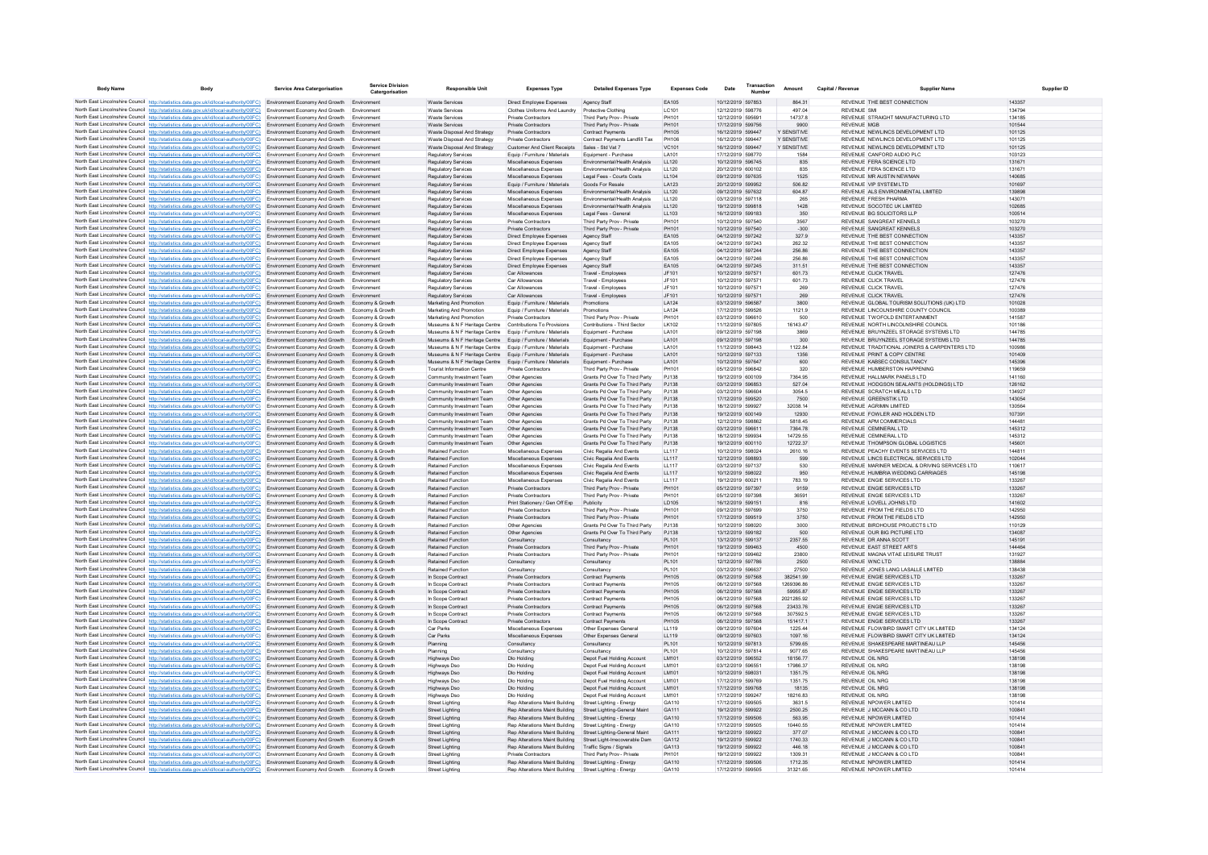| <b>Body Name</b> | <b>Body</b>                                                                                                                                                                                                                                                     | <b>Service Area Catergorisation</b>                                               | <b>Service Division</b><br>Catergorisation | <b>Responsible Unit</b>                                        | <b>Expenses Type</b>                                             | <b>Detailed Expenses Type</b>                                  | <b>Expenses Code</b> | Date                                   | Transaction | Amount               | Capital / Revenue | <b>Supplier Name</b>                                                        | <b>Supplier ID</b> |
|------------------|-----------------------------------------------------------------------------------------------------------------------------------------------------------------------------------------------------------------------------------------------------------------|-----------------------------------------------------------------------------------|--------------------------------------------|----------------------------------------------------------------|------------------------------------------------------------------|----------------------------------------------------------------|----------------------|----------------------------------------|-------------|----------------------|-------------------|-----------------------------------------------------------------------------|--------------------|
|                  | North East Lincolnshire Council http://statistics.data.gov.uk/id/local-authority/00FC) Environment Economy And Growth Environment                                                                                                                               |                                                                                   |                                            | <b>Waste Services</b>                                          | Direct Employee Expenses                                         | Agency Staff                                                   | EA105                | 10/12/2019 597853                      |             | 864.31               |                   | REVENUE THE BEST CONNECTION                                                 | 143357             |
|                  | North East Lincolnshire Council http://statistics.data.gov.uk/id/local-authority/00FC) Environment Economy And Growth                                                                                                                                           |                                                                                   |                                            | <b>Waste Services</b>                                          | Clothes Uniforms And Laundry                                     | Protective Clothing                                            | LC101                | 12/12/2019 598776                      |             | 497.04               |                   | <b>REVENUE SM</b>                                                           | 134794             |
|                  | North East Lincolnshire Council http://statistics.data.gov.uk/id/local-authority/00FC) Environment Economy And Growth                                                                                                                                           |                                                                                   | Environment                                | <b>Waste Services</b>                                          | <b>Private Contractors</b>                                       | Third Party Prov - Private                                     | PH101                | 12/12/2019 595691                      |             | 14737.8              |                   | REVENUE STRAIGHT MANUFACTURING LTD                                          | 134185             |
|                  | North East Lincolnshire Council http://statistics.data.gov.uk/id/local-authority/00FC) Environment Economy And Growth                                                                                                                                           |                                                                                   | Environment<br>Environment                 | Waste Services                                                 | Private Contractors                                              | Third Party Prov - Private                                     | PH101<br>PH105       | 17/12/2019 599756                      |             | 9900<br>Y SENSITIVE  |                   | <b>REVENUE MGB</b>                                                          | 101544<br>101125   |
|                  | North East Lincolnshire Council http://statistics.data.gov.uk/id/local-authority/00FC) Environment Economy And Growth<br>North East Lincolnshire Council http://statistics.data.gov.uk/id/local-authority/00FC)                                                 | Environment Economy And Growth                                                    | Environmen                                 | Waste Disposal And Strategy<br>Waste Disposal And Strategy     | Private Contractors<br>Private Contractors                       | <b>Contract Payments</b><br>Contract Payments Landfill Tax     | PH106                | 16/12/2019 599447<br>16/12/2019 599447 |             | Y SENSITIVE          |                   | REVENUE NEWLINCS DEVELOPMENT LTD<br>REVENUE NEWLINCS DEVELOPMENT LTD        | 101125             |
|                  | North East Lincolnshire Council http://statistics.data.gov.uk/id/local-authority/00FC) Environment Economy And Growth                                                                                                                                           |                                                                                   | Environment                                | Waste Disposal And Strategy                                    | Customer And Client Receipts                                     | Sales - Std Vat 7                                              | VC101                | 16/12/2019 599447                      |             | Y SENSITIVE          |                   | REVENUE NEWLINCS DEVELOPMENT LTD                                            | 101125             |
|                  | North East Lincolnshire Council http://statistics.data.gov.uk/id/local-authority/00FC) Environment Economy And Growth Environment                                                                                                                               |                                                                                   |                                            | <b>Regulatory Services</b>                                     | Equip / Furniture / Materials                                    | Equipment - Purchase                                           | LA101                | 17/12/2019 598770                      |             | 1584                 |                   | REVENUE CANFORD AUDIO PLC                                                   | 103123             |
|                  | North East Lincolnshire Council http://statistics.data.gov.uk/id/local-authority/00FC) Environment Economy And Growth Environment                                                                                                                               |                                                                                   |                                            | <b>Regulatory Services</b>                                     | Miscellaneous Expenses                                           | Environmental/Health Analysis                                  | LL120                | 10/12/2019 596745                      |             | 835                  |                   | REVENUE FERA SCIENCE LTD                                                    | 131671             |
|                  | North East Lincolnshire Council http://statistics.data.gov.uk/id/local-authority/00FC)<br>North East Lincolnshire Council http://statistics.data.gov.uk/id/local-authority/00FC) Environment Economy And Growth                                                 | Environment Economy And Growth                                                    | Environment<br>Environmen                  | Regulatory Services<br>Regulatory Services                     | Miscellaneous Expenses<br>Miscellaneous Expenses                 | Environmental/Health Analysis<br>Legal Fees - Courts Costs     | LL120<br>LL104       | 20/12/2019 600102<br>09/12/2019 597635 |             | 835<br>1525          |                   | REVENUE FERA SCIENCE LTD<br>REVENUE MR AUSTIN NEWMAN                        | 131671<br>140685   |
|                  | North East Lincolnshire Council http://statistics.data.gov.uk/id/local-authority/00FC) Environment Economy And Growth                                                                                                                                           |                                                                                   | Environment                                | <b>Regulatory Services</b>                                     | Equip / Furniture / Materials                                    | Goods For Resale                                               | LA123                | 20/12/2019 599952                      |             | 506.82               |                   | REVENUE VIP SYSTEM LTD                                                      | 101697             |
|                  | North East Lincolnshire Council http://statistics.data.gov.uk/id/local-authority/00FC) Environment Economy And Growth Environment                                                                                                                               |                                                                                   |                                            | <b>Regulatory Services</b>                                     | Miscellaneous Expenses                                           | <b>Environmental/Health Analysis</b>                           | 11120                | 09/12/2019 597632                      |             | 604 87               |                   | REVENUE ALS ENVIRONMENTAL LIMITED                                           | 139898             |
|                  | North East Lincolnshire Council http://statistics.data.gov.uk/id/local-authority/00FC) Environment Economy And Growth                                                                                                                                           |                                                                                   | Environment                                | Regulatory Services                                            | Miscellaneous Expenses                                           | Environmental/Health Analysis                                  | LL120                | 03/12/2019 597118                      |             | 265                  |                   | REVENUE ERESH PHARMA                                                        | 143071             |
|                  | North East Lincolnshire Council http://statistics.data.gov.uk/id/local-authority/00FC)                                                                                                                                                                          | Environment Economy And Growth<br>Environment Economy And Growth Environment      | Environment                                | Regulatory Services                                            | Miscellaneous Expenses                                           | Environmental/Health Analysis<br>Legal Fees - General          | LL120<br>LL103       | 19/12/2019 599818<br>16/12/2019 599183 |             | 1428<br>350          |                   | REVENUE SOCOTEC UK LIMITED<br>REVENUE BG SOLICITORS LLP                     | 102685<br>100514   |
|                  | North East Lincolnshire Council http://statistics.data.gov.uk/id/local-authority/00FC)<br>North East Lincolnshire Council http://statistics.data.gov.uk/id/local-authority/00FC) Environment Economy And Growth                                                 |                                                                                   | Environment                                | Regulatory Services<br><b>Regulatory Services</b>              | Miscellaneous Expenses<br><b>Private Contractors</b>             | Third Party Prov - Private                                     | PH101                | 10/12/2019 597540                      |             | 3567                 |                   | REVENUE SANGREAT KENNELS                                                    | 103270             |
|                  | North East Lincolnshire Council http://statistics.data.gov.uk/id/local-authority/00FC) Environment Economy And Growth Environment                                                                                                                               |                                                                                   |                                            | Regulatory Services                                            | Private Contractors                                              | Third Party Prov - Private                                     | PH101                | 10/12/2019 597540                      |             | $-300$               |                   | REVENUE SANGREAT KENNELS                                                    | 103270             |
|                  | North East Lincolnshire Council http://statistics.data.gov.uk/id/local-authority/00FC)                                                                                                                                                                          | Environment Economy And Growth Environment                                        |                                            | <b>Regulatory Services</b>                                     | Direct Employee Expenses                                         | Agency Staff                                                   | EA105                | 04/12/2019 597242                      |             | 327.9                |                   | REVENUE THE BEST CONNECTION                                                 | 143357             |
|                  | North East Lincolnshire Council http://statistics.data.gov.uk/id/local-authority/00FC)                                                                                                                                                                          | Environment Economy And Growth                                                    | Environmen                                 | Regulatory Service                                             | Direct Employee Expenses                                         | Agency Staft                                                   | EA105                | 04/12/2019 597243                      |             | 262.32               |                   | REVENUE THE BEST CONNECTION                                                 | 143357             |
|                  | North East Lincolnshire Council http://statistics.data.gov.uk/id/local-authority/00FC) Environment Economy And Growth Environment<br>North East Lincolnshire Council http://statistics.data.gov.uk/id/local-authority/00FC) Environment Economy And Growth      |                                                                                   | Environment                                | <b>Regulatory Services</b><br><b>Regulatory Services</b>       | Direct Employee Expenses<br>Direct Employee Expenses             | Agency Staff<br>Agency Staff                                   | EA105<br>EA105       | 04/12/2019 597244<br>04/12/2019 597246 |             | 256.86<br>256.86     |                   | REVENUE THE BEST CONNECTION<br>REVENUE THE BEST CONNECTION                  | 143357<br>143357   |
|                  | North East Lincolnshire Council http://statistics.data.gov.uk/id/local-authority/00FC) Environment Economy And Growth                                                                                                                                           |                                                                                   | Environment                                | <b>Regulatory Services</b>                                     | Direct Employee Expenses                                         | Agency Staff                                                   | EA105                | 04/12/2019 597245                      |             | 311.51               |                   | REVENUE THE BEST CONNECTION                                                 | 143357             |
|                  | North East Lincolnshire Council http://statistics.data.gov.uk/id/local-authority/00FC)                                                                                                                                                                          | Environment Economy And Growth                                                    | Environment                                | Regulatory Services                                            | Car Allowances                                                   | Travel - Employees                                             | JF101                | 10/12/2019 597571                      |             | 601.73               |                   | REVENUE CLICK TRAVEL                                                        | 127476             |
|                  | North East Lincolnshire Council http://statistics.data.gov.uk/id/local-authority/00FC)                                                                                                                                                                          | Environment Economy And Growth                                                    |                                            | Regulatory Services                                            | Car Allowances                                                   | Travel - Employees                                             | JF101                | 10/12/2019 59757                       |             | 601.73               |                   | REVENUE CLICK TRAVEL                                                        | 127476             |
|                  | North East Lincolnshire Council http://statistics.data.gov.uk/id/local-authority/00FC) Environment Economy And Growth                                                                                                                                           |                                                                                   | Environment                                | <b>Regulatory Services</b>                                     | Car Allowances                                                   | Travel - Employees                                             | JF101                | 10/12/2019 597571                      |             | 269                  |                   | REVENUE CLICK TRAVEL                                                        | 127476             |
|                  | North East Lincolnshire Council http://statistics.data.gov.uk/id/local-authority/00FC)<br>North East Lincolnshire Council http://statistics.data.gov.uk/id/local-authority/00FC) Environment Economy And Growth Economy & Growth                                | Environment Economy And Growth                                                    | Environment                                | <b>Regulatory Services</b><br>Marketing And Promotion          | Car Allowances<br>Equip / Furniture / Materials                  | Travel - Employees<br>Promotions                               | JF101<br>I A124      | 10/12/2019 597571<br>03/12/2019 596587 |             | 269<br>3800          |                   | REVENUE CLICK TRAVEL<br>REVENUE GLOBAL TOURISM SOLUTIONS (UK) LTD           | 127476<br>101028   |
|                  | North East Lincolnshire Council http://statistics.data.gov.uk/id/local-authority/00FC)                                                                                                                                                                          | Environment Economy And Growth                                                    | Economy & Growth                           | Marketing And Promotion                                        | Equip / Furniture / Materials                                    | Promotions                                                     | LA124                | 17/12/2019 599526                      |             | 1121.9               |                   | REVENUE LINCOLNSHIRE COUNTY COUNCIL                                         | 100389             |
|                  | North East Lincolnshire Council http://statistics.data.gov.uk/id/local-authority/00FC)                                                                                                                                                                          | Environment Economy And Growth                                                    | Economy & Growth                           | Marketing And Promotion                                        | Private Contractors                                              | Third Party Prov - Private                                     | PH101                | 03/12/2019 596610                      |             | 500                  |                   | REVENUE TWOFOLD ENTERTAINMENT                                               | 141587             |
|                  | North East Lincolnshire Council http://statistics.data.gov.uk/id/local-authority/00FC) Environment Economy And Growth                                                                                                                                           |                                                                                   | Economy & Growth                           | Museums & N F Heritage Centre                                  | <b>Contributions To Provisions</b>                               | Contributions - Third Sector                                   | LK102                | 11/12/2019 597805                      |             | 16143.47             |                   | REVENUE NORTH LINCOLNSHIRE COUNCIL                                          | 101186             |
|                  | North East Lincolnshire Council http://statistics.data.gov.uk/id/local-authority/00FC) Environment Economy And Growth                                                                                                                                           |                                                                                   | Economy & Growth                           | Museums & N F Heritage Centre                                  | Equip / Furniture / Materials                                    | Equipment - Purchase                                           | LA101                | 09/12/2019 597198                      |             | 3869                 |                   | REVENUE BRUYNZEEL STORAGE SYSTEMS LTD                                       | 144785             |
|                  | North East Lincolnshire Council http://statistics.data.gov.uk/id/local-authority/00FC)                                                                                                                                                                          | Environment Economy And Growth                                                    | Economy & Growth                           | Museums & N F Heritage Centre                                  | Equip / Furniture / Materials                                    | Equipment - Purchase                                           | LA101                | 09/12/2019 597198                      |             | 300                  |                   | REVENUE BRUYNZEEL STORAGE SYSTEMS LTD                                       | 144785             |
|                  | North East Lincolnshire Council http://statistics.data.gov.uk/id/local-authority/00FC)<br>North East Lincolnshire Council http://statistics.data.gov.uk/id/local-authority/00FC)                                                                                | Environment Economy And Growth<br>Environment Economy And Growth                  | Economy & Growth<br>Economy & Growth       | Museums & N F Heritage Centre<br>Museums & N F Heritage Centre | Equip / Furniture / Materials<br>Equip / Furniture / Materials   | Equipment - Purchase<br>Equipment - Purchase                   | LA101<br>LA101       | 11/12/2019 598443<br>10/12/2019 597133 |             | 1122.84<br>1356      |                   | REVENUE TRADITIONAL JOINERS & CARPENTERS LTD<br>REVENUE PRINT & COPY CENTRE | 100986<br>101409   |
|                  | North East Lincolnshire Council http://statistics.data.gov.uk/id/local-authority/00FC)                                                                                                                                                                          | Environment Economy And Growth                                                    | Economy & Growth                           | Museums & N F Heritage Centre                                  | Equip / Furniture / Materials                                    | Equipment - Purchase                                           | LA101                | 10/12/2019 597647                      |             | 600                  |                   | REVENUE KABSEC CONSULTANCY                                                  | 145396             |
|                  | North East Lincolnshire Council http://statistics.data.gov.uk/id/local-authority/00FC) Environment Economy And Growth                                                                                                                                           |                                                                                   | Fronomy & Growth                           | <b>Tourist Information Centre</b>                              | Private Contractors                                              | Third Party Prov - Private                                     | PH101                | 05/12/2019 596842                      |             | 320                  |                   | REVENUE HUMBERSTON HAPPENING                                                | 119659             |
|                  | North East Lincolnshire Council http://statistics.data.gov.uk/id/local-authority/00FC)                                                                                                                                                                          | Environment Economy And Growth                                                    | Economy & Growth                           | Community Investment Team                                      | Other Agencies                                                   | Grants Pd Over To Third Party                                  | PJ138                | 19/12/2019 600109                      |             | 7364.95              |                   | REVENUE HALLMARK PANELS LTD                                                 | 141160             |
|                  | North East Lincolnshire Council http://statistics.data.gov.uk/id/local-authority/00FC)<br>North East Lincolnshire Council http://statistics.data.gov.uk/id/local-authority/00FC)                                                                                | Environment Economy And Growth Economy & Growth<br>Environment Economy And Growth | Economy & Growth                           | Community Investment Team<br>Community Investment Team         | Other Agencies<br>Other Agencies                                 | Grants Pd Over To Third Party<br>Grants Pd Over To Third Party | PJ138<br>PJ138       | 03/12/2019 596853<br>03/12/2019 596604 |             | 527.04<br>3054.5     |                   | REVENUE HODGSON SEALANTS (HOLDINGS) LTD<br>REVENUE SCRATCH MEALS LTD        | 126162<br>13492    |
|                  | North East Lincolnshire Council http://statistics.data.gov.uk/id/local-authority/00FC) Environment Economy And Growth Economy & Growth                                                                                                                          |                                                                                   |                                            | Community Investment Team                                      | Other Agencies                                                   | Grants Pd Over To Third Party                                  | PJ138                | 17/12/2019 599520                      |             | 7500                 |                   | REVENUE GREENSTIK LTD                                                       | 143054             |
|                  | North East Lincolnshire Council http://statistics.data.gov.uk/id/local-authority/00FC) Environment Economy And Growth                                                                                                                                           |                                                                                   | Economy & Growth                           | Community Investment Team                                      | Other Anencies                                                   | Grants Pd Over To Third Party                                  | P.1138               | 18/12/2019 599927                      |             | 32038.14             |                   | REVENUE AGRIMIN LIMITED                                                     | 130564             |
|                  | North East Lincolnshire Council http://statistics.data.gov.uk/id/local-authority/00FC) Environment Economy And Growth                                                                                                                                           |                                                                                   | Economy & Growth                           | Community Investment Team                                      | Other Agencies                                                   | Grants Pd Over To Third Party                                  | PJ138                | 19/12/2019 600149                      |             | 12930                |                   | REVENUE FOWLER AND HOLDEN LTD                                               | 107391             |
|                  | North East Lincolnshire Council http://statistics.data.gov.uk/id/local-authority/00FC)                                                                                                                                                                          | Environment Economy And Growth                                                    | Economy & Growtl                           | Community Investment Team                                      | Other Agencies                                                   | Grants Pd Over To Third Party                                  | PJ138                | 12/12/2019 598862                      |             | 5818.45              |                   | REVENUE APM COMMERCIALS                                                     | 144481             |
|                  | North East Lincolnshire Council http://statistics.data.gov.uk/id/local-authority/00FC)                                                                                                                                                                          | Environment Economy And Growth                                                    | Economy & Growth                           | Community Investment Team                                      | Other Agencies                                                   | Grants Pd Over To Third Party                                  | PJ138                | 03/12/2019 596611                      |             | 7364.78<br>14729.55  |                   | REVENUE CEMINERAL LTD<br>REVENUE CEMINERAL LTD                              | 145312             |
|                  | North East Lincolnshire Council http://statistics.data.gov.uk/id/local-authority/00FC) Environment Economy And Growth<br>North East Lincolnshire Council http://statistics.data.gov.uk/id/local-authority/00FC) Environment Economy And Growth Economy & Growth |                                                                                   | Economy & Growth                           | Community Investment Team<br>Community Investment Team         | Other Agencies<br>Other Agencies                                 | Grants Pd Over To Third Party<br>Grants Pd Over To Third Party | PJ138<br>PJ138       | 18/12/2019 599934<br>19/12/2019 600110 |             | 12722.37             |                   | REVENUE THOMPSON GLOBAL LOGISTICS                                           | 145312<br>145601   |
|                  | North East Lincolnshire Council http://statistics.data.gov.uk/id/local-authority/00FC) Environment Economy And Growth                                                                                                                                           |                                                                                   | Economy & Growth                           | <b>Retained Function</b>                                       | Miscellaneous Expenses                                           | Civic Regalia And Events                                       | LL117                | 10/12/2019 598024                      |             | 2610.16              |                   | REVENUE PEACHY EVENTS SERVICES LTD                                          | 144811             |
|                  | North East Lincolnshire Council http://statistics.data.gov.uk/id/local-authority/00FC) Environment Economy And Growth                                                                                                                                           |                                                                                   | Economy & Growth                           | Retained Function                                              | Miscellaneous Expenses                                           | Civic Regalia And Events                                       | LL117                | 12/12/2019 598893                      |             | 599                  |                   | REVENUE LINCS ELECTRICAL SERVICES LTD                                       | 102044             |
|                  | North East Lincolnshire Council http://statistics.data.gov.uk/id/local-authority/00FC) Environment Economy And Growth                                                                                                                                           |                                                                                   | Fronomy & Growth                           | <b>Retained Function</b>                                       | Miscellaneous Expenses                                           | Civic Regalia And Events                                       | LL117                | 03/12/2019 597137                      |             | 530                  |                   | REVENUE MARINER MEDICAL & DRIVING SERVICES LTD                              | 110617             |
|                  | North East Lincolnshire Council http://statistics.data.gov.uk/id/local-authority/00FC) Environment Economy And Growth Economy & Growth<br>North East Lincolnshire Council http://statistics.data.gov.uk/id/local-authority/00FC) Environment Economy And Growth |                                                                                   | Economy & Growth                           | <b>Retained Function</b><br><b>Retained Function</b>           | Miscellaneous Expenses<br>Miscellaneous Expenses                 | Civic Regalia And Events<br>Civic Regalia And Events           | 1117<br>LL117        | 10/12/2019 598022<br>19/12/2019 600211 |             | 950<br>783.19        |                   | REVENUE HUMBRIA WEDDING CARRIAGES<br>REVENUE ENGIE SERVICES LTD             | 145198<br>133267   |
|                  | North East Lincolnshire Council http://statistics.data.gov.uk/id/local-authority/00FC)                                                                                                                                                                          | Environment Economy And Growth                                                    | Economy & Growth                           | Retained Function                                              | Private Contractors                                              | Third Party Prov - Private                                     | PH101                | 05/12/2019 597397                      |             | 9159                 |                   | REVENUE ENGIE SERVICES LTD                                                  | 133267             |
|                  | North East Lincolnshire Council http://statistics.data.gov.uk/id/local-authority/00FC)                                                                                                                                                                          | Environment Economy And Growth                                                    | Economy & Growth                           | <b>Retained Function</b>                                       | Private Contractors                                              | Third Party Prov - Private                                     | PH101                | 05/12/2019 597398                      |             | 36591                |                   | REVENUE ENGIE SERVICES LTD                                                  | 133267             |
|                  | North East Lincolnshire Council http://statistics.data.gov.uk/id/local-authority/00FC) Environment Economy And Growth                                                                                                                                           |                                                                                   | Economy & Growth                           | <b>Retained Function</b>                                       | Print Stationery / Gen Off Exp                                   | Publicity                                                      | LD105                | 16/12/2019 599151                      |             | 816                  |                   | REVENUE LOVELL JOHNS LTD                                                    | 141602             |
|                  | North East Lincolnshire Council http://statistics.data.gov.uk/id/local-authority/00FC) Environment Economy And Growth                                                                                                                                           |                                                                                   | Fronomy & Growth                           | <b>Retained Function</b>                                       | Private Contractors                                              | Third Party Prov - Private                                     | PH101<br>PH101       | 09/12/2019 597699                      |             | 3750                 |                   | REVENUE FROM THE FIFLOS LTD<br>REVENUE FROM THE FIFLOS LTD                  | 142950<br>142950   |
|                  | North East Lincolnshire Council http://statistics.data.gov.uk/id/local-authority/00FC) Environment Economy And Growth<br>North East Lincolnshire Council http://statistics.data.gov.uk/id/local-authority/00FC)                                                 | Environment Economy And Growth                                                    | Economy & Growth<br>Economy & Growtl       | <b>Retained Function</b><br><b>Retained Function</b>           | Private Contractors<br>Other Agencies                            | Third Party Prov - Private<br>Grants Pd Over To Third Party    | PJ138                | 17/12/2019 599519<br>10/12/2019 598020 |             | 3750<br>3000         |                   | REVENUE BIRDHOUSE PROJECTS LTD                                              | 110129             |
|                  | North East Lincolnshire Council http://statistics.data.gov.uk/id/local-authority/00FC) Environment Economy And Growth                                                                                                                                           |                                                                                   | Economy & Growth                           | Retained Function                                              | Other Agencies                                                   | Grants Pd Over To Third Party                                  | PJ138                | 13/12/2019 599182                      |             | 500                  |                   | REVENUE OUR BIG PICTURE LTD                                                 | 134087             |
|                  | North East Lincolnshire Council http://statistics.data.gov.uk/id/local-authority/00FC) Environment Economy And Growth                                                                                                                                           |                                                                                   | Economy & Growth                           | <b>Retained Function</b>                                       | Consultancy                                                      | Consultancy                                                    | PL101                | 13/12/2019 599137                      |             | 2357.55              |                   | REVENUE DR ANNA SCOTT                                                       | 145191             |
|                  | North East Lincolnshire Council http://statistics.data.gov.uk/id/local-authority/00FC) Environment Economy And Growth                                                                                                                                           |                                                                                   | Fronomy & Growth                           | <b>Retained Function</b>                                       | Private Contractors                                              | Third Party Prov - Private                                     | PH101                | 19/12/2019 599463                      |             | 4500                 |                   | REVENUE FAST STREET ARTS                                                    | 144464             |
|                  | North East Lincolnshire Council http://statistics.data.gov.uk/id/local-authority/00FC) Environment Economy And Growth                                                                                                                                           |                                                                                   | Economy & Growth                           | <b>Retained Function</b>                                       | <b>Private Contractors</b>                                       | Third Party Prov - Private                                     | <b>PH101</b>         | 19/12/2019 599462                      |             | 23800                |                   | REVENUE MAGNA VITAE LEISURE TRUST                                           | 131927             |
|                  | North East Lincolnshire Council http://statistics.data.gov.uk/id/local-authority/00FC)<br>North East Lincolnshire Council http://statistics.data.gov.uk/id/local-authority/00FC) Environment Economy And Growth                                                 | Environment Economy And Growth                                                    | Economy & Growth<br>Economy & Growth       | <b>Retained Function</b><br><b>Retained Function</b>           | Consultancy<br>Consultancy                                       | Consultancy<br>Consultancy                                     | PL101<br>PL101       | 12/12/2019 597786<br>03/12/2019 596637 |             | 2500<br>27500        |                   | REVENUE WNC LTD<br>REVENUE JONES LANG LASALLE LIMITED                       | 138884<br>138438   |
|                  | North East Lincolnshire Council http://statistics.data.gov.uk/id/local-authority/00FC) Environment Economy And Growth                                                                                                                                           |                                                                                   | Fronomy & Growth                           | In Scope Contract                                              | <b>Private Contractors</b>                                       | <b>Contract Payments</b>                                       | PH105                | 06/12/2019 597568                      |             | 382541.99            |                   | REVENUE ENGIE SERVICES LTD                                                  | 133267             |
|                  | North East Lincolnshire Council http://statistics.data.gov.uk/id/local-authority/00FC) Environment Economy And Growth                                                                                                                                           |                                                                                   | Fronomy & Growth                           | In Scope Contract                                              | Private Contractors                                              | <b>Contract Payments</b>                                       | PH105                | 06/12/2019 597568                      |             | 126939686            |                   | REVENUE ENGIE SERVICES LTD                                                  | 133267             |
|                  | North East Lincolnshire Council http://statistics.data.gov.uk/id/local-authority/00FC) Environment Economy And Growth Economy & Growth                                                                                                                          |                                                                                   |                                            | In Scope Contract                                              | Private Contractors                                              | <b>Contract Payments</b>                                       | PH105                | 06/12/2019 597568                      |             | 59955.87             |                   | REVENUE ENGIE SERVICES LTD                                                  | 133267             |
|                  | North East Lincolnshire Council http://statistics.data.gov.uk/id/local-authority/00FC) Environment Economy And Growth                                                                                                                                           |                                                                                   | Economy & Growth                           | In Scope Contract                                              | Private Contractors                                              | <b>Contract Payments</b>                                       | PH105                | 06/12/2019 597568                      |             | 2021285.92           |                   | REVENUE ENGIE SERVICES LTD                                                  | 133267             |
|                  | North East Lincolnshire Council http://statistics.data.gov.uk/id/local-authority/00FC) Environment Economy And Growth Economy & Growth<br>North East Lincolnshire Council http://statistics.data.gov.uk/id/local-authority/00FC) Environment Economy And Growth |                                                                                   | Economy & Growth                           | In Scope Contract<br>In Scope Contract                         | <b>Private Contractors</b><br><b>Private Contractors</b>         | <b>Contract Payments</b><br><b>Contract Payments</b>           | PH105<br>PH105       | 06/12/2019 597568<br>06/12/2019 597568 |             | 23433.76<br>307592.5 |                   | REVENUE ENGIE SERVICES LTD<br>REVENUE ENGIE SERVICES LTD                    | 133267<br>133267   |
|                  | North East Lincolnshire Council http://statistics.data.gov.uk/id/local-authority/00FC)                                                                                                                                                                          | Environment Economy And Growth                                                    | Economy & Growth                           | In Scope Contract                                              | Private Contractors                                              | <b>Contract Payments</b>                                       | PH105                | 06/12/2019 597568                      |             | 151417.1             |                   | REVENUE ENGIE SERVICES LTD                                                  | 133267             |
|                  | North East Lincolnshire Council http://statistics.data.gov.uk/id/local-authority/00FC)                                                                                                                                                                          | Environment Economy And Growth                                                    | Economy & Growth                           | Car Parks                                                      | Miscellaneous Expenses                                           | Other Expenses Genera                                          | LL119                | 09/12/2019 597604                      |             | 1225.44              |                   | REVENUE FLOWBIRD SMART CITY UK LIMITED                                      | 134124             |
|                  | North East Lincolnshire Council http://statistics.data.gov.uk/id/local-authority/00FC) Environment Economy And Growth                                                                                                                                           |                                                                                   | Economy & Growth                           | Car Parks                                                      | Miscellaneous Expenses                                           | Other Expenses General                                         | LL119                | 09/12/2019 597603                      |             | 1097.16              |                   | REVENUE FLOWBIRD SMART CITY UK LIMITED                                      | 134124             |
|                  | North East Lincolnshire Council http://statistics.data.gov.uk/id/local-authority/00FC) Environment Economy And Growth Economy & Growth                                                                                                                          |                                                                                   |                                            | Planning                                                       | Consultancy                                                      | Consultancy                                                    | PL101                | 10/12/2019 597813                      |             | 5799.65              |                   | REVENUE SHAKESPEARE MARTINEAU LLP                                           | 145456             |
|                  | North East Lincolnshire Council http://statistics.data.gov.uk/id/local-authority/00FC) Environment Economy And Growth                                                                                                                                           | Environment Economy And Growth                                                    | Fronomy & Growth<br>Economy & Growth       | Planning                                                       | Consultancy<br>Dlo Holding                                       | Consultancy                                                    | PI 101<br>LM101      | 10/12/2019 597814<br>03/12/2019 596552 |             | 9077 65<br>18156.77  |                   | REVENUE SHAKESPEARE MARTINEAU UP<br>REVENUE OIL NRG                         | 145456<br>138198   |
|                  | North East Lincolnshire Council http://statistics.data.gov.uk/id/local-authority/00FC)<br>North East Lincolnshire Council http://statistics.data.gov.uk/id/local-authority/00FC) Environment Economy And Growth                                                 |                                                                                   | Economy & Growth                           | Highways Dso<br>Highways Dso                                   | Dlo Holding                                                      | Depot Fuel Holding Account<br>Depot Fuel Holding Account       | LM101                | 03/12/2019 59655                       |             | 17986.37             |                   | REVENUE OIL NRG                                                             | 138198             |
|                  | North East Lincolnshire Council http://statistics.data.gov.uk/id/local-authority/00FC) Environment Economy And Growth                                                                                                                                           |                                                                                   | Economy & Growth                           | Highways Dso                                                   | Dlo Holding                                                      | Depot Fuel Holding Account                                     | LM101                | 10/12/2019 598031                      |             | 1351.75              |                   | REVENUE OIL NRG                                                             | 138198             |
|                  | North East Lincolnshire Council http://statistics.data.gov.uk/id/local-authority/00FC) Environment Economy And Growth                                                                                                                                           |                                                                                   | Economy & Growth                           | Highways Dso                                                   | Dlo Holding                                                      | Depot Fuel Holding Account                                     | LM101                | 17/12/2019 599769                      |             | 1351.75              |                   | REVENUE OIL NRG                                                             | 138198             |
|                  | North East Lincolnshire Council http://statistics.data.gov.uk/id/local-authority/00FC)                                                                                                                                                                          | Environment Economy And Growth                                                    | Economy & Growth                           | <b>Highways Dso</b>                                            | Dlo Holding                                                      | Depot Fuel Holding Account                                     | LM101                | 17/12/2019 599768                      |             | 18135                |                   | REVENUE OIL NRG                                                             | 138198             |
|                  | North East Lincolnshire Council http://statistics.data.gov.uk/id/local-authority/00FC)                                                                                                                                                                          | Environment Economy And Growth                                                    | Economy & Growth                           | <b>Highways Dso</b>                                            | Dlo Holding                                                      | Depot Fuel Holding Account                                     | LM101                | 17/12/2019 599247                      |             | 18216.83             |                   | REVENUE OIL NRG                                                             | 138198             |
|                  | North East Lincolnshire Council http://statistics.data.gov.uk/id/local-authority/00FC) Environment Economy And Growth<br>North East Lincolnshire Council http://statistics.data.gov.uk/id/local-authority/00FC)                                                 | Environment Economy And Growth                                                    | Economy & Growth<br>Economy & Growth       | <b>Street Lighting</b><br><b>Street Lighting</b>               | Rep Alterations Maint Building<br>Rep Alterations Maint Building | Street Lighting - Energy<br>Street Lighting-General Maint      | GA110<br>GA111       | 17/12/2019 599505<br>19/12/2019 599922 |             | 3631.5<br>2500.25    |                   | REVENUE NPOWER LIMITED<br>REVENUE J MCCANN & CO LTD                         | 101414<br>100841   |
|                  | North East Lincolnshire Council http://statistics.data.gov.uk/id/local-authority/00FC) Environment Economy And Growth Economy & Growth                                                                                                                          |                                                                                   |                                            | <b>Street Lighting</b>                                         | Rep Alterations Maint Building                                   | Street Lighting - Energy                                       | GA110                | 17/12/2019 599506                      |             | 563.95               |                   | REVENUE NPOWER LIMITED                                                      | 101414             |
|                  | North East Lincolnshire Council http://statistics.data.gov.uk/id/local-authority/00FC) Environment Economy And Growth                                                                                                                                           |                                                                                   | Economy & Growth                           | <b>Street Lighting</b>                                         | <b>Rep Alterations Maint Building</b>                            | Street Lighting - Energy                                       | GA110                | 17/12/2019 599505                      |             | 10440.55             |                   | REVENUE NPOWER LIMITED                                                      | 101414             |
|                  | North East Lincolnshire Council http://statistics.data.gov.uk/id/local-authority/00FC) Environment Economy And Growth                                                                                                                                           |                                                                                   | Economy & Growth                           | <b>Street Lighting</b>                                         | Rep Alterations Maint Building                                   | Street Lighting-General Main                                   | GA111                | 19/12/2019 599922                      |             | 377.07               |                   | REVENUE J MCCANN & CO LTD                                                   | 100841             |
|                  | North East Lincolnshire Council http://statistics.data.gov.uk/id/local-authority/00FC) Environment Economy And Growth                                                                                                                                           |                                                                                   | Economy & Growth                           | <b>Street Lighting</b>                                         | Rep Alterations Maint Building                                   | Street Light-Irrecoverable Dam                                 | GA112                | 19/12/2019 599922                      |             | 1740.33              |                   | REVENUE J MCCANN & CO LTD                                                   | 10084              |
|                  | North East Lincolnshire Council http://statistics.data.gov.uk/id/local-authority/00FC) Environment Economy And Growth<br>North East Lincolnshire Council http://statistics.data.gov.uk/id/local-authority/00FC) Environment Economy And Growth Economy & Growth |                                                                                   | Economy & Growth                           | Street Lighting<br><b>Street Lighting</b>                      | Rep Alterations Maint Building<br>Private Contractors            | Traffic Signs / Signals<br>Third Party Prov - Private          | GA113<br>PH101       | 19/12/2019 599922<br>19/12/2019 599922 |             | 446 18<br>1309 31    |                   | REVENUE J MCCANN & CO LTD<br>REVENUE J MCCANN & CO LTD                      | 100841<br>100841   |
|                  | North East Lincolnshire Council http://statistics.data.gov.uk/id/local-authority/00FC) Environment Economy And Growth Economy & Growth                                                                                                                          |                                                                                   |                                            | <b>Street Lighting</b>                                         | Rep Alterations Maint Building                                   | Street Lighting - Energy                                       | GA110                | 17/12/2019 599506                      |             | 1712.35              |                   | REVENUE NPOWER LIMITED                                                      | 101414             |
|                  | North East Lincolnshire Council http://statistics.data.gov.uk/id/local-authority/00FC) Environment Economy And Growth                                                                                                                                           |                                                                                   | Economy & Growtl                           | <b>Street Lighting</b>                                         | <b>Rep Alterations Maint Building</b>                            | Street Lighting - Energy                                       | GA110                | 17/12/2019 599505                      |             | 31321.65             |                   | REVENUE NPOWER LIMITED                                                      | 101414             |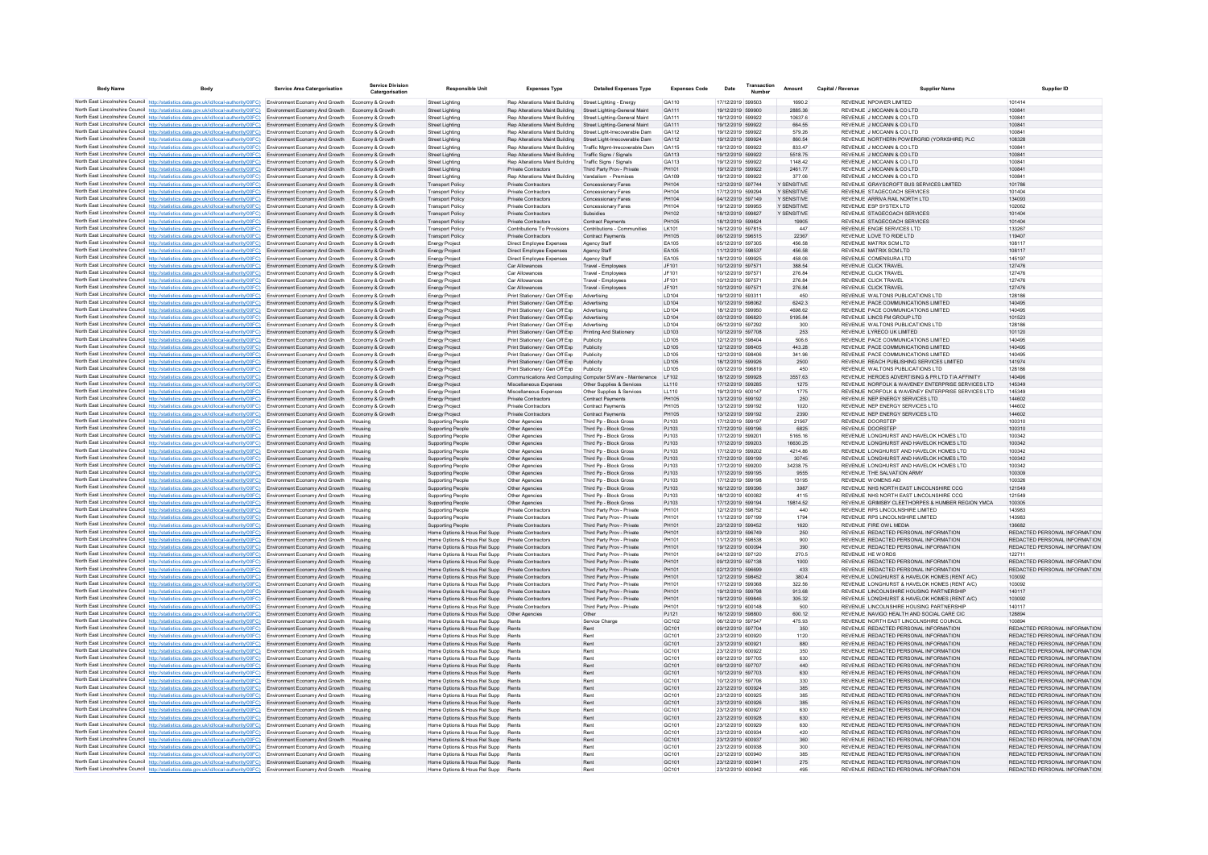| <b>Body Name</b> | Body                                                                                                                                                                                                            | <b>Service Area Catergorisation</b>                                      | Service Division<br>Catergorisation  | <b>Responsible Unit</b>                                            | <b>Expenses Type</b>                                                                     | <b>Detailed Expenses Type</b>                                   | <b>Expenses Code</b>  | Date                                   | Transaction | Amount                     | Canital / Revenue | <b>Supplier Name</b>                                                                                   | Supplier ID                                                    |
|------------------|-----------------------------------------------------------------------------------------------------------------------------------------------------------------------------------------------------------------|--------------------------------------------------------------------------|--------------------------------------|--------------------------------------------------------------------|------------------------------------------------------------------------------------------|-----------------------------------------------------------------|-----------------------|----------------------------------------|-------------|----------------------------|-------------------|--------------------------------------------------------------------------------------------------------|----------------------------------------------------------------|
|                  | North East Lincolnshire Council http://statistics.data.gov.uk/id/local-authority/00FC) Environment Economy And Growth Economy & Growth                                                                          |                                                                          |                                      | <b>Street Lighting</b>                                             | Rep Alterations Maint Building                                                           | Street Lighting - Energy                                        | GA110                 | 17/12/2019 599503                      |             | 1690.2                     |                   | REVENUE NPOWER LIMITED                                                                                 | 101414                                                         |
|                  | North East Lincolnshire Council http://statistics.data.gov.uk/id/local-authority/00FC)                                                                                                                          | Environment Economy And Growth                                           | Economy & Growth                     | <b>Street Lighting</b>                                             | Rep Alterations Maint Building                                                           | Street Lighting-General Maint                                   | GA111                 | 19/12/2019 599900                      |             | 2885.36                    |                   | REVENUE J MCCANN & CO LTD                                                                              | 100841                                                         |
|                  | North East Lincolnshire Council http://statistics.data.gov.uk/id/local-authority/00FC) Environment Economy And Growth                                                                                           |                                                                          | Economy & Growth                     | <b>Street Lighting</b>                                             | Rep Alterations Maint Building                                                           | Street Lighting-General Maint                                   | GA111                 | 19/12/2019 599922                      |             | 10637.6                    |                   | REVENUE J MCCANN & CO LTD                                                                              | 100841                                                         |
|                  | North East Lincolnshire Council http://statistics.data.gov.uk/id/local-authority/00FC)<br>North East Lincolnshire Council http://statistics.data.gov.uk/id/local-authority/00FC)                                | Environment Economy And Growth<br>Environment Economy And Growth         | Economy & Growth<br>Fronomy & Growth | Street Lighting<br><b>Street Lighting</b>                          | Rep Alterations Maint Building<br>Rep Alterations Maint Building                         | Street Lighting-General Maint<br>Street Light-Irrecoverable Dam | GA111<br>GA112        | 19/12/2019 599922<br>19/12/2019 599922 |             | 664.55<br>579.26           |                   | REVENUE J MCCANN & CO LTD<br>REVENUE JIMCCANN & CO LTD                                                 | 100841<br>100841                                               |
|                  | North East Lincolnshire Council http://statistics.data.gov.uk/id/local-authority/00FC)                                                                                                                          | Environment Economy And Growth                                           | Economy & Growth                     | <b>Street Lighting</b>                                             | Rep Alterations Maint Building                                                           | Street Light-Irrecoverable Dam                                  | GA112                 | 19/12/2019 599924                      |             | 860.54                     |                   | REVENUE NORTHERN POWERGRID (YORKSHIRE) PLC                                                             | 108328                                                         |
|                  | North East Lincolnshire Council http://statistics.data.gov.uk/id/local-authority/00FC)                                                                                                                          | Environment Economy And Growth                                           | Economy & Growth                     | <b>Street Lighting</b>                                             | Rep Alterations Maint Building                                                           | Traffic Mgmt-Irrecoverable Dan                                  | GA115                 | 19/12/2019 599922                      |             | 833.47                     |                   | REVENUE J MCCANN & CO LTD                                                                              | 100841                                                         |
|                  | North East Lincolnshire Council http://statistics.data.gov.uk/id/local-authority/00FC) Environment Economy And Growth<br>North East Lincolnshire Council http://statistics.data.gov.uk/id/local-authority/00FC) | Environment Economy And Growth                                           | Economy & Growth<br>Fronomy & Growth | <b>Street Lighting</b><br>Street Lighting                          | Rep Alterations Maint Building Traffic Signs / Signals<br>Ren Alterations Maint Building | Traffic Signs / Signals                                         | GA113<br>GA113        | 19/12/2019 599922<br>19/12/2019 599922 |             | 5518.75<br>1148 42         |                   | REVENUE J MCCANN & CO LTD<br>REVENUE J MCCANN & CO LTD                                                 | 100841<br>100841                                               |
|                  | North East Lincolnshire Council http://statistics.data.gov.uk/id/local-authority/00FC)                                                                                                                          | Environment Economy And Growth                                           | Economy & Growth                     | <b>Street Lighting</b>                                             | Private Contractors                                                                      | Third Party Prov - Private                                      | PH101                 | 19/12/2019 599922                      |             | 246177                     |                   | REVENUE J MCCANN & CO LTD                                                                              | 100841                                                         |
|                  | North East Lincolnshire Council http://statistics.data.gov.uk/id/local-authority/00FC)                                                                                                                          | Environment Economy And Growth                                           | Economy & Growth                     | <b>Street Lighting</b>                                             | Rep Alterations Maint Building                                                           | Vandalism - Premises                                            | GA109                 | 19/12/2019 599922                      |             | 377.06                     |                   | REVENUE J MCCANN & CO LTD                                                                              | 100841                                                         |
|                  | North East Lincolnshire Council http://statistics.data.gov.uk/id/local-authority/00FC)                                                                                                                          | Environment Economy And Growth                                           | Economy & Growth                     | <b>Transport Policy</b>                                            | Private Contractors                                                                      | Concessionary Fares                                             | PH104                 | 12/12/2019 597744                      |             | Y SENSITIVE                |                   | REVENUE GRAYSCROFT BUS SERVICES LIMITED                                                                | 101786                                                         |
|                  | North East Lincolnshire Council http://statistics.data.gov.uk/id/local-authority/00FC)<br>North East Lincolnshire Council http://statistics.data.gov.uk/id/local-authority/00FC)                                | Environment Economy And Growth<br>Environment Economy And Growth         | Economy & Growth<br>Economy & Growth | <b>Transport Policy</b><br><b>Transport Policy</b>                 | Private Contractors<br>Private Contractors                                               | Concessionary Fares<br>Concessionary Fares                      | PH104<br>PH104        | 17/12/2019 599294<br>04/12/2019 597149 |             | Y SENSITIVE<br>Y SENSITIVE |                   | REVENUE STAGECOACH SERVICES<br>REVENUE ARRIVA RAIL NORTH LTD                                           | 101404<br>134093                                               |
|                  | North East Lincolnshire Council http://statistics.data.gov.uk/id/local-authority/00FC)                                                                                                                          | <b>Environment Economy And Growth</b>                                    | Fronomy & Growth                     | <b>Transport Policy</b>                                            | Private Contractors                                                                      | Concessionary Fares                                             | PH104                 | 19/12/2019 599955                      |             | Y SENSITIVE                |                   | REVENUE ESP SYSTEX LTD.                                                                                | 102062                                                         |
|                  | North East Lincolnshire Council http://statistics.data.gov.uk/id/local-authority/00FC)                                                                                                                          | Environment Economy And Growth                                           | Economy & Growth                     | <b>Transport Policy</b>                                            | Private Contractors                                                                      | Subsidies                                                       | PH102                 | 18/12/2019 599827                      |             | Y SENSITIVE                |                   | REVENUE STAGECOACH SERVICES                                                                            | 101404                                                         |
|                  | North East Lincolnshire Council http://statistics.data.gov.uk/id/local-authority/00FC) Environment Economy And Growth                                                                                           |                                                                          | Economy & Growth                     | <b>Transport Policy</b>                                            | Private Contractors                                                                      | <b>Contract Payments</b>                                        | PH105                 | 18/12/2019 599824                      |             | 19905                      |                   | REVENUE STAGECOACH SERVICES                                                                            | 101404                                                         |
|                  | North East Lincolnshire Council http://statistics.data.gov.uk/id/local-authority/00FC) Environment Economy And Growth<br>North East Lincolnshire Council http://statistics.data.gov.uk/id/local-authority/00EC) | Environment Economy And Growth                                           | Fronomy & Growth<br>Economy & Growth | <b>Transport Policy</b><br><b>Transport Policy</b>                 | Contributions To Provisions<br>Private Contractors                                       | Contributions - Communities<br><b>Contract Payments</b>         | I K101<br>PH105       | 16/12/2019 597815<br>06/12/2019 596515 |             | 447<br>22367               |                   | REVENUE ENGIE SERVICES LTD<br>REVENUE LOVE TO RIDE LTD.                                                | 133267<br>119407                                               |
|                  | North East Lincolnshire Council http://statistics.data.gov.uk/id/local-authority/00FC)                                                                                                                          | Environment Economy And Growth                                           | Economy & Growth                     | <b>Energy Project</b>                                              | Direct Employee Expenses                                                                 | Agency Staff                                                    | FA105                 | 05/12/2019 597305                      |             | 456.58                     |                   | REVENUE MATRIX SCM LTD                                                                                 | 108117                                                         |
|                  | North East Lincolnshire Council http://statistics.data.gov.uk/id/local-authority/00FC)                                                                                                                          | Environment Economy And Growth                                           | Economy & Growth                     | <b>Energy Project</b>                                              | Direct Employee Expenses                                                                 | Agency Staff                                                    | EA105                 | 11/12/2019 598537                      |             | 456.58                     |                   | REVENUE MATRIX SCM LTD                                                                                 | 108117                                                         |
|                  | North East Lincolnshire Council http://statistics.data.gov.uk/id/local-authority/00FC) Environment Economy And Growth                                                                                           |                                                                          | Economy & Growth                     | <b>Energy Project</b>                                              | Direct Employee Expenses                                                                 | Agency Staff                                                    | EA105                 | 18/12/2019 599925                      |             | 458.06                     |                   | REVENUE COMENSURA LTD                                                                                  | 145197                                                         |
|                  | North East Lincolnshire Council http://statistics.data.gov.uk/id/local-authority/00FC)<br>North East Lincolnshire Council http://statistics.data.gov.uk/id/local-authority/00FC)                                | Environment Economy And Growth<br>Environment Economy And Growth         | Economy & Growth<br>Economy & Growth | <b>Energy Project</b><br><b>Energy Project</b>                     | Car Allowances<br>Car Allowances                                                         | Travel - Employees<br>Travel - Employees                        | JF101<br>JF101        | 10/12/2019 597571<br>10/12/2019 597571 |             | 388.54<br>276.84           |                   | REVENUE CLICK TRAVEL<br>REVENUE CLICK TRAVEL                                                           | 127476<br>127476                                               |
|                  | North East Lincolnshire Council http://statistics.data.gov.uk/id/local-authority/00FC)                                                                                                                          | Environment Economy And Growth                                           | Economy & Growth                     | <b>Energy Project</b>                                              | Car Allowances                                                                           | Travel - Employeer                                              | JF101                 | 10/12/2019 597571                      |             | 276.84                     |                   | REVENUE CLICK TRAVEL                                                                                   | 127476                                                         |
|                  | North East Lincolnshire Council http://statistics.data.gov.uk/id/local-authority/00FC)                                                                                                                          | Environment Economy And Growth                                           | Economy & Growth                     | Energy Project                                                     | Car Allowances                                                                           | Travel - Employees                                              | JF101                 | 10/12/2019 597571                      |             | 276.84                     |                   | REVENUE CLICK TRAVEL                                                                                   | 127476                                                         |
|                  | North East Lincolnshire Council http://statistics.data.gov.uk/id/local-authority/00FC)                                                                                                                          | Environment Economy And Growth                                           | Economy & Growth                     | <b>Energy Project</b>                                              | Print Stationery / Gen Off Exp                                                           | Advertising                                                     | LD104                 | 19/12/2019 593311                      |             | 450                        |                   | REVENUE WALTONS PUBLICATIONS LTD                                                                       | 128186                                                         |
|                  | North East Lincolnshire Council http://statistics.data.gov.uk/id/local-authority/00FC)                                                                                                                          | Environment Economy And Growth                                           | Economy & Growth                     | <b>Energy Project</b>                                              | Print Stationery / Gen Off Exp                                                           | Advertising                                                     | <b>ID104</b><br>LD104 | 10/12/2019 598062<br>18/12/2019 599950 |             | 62423<br>4698.62           |                   | REVENUE PACE COMMUNICATIONS LIMITED<br>REVENUE PACE COMMUNICATIONS LIMITED                             | 140495<br>140495                                               |
|                  | North East Lincolnshire Council http://statistics.data.gov.uk/id/local-authority/00FC)<br>North East Lincolnshire Council http://statistics.data.gov.uk/id/local-authority/00FC)                                | Environment Economy And Growth<br>Environment Economy And Growth         | Economy & Growth<br>Economy & Growth | <b>Energy Project</b><br><b>Energy Project</b>                     | Print Stationery / Gen Off Exp<br>Print Stationery / Gen Off Exp                         | Advertising<br>Advertising                                      | LD104                 | 03/12/2019 596820                      |             | 9195.84                    |                   | REVENUE LINCS FM GROUP LTD                                                                             | 101523                                                         |
|                  | North East Lincolnshire Council http://statistics.data.gov.uk/id/local-authority/00FC)                                                                                                                          | Environment Economy And Growth                                           | Economy & Growth                     | <b>Energy Project</b>                                              | Print Stationery / Gen Off Exp                                                           | Advertising                                                     | LD104                 | 05/12/2019 597292                      |             | 300                        |                   | REVENUE WALTONS PUBLICATIONS LTD                                                                       | 128186                                                         |
|                  | North East Lincolnshire Council http://statistics.data.gov.uk/id/local-authority/00FC)                                                                                                                          | Environment Economy And Growth                                           | Economy & Growth                     | <b>Energy Project</b>                                              | Print Stationery / Gen Off Exp                                                           | Printing And Stationery                                         | LD103                 | 10/12/2019 597708                      |             | 253                        |                   | REVENUE LYRECO UK LIMITED                                                                              | 101120                                                         |
|                  | North East Lincolnshire Council http://statistics.data.gov.uk/id/local-authority/00FC)                                                                                                                          | Environment Economy And Growth                                           | Fronomy & Growth                     | <b>Energy Project</b>                                              | Print Stationery / Gen Off Exp                                                           | Publicity                                                       | <b>ID105</b>          | 12/12/2019 598404                      |             | 506.6                      |                   | REVENUE PACE COMMUNICATIONS LIMITED                                                                    | 140495                                                         |
|                  | North East Lincolnshire Council http://statistics.data.gov.uk/id/local-authority/00FC)<br>North East Lincolnshire Council http://statistics.data.gov.uk/id/local-authority/00FC)                                | Environment Economy And Growth<br>Environment Economy And Growth         | Economy & Growth<br>Economy & Growth | <b>Energy Project</b><br><b>Energy Project</b>                     | Print Stationery / Gen Off Exp<br>Print Stationery / Gen Off Exp                         | Publicity<br>Publicity                                          | LD105<br>LD105        | 12/12/2019 598405<br>12/12/2019 598406 |             | 443.28<br>341.96           |                   | REVENUE PACE COMMUNICATIONS LIMITED<br>REVENUE PACE COMMUNICATIONS LIMITED                             | 140495<br>140495                                               |
|                  | North East Lincolnshire Council http://statistics.data.gov.uk/id/local-authority/00FC)                                                                                                                          | Environment Economy And Growth                                           | Economy & Growth                     | <b>Energy Project</b>                                              | Print Stationery / Gen Off Exp                                                           | Publicity                                                       | LD105                 | 18/12/2019 599926                      |             | 2500                       |                   | REVENUE REACH PUBLISHING SERVICES LIMITED                                                              | 141974                                                         |
|                  | North East Lincolnshire Council http://statistics.data.gov.uk/id/local-authority/00FC)                                                                                                                          | Environment Economy And Growth                                           | Economy & Growth                     | <b>Energy Project</b>                                              | Print Stationery / Gen Off Exp                                                           | Publicity                                                       | LD105                 | 03/12/2019 596819                      |             | 450                        |                   | REVENUE WALTONS PUBLICATIONS LTD                                                                       | 128186                                                         |
|                  | North East Lincolnshire Council http://statistics.data.gov.uk/id/local-authority/00FC)                                                                                                                          | Environment Economy And Growth                                           | Economy & Growth                     | <b>Energy Project</b>                                              | Communications And Computing Computer S/Ware - Maintenance                               |                                                                 | I F102                | 18/12/2019 599928                      |             | 3557.63                    |                   | REVENUE HEROES ADVERTISING & PR LTD T/A AFFINITY                                                       | 140496                                                         |
|                  | North East Lincolnshire Council http://statistics.data.gov.uk/id/local-authority/00FC)<br>North East Lincolnshire Council http://statistics.data.gov.uk/id/local-authority/00FC)                                | Environment Economy And Growth<br>Environment Economy And Growth         | Economy & Growth<br>Economy & Growth | <b>Energy Project</b><br><b>Energy Project</b>                     | Miscellaneous Expenses<br>Miscellaneous Expenses                                         | Other Supplies & Services<br>Other Supplies & Services          | LL110<br>LL110        | 17/12/2019 599285<br>19/12/2019 600147 |             | 1275<br>1775               |                   | REVENUE NORFOLK & WAVENEY ENTERPRISE SERVICES LTD<br>REVENUE NORFOLK & WAVENEY ENTERPRISE SERVICES LTD | 145349<br>145349                                               |
|                  | North East Lincolnshire Council http://statistics.data.gov.uk/id/local-authority/00FC)                                                                                                                          | <b>Environment Economy And Growth</b>                                    | Economy & Growth                     | <b>Energy Project</b>                                              | Private Contractors                                                                      | <b>Contract Payments</b>                                        | PH105                 | 13/12/2019 599192                      |             | 250                        |                   | REVENUE NEP ENERGY SERVICES LTD                                                                        | 144602                                                         |
|                  | North East Lincolnshire Council http://statistics.data.gov.uk/id/local-authority/00FC) Environment Economy And Growth                                                                                           |                                                                          | Economy & Growth                     | <b>Energy Project</b>                                              | Private Contractors                                                                      | <b>Contract Payments</b>                                        | PH105                 | 13/12/2019 599192                      |             | 1020                       |                   | REVENUE NEP ENFRGY SERVICES LTD                                                                        | 144602                                                         |
|                  | North East Lincolnshire Council http://statistics.data.gov.uk/id/local-authority/00FC)                                                                                                                          | Environment Economy And Growth                                           | Economy & Growth                     | <b>Energy Project</b>                                              | Private Contractors                                                                      | <b>Contract Payments</b>                                        | PH105                 | 13/12/2019 599192                      |             | 2390                       |                   | REVENUE NEP ENERGY SERVICES LTD                                                                        | 144602                                                         |
|                  | North East Lincolnshire Council http://statistics.data.gov.uk/id/local-authority/00FC)<br>North East Lincolnshire Council http://statistics.data.gov.uk/id/local-authority/00FC)                                | Environment Economy And Growth<br>Environment Economy And Growth         | Housing<br>Housing                   | <b>Supporting People</b>                                           | Other Agencies                                                                           | Third Pp - Block Gross<br>Third Pp - Block Gross                | PJ103<br>PJ103        | 17/12/2019 599197<br>17/12/2019 599196 |             | 21567<br>6825              |                   | REVENUE DOORSTEP<br>REVENUE DOORSTEP                                                                   | 100310<br>100310                                               |
|                  | North East Lincolnshire Council http://statistics.data.gov.uk/id/local-authority/00FC)                                                                                                                          | Environment Economy And Growth                                           | Housing                              | <b>Supporting People</b><br>Supporting People                      | Other Agencies<br>Other Agencies                                                         | Third Pp - Block Gross                                          | PJ103                 | 17/12/2019 599201                      |             | 5165.16                    |                   | REVENUE LONGHURST AND HAVELOK HOMES LTD                                                                | 100342                                                         |
|                  | North East Lincolnshire Council http://statistics.data.gov.uk/id/local-authority/00FC) Environment Economy And Growth                                                                                           |                                                                          | Housing                              | <b>Supporting People</b>                                           | Other Agencies                                                                           | Third Pp - Block Gross                                          | PJ103                 | 17/12/2019 599203                      |             | 16630.25                   |                   | REVENUE LONGHURST AND HAVELOK HOMES LTD                                                                | 100342                                                         |
|                  | North East Lincolnshire Council http://statistics.data.gov.uk/id/local-authority/00FC)                                                                                                                          | Environment Economy And Growth                                           | Housing                              | <b>Supporting People</b>                                           | Other Agencies                                                                           | Third Pp - Block Gross                                          | PJ103                 | 17/12/2019 599202                      |             | 4214.86                    |                   | REVENUE LONGHURST AND HAVELOK HOMES LTD                                                                | 100342                                                         |
|                  | North East Lincolnshire Council http://statistics.data.gov.uk/id/local-authority/00FC)<br>North East Lincolnshire Council http://statistics.data.gov.uk/id/local-authority/00FC)                                | Environment Economy And Growth                                           | Housing<br>Housing                   | <b>Supporting People</b>                                           | Other Agencies                                                                           | Third Pp - Block Gross<br>Third Pp - Block Gross                | PJ103<br>PJ103        | 17/12/2019 599199<br>17/12/2019 599200 |             | 30745<br>34238.75          |                   | REVENUE LONGHURST AND HAVELOK HOMES LTD<br>REVENUE LONGHURST AND HAVELOK HOMES LTD                     | 100342<br>100342                                               |
|                  | North East Lincolnshire Council http://statistics.data.gov.uk/id/local-authority/00FC)                                                                                                                          | Environment Economy And Growth<br>Environment Economy And Growth         | Housing                              | Supporting People<br>Supporting People                             | Other Agencies<br>Other Agencies                                                         | Third Pp - Block Gross                                          | P.1103                | 17/12/2019 599195                      |             | 9555                       |                   | REVENUE THE SALVATION ARMY                                                                             | 100309                                                         |
|                  | North East Lincolnshire Council http://statistics.data.gov.uk/id/local-authority/00FC)                                                                                                                          | Environment Economy And Growth                                           | Housing                              | <b>Supporting People</b>                                           | Other Agencies                                                                           | Third Pp - Block Gross                                          | PJ103                 | 17/12/2019 599198                      |             | 13195                      |                   | REVENUE WOMENS AID                                                                                     | 100326                                                         |
|                  | North East Lincolnshire Council http://statistics.data.gov.uk/id/local-authority/00FC)                                                                                                                          | Environment Economy And Growth                                           |                                      | <b>Supporting People</b>                                           | Other Agencies                                                                           | Third Pp - Block Gross                                          | PJ103                 | 16/12/2019 599396                      |             | 3987                       |                   | REVENUE NHS NORTH EAST LINCOLNSHIRE CCG                                                                | 121549                                                         |
|                  | North East Lincolnshire Council http://statistics.data.gov.uk/id/local-authority/00FC)<br>North East Lincolnshire Council http://statistics.data.gov.uk/id/local-authority/00FC)                                | Environment Economy And Growth<br>Environment Economy And Growth         | Housing<br>Housing                   | <b>Supporting People</b><br>Supporting People                      | Other Agencies<br>Other Agencies                                                         | Third Pp - Block Gross<br>Third Pp - Block Gross                | PJ103<br>PJ103        | 18/12/2019 600082<br>17/12/2019 599194 |             | 4115<br>19814.52           |                   | REVENUE NHS NORTH EAST LINCOLNSHIRE CCG<br>REVENUE GRIMSBY CLEETHORPES & HUMBER REGION YMCA            | 121549<br>100305                                               |
|                  | North East Lincolnshire Council http://statistics.data.gov.uk/id/local-authority/00FC)                                                                                                                          | Environment Economy And Growth                                           | Housing                              | <b>Supporting People</b>                                           | Private Contractors                                                                      | Third Party Prov - Private                                      | PH101                 | 12/12/2019 598752                      |             | 440                        |                   | REVENUE RPS LINCOLNSHIRE LIMITED                                                                       | 143983                                                         |
|                  | North East Lincolnshire Council http://statistics.data.gov.uk/id/local-authority/00FC)                                                                                                                          | Environment Economy And Growth                                           | Housing                              | <b>Supporting People</b>                                           | Private Contractors                                                                      | Third Party Prov - Private                                      | PH101                 | 11/12/2019 597199                      |             | 1794                       |                   | REVENUE RPS LINCOLNSHIRE LIMITED                                                                       | 143983                                                         |
|                  | North East Lincolnshire Council http://statistics.data.gov.uk/id/local-authority/00FC)                                                                                                                          | Environment Economy And Growth                                           | Housing                              | <b>Supporting People</b>                                           | Private Contractors                                                                      | Third Party Prov - Private                                      | PH101                 | 23/12/2019 599452                      |             | 1620                       |                   | REVENUE FIRE OWL MEDIA                                                                                 | 136682                                                         |
|                  | North East Lincolnshire Council http://statistics.data.gov.uk/id/local-authority/00FC)<br>North East Lincolnshire Council http://statistics.data.gov.uk/id/local-authority/00FC)                                | Environment Economy And Growth Housing<br>Environment Economy And Growth | Housing                              | Home Options & Hous Rel Supp<br>Home Ontions & Hous Rel Supp       | Private Contractors<br>Private Contractors                                               | Third Party Prov - Private<br>Third Party Prov - Private        | PH101<br>PH101        | 03/12/2019 596749<br>11/12/2019 598538 |             | 250<br>900                 |                   | REVENUE REDACTED PERSONAL INFORMATION<br>REVENUE REDACTED PERSONAL INFORMATION                         | REDACTED PERSONAL INFORMATION<br>REDACTED PERSONAL INFORMATION |
|                  | North East Lincolnshire Council http://statistics.data.gov.uk/id/local-authority/00FC)                                                                                                                          | Environment Economy And Growth                                           | Housing                              | Home Options & Hous Rel Supp                                       | Private Contractors                                                                      | Third Party Prov - Private                                      | PH101                 | 19/12/2019 600094                      |             | 390                        |                   | REVENUE REDACTED PERSONAL INFORMATION                                                                  | REDACTED PERSONAL INFORMATION                                  |
|                  | North East Lincolnshire Council http://statistics.data.gov.uk/id/local-authority/00FC)                                                                                                                          | Environment Economy And Growth                                           | Housing                              | Home Options & Hous Rel Supp                                       | Private Contractors                                                                      | Third Party Prov - Private                                      | PH101                 | 04/12/2019 597120                      |             | 270.5                      |                   | <b>REVENUE HE WORDS</b>                                                                                | 122711                                                         |
|                  | North East Lincolnshire Council http://statistics.data.gov.uk/id/local-authority/00FC)                                                                                                                          | Environment Economy And Growth                                           | Housing                              | Home Options & Hous Rel Supp                                       | Private Contractors                                                                      | Third Party Prov - Private                                      | PH101                 | 09/12/2019 597138                      |             | 1000                       |                   | REVENUE REDACTED PERSONAL INFORMATION                                                                  | REDACTED PERSONAL INFORMATION                                  |
|                  | North East Lincolnshire Council http://statistics.data.gov.uk/id/local-authority/00FC)<br>North East Lincolnshire Council http://statistics.data.gov.uk/id/local-authority/00FC)                                | Environment Economy And Growth<br>Environment Economy And Growth         | Housing<br>Housing                   | Home Options & Hous Rel Supp<br>Home Options & Hous Rel Supp       | Private Contractors<br>Private Contractors                                               | Third Party Prov - Private<br>Third Party Prov - Private        | PH101<br>PH101        | 02/12/2019 596699<br>12/12/2019 598452 |             | 433<br>380.4               |                   | REVENUE REDACTED PERSONAL INFORMATION<br>REVENUE LONGHURST & HAVELOK HOMES (RENT A/C)                  | REDACTED PERSONAL INFORMATION<br>103092                        |
|                  | North East Lincolnshire Council http://statistics.data.gov.uk/id/local-authority/00FC)                                                                                                                          | Environment Economy And Growth                                           | Housing                              | Home Options & Hous Rel Supp                                       | Private Contractors                                                                      | Third Party Prov - Private                                      | PH101                 | 17/12/2019 599368                      |             | 322.56                     |                   | REVENUE LONGHURST & HAVELOK HOMES (RENT A/C)                                                           | 103092                                                         |
|                  | North East Lincolnshire Council http://statistics.data.gov.uk/id/local-authority/00FC)                                                                                                                          | Environment Economy And Growth                                           | Housing                              | Home Options & Hous Rel Supp                                       | Private Contractors                                                                      | Third Party Prov - Private                                      | PH101                 | 19/12/2019 599798                      |             | 913.68                     |                   | REVENUE LINCOLNSHIRE HOUSING PARTNERSHIP                                                               | 140117                                                         |
|                  | North East Lincolnshire Council http://statistics.data.gov.uk/id/local-authority/00FC)                                                                                                                          | Environment Economy And Growth                                           | Housing                              | Home Options & Hous Rel Supp                                       | Private Contractors                                                                      | Third Party Prov - Private                                      | PH101                 | 19/12/2019 599846                      |             | 305.32                     |                   | REVENUE LONGHURST & HAVELOK HOMES (RENT A/C)                                                           | 103092                                                         |
|                  | North East Lincolnshire Council http://statistics.data.gov.uk/id/local-authority/00FC).<br>North East Lincolnshire Council http://statistics.data.gov.uk/id/local-authority/00FC)                               | Environment Economy And Growth                                           | Housing                              | Home Options & Hous Rel Supp                                       | Private Contractors                                                                      | Third Party Prov - Private<br>Other                             | PH101<br>P.1121       | 19/12/2019 600148<br>16/12/2019 598800 |             | 500<br>600 12              |                   | REVENUE LINCOLNSHIRE HOUSING PARTNERSHIP<br>REVENUE NAVIGO HEALTH AND SOCIAL CARE CIC.                 | 140117<br>128894                                               |
|                  | North East Lincolnshire Council http://statistics.data.gov.uk/id/local-authority/00FC)                                                                                                                          | Environment Economy And Growth<br>Environment Economy And Growth         | Housing<br>Housing                   | Home Options & Hous Rel Supp<br>Home Options & Hous Rel Supp       | Other Agencies<br>Rent                                                                   | Service Charge                                                  | GC102                 | 06/12/2019 597547                      |             | 475.93                     |                   | REVENUE NORTH EAST LINCOLNSHIRE COUNCIL                                                                | 100894                                                         |
|                  | North East Lincolnshire Council http://statistics.data.gov.uk/id/local-authority/00FC)                                                                                                                          | Environment Economy And Growth                                           | Housing                              | Home Options & Hous Rel Supp Rents                                 |                                                                                          | Rent                                                            | GC101                 | 09/12/2019 597704                      |             | 350                        |                   | REVENUE REDACTED PERSONAL INFORMATION                                                                  | REDACTED PERSONAL INFORMATION                                  |
|                  | North East Lincolnshire Council http://statistics.data.gov.uk/id/local-authority/00FC) Environment Economy And Growth                                                                                           |                                                                          | Housing                              | Home Options & Hous Rel Supp Rents                                 |                                                                                          | Rent                                                            | GC101                 | 23/12/2019 600920                      |             | 1120                       |                   | REVENUE REDACTED PERSONAL INFORMATION                                                                  | REDACTED PERSONAL INFORMATION                                  |
|                  | North East Lincolnshire Council http://statistics.data.gov.uk/id/local-authority/00FC)                                                                                                                          | Environment Economy And Growth                                           | Housing                              | Home Options & Hous Rel Supp Rents                                 | Rents                                                                                    | Rent                                                            | GC101                 | 23/12/2019 600921<br>23/12/2019 600922 |             | 880                        |                   | REVENUE REDACTED PERSONAL INFORMATION<br>REVENUE REDACTED PERSONAL INFORMATION                         | REDACTED PERSONAL INFORMATION                                  |
|                  | North East Lincolnshire Council http://statistics.data.gov.uk/id/local-authority/00FC)<br>North East Lincolnshire Council http://statistics.data.gov.uk/id/local-authority/00FC)                                | Environment Economy And Growth<br>Environment Economy And Growth         | Housing<br>Housing                   | Home Options & Hous Rel Supp<br>Home Options & Hous Rel Supp       | Rents                                                                                    | Rent<br>Rent                                                    | GC101<br>GC101        | 09/12/2019 597705                      |             | 350<br>630                 |                   | REVENUE REDACTED PERSONAL INFORMATION                                                                  | REDACTED PERSONAL INFORMATION<br>REDACTED PERSONAL INFORMATION |
|                  | North East Lincolnshire Council http://statistics.data.gov.uk/id/local-authority/00FC)                                                                                                                          | Environment Economy And Growth                                           | Housing                              | Home Options & Hous Rel Supp Rents                                 |                                                                                          | Rent                                                            | GC101                 | 09/12/2019 597707                      |             | 440                        |                   | REVENUE REDACTED PERSONAL INFORMATION                                                                  | REDACTED PERSONAL INFORMATION                                  |
|                  | North East Lincolnshire Council http://statistics.data.gov.uk/id/local-authority/00FC)                                                                                                                          | Environment Economy And Growth                                           | Housing                              | Home Options & Hous Rel Supp                                       | Rents                                                                                    | Rent                                                            | GC101                 | 10/12/2019 597703                      |             | 630                        |                   | REVENUE REDACTED PERSONAL INFORMATION                                                                  | REDACTED PERSONAL INFORMATION                                  |
|                  | North East Lincolnshire Council http://statistics.data.gov.uk/id/local-authority/00FC)                                                                                                                          | Environment Economy And Growth                                           | Housing                              | Home Options & Hous Rel Supp                                       | Rents                                                                                    | Rent                                                            | GC <sub>101</sub>     | 10/12/2019 597706                      |             | 330                        |                   | REVENUE REDACTED PERSONAL INFORMATION                                                                  | REDACTED PERSONAL INFORMATION                                  |
|                  | North East Lincolnshire Council http://statistics.data.gov.uk/id/local-authority/00FC)<br>North East Lincolnshire Council http://statistics.data.gov.uk/id/local-authority/00FC)                                | Environment Economy And Growth<br>Environment Economy And Growth         | Housing<br>Housing                   | Home Options & Hous Rel Supp Rents<br>Home Options & Hous Rel Supp | Rents                                                                                    | Rent<br>Rent                                                    | GC101<br>GC101        | 23/12/2019 600924<br>23/12/2019 600925 |             | 385<br>385                 |                   | REVENUE REDACTED PERSONAL INFORMATION<br>REVENUE REDACTED PERSONAL INFORMATION                         | REDACTED PERSONAL INFORMATION<br>REDACTED PERSONAL INFORMATION |
|                  | North East Lincolnshire Council http://statistics.data.gov.uk/id/local-authority/00FC)                                                                                                                          | Environment Economy And Growth Housing                                   |                                      | Home Options & Hous Rel Supp Rents                                 |                                                                                          | Rent                                                            | GC101                 | 23/12/2019 600926                      |             | 385                        |                   | REVENUE REDACTED PERSONAL INFORMATION                                                                  | REDACTED PERSONAL INFORMATION                                  |
|                  | North East Lincolnshire Council http://statistics.data.gov.uk/id/local-authority/00FC)                                                                                                                          | Environment Economy And Growth                                           | Housing                              | Home Options & Hous Rel Supp                                       | Rents                                                                                    | Rent                                                            | GC101                 | 23/12/2019 600927                      |             | 630                        |                   | REVENUE REDACTED PERSONAL INFORMATION                                                                  | REDACTED PERSONAL INFORMATION                                  |
|                  | North East Lincolnshire Council http://statistics.data.gov.uk/id/local-authority/00FC)                                                                                                                          | Environment Economy And Growth                                           | Housing                              | Home Options & Hous Rel Supp Rents                                 |                                                                                          | Rent                                                            | GC101                 | 23/12/2019 600928                      |             | 630                        |                   | REVENUE REDACTED PERSONAL INFORMATION                                                                  | REDACTED PERSONAL INFORMATION                                  |
|                  | North East Lincolnshire Council http://statistics.data.gov.uk/id/local-authority/00FC)<br>North East Lincolnshire Council http://statistics.data.gov.uk/id/local-authority/00FC)                                | Environment Economy And Growth                                           | Housing                              | Home Options & Hous Rel Supp Rents                                 |                                                                                          | Rent<br>Rent                                                    | GC101<br>GC101        | 23/12/2019 600929<br>23/12/2019 600934 |             | 630                        |                   | REVENUE REDACTED PERSONAL INFORMATION<br>REVENUE REDACTED PERSONAL INFORMATION                         | REDACTED PERSONAL INFORMATION<br>REDACTED PERSONAL INFORMATION |
|                  | North East Lincolnshire Council http://statistics.data.gov.uk/id/local-authority/00FC)                                                                                                                          | Environment Economy And Growth<br>Environment Economy And Growth         | Housing<br>Housing                   | Home Options & Hous Rel Supp<br>Home Options & Hous Rel Supp       | Rents<br>Rents                                                                           | Rent                                                            | GC101                 | 23/12/2019 600937                      |             | 420<br>360                 |                   | REVENUE REDACTED PERSONAL INFORMATION                                                                  | REDACTED PERSONAL INFORMATION                                  |
|                  | North East Lincolnshire Council http://statistics.data.gov.uk/id/local-authority/00EC)                                                                                                                          | Environment Economy And Growth                                           | Housing                              | Home Options & Hous Rel Supp                                       | Rents                                                                                    | Rent                                                            | GC <sub>101</sub>     | 23/12/2019 600938                      |             | 300                        |                   | REVENUE REDACTED PERSONAL INFORMATION                                                                  | REDACTED PERSONAL INFORMATION                                  |
|                  | North East Lincolnshire Council http://statistics.data.gov.uk/id/local-authority/00FC)                                                                                                                          | Environment Economy And Growth                                           | Housing                              | Home Options & Hous Rel Supp                                       | Rents                                                                                    | Rent                                                            | GC <sub>101</sub>     | 23/12/2019 600940                      |             | 385                        |                   | REVENUE REDACTED PERSONAL INFORMATION                                                                  | REDACTED PERSONAL INFORMATION                                  |
|                  | North East Lincolnshire Council http://statistics.data.gov.uk/id/local-authority/00FC) Environment Economy And Growth Housing                                                                                   |                                                                          |                                      | Home Options & Hous Rel Supp Rents<br>Home Options & Hous Rel Supp |                                                                                          | Rent<br>Rent                                                    | GC101<br>GC101        | 23/12/2019 600941<br>23/12/2019 600942 |             | 275<br>495                 |                   | REVENUE REDACTED PERSONAL INFORMATION<br>REVENUE REDACTED PERSONAL INFORMATION                         | REDACTED PERSONAL INFORMATION<br>REDACTED PERSONAL INFORMATION |
|                  | North East Lincolnshire Council http://statistics.data.gov.uk/id/local-authority/00FC) Environment Economy And Growth                                                                                           |                                                                          | Housing                              |                                                                    |                                                                                          |                                                                 |                       |                                        |             |                            |                   |                                                                                                        |                                                                |